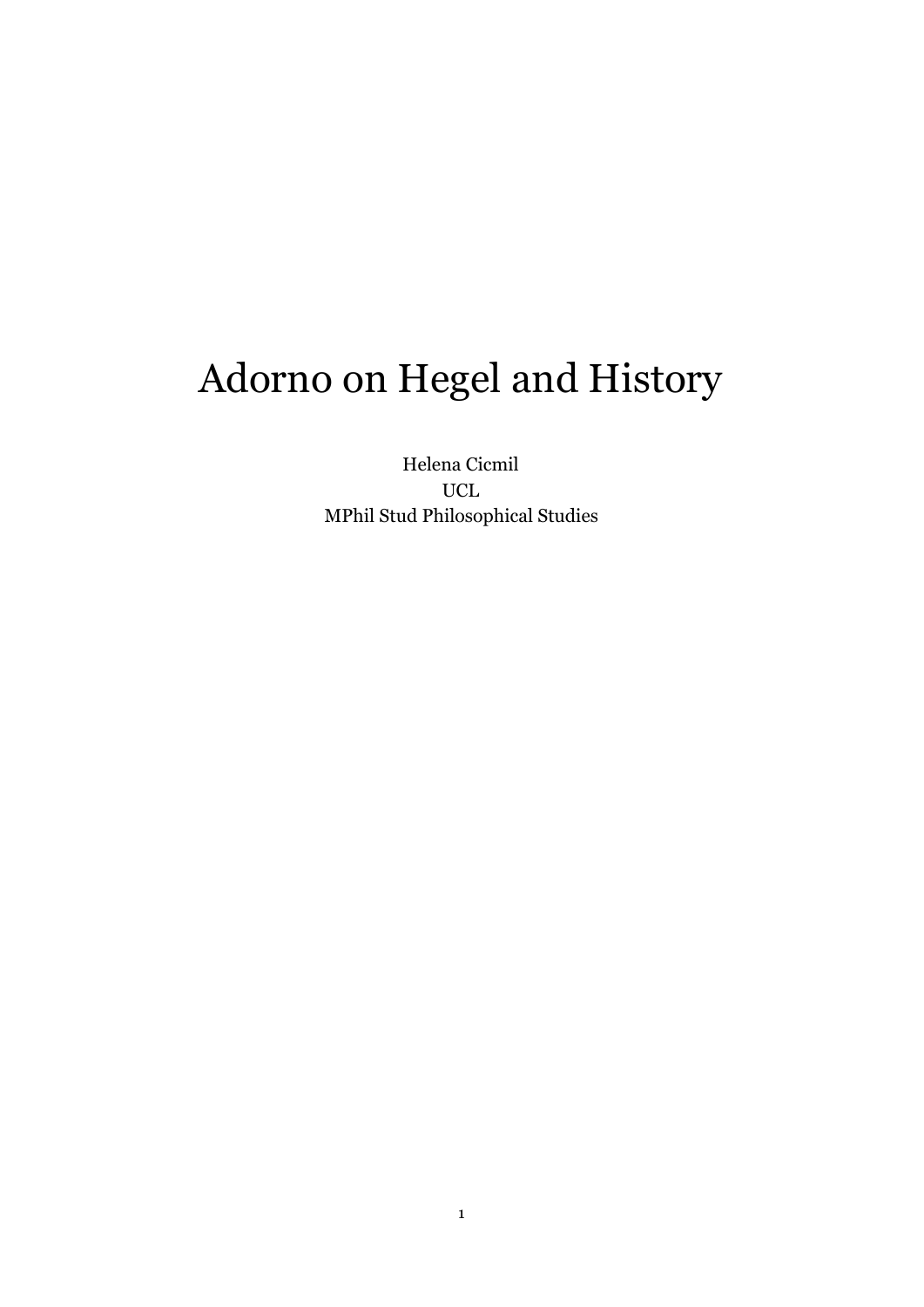# Adorno on Hegel and History

Helena Cicmil UCL MPhil Stud Philosophical Studies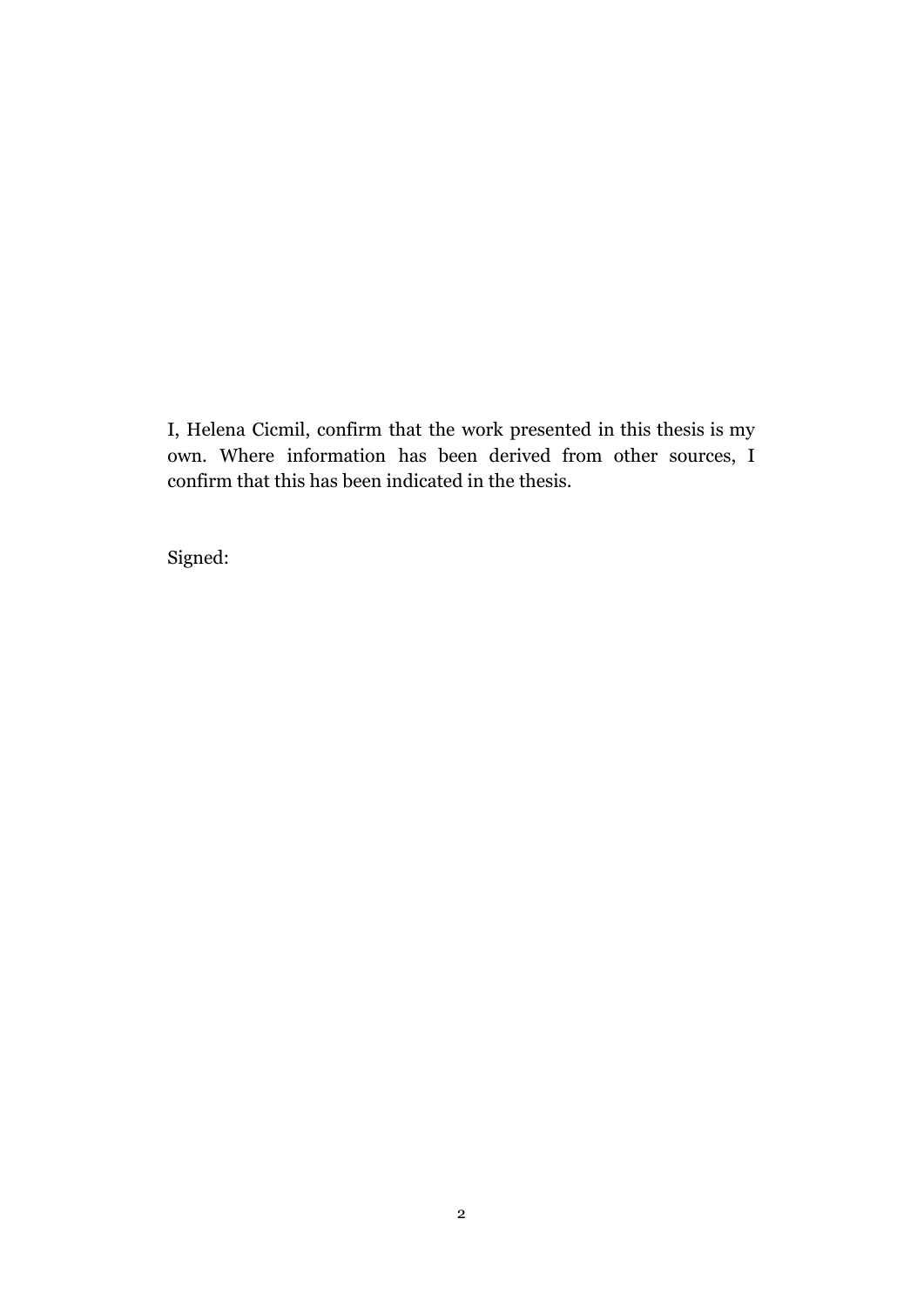I, Helena Cicmil, confirm that the work presented in this thesis is my own. Where information has been derived from other sources, I confirm that this has been indicated in the thesis.

Signed: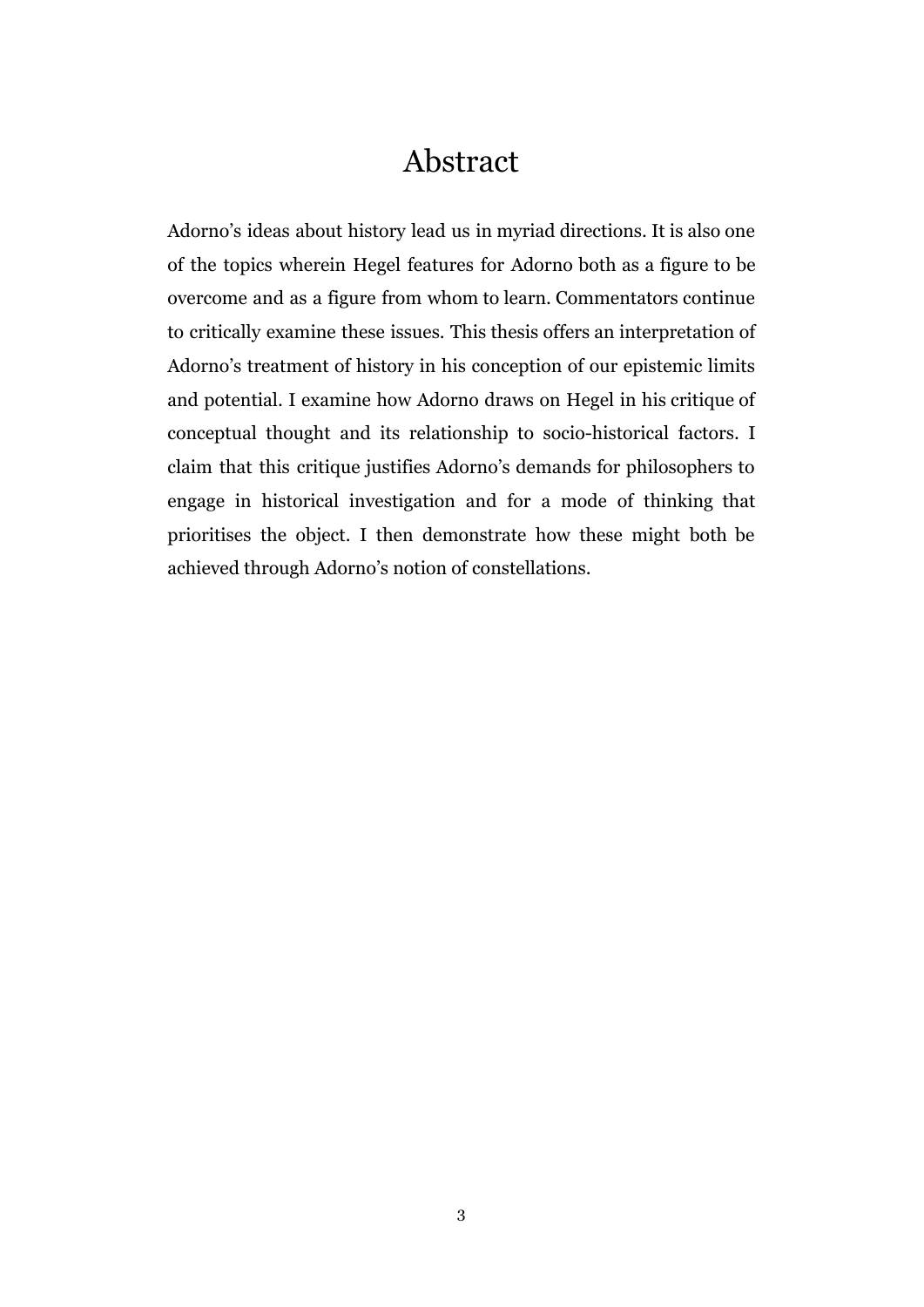### Abstract

Adorno's ideas about history lead us in myriad directions. It is also one of the topics wherein Hegel features for Adorno both as a figure to be overcome and as a figure from whom to learn. Commentators continue to critically examine these issues. This thesis offers an interpretation of Adorno's treatment of history in his conception of our epistemic limits and potential. I examine how Adorno draws on Hegel in his critique of conceptual thought and its relationship to socio-historical factors. I claim that this critique justifies Adorno's demands for philosophers to engage in historical investigation and for a mode of thinking that prioritises the object. I then demonstrate how these might both be achieved through Adorno's notion of constellations.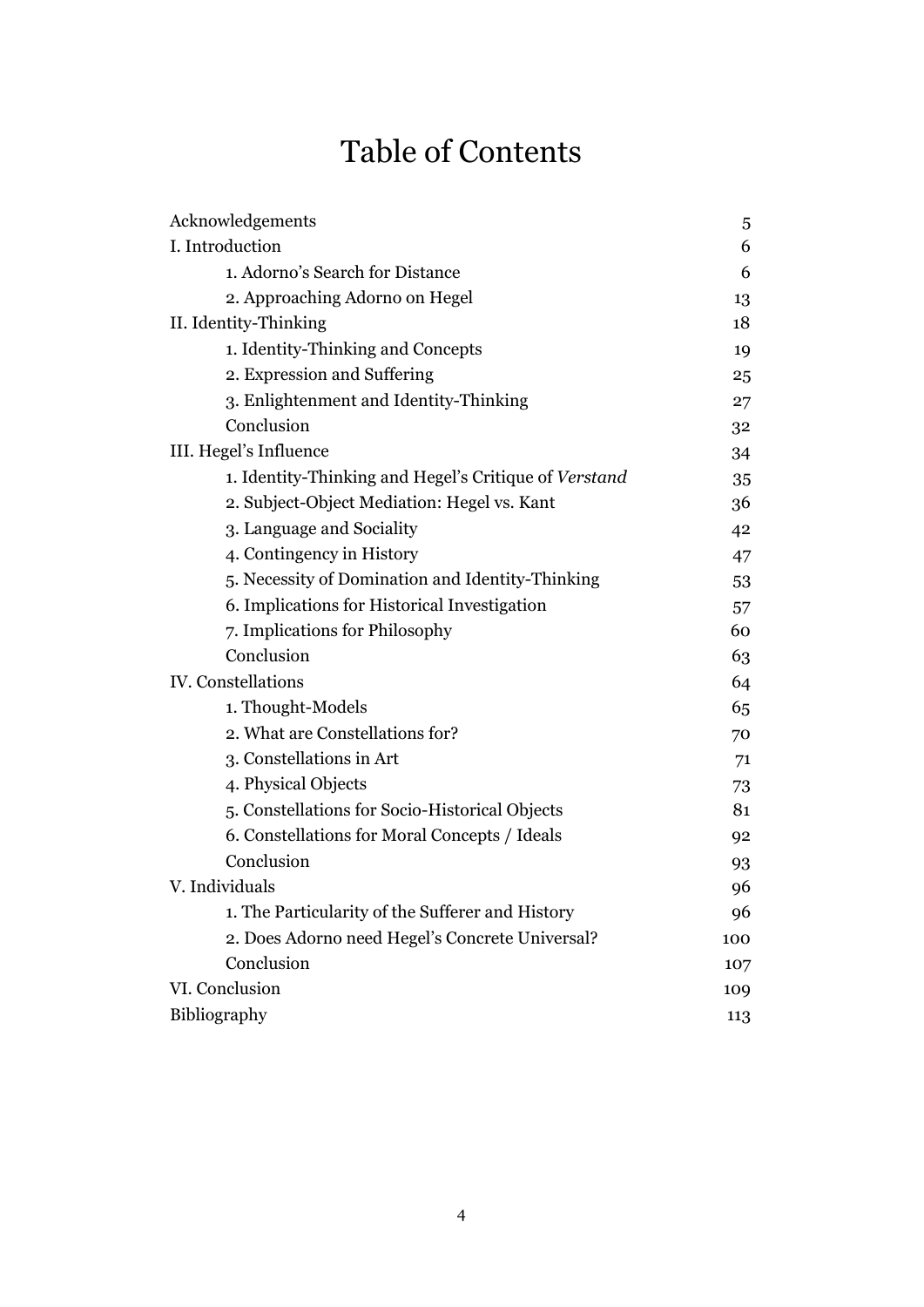# Table of Contents

| Acknowledgements                                      | 5   |
|-------------------------------------------------------|-----|
| I. Introduction                                       | 6   |
| 1. Adorno's Search for Distance                       | 6   |
| 2. Approaching Adorno on Hegel                        | 13  |
| II. Identity-Thinking                                 | 18  |
| 1. Identity-Thinking and Concepts                     | 19  |
| 2. Expression and Suffering                           | 25  |
| 3. Enlightenment and Identity-Thinking                | 27  |
| Conclusion                                            | 32  |
| III. Hegel's Influence                                | 34  |
| 1. Identity-Thinking and Hegel's Critique of Verstand | 35  |
| 2. Subject-Object Mediation: Hegel vs. Kant           | 36  |
| 3. Language and Sociality                             | 42  |
| 4. Contingency in History                             | 47  |
| 5. Necessity of Domination and Identity-Thinking      | 53  |
| 6. Implications for Historical Investigation          | 57  |
| 7. Implications for Philosophy                        | 60  |
| Conclusion                                            | 63  |
| IV. Constellations                                    | 64  |
| 1. Thought-Models                                     | 65  |
| 2. What are Constellations for?                       | 70  |
| 3. Constellations in Art                              | 71  |
| 4. Physical Objects                                   | 73  |
| 5. Constellations for Socio-Historical Objects        | 81  |
| 6. Constellations for Moral Concepts / Ideals         | 92  |
| Conclusion                                            | 93  |
| V. Individuals                                        | 96  |
| 1. The Particularity of the Sufferer and History      | 96  |
| 2. Does Adorno need Hegel's Concrete Universal?       | 100 |
| Conclusion                                            | 107 |
| VI. Conclusion                                        | 109 |
| Bibliography                                          | 113 |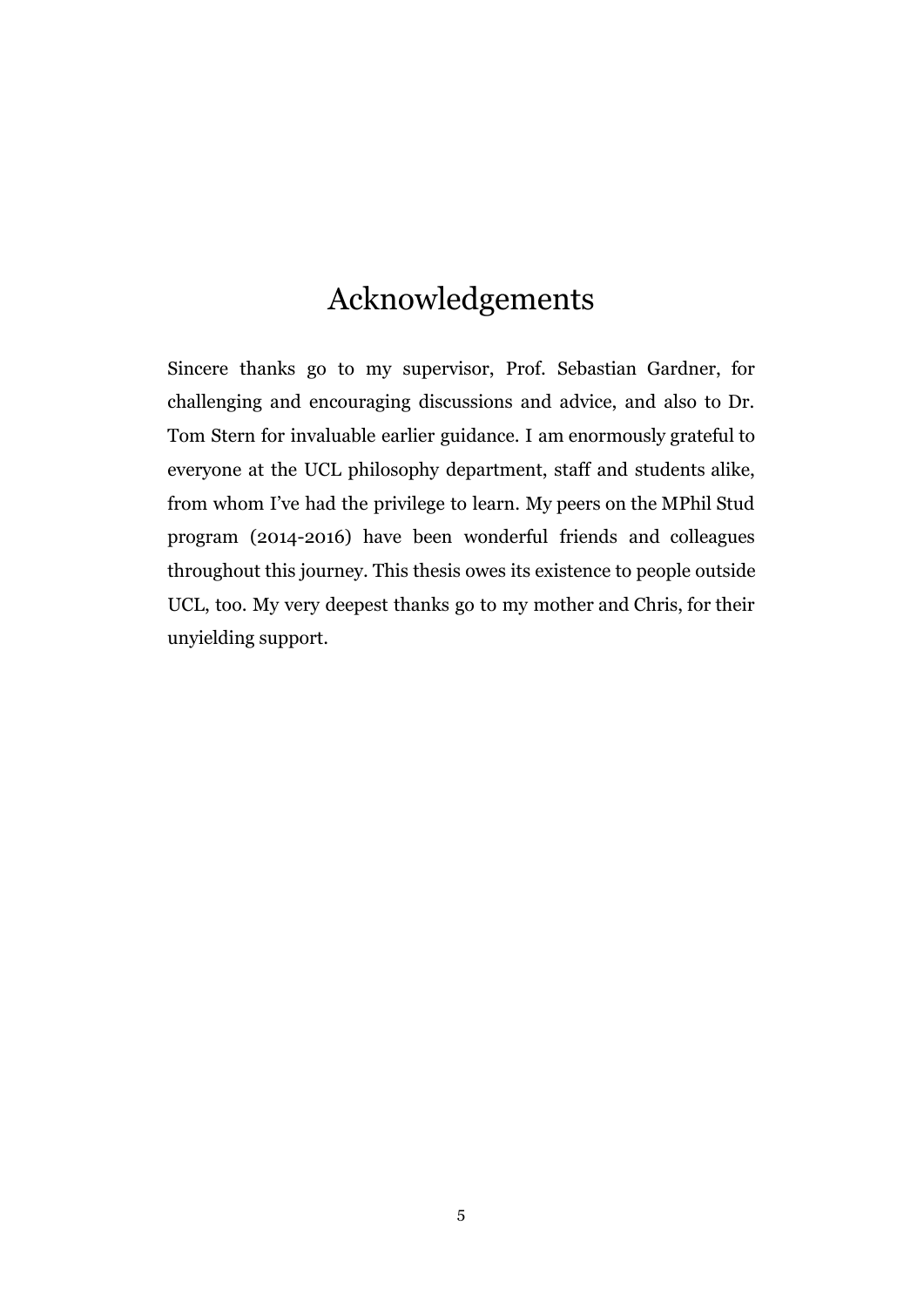# Acknowledgements

Sincere thanks go to my supervisor, Prof. Sebastian Gardner, for challenging and encouraging discussions and advice, and also to Dr. Tom Stern for invaluable earlier guidance. I am enormously grateful to everyone at the UCL philosophy department, staff and students alike, from whom I've had the privilege to learn. My peers on the MPhil Stud program (2014-2016) have been wonderful friends and colleagues throughout this journey. This thesis owes its existence to people outside UCL, too. My very deepest thanks go to my mother and Chris, for their unyielding support.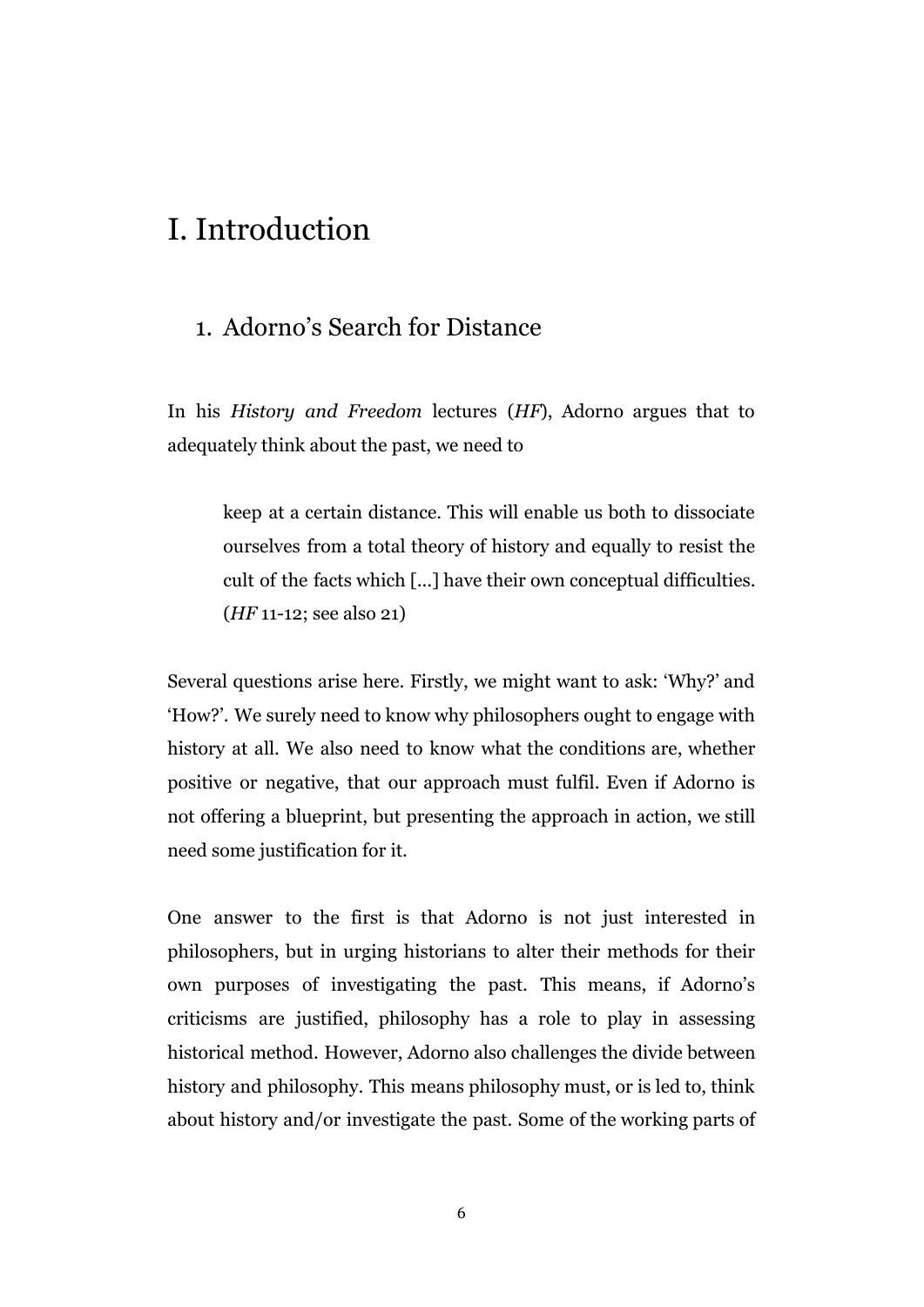## I. Introduction

### 1. Adorno's Search for Distance

In his *History and Freedom* lectures (*HF*), Adorno argues that to adequately think about the past, we need to

keep at a certain distance. This will enable us both to dissociate ourselves from a total theory of history and equally to resist the cult of the facts which [...] have their own conceptual difficulties. (*HF* 11-12; see also 21)

Several questions arise here. Firstly, we might want to ask: 'Why?' and 'How?'. We surely need to know why philosophers ought to engage with history at all. We also need to know what the conditions are, whether positive or negative, that our approach must fulfil. Even if Adorno is not offering a blueprint, but presenting the approach in action, we still need some justification for it.

One answer to the first is that Adorno is not just interested in philosophers, but in urging historians to alter their methods for their own purposes of investigating the past. This means, if Adorno's criticisms are justified, philosophy has a role to play in assessing historical method. However, Adorno also challenges the divide between history and philosophy. This means philosophy must, or is led to, think about history and/or investigate the past. Some of the working parts of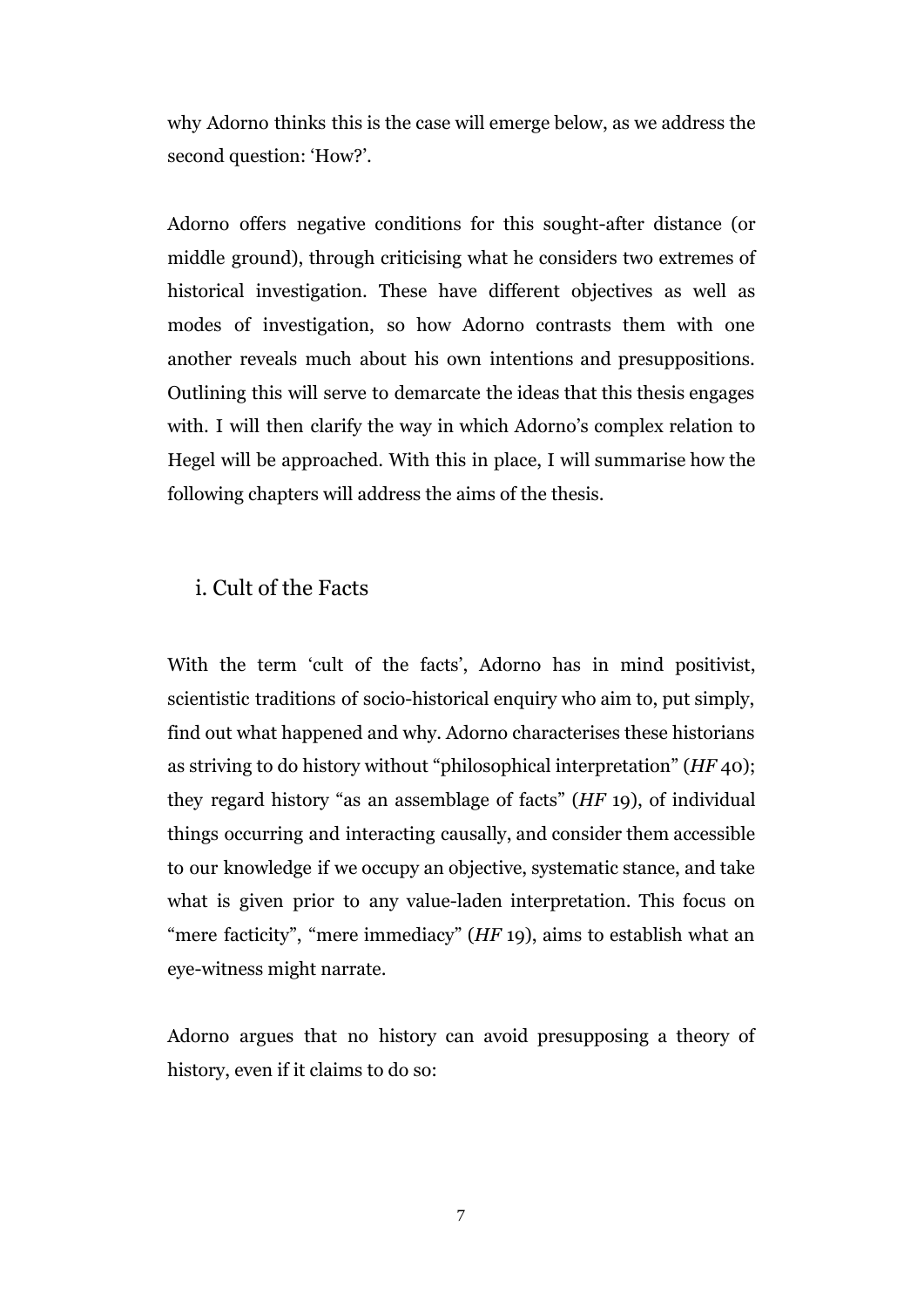why Adorno thinks this is the case will emerge below, as we address the second question: 'How?'.

Adorno offers negative conditions for this sought-after distance (or middle ground), through criticising what he considers two extremes of historical investigation. These have different objectives as well as modes of investigation, so how Adorno contrasts them with one another reveals much about his own intentions and presuppositions. Outlining this will serve to demarcate the ideas that this thesis engages with. I will then clarify the way in which Adorno's complex relation to Hegel will be approached. With this in place, I will summarise how the following chapters will address the aims of the thesis.

#### i. Cult of the Facts

With the term 'cult of the facts', Adorno has in mind positivist, scientistic traditions of socio-historical enquiry who aim to, put simply, find out what happened and why. Adorno characterises these historians as striving to do history without "philosophical interpretation" (*HF* 40); they regard history "as an assemblage of facts" (*HF* 19), of individual things occurring and interacting causally, and consider them accessible to our knowledge if we occupy an objective, systematic stance, and take what is given prior to any value-laden interpretation. This focus on "mere facticity", "mere immediacy" (*HF* 19), aims to establish what an eye-witness might narrate.

Adorno argues that no history can avoid presupposing a theory of history, even if it claims to do so: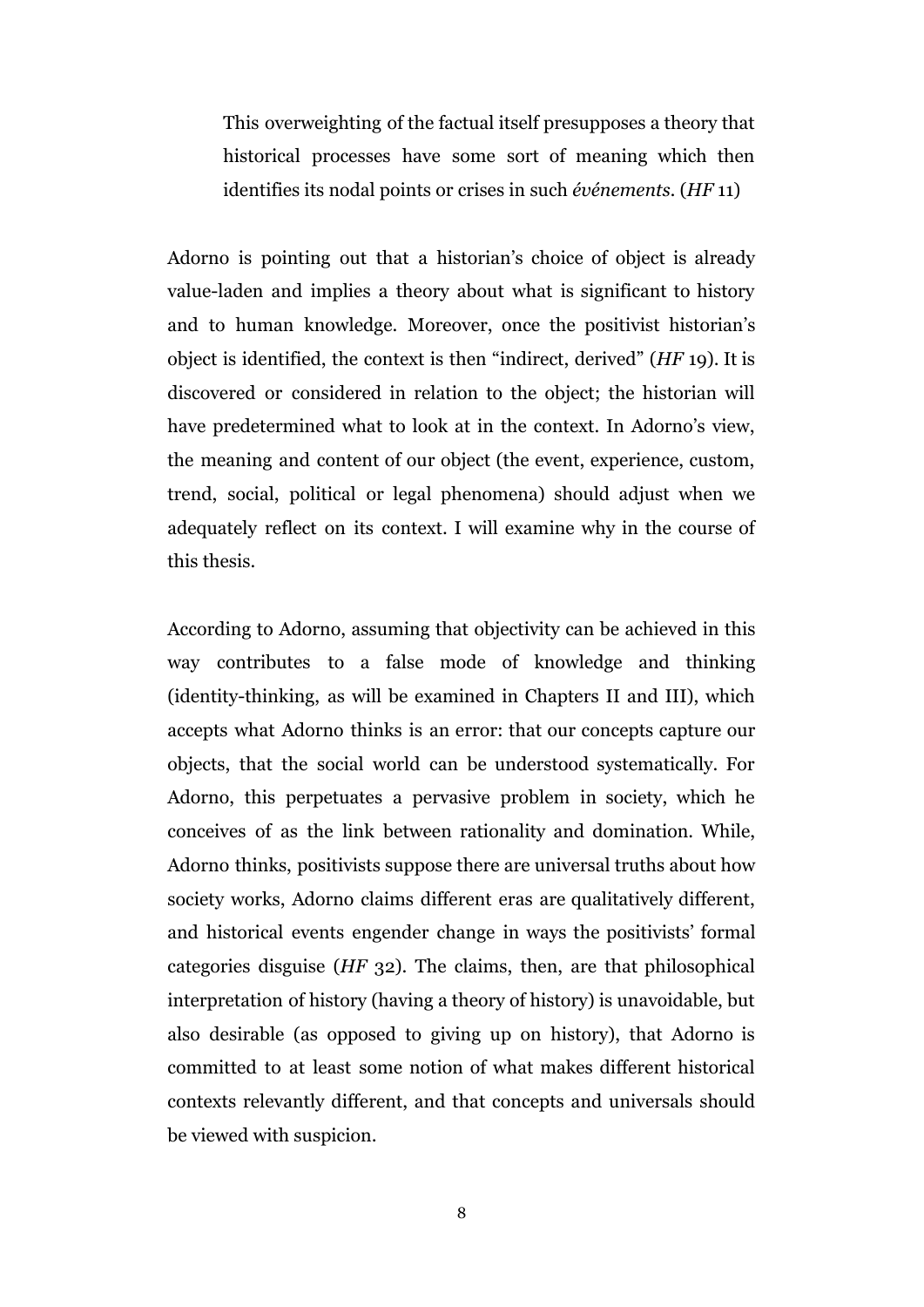This overweighting of the factual itself presupposes a theory that historical processes have some sort of meaning which then identifies its nodal points or crises in such *événements.* (*HF* 11)

Adorno is pointing out that a historian's choice of object is already value-laden and implies a theory about what is significant to history and to human knowledge. Moreover, once the positivist historian's object is identified, the context is then "indirect, derived" (*HF* 19). It is discovered or considered in relation to the object; the historian will have predetermined what to look at in the context. In Adorno's view, the meaning and content of our object (the event, experience, custom, trend, social, political or legal phenomena) should adjust when we adequately reflect on its context. I will examine why in the course of this thesis.

According to Adorno, assuming that objectivity can be achieved in this way contributes to a false mode of knowledge and thinking (identity-thinking, as will be examined in Chapters II and III), which accepts what Adorno thinks is an error: that our concepts capture our objects, that the social world can be understood systematically. For Adorno, this perpetuates a pervasive problem in society, which he conceives of as the link between rationality and domination. While, Adorno thinks, positivists suppose there are universal truths about how society works, Adorno claims different eras are qualitatively different, and historical events engender change in ways the positivists' formal categories disguise (*HF* 32). The claims, then, are that philosophical interpretation of history (having a theory of history) is unavoidable, but also desirable (as opposed to giving up on history), that Adorno is committed to at least some notion of what makes different historical contexts relevantly different, and that concepts and universals should be viewed with suspicion.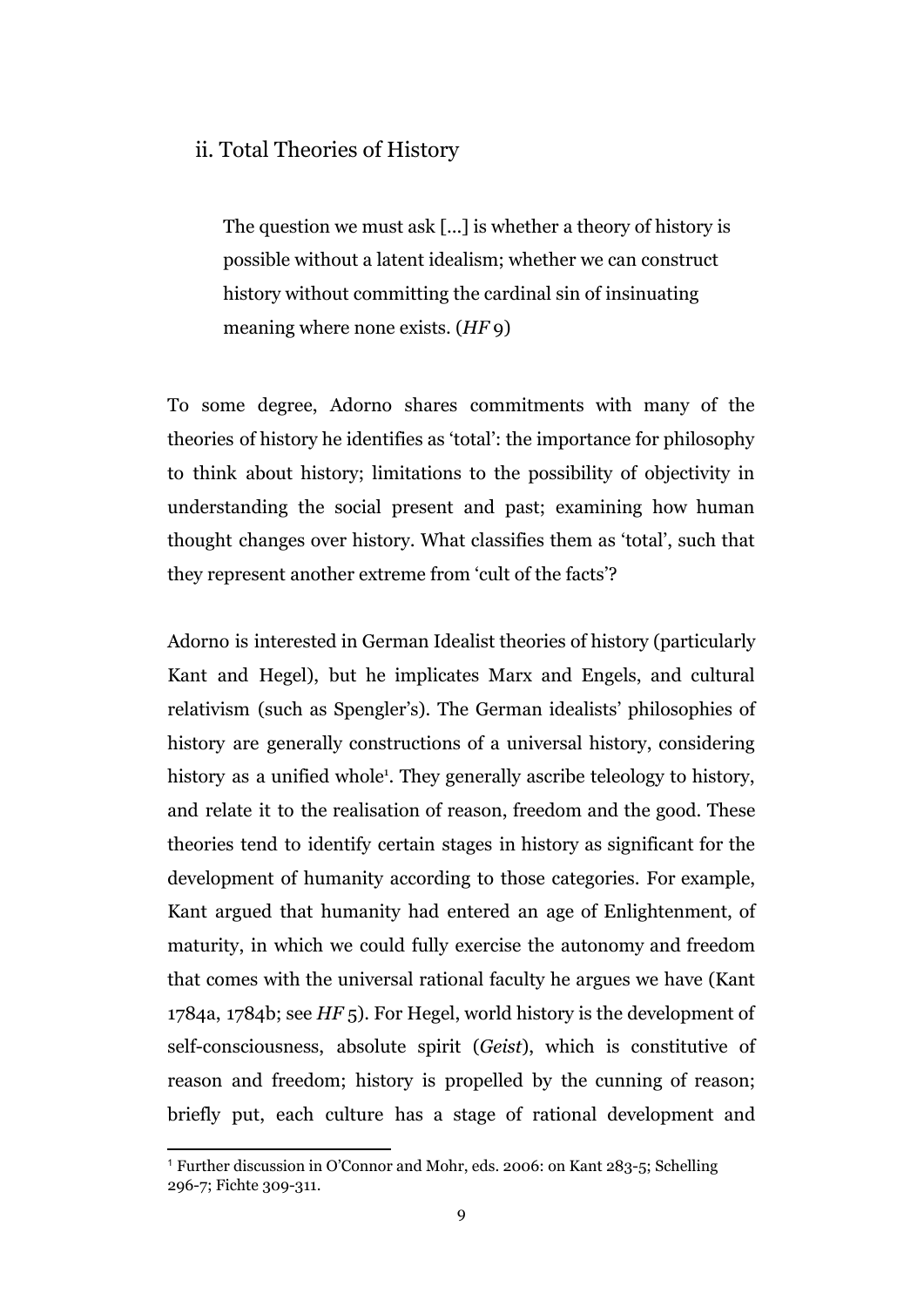#### ii. Total Theories of History

The question we must ask [...] is whether a theory of history is possible without a latent idealism; whether we can construct history without committing the cardinal sin of insinuating meaning where none exists. (*HF* 9)

To some degree, Adorno shares commitments with many of the theories of history he identifies as 'total': the importance for philosophy to think about history; limitations to the possibility of objectivity in understanding the social present and past; examining how human thought changes over history. What classifies them as 'total', such that they represent another extreme from 'cult of the facts'?

Adorno is interested in German Idealist theories of history (particularly Kant and Hegel), but he implicates Marx and Engels, and cultural relativism (such as Spengler's). The German idealists' philosophies of history are generally constructions of a universal history, considering history as a unified whole<sup>1</sup>. They generally ascribe teleology to history, and relate it to the realisation of reason, freedom and the good. These theories tend to identify certain stages in history as significant for the development of humanity according to those categories. For example, Kant argued that humanity had entered an age of Enlightenment, of maturity, in which we could fully exercise the autonomy and freedom that comes with the universal rational faculty he argues we have (Kant 1784a, 1784b; see *HF* 5). For Hegel, world history is the development of self-consciousness, absolute spirit (*Geist*), which is constitutive of reason and freedom; history is propelled by the cunning of reason; briefly put, each culture has a stage of rational development and

<sup>1</sup> Further discussion in O'Connor and Mohr, eds. 2006: on Kant 283-5; Schelling 296-7; Fichte 309-311.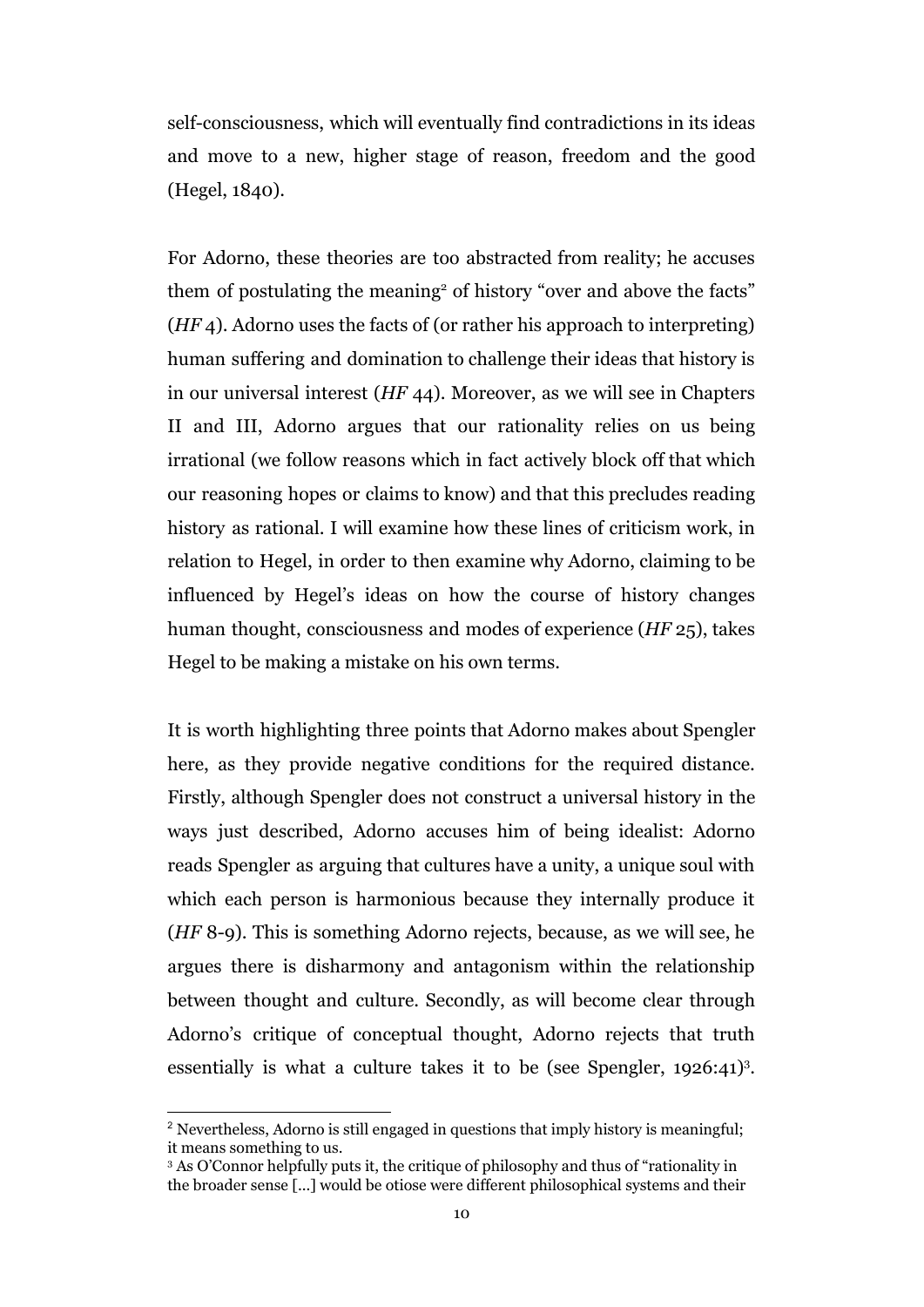self-consciousness, which will eventually find contradictions in its ideas and move to a new, higher stage of reason, freedom and the good (Hegel, 1840).

For Adorno, these theories are too abstracted from reality; he accuses them of postulating the meaning<sup>2</sup> of history "over and above the facts" (*HF* 4). Adorno uses the facts of (or rather his approach to interpreting) human suffering and domination to challenge their ideas that history is in our universal interest (*HF* 44). Moreover, as we will see in Chapters II and III, Adorno argues that our rationality relies on us being irrational (we follow reasons which in fact actively block off that which our reasoning hopes or claims to know) and that this precludes reading history as rational. I will examine how these lines of criticism work, in relation to Hegel, in order to then examine why Adorno, claiming to be influenced by Hegel's ideas on how the course of history changes human thought, consciousness and modes of experience (*HF* 25), takes Hegel to be making a mistake on his own terms.

It is worth highlighting three points that Adorno makes about Spengler here, as they provide negative conditions for the required distance. Firstly, although Spengler does not construct a universal history in the ways just described, Adorno accuses him of being idealist: Adorno reads Spengler as arguing that cultures have a unity, a unique soul with which each person is harmonious because they internally produce it (*HF* 8-9). This is something Adorno rejects, because, as we will see, he argues there is disharmony and antagonism within the relationship between thought and culture. Secondly, as will become clear through Adorno's critique of conceptual thought, Adorno rejects that truth essentially is what a culture takes it to be (see Spengler,  $1926:41$ )<sup>3</sup>.

<sup>&</sup>lt;sup>2</sup> Nevertheless, Adorno is still engaged in questions that imply history is meaningful; it means something to us.

<sup>&</sup>lt;sup>3</sup> As O'Connor helpfully puts it, the critique of philosophy and thus of "rationality in the broader sense [...] would be otiose were different philosophical systems and their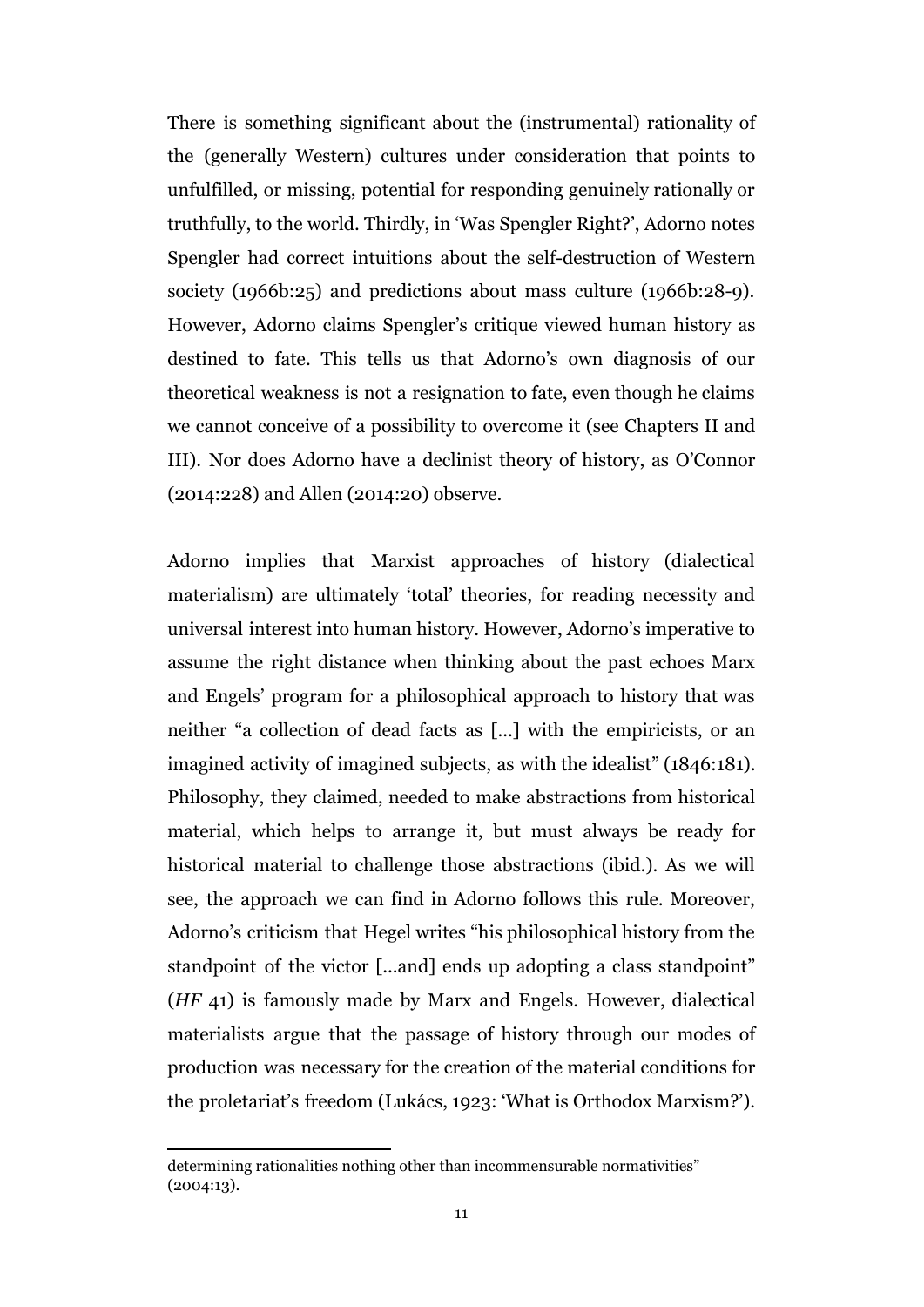There is something significant about the (instrumental) rationality of the (generally Western) cultures under consideration that points to unfulfilled, or missing, potential for responding genuinely rationally or truthfully, to the world. Thirdly, in 'Was Spengler Right?', Adorno notes Spengler had correct intuitions about the self-destruction of Western society (1966b:25) and predictions about mass culture (1966b:28-9). However, Adorno claims Spengler's critique viewed human history as destined to fate. This tells us that Adorno's own diagnosis of our theoretical weakness is not a resignation to fate, even though he claims we cannot conceive of a possibility to overcome it (see Chapters II and III). Nor does Adorno have a declinist theory of history, as O'Connor (2014:228) and Allen (2014:20) observe.

Adorno implies that Marxist approaches of history (dialectical materialism) are ultimately 'total' theories, for reading necessity and universal interest into human history. However, Adorno's imperative to assume the right distance when thinking about the past echoes Marx and Engels' program for a philosophical approach to history that was neither "a collection of dead facts as [...] with the empiricists, or an imagined activity of imagined subjects, as with the idealist" (1846:181). Philosophy, they claimed, needed to make abstractions from historical material, which helps to arrange it, but must always be ready for historical material to challenge those abstractions (ibid.). As we will see, the approach we can find in Adorno follows this rule. Moreover, Adorno's criticism that Hegel writes "his philosophical history from the standpoint of the victor [...and] ends up adopting a class standpoint" (*HF* 41) is famously made by Marx and Engels. However, dialectical materialists argue that the passage of history through our modes of production was necessary for the creation of the material conditions for the proletariat's freedom (Lukács, 1923: 'What is Orthodox Marxism?').

determining rationalities nothing other than incommensurable normativities" (2004:13).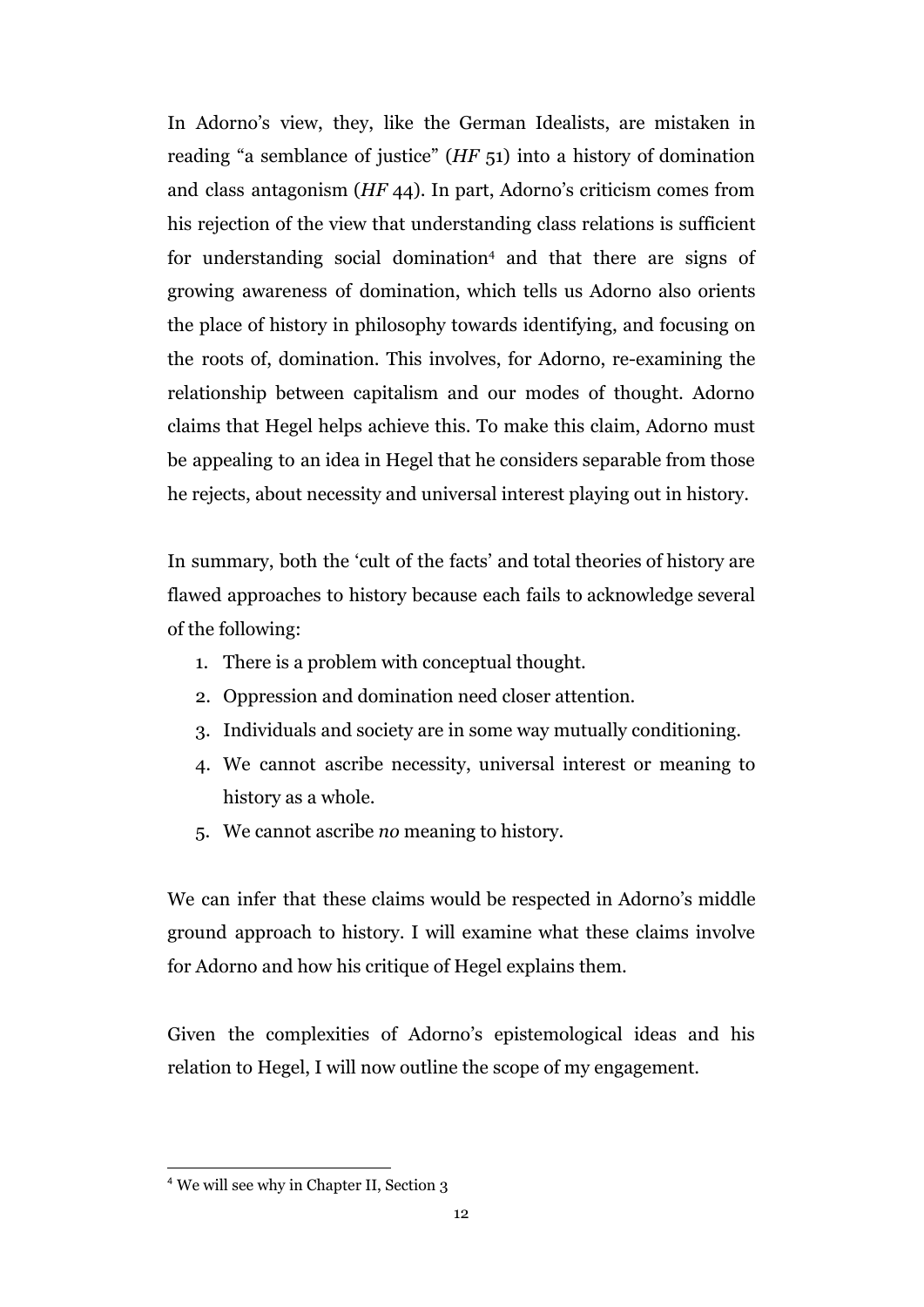In Adorno's view, they, like the German Idealists, are mistaken in reading "a semblance of justice" (*HF* 51) into a history of domination and class antagonism (*HF* 44). In part, Adorno's criticism comes from his rejection of the view that understanding class relations is sufficient for understanding social domination<sup>4</sup> and that there are signs of growing awareness of domination, which tells us Adorno also orients the place of history in philosophy towards identifying, and focusing on the roots of, domination. This involves, for Adorno, re-examining the relationship between capitalism and our modes of thought. Adorno claims that Hegel helps achieve this. To make this claim, Adorno must be appealing to an idea in Hegel that he considers separable from those he rejects, about necessity and universal interest playing out in history.

In summary, both the 'cult of the facts' and total theories of history are flawed approaches to history because each fails to acknowledge several of the following:

- 1. There is a problem with conceptual thought.
- 2. Oppression and domination need closer attention.
- 3. Individuals and society are in some way mutually conditioning.
- 4. We cannot ascribe necessity, universal interest or meaning to history as a whole.
- 5. We cannot ascribe *no* meaning to history.

We can infer that these claims would be respected in Adorno's middle ground approach to history. I will examine what these claims involve for Adorno and how his critique of Hegel explains them.

Given the complexities of Adorno's epistemological ideas and his relation to Hegel, I will now outline the scope of my engagement.

<sup>4</sup> We will see why in Chapter II, Section 3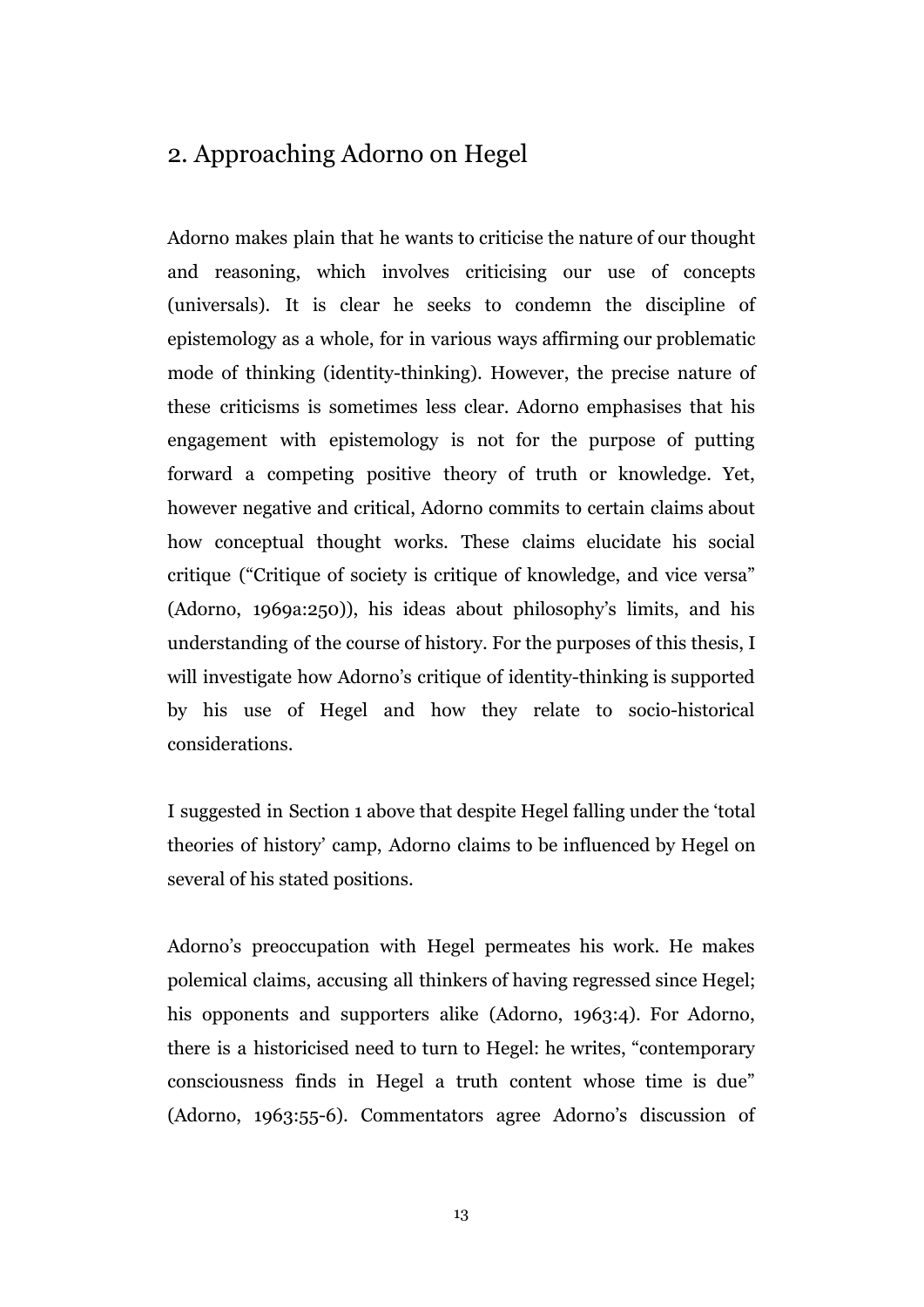### 2. Approaching Adorno on Hegel

Adorno makes plain that he wants to criticise the nature of our thought and reasoning, which involves criticising our use of concepts (universals). It is clear he seeks to condemn the discipline of epistemology as a whole, for in various ways affirming our problematic mode of thinking (identity-thinking). However, the precise nature of these criticisms is sometimes less clear. Adorno emphasises that his engagement with epistemology is not for the purpose of putting forward a competing positive theory of truth or knowledge. Yet, however negative and critical, Adorno commits to certain claims about how conceptual thought works. These claims elucidate his social critique ("Critique of society is critique of knowledge, and vice versa" (Adorno, 1969a:250)), his ideas about philosophy's limits, and his understanding of the course of history. For the purposes of this thesis, I will investigate how Adorno's critique of identity-thinking is supported by his use of Hegel and how they relate to socio-historical considerations.

I suggested in Section 1 above that despite Hegel falling under the 'total theories of history' camp, Adorno claims to be influenced by Hegel on several of his stated positions.

Adorno's preoccupation with Hegel permeates his work. He makes polemical claims, accusing all thinkers of having regressed since Hegel; his opponents and supporters alike (Adorno, 1963:4). For Adorno, there is a historicised need to turn to Hegel: he writes, "contemporary consciousness finds in Hegel a truth content whose time is due" (Adorno, 1963:55-6). Commentators agree Adorno's discussion of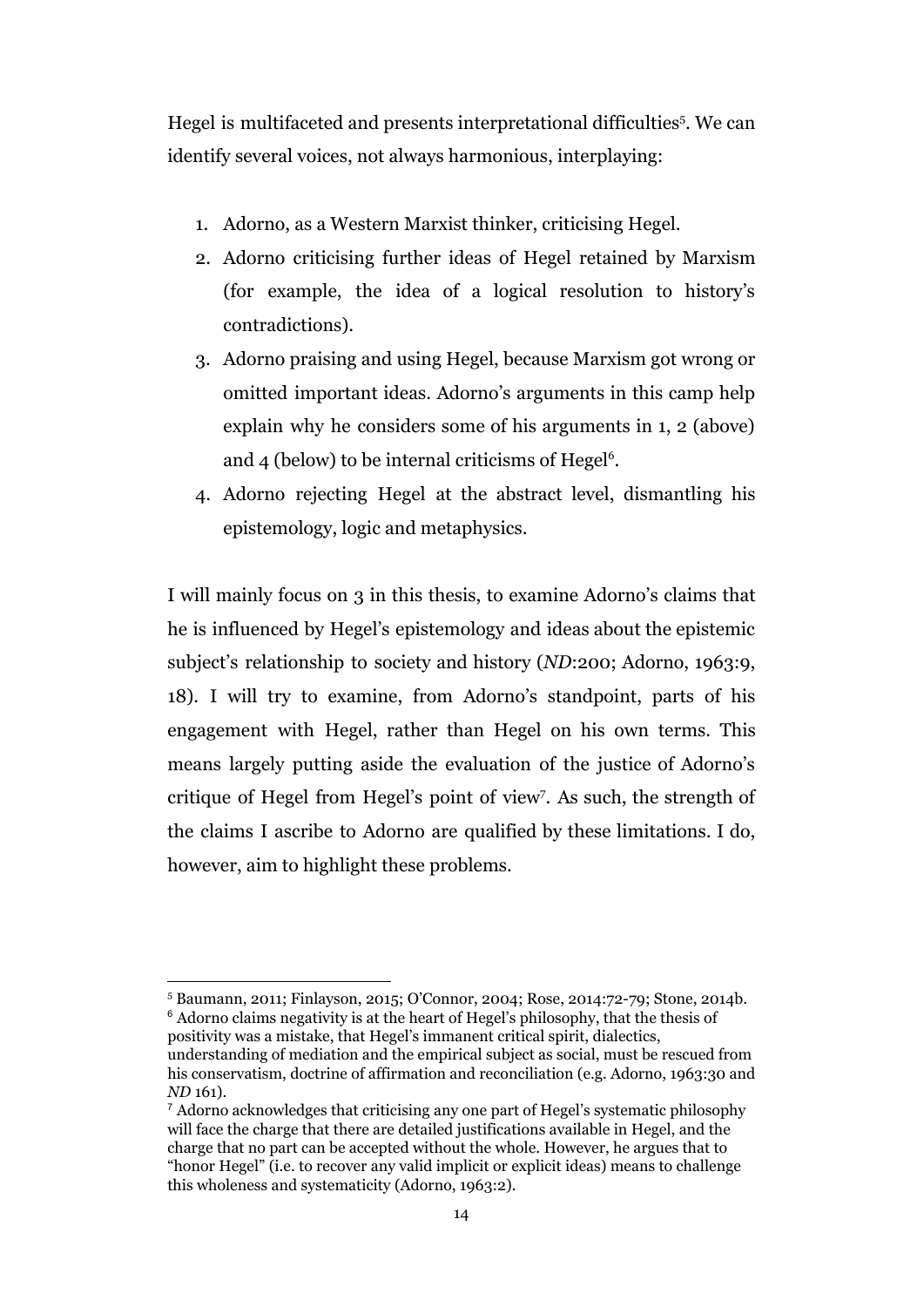Hegel is multifaceted and presents interpretational difficulties<sup>5</sup>. We can identify several voices, not always harmonious, interplaying:

- 1. Adorno, as a Western Marxist thinker, criticising Hegel.
- 2. Adorno criticising further ideas of Hegel retained by Marxism (for example, the idea of a logical resolution to history's contradictions).
- 3. Adorno praising and using Hegel, because Marxism got wrong or omitted important ideas. Adorno's arguments in this camp help explain why he considers some of his arguments in 1, 2 (above) and  $4$  (below) to be internal criticisms of Hegel<sup>6</sup>.
- 4. Adorno rejecting Hegel at the abstract level, dismantling his epistemology, logic and metaphysics.

I will mainly focus on 3 in this thesis, to examine Adorno's claims that he is influenced by Hegel's epistemology and ideas about the epistemic subject's relationship to society and history (*ND*:200; Adorno, 1963:9, 18). I will try to examine, from Adorno's standpoint, parts of his engagement with Hegel, rather than Hegel on his own terms. This means largely putting aside the evaluation of the justice of Adorno's critique of Hegel from Hegel's point of view. As such, the strength of the claims I ascribe to Adorno are qualified by these limitations. I do, however, aim to highlight these problems.

<sup>5</sup> Baumann, 2011; Finlayson, 2015; O'Connor, 2004; Rose, 2014:72-79; Stone, 2014b. <sup>6</sup> Adorno claims negativity is at the heart of Hegel's philosophy, that the thesis of

positivity was a mistake, that Hegel's immanent critical spirit, dialectics, understanding of mediation and the empirical subject as social, must be rescued from his conservatism, doctrine of affirmation and reconciliation (e.g. Adorno, 1963:30 and *ND* 161).

<sup>7</sup> Adorno acknowledges that criticising any one part of Hegel's systematic philosophy will face the charge that there are detailed justifications available in Hegel, and the charge that no part can be accepted without the whole. However, he argues that to "honor Hegel" (i.e. to recover any valid implicit or explicit ideas) means to challenge this wholeness and systematicity (Adorno, 1963:2).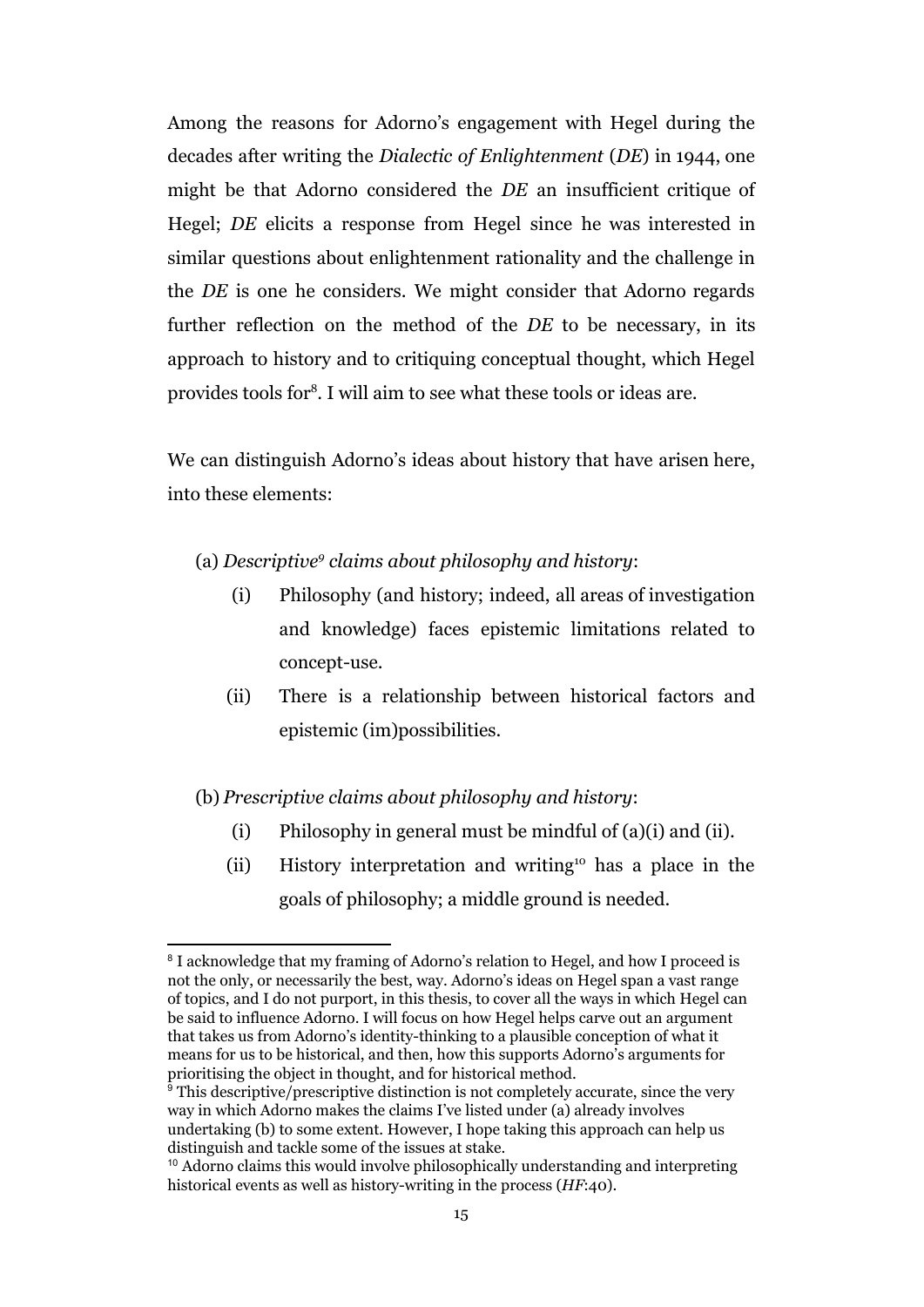Among the reasons for Adorno's engagement with Hegel during the decades after writing the *Dialectic of Enlightenment* (*DE*) in 1944, one might be that Adorno considered the *DE* an insufficient critique of Hegel; *DE* elicits a response from Hegel since he was interested in similar questions about enlightenment rationality and the challenge in the *DE* is one he considers. We might consider that Adorno regards further reflection on the method of the *DE* to be necessary, in its approach to history and to critiquing conceptual thought, which Hegel provides tools for<sup>8</sup>. I will aim to see what these tools or ideas are.

We can distinguish Adorno's ideas about history that have arisen here, into these elements:

- (a) *Descriptive<sup>9</sup> claims about philosophy and history*:
	- (i) Philosophy (and history; indeed, all areas of investigation and knowledge) faces epistemic limitations related to concept-use.
	- (ii) There is a relationship between historical factors and epistemic (im)possibilities.

#### (b) *Prescriptive claims about philosophy and history*:

- (i) Philosophy in general must be mindful of (a)(i) and (ii).
- (ii) History interpretation and writing  $\mu$  has a place in the goals of philosophy; a middle ground is needed.

<sup>&</sup>lt;sup>8</sup> I acknowledge that my framing of Adorno's relation to Hegel, and how I proceed is not the only, or necessarily the best, way. Adorno's ideas on Hegel span a vast range of topics, and I do not purport, in this thesis, to cover all the ways in which Hegel can be said to influence Adorno. I will focus on how Hegel helps carve out an argument that takes us from Adorno's identity-thinking to a plausible conception of what it means for us to be historical, and then, how this supports Adorno's arguments for prioritising the object in thought, and for historical method.

 $\frac{1}{9}$  This descriptive/prescriptive distinction is not completely accurate, since the very way in which Adorno makes the claims I've listed under (a) already involves undertaking (b) to some extent. However, I hope taking this approach can help us distinguish and tackle some of the issues at stake.

<sup>10</sup> Adorno claims this would involve philosophically understanding and interpreting historical events as well as history-writing in the process (*HF*:40).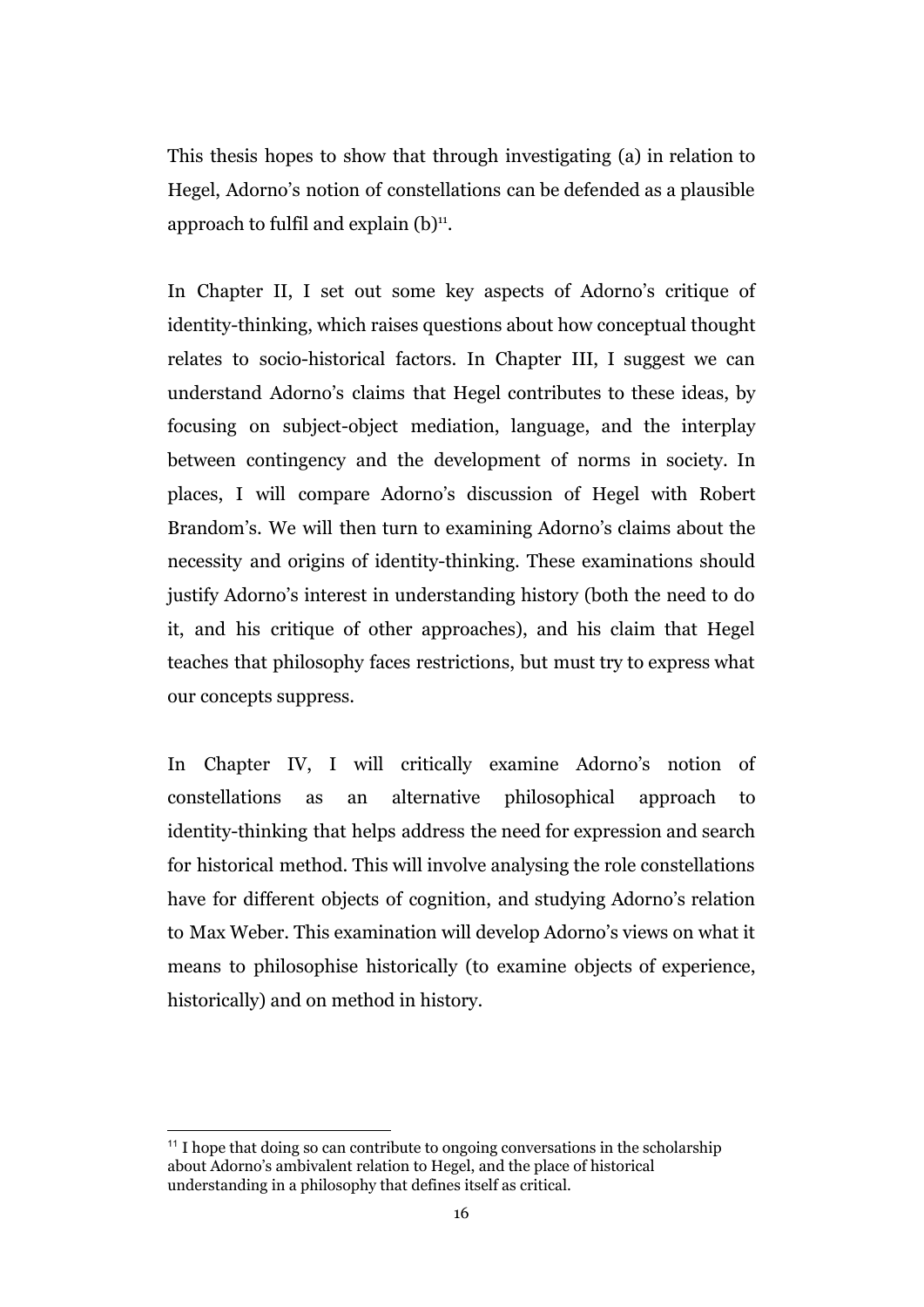This thesis hopes to show that through investigating (a) in relation to Hegel, Adorno's notion of constellations can be defended as a plausible approach to fulfil and explain  $(b)$ <sup>11</sup>.

In Chapter II, I set out some key aspects of Adorno's critique of identity-thinking, which raises questions about how conceptual thought relates to socio-historical factors. In Chapter III, I suggest we can understand Adorno's claims that Hegel contributes to these ideas, by focusing on subject-object mediation, language, and the interplay between contingency and the development of norms in society. In places, I will compare Adorno's discussion of Hegel with Robert Brandom's. We will then turn to examining Adorno's claims about the necessity and origins of identity-thinking. These examinations should justify Adorno's interest in understanding history (both the need to do it, and his critique of other approaches), and his claim that Hegel teaches that philosophy faces restrictions, but must try to express what our concepts suppress.

In Chapter IV, I will critically examine Adorno's notion of constellations as an alternative philosophical approach to identity-thinking that helps address the need for expression and search for historical method. This will involve analysing the role constellations have for different objects of cognition, and studying Adorno's relation to Max Weber. This examination will develop Adorno's views on what it means to philosophise historically (to examine objects of experience, historically) and on method in history.

<sup>&</sup>lt;sup>11</sup> I hope that doing so can contribute to ongoing conversations in the scholarship about Adorno's ambivalent relation to Hegel, and the place of historical understanding in a philosophy that defines itself as critical.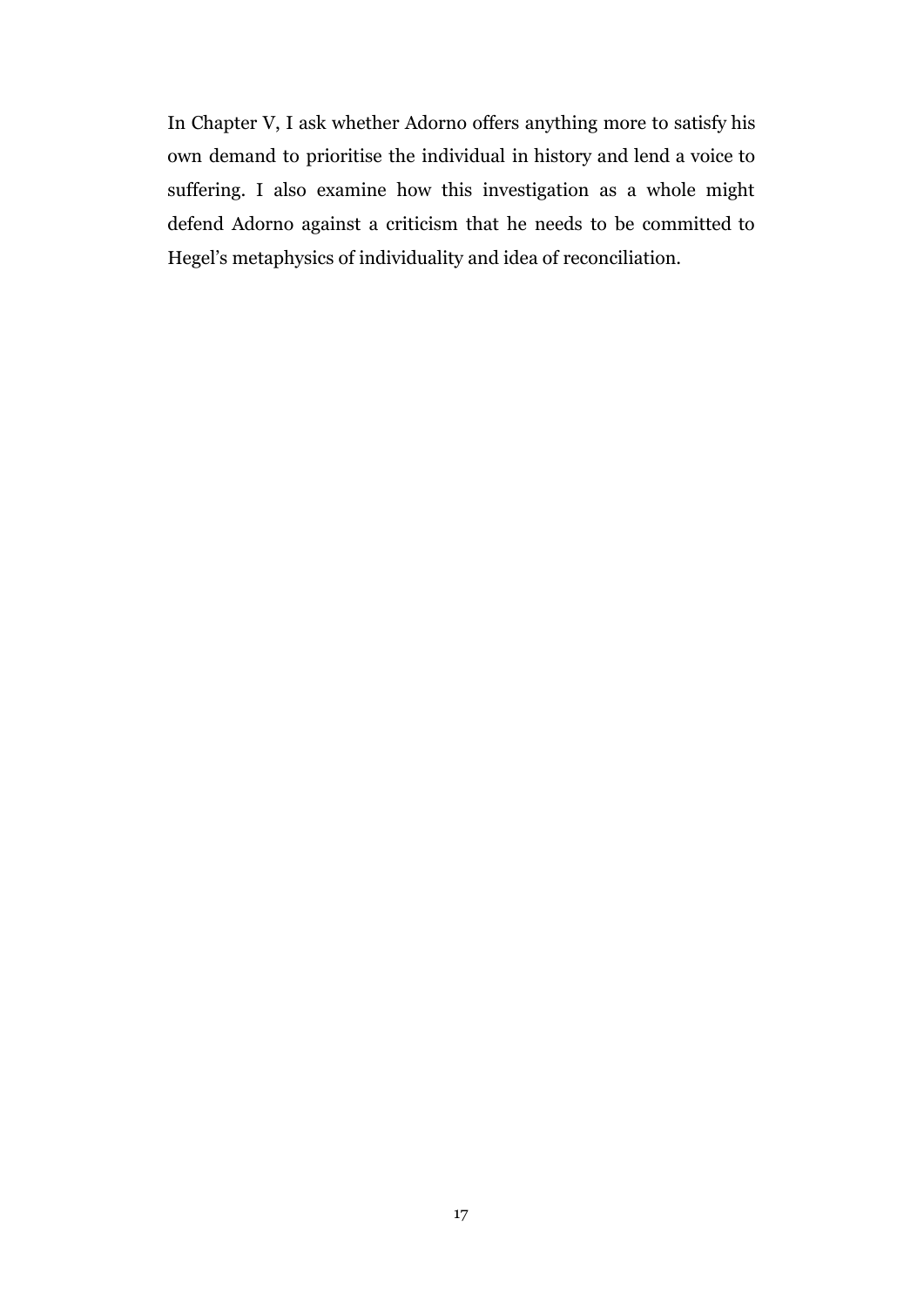In Chapter V, I ask whether Adorno offers anything more to satisfy his own demand to prioritise the individual in history and lend a voice to suffering. I also examine how this investigation as a whole might defend Adorno against a criticism that he needs to be committed to Hegel's metaphysics of individuality and idea of reconciliation.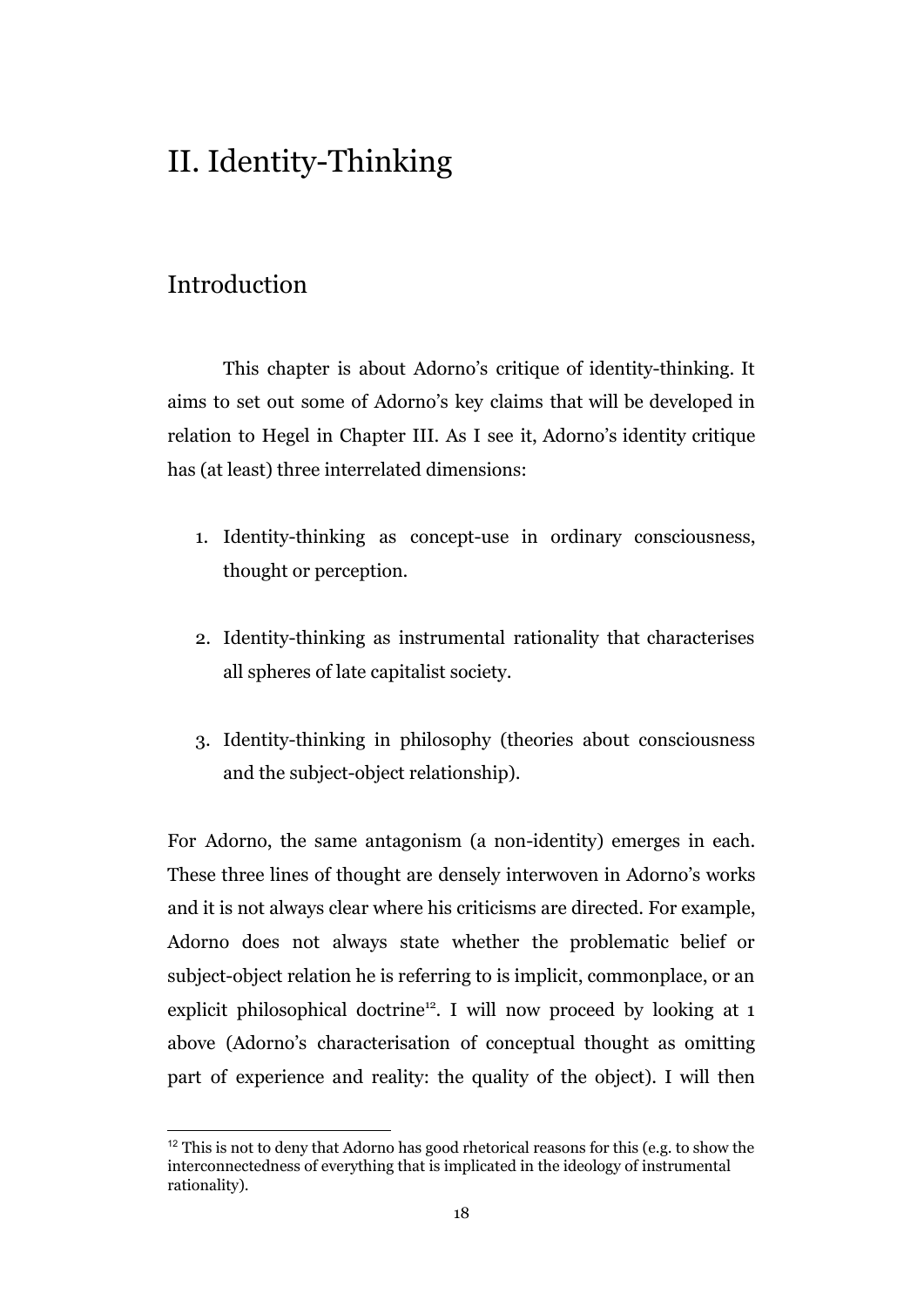## II. Identity-Thinking

### Introduction

This chapter is about Adorno's critique of identity-thinking. It aims to set out some of Adorno's key claims that will be developed in relation to Hegel in Chapter III. As I see it, Adorno's identity critique has (at least) three interrelated dimensions:

- 1. Identity-thinking as concept-use in ordinary consciousness, thought or perception.
- 2. Identity-thinking as instrumental rationality that characterises all spheres of late capitalist society.
- 3. Identity-thinking in philosophy (theories about consciousness and the subject-object relationship).

For Adorno, the same antagonism (a non-identity) emerges in each. These three lines of thought are densely interwoven in Adorno's works and it is not always clear where his criticisms are directed. For example, Adorno does not always state whether the problematic belief or subject-object relation he is referring to is implicit, commonplace, or an explicit philosophical doctrine<sup>12</sup>. I will now proceed by looking at 1 above (Adorno's characterisation of conceptual thought as omitting part of experience and reality: the quality of the object). I will then

 $12$  This is not to deny that Adorno has good rhetorical reasons for this (e.g. to show the interconnectedness of everything that is implicated in the ideology of instrumental rationality).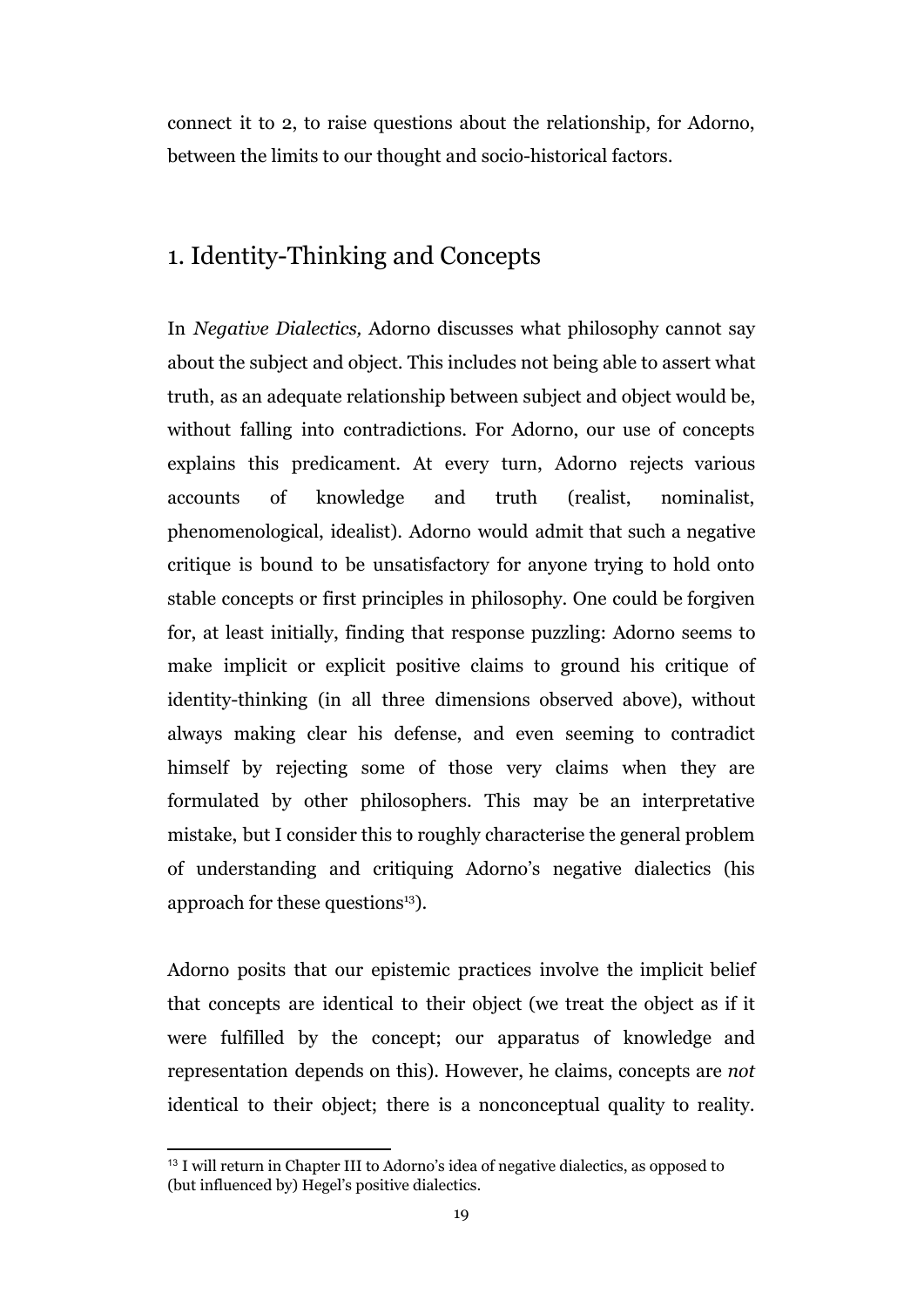connect it to 2, to raise questions about the relationship, for Adorno, between the limits to our thought and socio-historical factors.

### 1. Identity-Thinking and Concepts

In *Negative Dialectics,* Adorno discusses what philosophy cannot say about the subject and object. This includes not being able to assert what truth, as an adequate relationship between subject and object would be, without falling into contradictions. For Adorno, our use of concepts explains this predicament. At every turn, Adorno rejects various accounts of knowledge and truth (realist, nominalist, phenomenological, idealist). Adorno would admit that such a negative critique is bound to be unsatisfactory for anyone trying to hold onto stable concepts or first principles in philosophy. One could be forgiven for, at least initially, finding that response puzzling: Adorno seems to make implicit or explicit positive claims to ground his critique of identity-thinking (in all three dimensions observed above), without always making clear his defense, and even seeming to contradict himself by rejecting some of those very claims when they are formulated by other philosophers. This may be an interpretative mistake, but I consider this to roughly characterise the general problem of understanding and critiquing Adorno's negative dialectics (his approach for these questions $^{13}$ ).

Adorno posits that our epistemic practices involve the implicit belief that concepts are identical to their object (we treat the object as if it were fulfilled by the concept; our apparatus of knowledge and representation depends on this). However, he claims, concepts are *not* identical to their object; there is a nonconceptual quality to reality.

<sup>&</sup>lt;sup>13</sup> I will return in Chapter III to Adorno's idea of negative dialectics, as opposed to (but influenced by) Hegel's positive dialectics.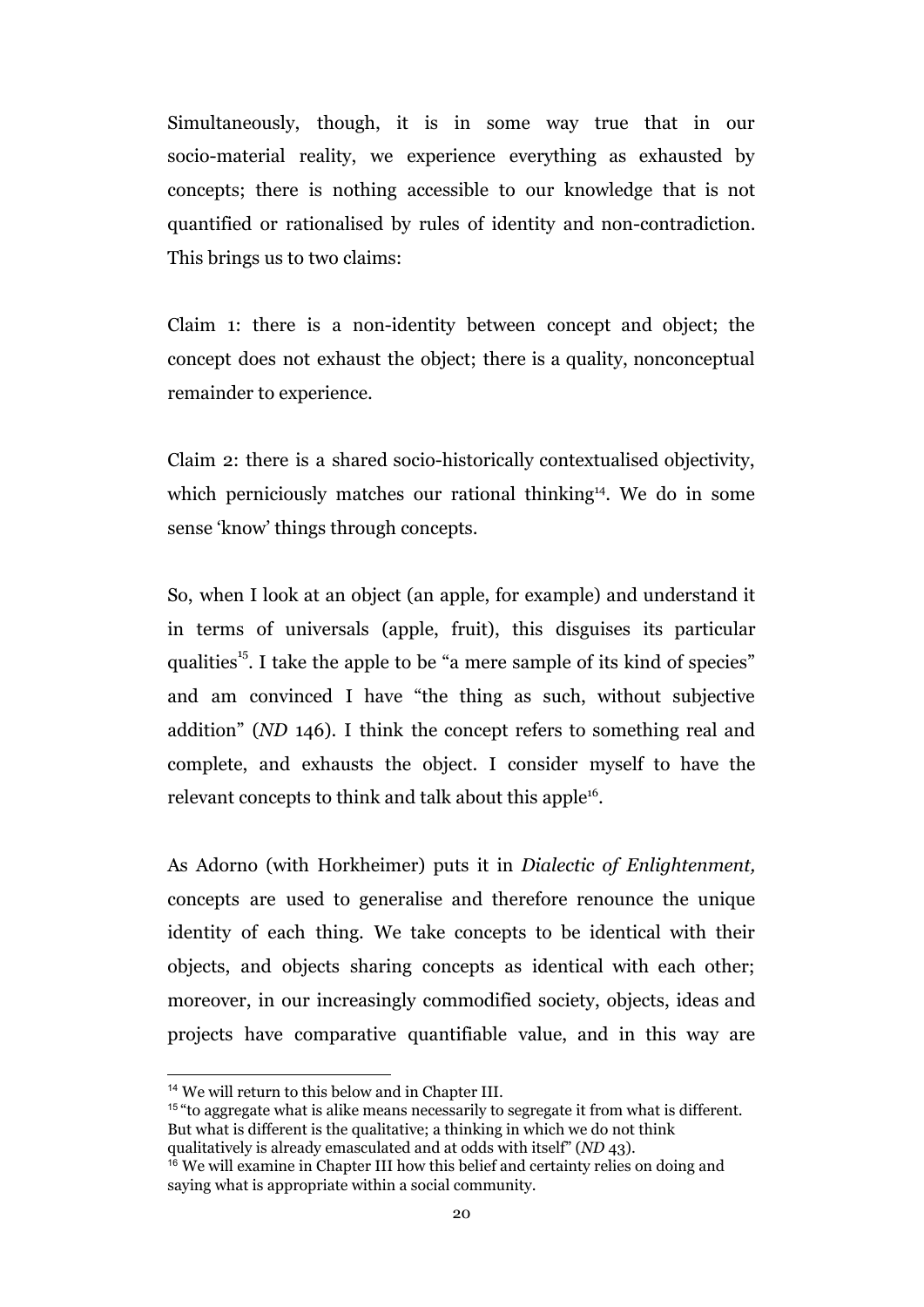Simultaneously, though, it is in some way true that in our socio-material reality, we experience everything as exhausted by concepts; there is nothing accessible to our knowledge that is not quantified or rationalised by rules of identity and non-contradiction. This brings us to two claims:

Claim 1: there is a non-identity between concept and object; the concept does not exhaust the object; there is a quality, nonconceptual remainder to experience.

Claim 2: there is a shared socio-historically contextualised objectivity, which perniciously matches our rational thinking<sup>14</sup>. We do in some sense 'know' things through concepts.

So, when I look at an object (an apple, for example) and understand it in terms of universals (apple, fruit), this disguises its particular qualities<sup> $15$ </sup>. I take the apple to be "a mere sample of its kind of species" and am convinced I have "the thing as such, without subjective addition" (*ND* 146). I think the concept refers to something real and complete, and exhausts the object. I consider myself to have the relevant concepts to think and talk about this apple<sup>16</sup>.

As Adorno (with Horkheimer) puts it in *Dialectic of Enlightenment,* concepts are used to generalise and therefore renounce the unique identity of each thing. We take concepts to be identical with their objects, and objects sharing concepts as identical with each other; moreover, in our increasingly commodified society, objects, ideas and projects have comparative quantifiable value, and in this way are

<sup>15</sup> "to aggregate what is alike means necessarily to segregate it from what is different. But what is different is the qualitative; a thinking in which we do not think qualitatively is already emasculated and at odds with itself" (*ND* 43).

<sup>14</sup> We will return to this below and in Chapter III.

 $16$  We will examine in Chapter III how this belief and certainty relies on doing and saying what is appropriate within a social community.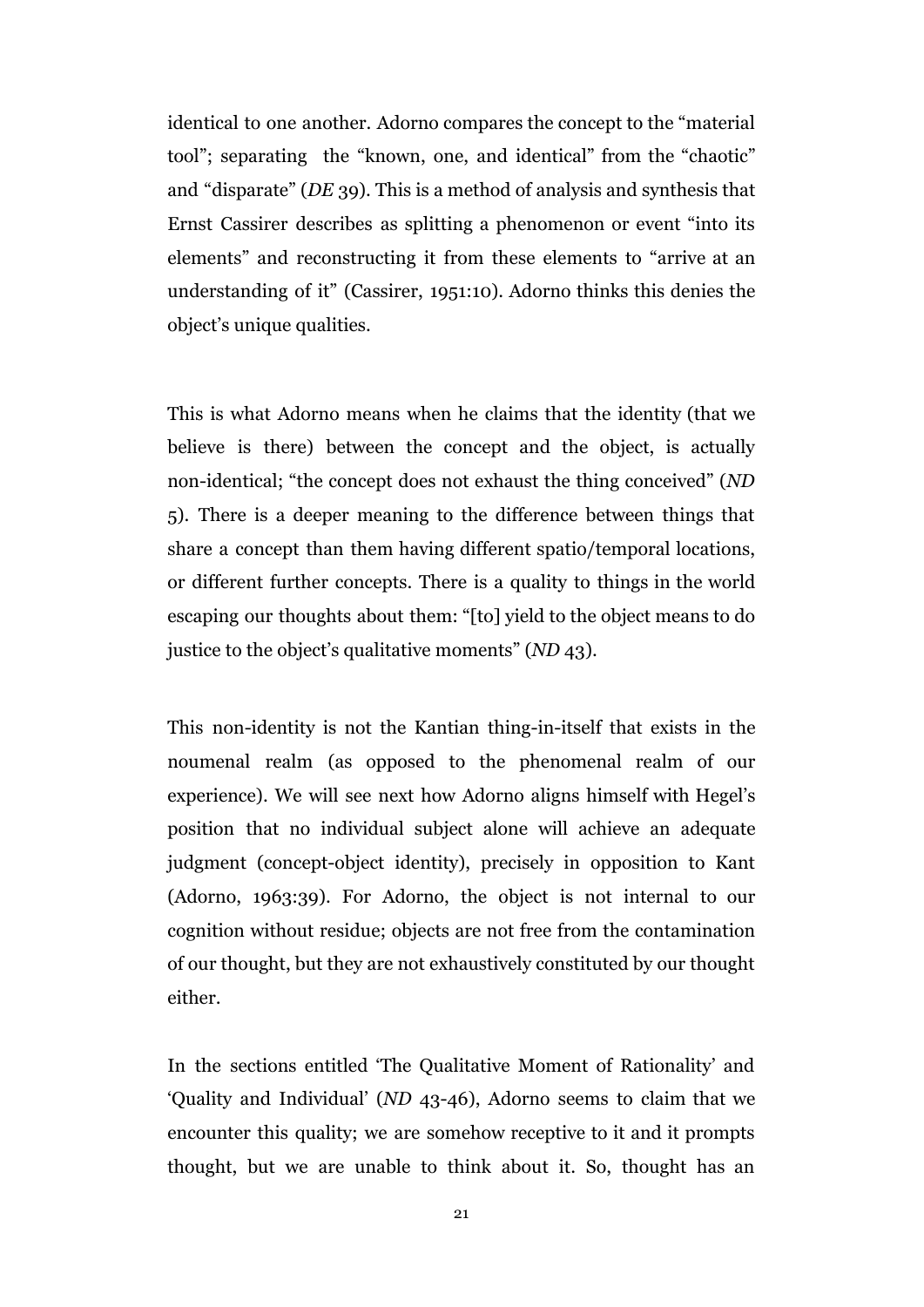identical to one another. Adorno compares the concept to the "material tool"; separating the "known, one, and identical" from the "chaotic" and "disparate" (*DE* 39). This is a method of analysis and synthesis that Ernst Cassirer describes as splitting a phenomenon or event "into its elements" and reconstructing it from these elements to "arrive at an understanding of it" (Cassirer, 1951:10). Adorno thinks this denies the object's unique qualities.

This is what Adorno means when he claims that the identity (that we believe is there) between the concept and the object, is actually non-identical; "the concept does not exhaust the thing conceived" (*ND* 5). There is a deeper meaning to the difference between things that share a concept than them having different spatio/temporal locations, or different further concepts. There is a quality to things in the world escaping our thoughts about them: "[to] yield to the object means to do justice to the object's qualitative moments" (*ND* 43).

This non-identity is not the Kantian thing-in-itself that exists in the noumenal realm (as opposed to the phenomenal realm of our experience). We will see next how Adorno aligns himself with Hegel's position that no individual subject alone will achieve an adequate judgment (concept-object identity), precisely in opposition to Kant (Adorno, 1963:39). For Adorno, the object is not internal to our cognition without residue; objects are not free from the contamination of our thought, but they are not exhaustively constituted by our thought either.

In the sections entitled 'The Qualitative Moment of Rationality' and 'Quality and Individual' (*ND* 43-46), Adorno seems to claim that we encounter this quality; we are somehow receptive to it and it prompts thought, but we are unable to think about it. So, thought has an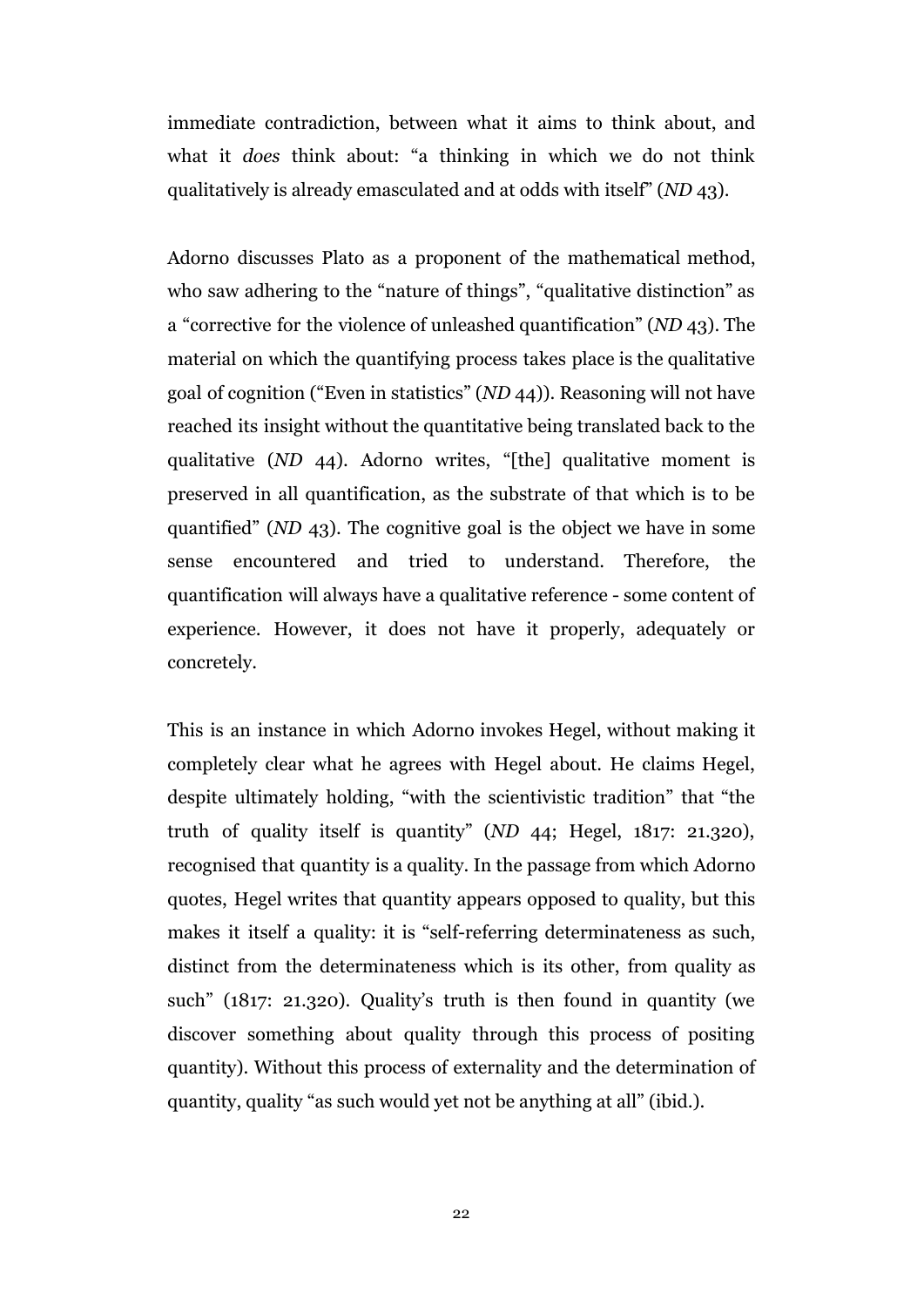immediate contradiction, between what it aims to think about, and what it *does* think about: "a thinking in which we do not think qualitatively is already emasculated and at odds with itself" (*ND* 43).

Adorno discusses Plato as a proponent of the mathematical method, who saw adhering to the "nature of things", "qualitative distinction" as a "corrective for the violence of unleashed quantification" (*ND* 43). The material on which the quantifying process takes place is the qualitative goal of cognition ("Even in statistics" (*ND* 44)). Reasoning will not have reached its insight without the quantitative being translated back to the qualitative (*ND* 44). Adorno writes, "[the] qualitative moment is preserved in all quantification, as the substrate of that which is to be quantified" (*ND* 43). The cognitive goal is the object we have in some sense encountered and tried to understand. Therefore, the quantification will always have a qualitative reference - some content of experience. However, it does not have it properly, adequately or concretely.

This is an instance in which Adorno invokes Hegel, without making it completely clear what he agrees with Hegel about. He claims Hegel, despite ultimately holding, "with the scientivistic tradition" that "the truth of quality itself is quantity" (*ND* 44; Hegel, 1817: 21.320), recognised that quantity is a quality. In the passage from which Adorno quotes, Hegel writes that quantity appears opposed to quality, but this makes it itself a quality: it is "self-referring determinateness as such, distinct from the determinateness which is its other, from quality as such" (1817: 21.320). Quality's truth is then found in quantity (we discover something about quality through this process of positing quantity). Without this process of externality and the determination of quantity, quality "as such would yet not be anything at all" (ibid.).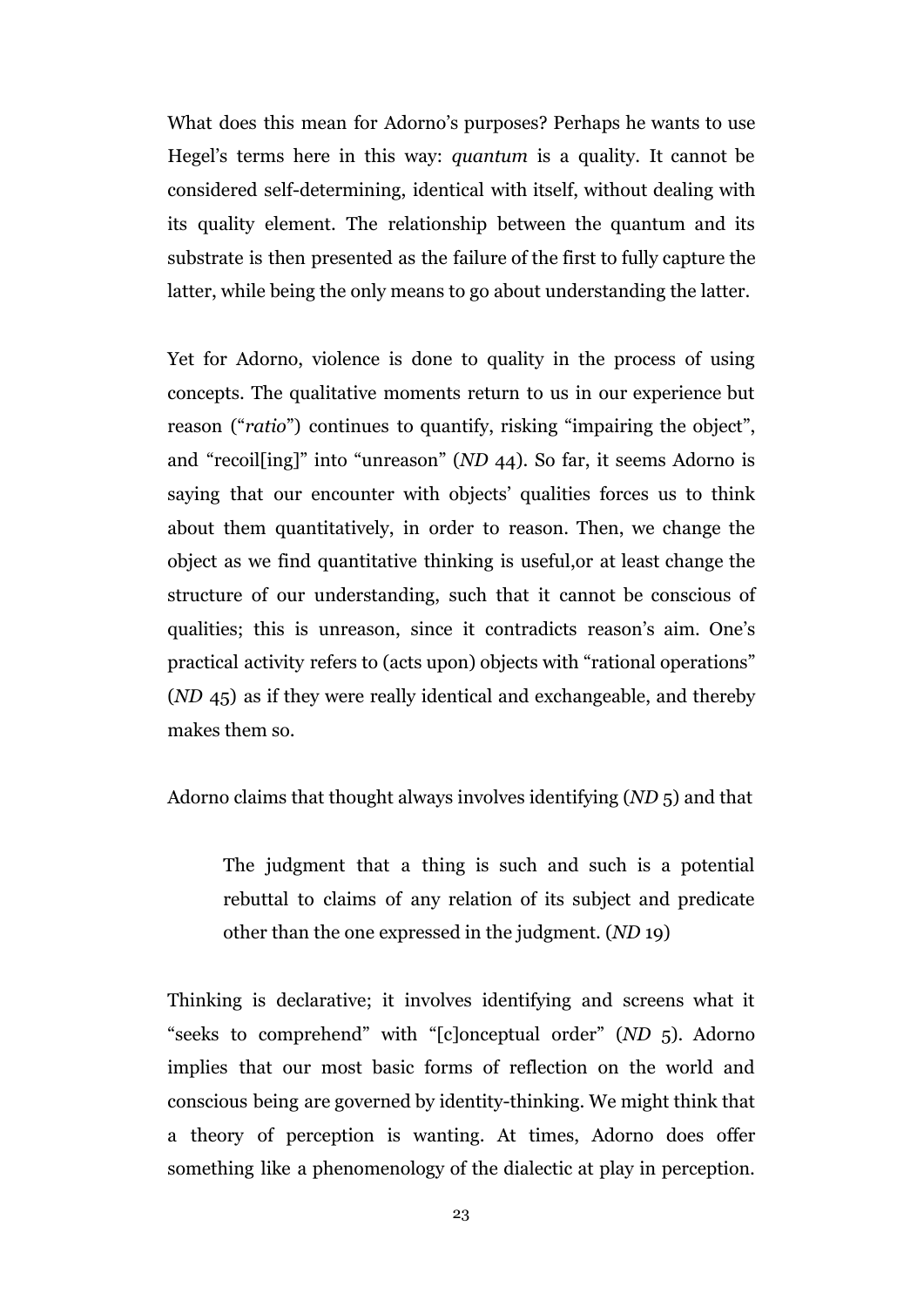What does this mean for Adorno's purposes? Perhaps he wants to use Hegel's terms here in this way: *quantum* is a quality. It cannot be considered self-determining, identical with itself, without dealing with its quality element. The relationship between the quantum and its substrate is then presented as the failure of the first to fully capture the latter, while being the only means to go about understanding the latter.

Yet for Adorno, violence is done to quality in the process of using concepts. The qualitative moments return to us in our experience but reason ("*ratio*") continues to quantify, risking "impairing the object", and "recoil[ing]" into "unreason" (*ND* 44). So far, it seems Adorno is saying that our encounter with objects' qualities forces us to think about them quantitatively, in order to reason. Then, we change the object as we find quantitative thinking is useful,or at least change the structure of our understanding, such that it cannot be conscious of qualities; this is unreason, since it contradicts reason's aim. One's practical activity refers to (acts upon) objects with "rational operations" (*ND* 45) as if they were really identical and exchangeable, and thereby makes them so.

Adorno claims that thought always involves identifying (*ND* 5) and that

The judgment that a thing is such and such is a potential rebuttal to claims of any relation of its subject and predicate other than the one expressed in the judgment. (*ND* 19)

Thinking is declarative; it involves identifying and screens what it "seeks to comprehend" with "[c]onceptual order" (*ND* 5). Adorno implies that our most basic forms of reflection on the world and conscious being are governed by identity-thinking. We might think that a theory of perception is wanting. At times, Adorno does offer something like a phenomenology of the dialectic at play in perception.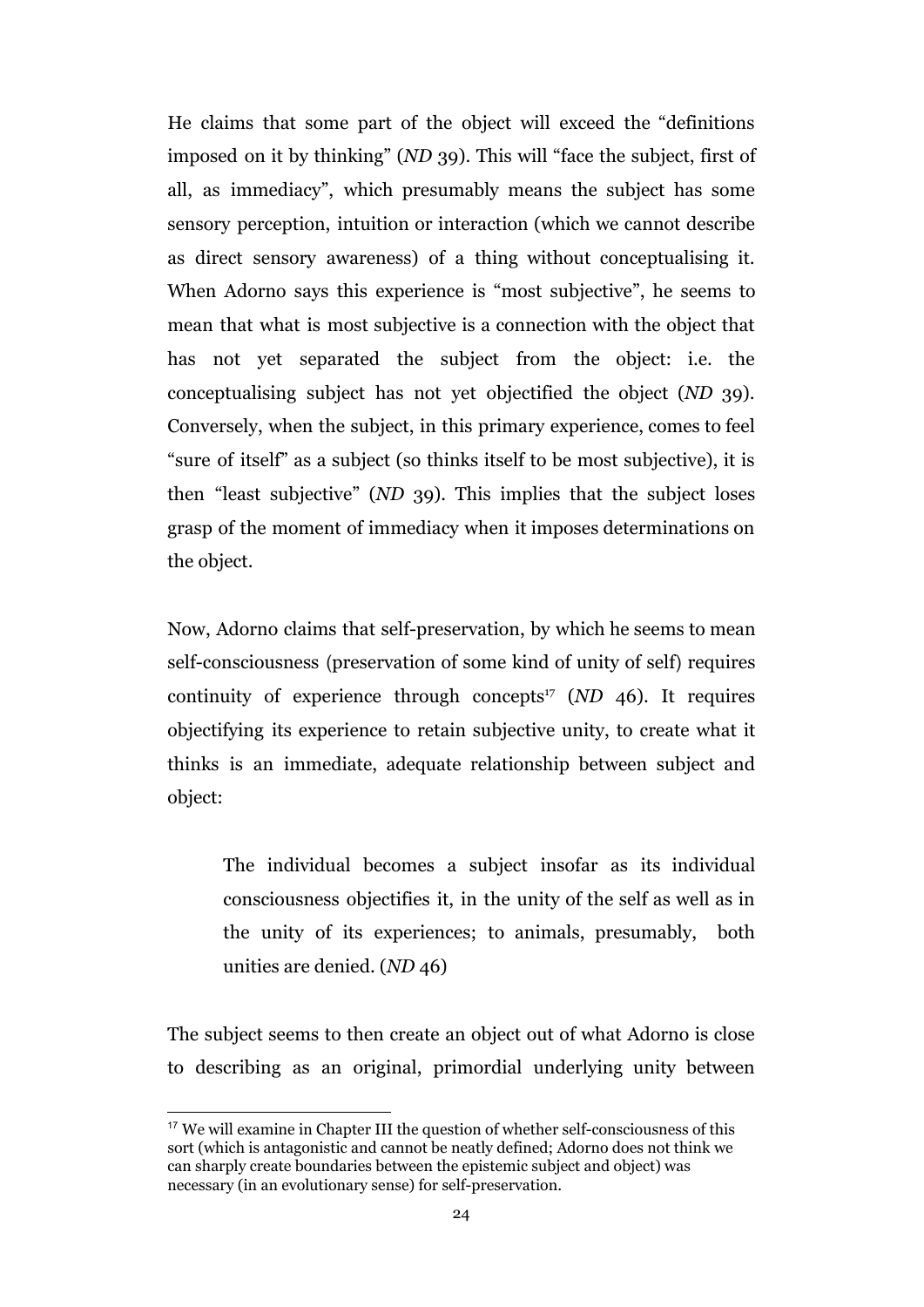He claims that some part of the object will exceed the "definitions imposed on it by thinking" (*ND* 39). This will "face the subject, first of all, as immediacy", which presumably means the subject has some sensory perception, intuition or interaction (which we cannot describe as direct sensory awareness) of a thing without conceptualising it. When Adorno says this experience is "most subjective", he seems to mean that what is most subjective is a connection with the object that has not yet separated the subject from the object: i.e. the conceptualising subject has not yet objectified the object (*ND* 39). Conversely, when the subject, in this primary experience, comes to feel "sure of itself" as a subject (so thinks itself to be most subjective), it is then "least subjective" (*ND* 39). This implies that the subject loses grasp of the moment of immediacy when it imposes determinations on the object.

Now, Adorno claims that self-preservation, by which he seems to mean self-consciousness (preservation of some kind of unity of self) requires continuity of experience through concepts<sup>17</sup> ( $ND$  46). It requires objectifying its experience to retain subjective unity, to create what it thinks is an immediate, adequate relationship between subject and object:

The individual becomes a subject insofar as its individual consciousness objectifies it, in the unity of the self as well as in the unity of its experiences; to animals, presumably, both unities are denied. (*ND* 46)

The subject seems to then create an object out of what Adorno is close to describing as an original, primordial underlying unity between

<sup>&</sup>lt;sup>17</sup> We will examine in Chapter III the question of whether self-consciousness of this sort (which is antagonistic and cannot be neatly defined; Adorno does not think we can sharply create boundaries between the epistemic subject and object) was necessary (in an evolutionary sense) for self-preservation.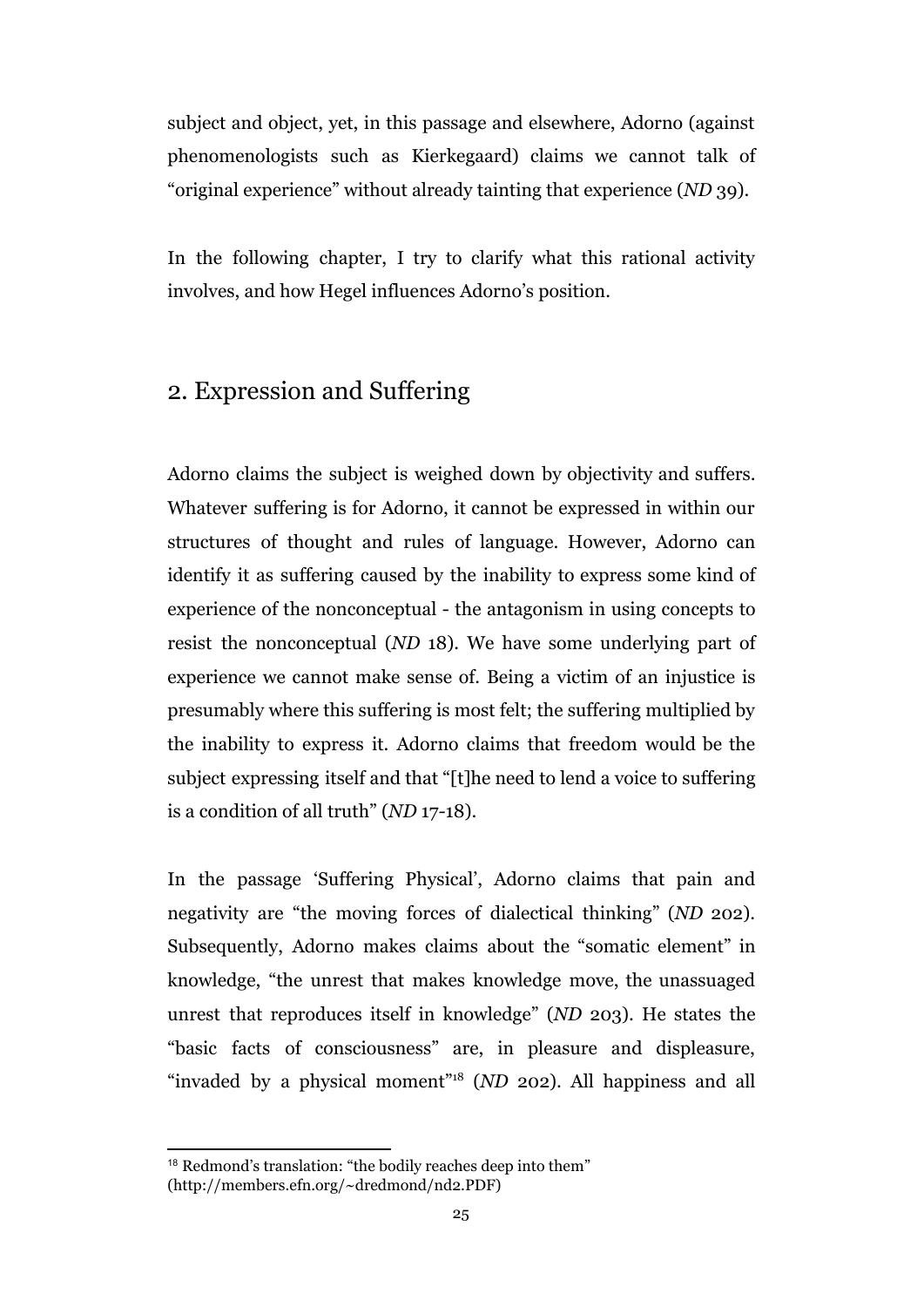subject and object, yet, in this passage and elsewhere, Adorno (against phenomenologists such as Kierkegaard) claims we cannot talk of "original experience" without already tainting that experience (*ND* 39).

In the following chapter, I try to clarify what this rational activity involves, and how Hegel influences Adorno's position.

#### 2. Expression and Suffering

Adorno claims the subject is weighed down by objectivity and suffers. Whatever suffering is for Adorno, it cannot be expressed in within our structures of thought and rules of language. However, Adorno can identify it as suffering caused by the inability to express some kind of experience of the nonconceptual - the antagonism in using concepts to resist the nonconceptual (*ND* 18). We have some underlying part of experience we cannot make sense of. Being a victim of an injustice is presumably where this suffering is most felt; the suffering multiplied by the inability to express it. Adorno claims that freedom would be the subject expressing itself and that "[t]he need to lend a voice to suffering is a condition of all truth" (*ND* 17*-*18).

In the passage 'Suffering Physical', Adorno claims that pain and negativity are "the moving forces of dialectical thinking" (*ND* 202). Subsequently, Adorno makes claims about the "somatic element" in knowledge, "the unrest that makes knowledge move, the unassuaged unrest that reproduces itself in knowledge" (*ND* 203). He states the "basic facts of consciousness" are, in pleasure and displeasure, "invaded by a physical moment"<sup>18</sup> ( $ND$  202). All happiness and all

<sup>18</sup> Redmond's translation: "the bodily reaches deep into them" (http://members.efn.org/~dredmond/nd2.PDF)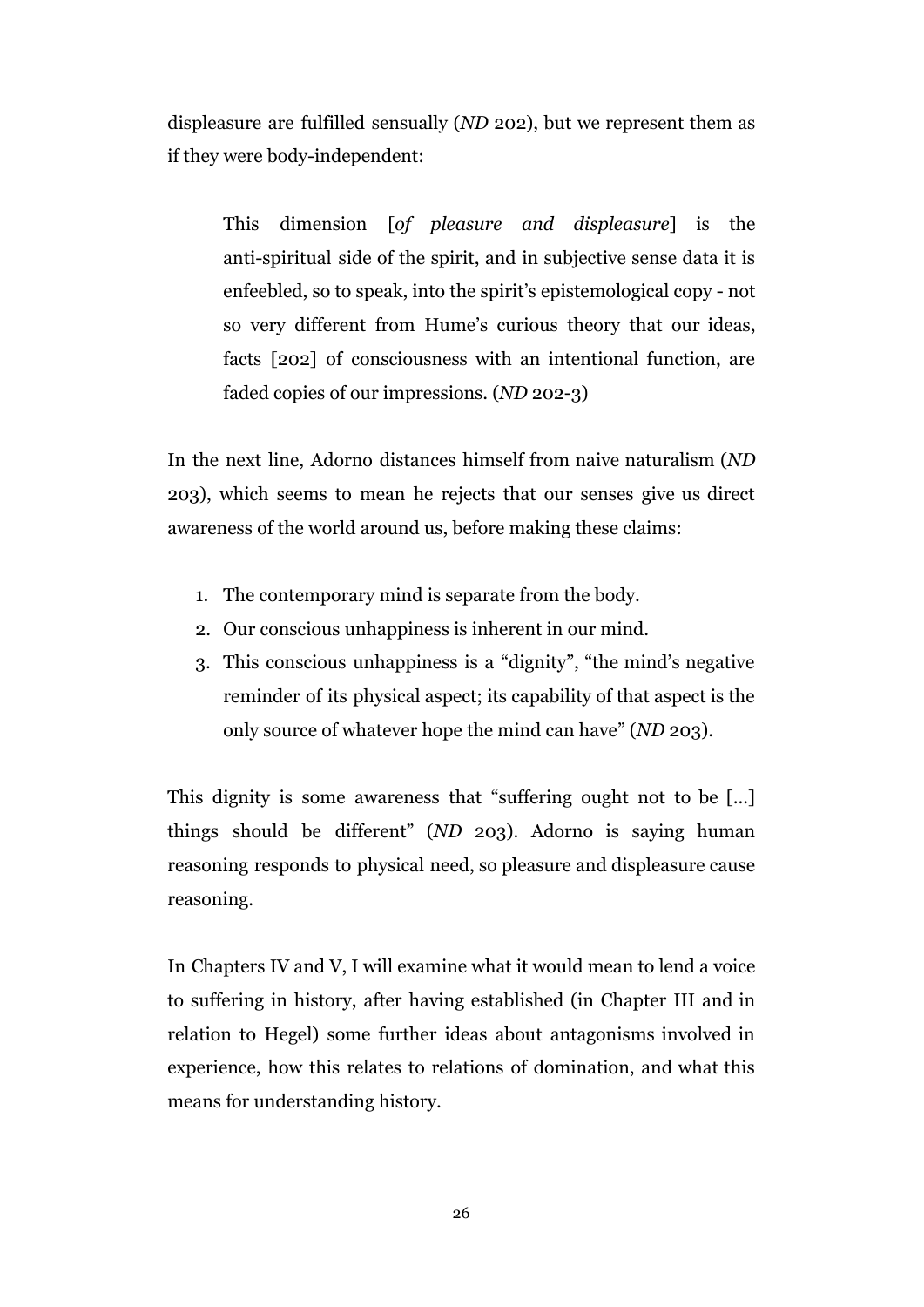displeasure are fulfilled sensually (*ND* 202), but we represent them as if they were body-independent:

This dimension [*of pleasure and displeasure*] is the anti-spiritual side of the spirit, and in subjective sense data it is enfeebled, so to speak, into the spirit's epistemological copy - not so very different from Hume's curious theory that our ideas, facts [202] of consciousness with an intentional function, are faded copies of our impressions. (*ND* 202-3)

In the next line, Adorno distances himself from naive naturalism (*ND* 203), which seems to mean he rejects that our senses give us direct awareness of the world around us, before making these claims:

- 1. The contemporary mind is separate from the body.
- 2. Our conscious unhappiness is inherent in our mind.
- 3. This conscious unhappiness is a "dignity", "the mind's negative reminder of its physical aspect; its capability of that aspect is the only source of whatever hope the mind can have" (*ND* 203).

This dignity is some awareness that "suffering ought not to be [...] things should be different" (*ND* 203). Adorno is saying human reasoning responds to physical need, so pleasure and displeasure cause reasoning.

In Chapters IV and V, I will examine what it would mean to lend a voice to suffering in history, after having established (in Chapter III and in relation to Hegel) some further ideas about antagonisms involved in experience, how this relates to relations of domination, and what this means for understanding history.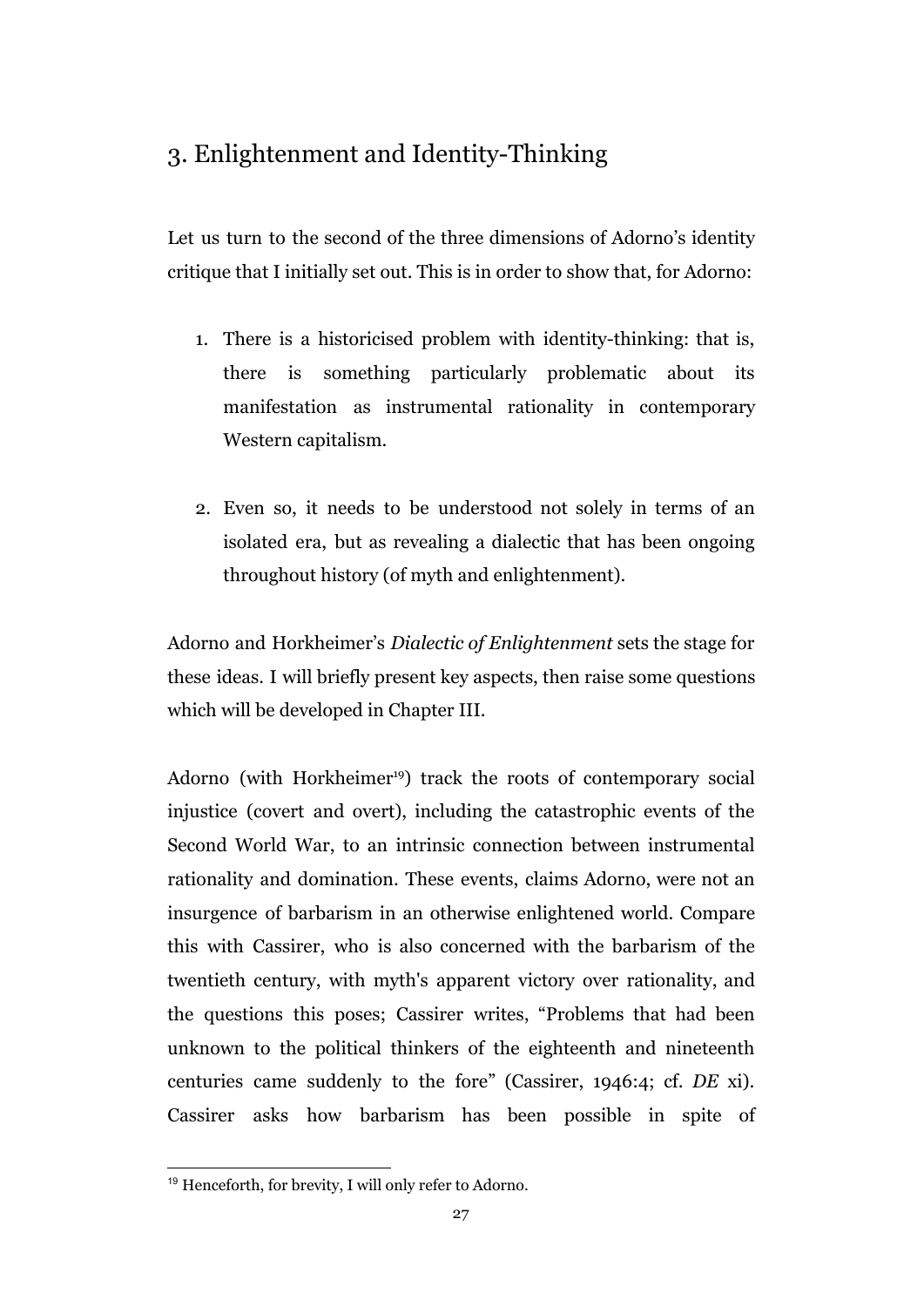### 3. Enlightenment and Identity-Thinking

Let us turn to the second of the three dimensions of Adorno's identity critique that I initially set out. This is in order to show that, for Adorno:

- 1. There is a historicised problem with identity-thinking: that is, there is something particularly problematic about its manifestation as instrumental rationality in contemporary Western capitalism.
- 2. Even so, it needs to be understood not solely in terms of an isolated era, but as revealing a dialectic that has been ongoing throughout history (of myth and enlightenment).

Adorno and Horkheimer's *Dialectic of Enlightenment* sets the stage for these ideas. I will briefly present key aspects, then raise some questions which will be developed in Chapter III.

Adorno (with Horkheimer<sup>19</sup>) track the roots of contemporary social injustice (covert and overt), including the catastrophic events of the Second World War, to an intrinsic connection between instrumental rationality and domination. These events, claims Adorno, were not an insurgence of barbarism in an otherwise enlightened world. Compare this with Cassirer, who is also concerned with the barbarism of the twentieth century, with myth's apparent victory over rationality, and the questions this poses; Cassirer writes, "Problems that had been unknown to the political thinkers of the eighteenth and nineteenth centuries came suddenly to the fore" (Cassirer, 1946:4; cf. *DE* xi). Cassirer asks how barbarism has been possible in spite of

<sup>19</sup> Henceforth, for brevity, I will only refer to Adorno.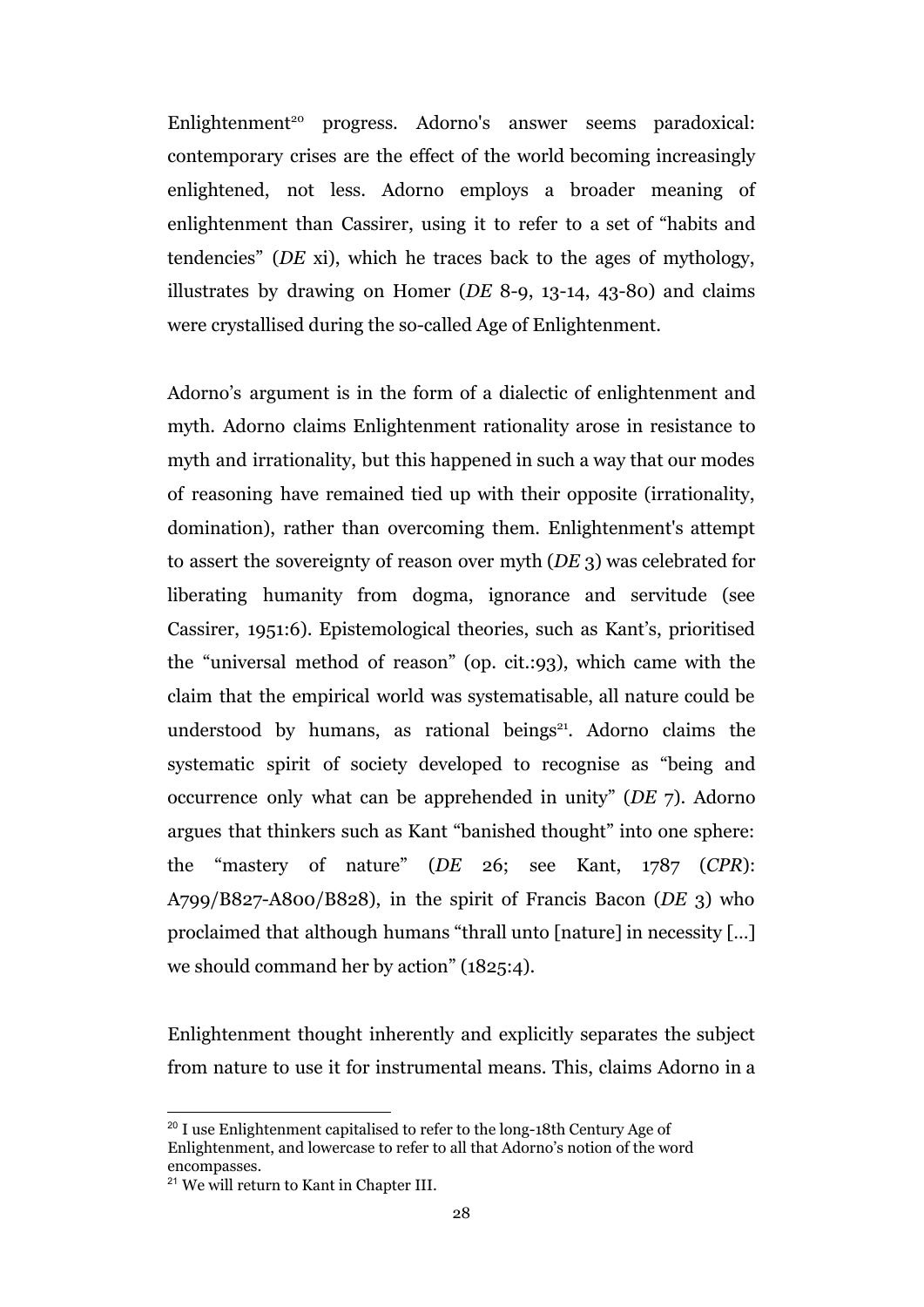Enlightenment<sup>20</sup> progress. Adorno's answer seems paradoxical: contemporary crises are the effect of the world becoming increasingly enlightened, not less. Adorno employs a broader meaning of enlightenment than Cassirer, using it to refer to a set of "habits and tendencies" (*DE* xi), which he traces back to the ages of mythology, illustrates by drawing on Homer (*DE* 8-9, 13-14, 43-80) and claims were crystallised during the so-called Age of Enlightenment.

Adorno's argument is in the form of a dialectic of enlightenment and myth. Adorno claims Enlightenment rationality arose in resistance to myth and irrationality, but this happened in such a way that our modes of reasoning have remained tied up with their opposite (irrationality, domination), rather than overcoming them. Enlightenment's attempt to assert the sovereignty of reason over myth (*DE* 3) was celebrated for liberating humanity from dogma, ignorance and servitude (see Cassirer, 1951:6). Epistemological theories, such as Kant's, prioritised the "universal method of reason" (op. cit.:93), which came with the claim that the empirical world was systematisable, all nature could be understood by humans, as rational beings<sup>21</sup>. Adorno claims the systematic spirit of society developed to recognise as "being and occurrence only what can be apprehended in unity" (*DE* 7). Adorno argues that thinkers such as Kant "banished thought" into one sphere: the "mastery of nature" (*DE* 26; see Kant, 1787 (*CPR*): A799/B827-A800/B828), in the spirit of Francis Bacon (*DE* 3) who proclaimed that although humans "thrall unto [nature] in necessity […] we should command her by action" (1825:4).

Enlightenment thought inherently and explicitly separates the subject from nature to use it for instrumental means. This, claims Adorno in a

<sup>&</sup>lt;sup>20</sup> I use Enlightenment capitalised to refer to the long-18th Century Age of Enlightenment, and lowercase to refer to all that Adorno's notion of the word encompasses.

<sup>&</sup>lt;sup>21</sup> We will return to Kant in Chapter III.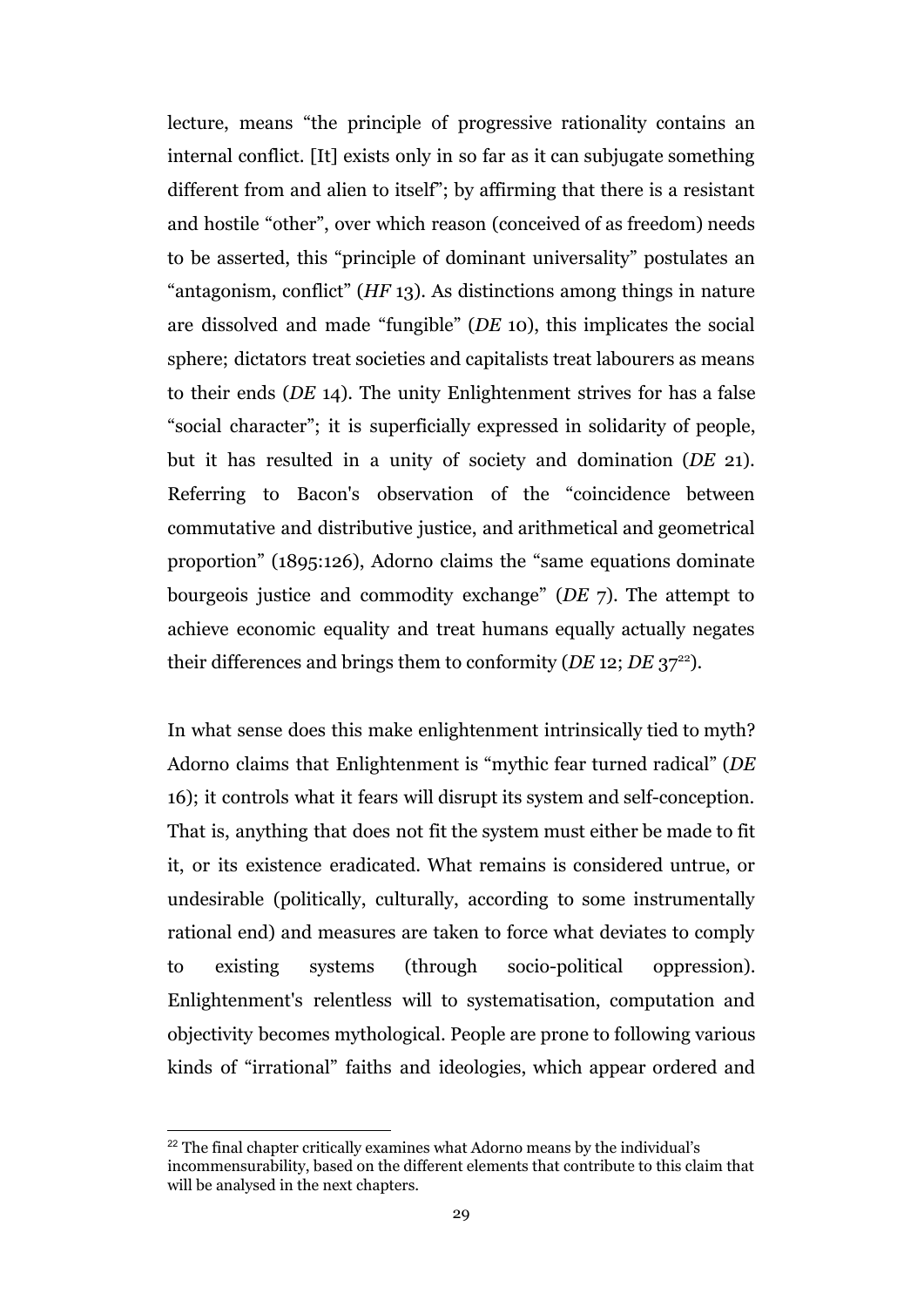lecture, means "the principle of progressive rationality contains an internal conflict. [It] exists only in so far as it can subjugate something different from and alien to itself"; by affirming that there is a resistant and hostile "other", over which reason (conceived of as freedom) needs to be asserted, this "principle of dominant universality" postulates an "antagonism, conflict" (*HF* 13). As distinctions among things in nature are dissolved and made "fungible" (*DE* 10), this implicates the social sphere; dictators treat societies and capitalists treat labourers as means to their ends (*DE* 14). The unity Enlightenment strives for has a false "social character"; it is superficially expressed in solidarity of people, but it has resulted in a unity of society and domination (*DE* 21). Referring to Bacon's observation of the "coincidence between commutative and distributive justice, and arithmetical and geometrical proportion" (1895:126), Adorno claims the "same equations dominate bourgeois justice and commodity exchange" (*DE* 7). The attempt to achieve economic equality and treat humans equally actually negates their differences and brings them to conformity ( $DE$  12;  $DE$  37<sup>22</sup>).

In what sense does this make enlightenment intrinsically tied to myth? Adorno claims that Enlightenment is "mythic fear turned radical" (*DE* 16); it controls what it fears will disrupt its system and self-conception. That is, anything that does not fit the system must either be made to fit it, or its existence eradicated. What remains is considered untrue, or undesirable (politically, culturally, according to some instrumentally rational end) and measures are taken to force what deviates to comply to existing systems (through socio-political oppression). Enlightenment's relentless will to systematisation, computation and objectivity becomes mythological. People are prone to following various kinds of "irrational" faiths and ideologies, which appear ordered and

<sup>&</sup>lt;sup>22</sup> The final chapter critically examines what Adorno means by the individual's incommensurability, based on the different elements that contribute to this claim that will be analysed in the next chapters.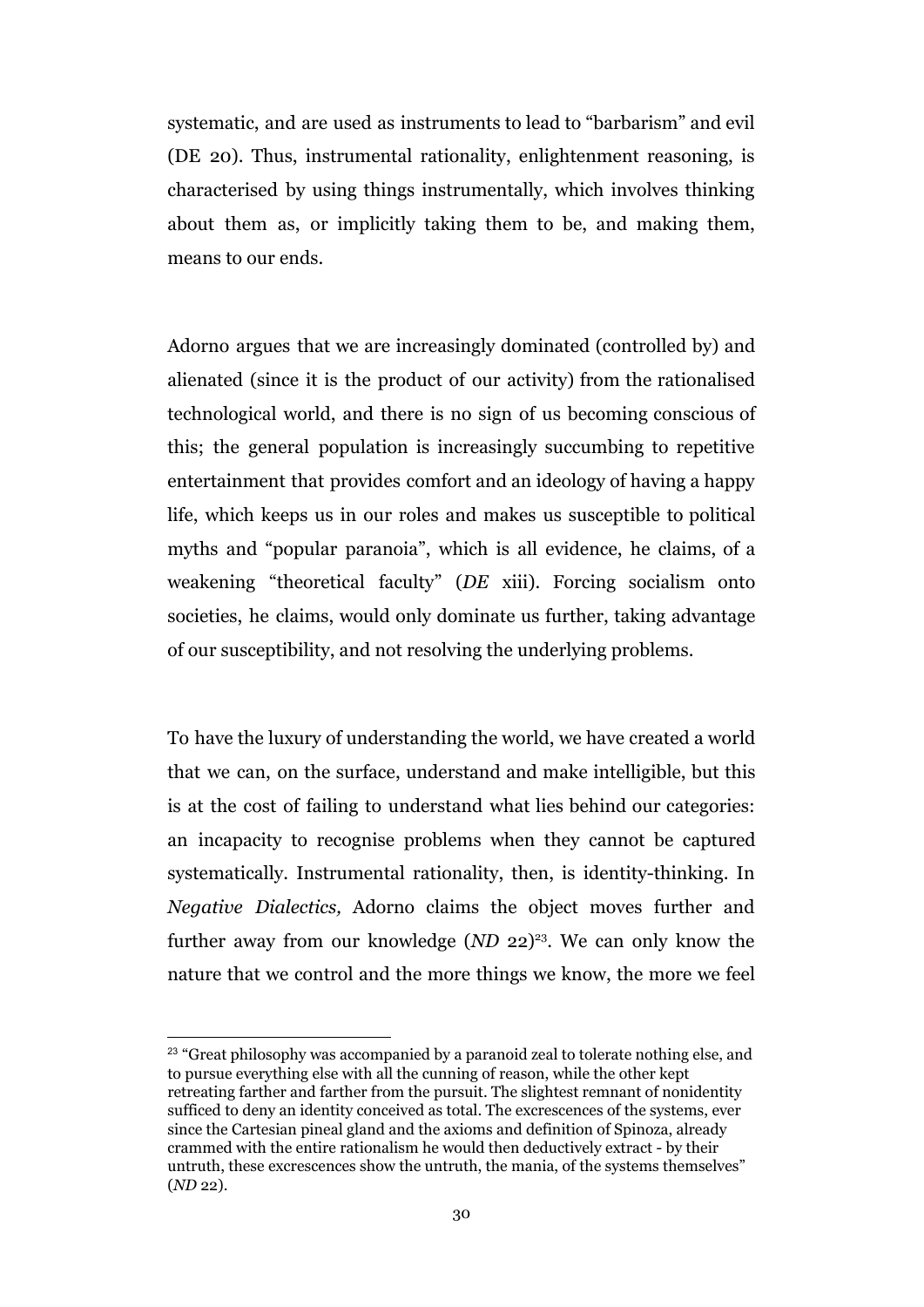systematic, and are used as instruments to lead to "barbarism" and evil (DE 20). Thus, instrumental rationality, enlightenment reasoning, is characterised by using things instrumentally, which involves thinking about them as, or implicitly taking them to be, and making them, means to our ends.

Adorno argues that we are increasingly dominated (controlled by) and alienated (since it is the product of our activity) from the rationalised technological world, and there is no sign of us becoming conscious of this; the general population is increasingly succumbing to repetitive entertainment that provides comfort and an ideology of having a happy life, which keeps us in our roles and makes us susceptible to political myths and "popular paranoia", which is all evidence, he claims, of a weakening "theoretical faculty" (*DE* xiii). Forcing socialism onto societies, he claims, would only dominate us further, taking advantage of our susceptibility, and not resolving the underlying problems.

To have the luxury of understanding the world, we have created a world that we can, on the surface, understand and make intelligible, but this is at the cost of failing to understand what lies behind our categories: an incapacity to recognise problems when they cannot be captured systematically. Instrumental rationality, then, is identity-thinking. In *Negative Dialectics,* Adorno claims the object moves further and further away from our knowledge  $(ND 22)^{23}$ . We can only know the nature that we control and the more things we know, the more we feel

<sup>&</sup>lt;sup>23</sup> "Great philosophy was accompanied by a paranoid zeal to tolerate nothing else, and to pursue everything else with all the cunning of reason, while the other kept retreating farther and farther from the pursuit. The slightest remnant of nonidentity sufficed to deny an identity conceived as total. The excrescences of the systems, ever since the Cartesian pineal gland and the axioms and definition of Spinoza, already crammed with the entire rationalism he would then deductively extract - by their untruth, these excrescences show the untruth, the mania, of the systems themselves" (*ND* 22).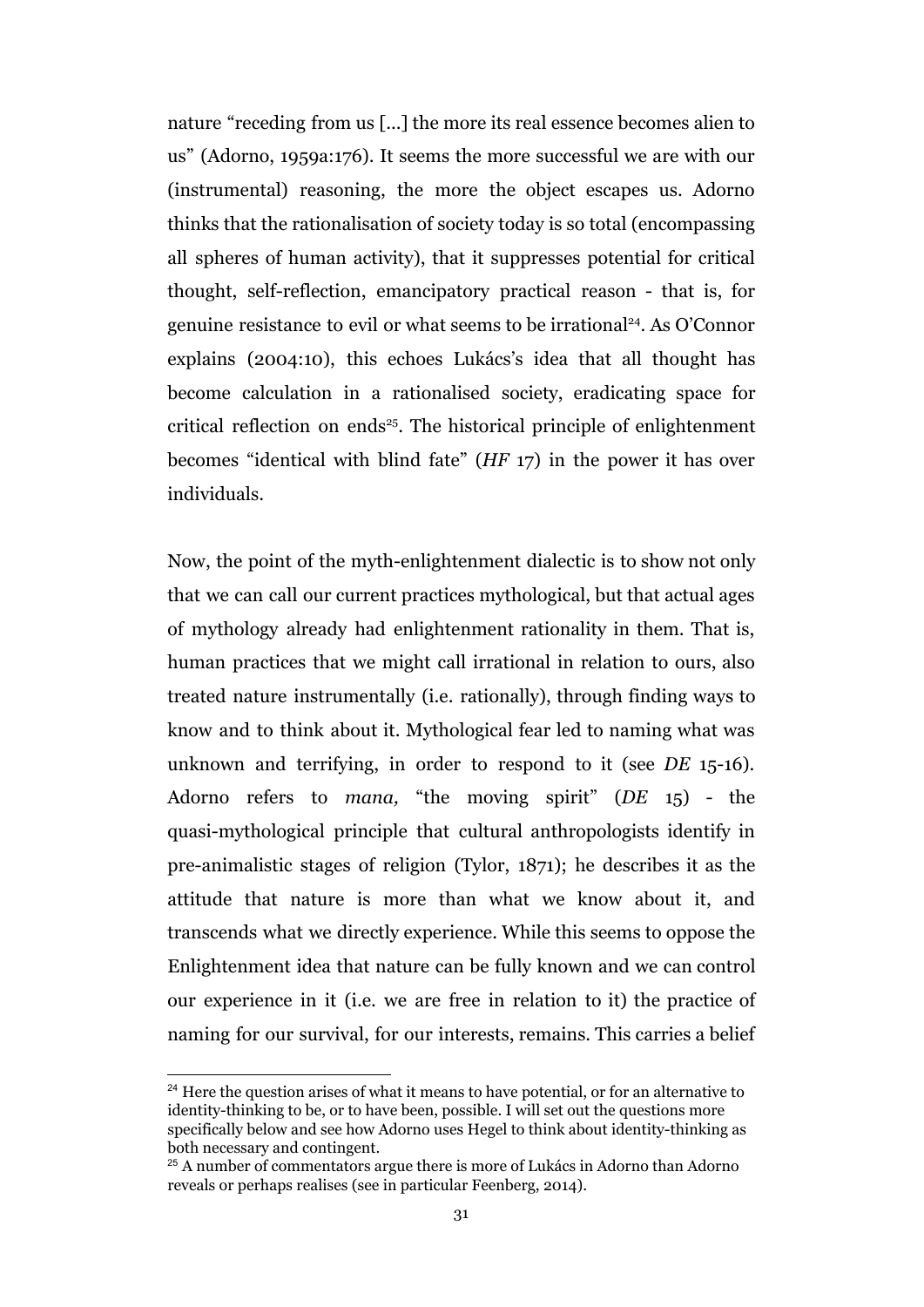nature "receding from us [...] the more its real essence becomes alien to us" (Adorno, 1959a:176). It seems the more successful we are with our (instrumental) reasoning, the more the object escapes us. Adorno thinks that the rationalisation of society today is so total (encompassing all spheres of human activity), that it suppresses potential for critical thought, self-reflection, emancipatory practical reason - that is, for genuine resistance to evil or what seems to be irrational<sup>24</sup>. As O'Connor explains (2004:10), this echoes Lukács's idea that all thought has become calculation in a rationalised society, eradicating space for critical reflection on ends<sup>25</sup>. The historical principle of enlightenment becomes "identical with blind fate" (*HF* 17) in the power it has over individuals.

Now, the point of the myth-enlightenment dialectic is to show not only that we can call our current practices mythological, but that actual ages of mythology already had enlightenment rationality in them. That is, human practices that we might call irrational in relation to ours, also treated nature instrumentally (i.e. rationally), through finding ways to know and to think about it. Mythological fear led to naming what was unknown and terrifying, in order to respond to it (see *DE* 15-16). Adorno refers to *mana,* "the moving spirit" (*DE* 15) - the quasi-mythological principle that cultural anthropologists identify in pre-animalistic stages of religion (Tylor, 1871); he describes it as the attitude that nature is more than what we know about it, and transcends what we directly experience. While this seems to oppose the Enlightenment idea that nature can be fully known and we can control our experience in it (i.e. we are free in relation to it) the practice of naming for our survival, for our interests, remains. This carries a belief

<sup>&</sup>lt;sup>24</sup> Here the question arises of what it means to have potential, or for an alternative to identity-thinking to be, or to have been, possible. I will set out the questions more specifically below and see how Adorno uses Hegel to think about identity-thinking as both necessary and contingent.

<sup>&</sup>lt;sup>25</sup> A number of commentators argue there is more of Lukács in Adorno than Adorno reveals or perhaps realises (see in particular Feenberg, 2014).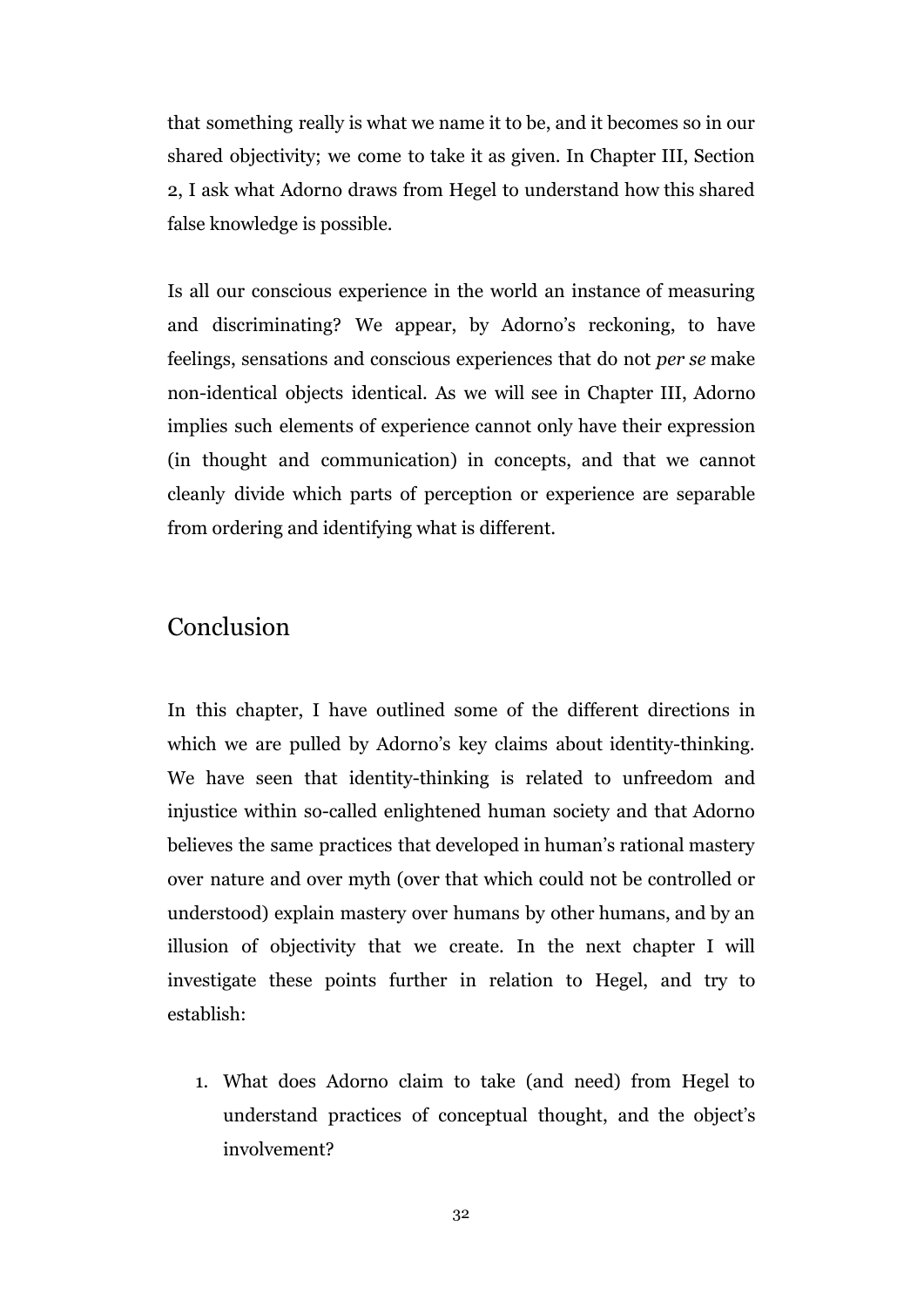that something really is what we name it to be, and it becomes so in our shared objectivity; we come to take it as given. In Chapter III, Section 2, I ask what Adorno draws from Hegel to understand how this shared false knowledge is possible.

Is all our conscious experience in the world an instance of measuring and discriminating? We appear, by Adorno's reckoning, to have feelings, sensations and conscious experiences that do not *per se* make non-identical objects identical. As we will see in Chapter III, Adorno implies such elements of experience cannot only have their expression (in thought and communication) in concepts, and that we cannot cleanly divide which parts of perception or experience are separable from ordering and identifying what is different.

### Conclusion

In this chapter, I have outlined some of the different directions in which we are pulled by Adorno's key claims about identity-thinking. We have seen that identity-thinking is related to unfreedom and injustice within so-called enlightened human society and that Adorno believes the same practices that developed in human's rational mastery over nature and over myth (over that which could not be controlled or understood) explain mastery over humans by other humans, and by an illusion of objectivity that we create. In the next chapter I will investigate these points further in relation to Hegel, and try to establish:

1. What does Adorno claim to take (and need) from Hegel to understand practices of conceptual thought, and the object's involvement?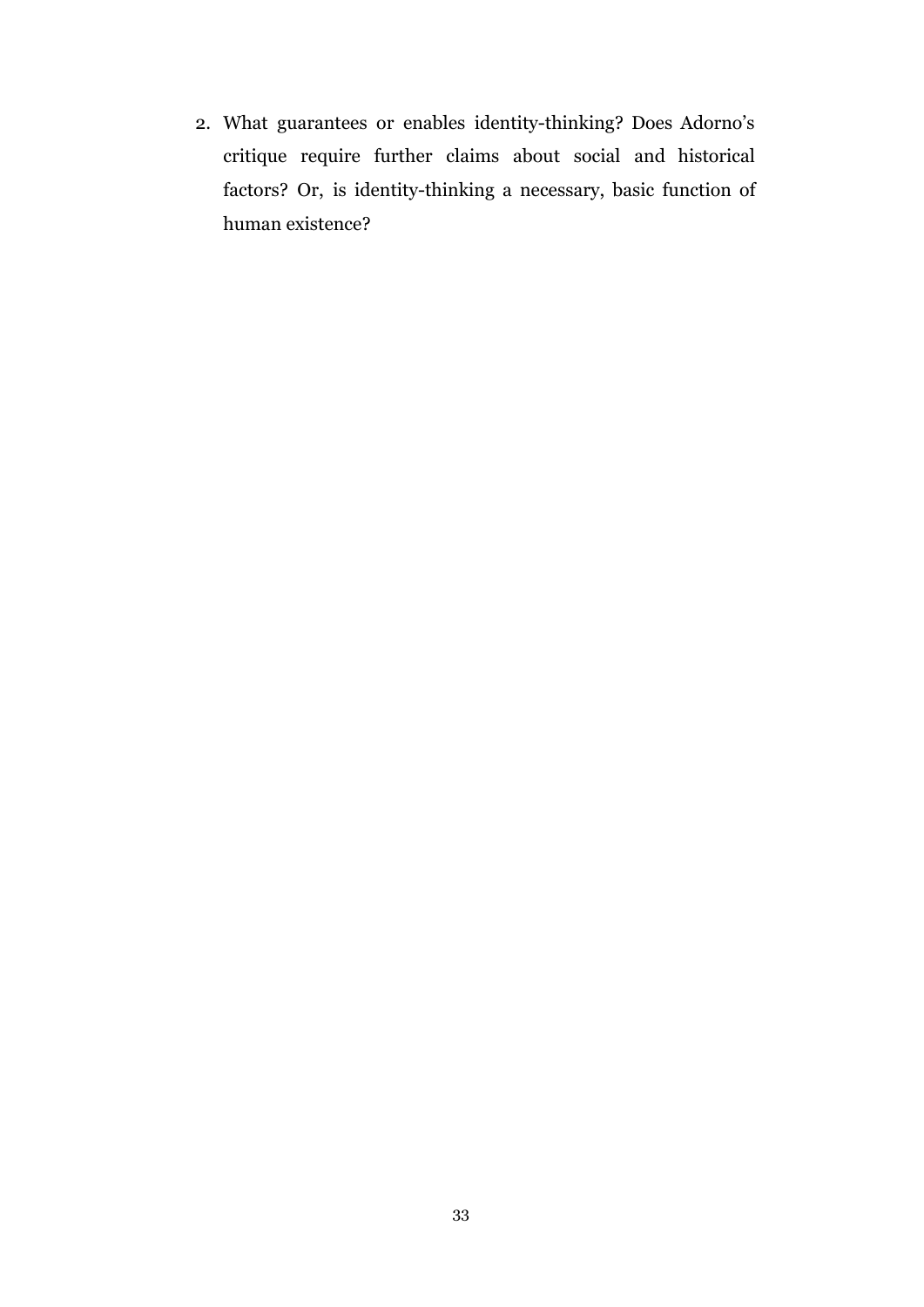2. What guarantees or enables identity-thinking? Does Adorno's critique require further claims about social and historical factors? Or, is identity-thinking a necessary, basic function of human existence?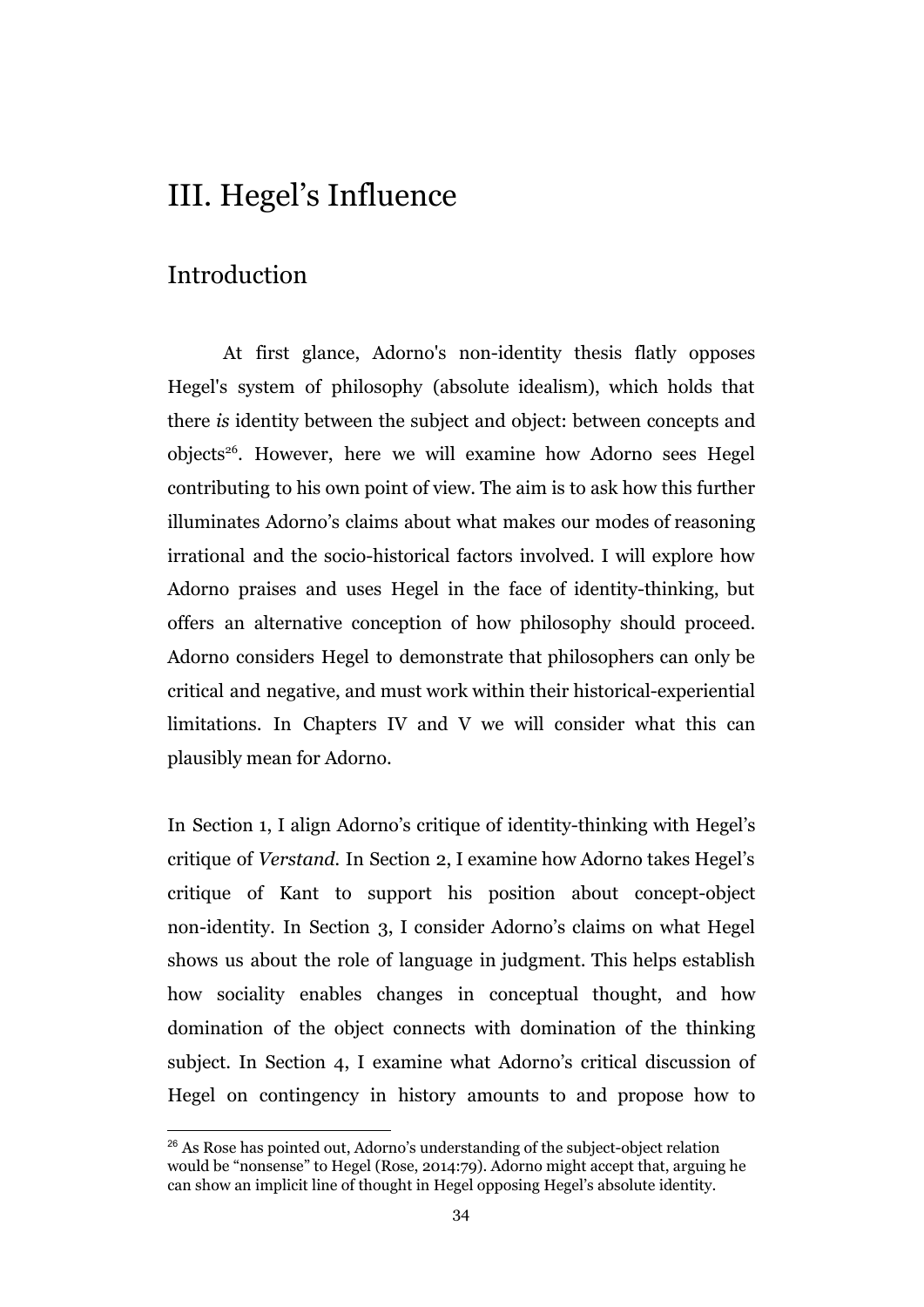### III. Hegel's Influence

### Introduction

At first glance, Adorno's non-identity thesis flatly opposes Hegel's system of philosophy (absolute idealism), which holds that there *is* identity between the subject and object: between concepts and objects<sup>26</sup>. However, here we will examine how Adorno sees Hegel contributing to his own point of view. The aim is to ask how this further illuminates Adorno's claims about what makes our modes of reasoning irrational and the socio-historical factors involved. I will explore how Adorno praises and uses Hegel in the face of identity-thinking, but offers an alternative conception of how philosophy should proceed. Adorno considers Hegel to demonstrate that philosophers can only be critical and negative, and must work within their historical-experiential limitations. In Chapters IV and V we will consider what this can plausibly mean for Adorno.

In Section 1, I align Adorno's critique of identity-thinking with Hegel's critique of *Verstand.* In Section 2, I examine how Adorno takes Hegel's critique of Kant to support his position about concept-object non-identity. In Section 3, I consider Adorno's claims on what Hegel shows us about the role of language in judgment. This helps establish how sociality enables changes in conceptual thought, and how domination of the object connects with domination of the thinking subject. In Section 4, I examine what Adorno's critical discussion of Hegel on contingency in history amounts to and propose how to

<sup>&</sup>lt;sup>26</sup> As Rose has pointed out, Adorno's understanding of the subject-object relation would be "nonsense" to Hegel (Rose, 2014:79). Adorno might accept that, arguing he can show an implicit line of thought in Hegel opposing Hegel's absolute identity.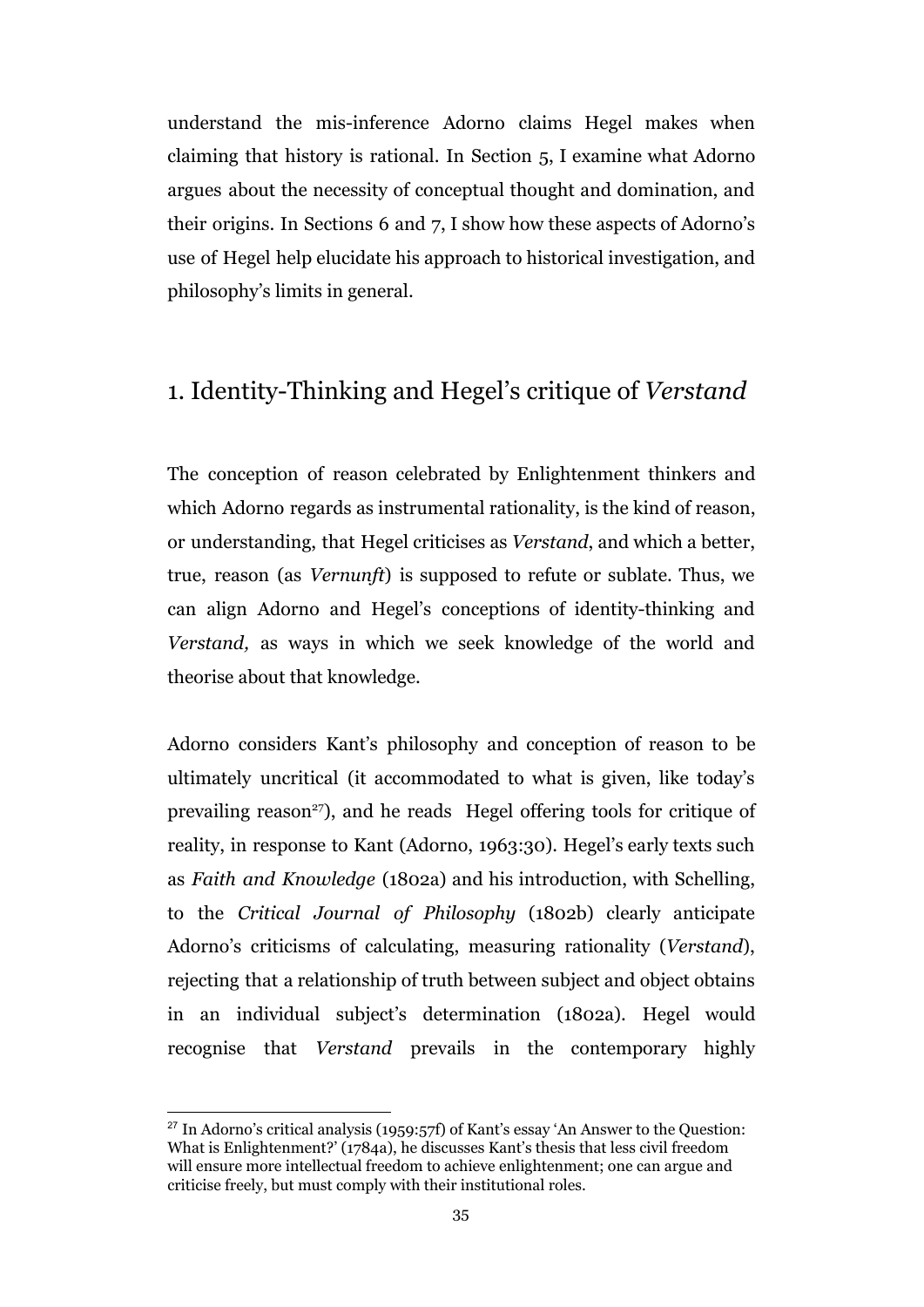understand the mis-inference Adorno claims Hegel makes when claiming that history is rational. In Section 5, I examine what Adorno argues about the necessity of conceptual thought and domination, and their origins. In Sections 6 and 7, I show how these aspects of Adorno's use of Hegel help elucidate his approach to historical investigation, and philosophy's limits in general.

### 1. Identity-Thinking and Hegel's critique of *Verstand*

The conception of reason celebrated by Enlightenment thinkers and which Adorno regards as instrumental rationality, is the kind of reason, or understanding, that Hegel criticises as *Verstand*, and which a better, true, reason (as *Vernunft*) is supposed to refute or sublate. Thus, we can align Adorno and Hegel's conceptions of identity-thinking and *Verstand,* as ways in which we seek knowledge of the world and theorise about that knowledge.

Adorno considers Kant's philosophy and conception of reason to be ultimately uncritical (it accommodated to what is given, like today's prevailing reason<sup>27</sup>), and he reads Hegel offering tools for critique of reality, in response to Kant (Adorno, 1963:30). Hegel's early texts such as *Faith and Knowledge* (1802a) and his introduction, with Schelling, to the *Critical Journal of Philosophy* (1802b) clearly anticipate Adorno's criticisms of calculating, measuring rationality (*Verstand*), rejecting that a relationship of truth between subject and object obtains in an individual subject's determination (1802a). Hegel would recognise that *Verstand* prevails in the contemporary highly

<sup>27</sup> In Adorno's critical analysis (1959:57f) of Kant's essay 'An Answer to the Question: What is Enlightenment?' (1784a), he discusses Kant's thesis that less civil freedom will ensure more intellectual freedom to achieve enlightenment; one can argue and criticise freely, but must comply with their institutional roles.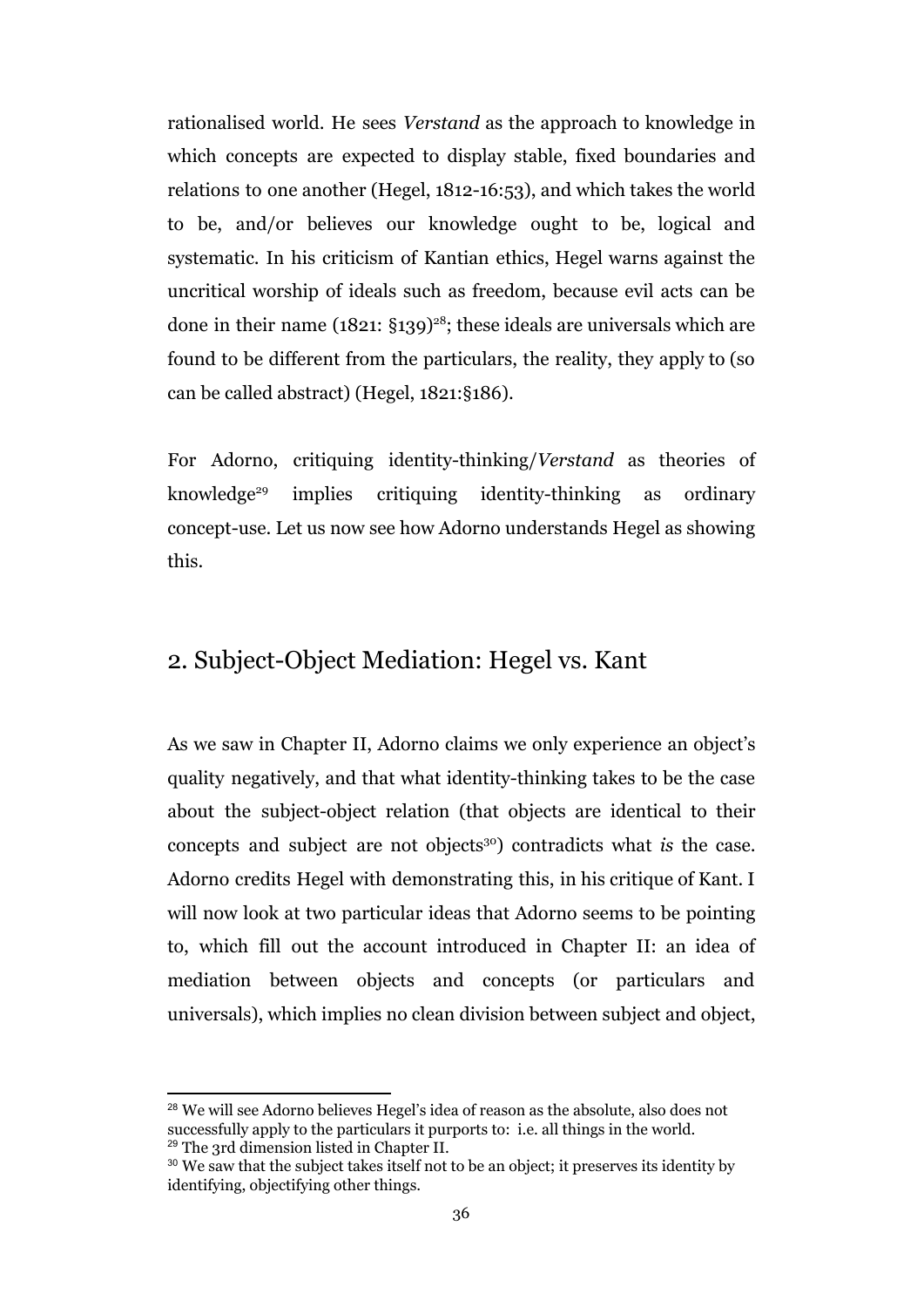rationalised world. He sees *Verstand* as the approach to knowledge in which concepts are expected to display stable, fixed boundaries and relations to one another (Hegel, 1812-16:53), and which takes the world to be, and/or believes our knowledge ought to be, logical and systematic. In his criticism of Kantian ethics, Hegel warns against the uncritical worship of ideals such as freedom, because evil acts can be done in their name  $(1821: \S139)^{28}$ ; these ideals are universals which are found to be different from the particulars, the reality, they apply to (so can be called abstract) (Hegel, 1821:§186).

For Adorno, critiquing identity-thinking/*Verstand* as theories of knowledge<sup>29</sup> implies critiquing identity-thinking as ordinary concept-use. Let us now see how Adorno understands Hegel as showing this.

#### 2. Subject-Object Mediation: Hegel vs. Kant

As we saw in Chapter II, Adorno claims we only experience an object's quality negatively, and that what identity-thinking takes to be the case about the subject-object relation (that objects are identical to their concepts and subject are not objects<sup>30</sup>) contradicts what *is* the case. Adorno credits Hegel with demonstrating this, in his critique of Kant. I will now look at two particular ideas that Adorno seems to be pointing to, which fill out the account introduced in Chapter II: an idea of mediation between objects and concepts (or particulars and universals), which implies no clean division between subject and object,

<sup>28</sup> We will see Adorno believes Hegel's idea of reason as the absolute, also does not successfully apply to the particulars it purports to: i.e. all things in the world. <sup>29</sup> The 3rd dimension listed in Chapter II.

<sup>&</sup>lt;sup>30</sup> We saw that the subject takes itself not to be an object; it preserves its identity by identifying, objectifying other things.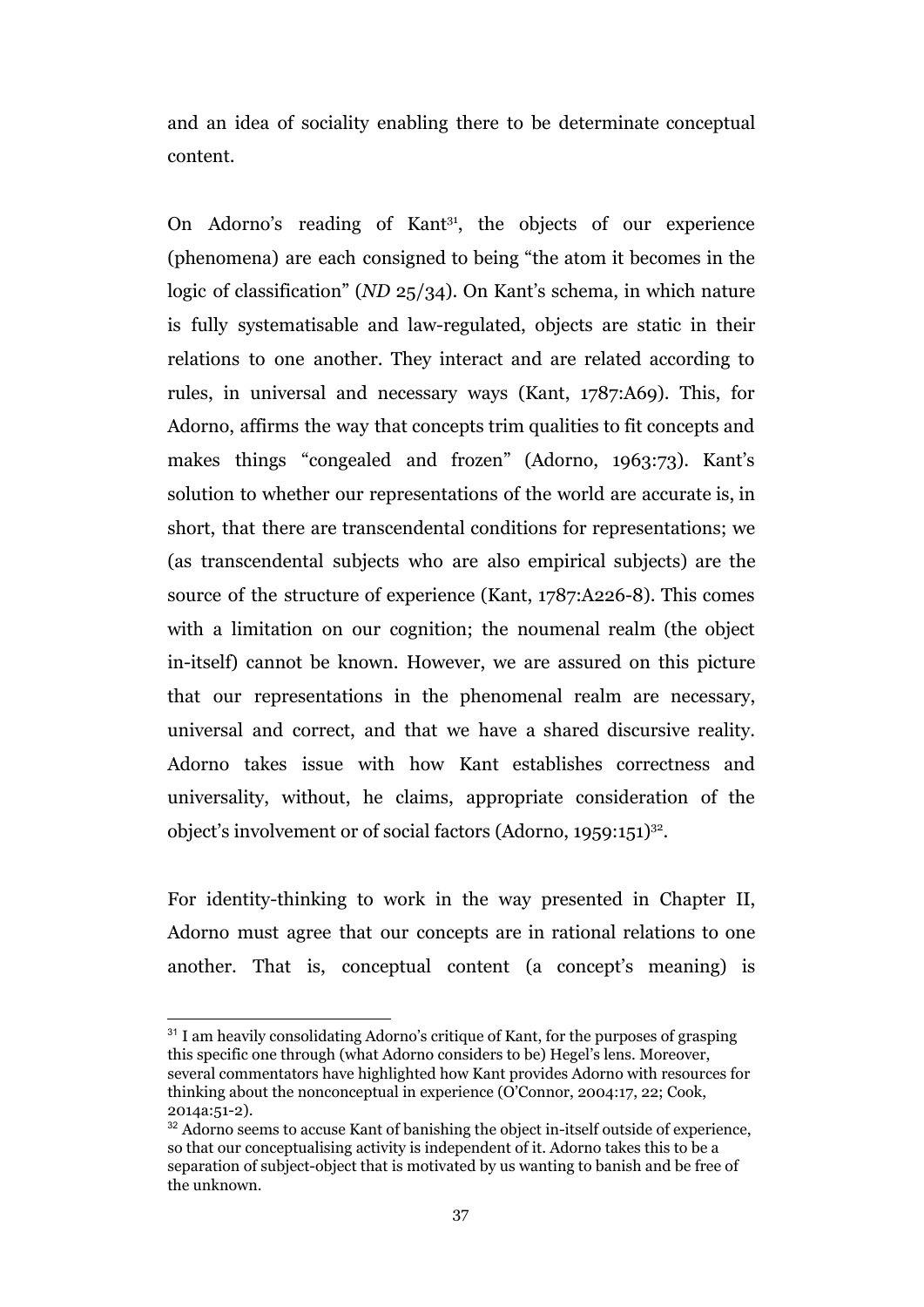and an idea of sociality enabling there to be determinate conceptual content.

On Adorno's reading of Kant<sup>31</sup>, the objects of our experience (phenomena) are each consigned to being "the atom it becomes in the logic of classification" (*ND* 25/34). On Kant's schema, in which nature is fully systematisable and law-regulated, objects are static in their relations to one another. They interact and are related according to rules, in universal and necessary ways (Kant, 1787:A69). This, for Adorno, affirms the way that concepts trim qualities to fit concepts and makes things "congealed and frozen" (Adorno, 1963:73). Kant's solution to whether our representations of the world are accurate is, in short, that there are transcendental conditions for representations; we (as transcendental subjects who are also empirical subjects) are the source of the structure of experience (Kant, 1787:A226-8). This comes with a limitation on our cognition; the noumenal realm (the object in-itself) cannot be known. However, we are assured on this picture that our representations in the phenomenal realm are necessary, universal and correct, and that we have a shared discursive reality. Adorno takes issue with how Kant establishes correctness and universality, without, he claims, appropriate consideration of the object's involvement or of social factors (Adorno, 1959:151)<sup>32</sup>.

For identity-thinking to work in the way presented in Chapter II, Adorno must agree that our concepts are in rational relations to one another. That is, conceptual content (a concept's meaning) is

<sup>&</sup>lt;sup>31</sup> I am heavily consolidating Adorno's critique of Kant, for the purposes of grasping this specific one through (what Adorno considers to be) Hegel's lens. Moreover, several commentators have highlighted how Kant provides Adorno with resources for thinking about the nonconceptual in experience (O'Connor, 2004:17, 22; Cook, 2014a:51-2).

<sup>&</sup>lt;sup>32</sup> Adorno seems to accuse Kant of banishing the object in-itself outside of experience, so that our conceptualising activity is independent of it. Adorno takes this to be a separation of subject-object that is motivated by us wanting to banish and be free of the unknown.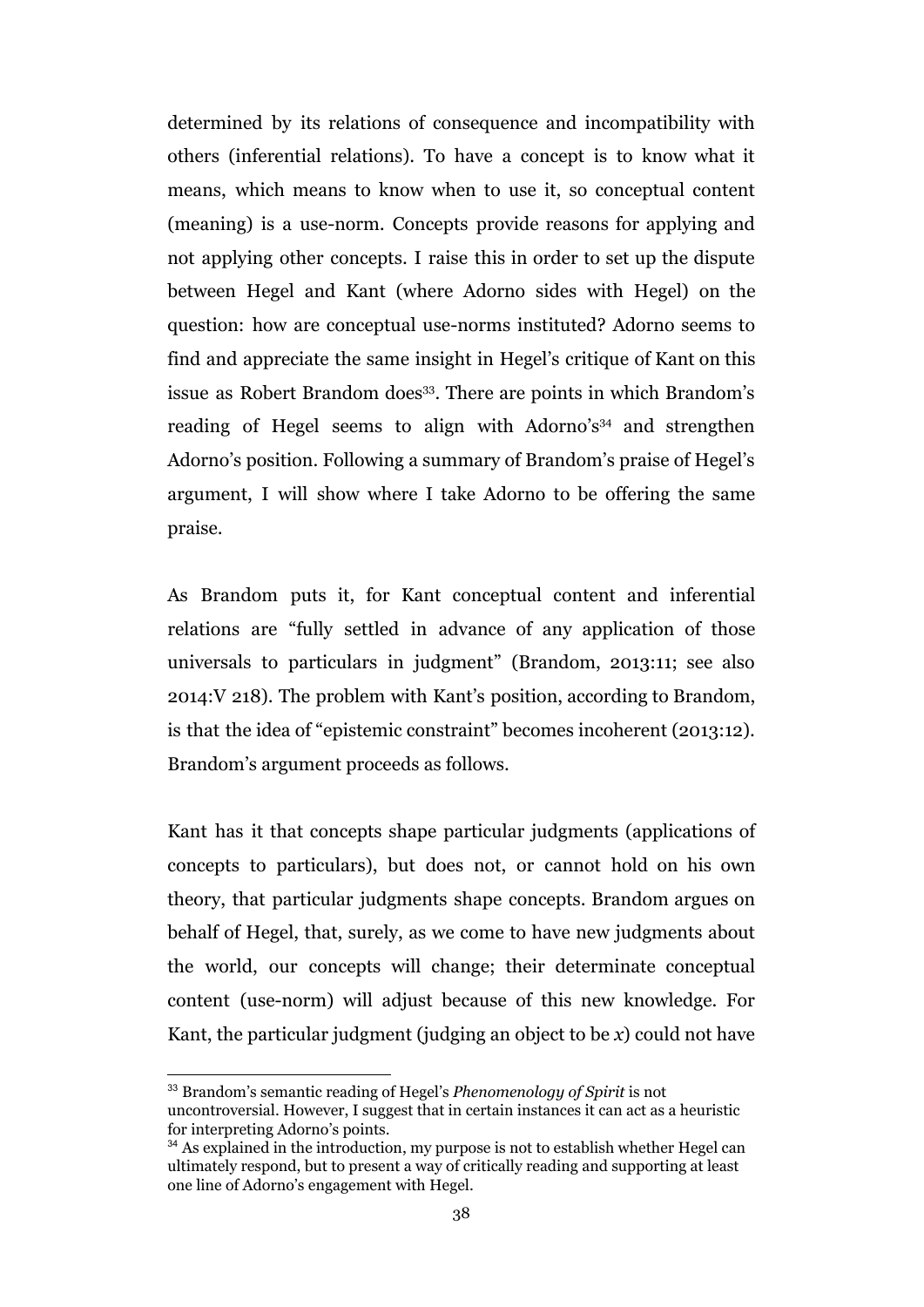determined by its relations of consequence and incompatibility with others (inferential relations). To have a concept is to know what it means, which means to know when to use it, so conceptual content (meaning) is a use-norm*.* Concepts provide reasons for applying and not applying other concepts. I raise this in order to set up the dispute between Hegel and Kant (where Adorno sides with Hegel) on the question: how are conceptual use-norms instituted? Adorno seems to find and appreciate the same insight in Hegel's critique of Kant on this issue as Robert Brandom does<sup>33</sup>. There are points in which Brandom's reading of Hegel seems to align with Adorno's<sup>34</sup> and strengthen Adorno's position. Following a summary of Brandom's praise of Hegel's argument, I will show where I take Adorno to be offering the same praise.

As Brandom puts it, for Kant conceptual content and inferential relations are "fully settled in advance of any application of those universals to particulars in judgment" (Brandom, 2013:11; see also 2014:V 218). The problem with Kant's position, according to Brandom, is that the idea of "epistemic constraint" becomes incoherent (2013:12). Brandom's argument proceeds as follows.

Kant has it that concepts shape particular judgments (applications of concepts to particulars), but does not, or cannot hold on his own theory, that particular judgments shape concepts. Brandom argues on behalf of Hegel, that, surely, as we come to have new judgments about the world, our concepts will change; their determinate conceptual content (use-norm) will adjust because of this new knowledge. For Kant, the particular judgment (judging an object to be *x*) could not have

<sup>33</sup> Brandom's semantic reading of Hegel's *Phenomenology of Spirit* is not

uncontroversial. However, I suggest that in certain instances it can act as a heuristic for interpreting Adorno's points.

<sup>&</sup>lt;sup>34</sup> As explained in the introduction, my purpose is not to establish whether Hegel can ultimately respond, but to present a way of critically reading and supporting at least one line of Adorno's engagement with Hegel.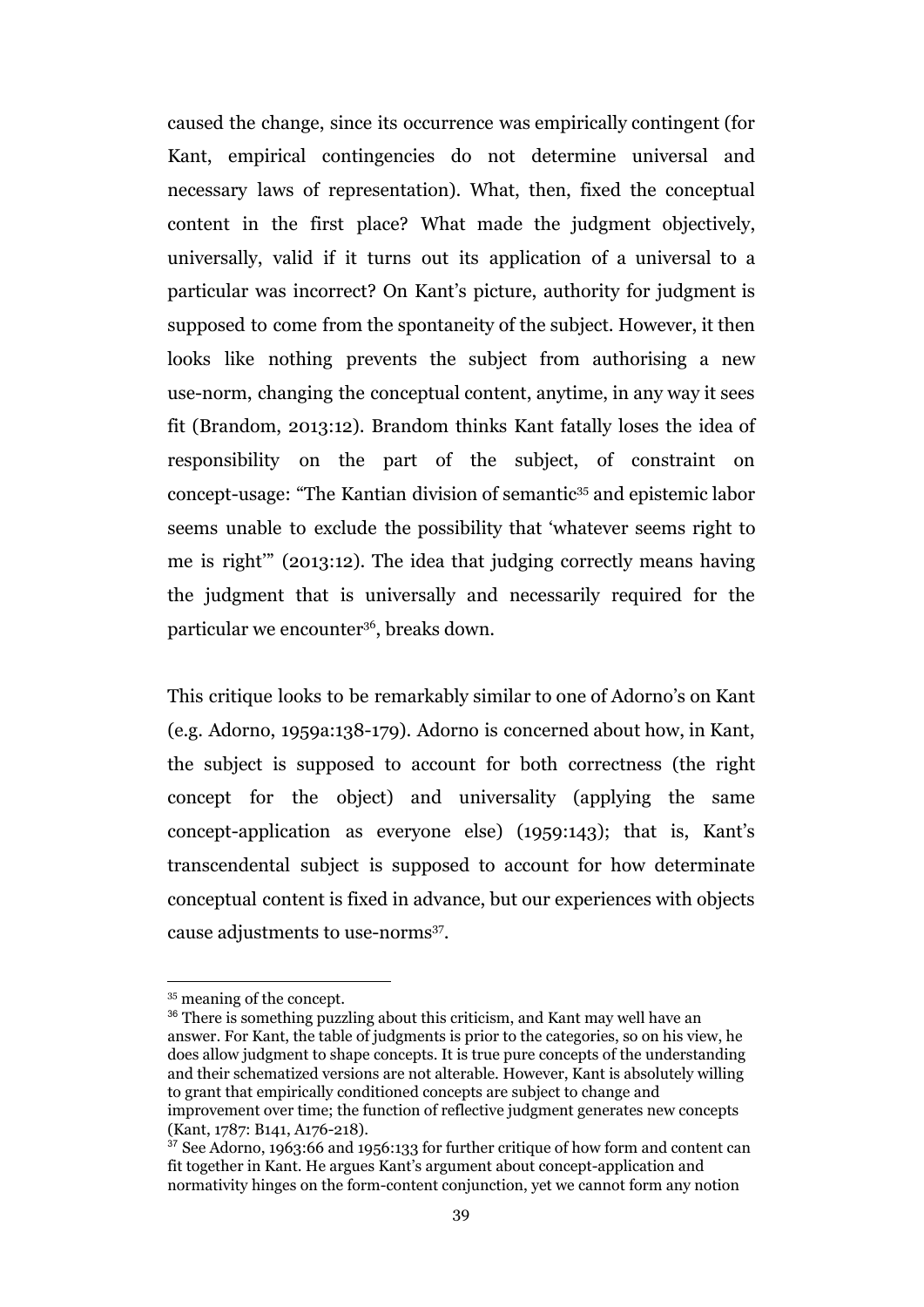caused the change, since its occurrence was empirically contingent (for Kant, empirical contingencies do not determine universal and necessary laws of representation). What, then, fixed the conceptual content in the first place? What made the judgment objectively, universally, valid if it turns out its application of a universal to a particular was incorrect? On Kant's picture, authority for judgment is supposed to come from the spontaneity of the subject. However, it then looks like nothing prevents the subject from authorising a new use-norm, changing the conceptual content, anytime, in any way it sees fit (Brandom, 2013:12). Brandom thinks Kant fatally loses the idea of responsibility on the part of the subject, of constraint on concept-usage: "The Kantian division of semantic<sup>35</sup> and epistemic labor seems unable to exclude the possibility that 'whatever seems right to me is right'" (2013:12). The idea that judging correctly means having the judgment that is universally and necessarily required for the particular we encounter<sup>36</sup>, breaks down.

This critique looks to be remarkably similar to one of Adorno's on Kant (e.g. Adorno, 1959a:138-179). Adorno is concerned about how, in Kant, the subject is supposed to account for both correctness (the right concept for the object) and universality (applying the same concept-application as everyone else) (1959:143); that is, Kant's transcendental subject is supposed to account for how determinate conceptual content is fixed in advance, but our experiences with objects cause adjustments to use-norms<sup>37</sup>.

<sup>35</sup> meaning of the concept.

<sup>&</sup>lt;sup>36</sup> There is something puzzling about this criticism, and Kant may well have an answer. For Kant, the table of judgments is prior to the categories, so on his view, he does allow judgment to shape concepts. It is true pure concepts of the understanding and their schematized versions are not alterable. However, Kant is absolutely willing to grant that empirically conditioned concepts are subject to change and improvement over time; the function of reflective judgment generates new concepts (Kant, 1787: B141, A176-218).

<sup>37</sup> See Adorno, 1963:66 and 1956:133 for further critique of how form and content can fit together in Kant. He argues Kant's argument about concept-application and normativity hinges on the form-content conjunction, yet we cannot form any notion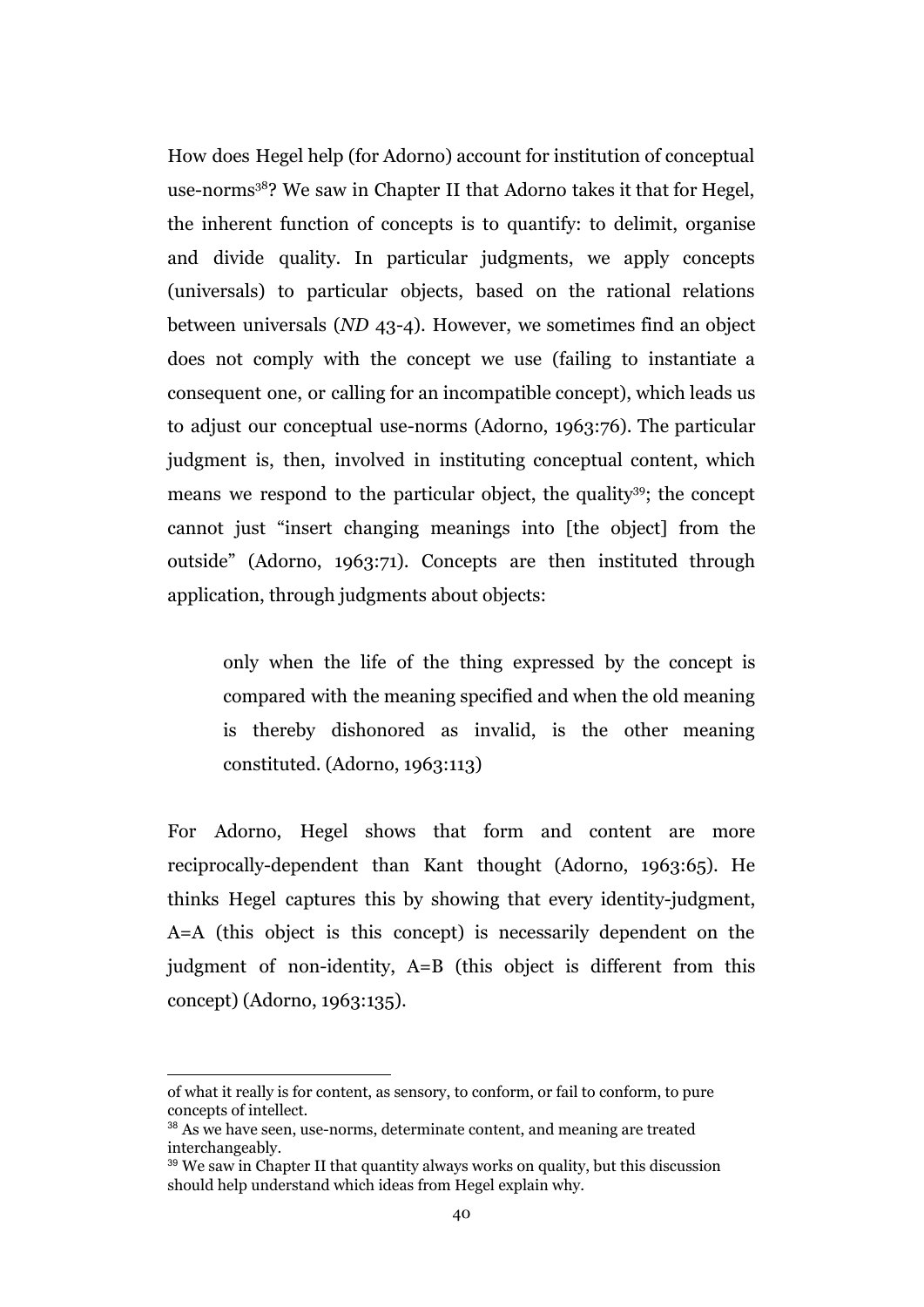How does Hegel help (for Adorno) account for institution of conceptual use-norms<sup>38</sup>? We saw in Chapter II that Adorno takes it that for Hegel, the inherent function of concepts is to quantify: to delimit, organise and divide quality. In particular judgments, we apply concepts (universals) to particular objects, based on the rational relations between universals (*ND* 43-4). However, we sometimes find an object does not comply with the concept we use (failing to instantiate a consequent one, or calling for an incompatible concept), which leads us to adjust our conceptual use-norms (Adorno, 1963:76). The particular judgment is, then, involved in instituting conceptual content, which means we respond to the particular object, the quality<sup>39</sup>; the concept cannot just "insert changing meanings into [the object] from the outside" (Adorno, 1963:71). Concepts are then instituted through application, through judgments about objects:

only when the life of the thing expressed by the concept is compared with the meaning specified and when the old meaning is thereby dishonored as invalid, is the other meaning constituted. (Adorno, 1963:113)

For Adorno, Hegel shows that form and content are more reciprocally-dependent than Kant thought (Adorno, 1963:65). He thinks Hegel captures this by showing that every identity-judgment, A=A (this object is this concept) is necessarily dependent on the judgment of non-identity, A=B (this object is different from this concept) (Adorno, 1963:135).

of what it really is for content, as sensory, to conform, or fail to conform, to pure concepts of intellect.

<sup>&</sup>lt;sup>38</sup> As we have seen, use-norms, determinate content, and meaning are treated interchangeably.

 $39$  We saw in Chapter II that quantity always works on quality, but this discussion should help understand which ideas from Hegel explain why.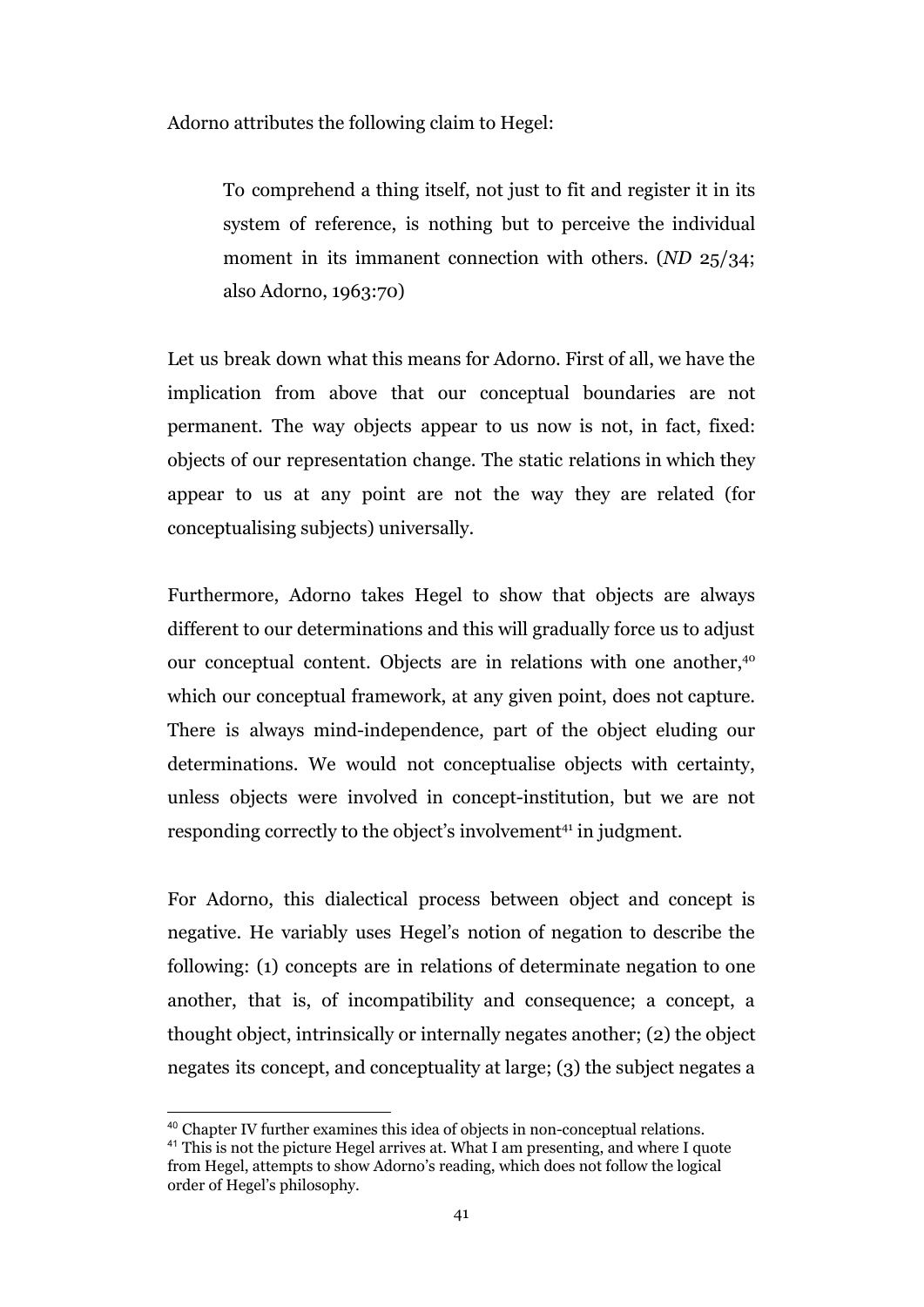Adorno attributes the following claim to Hegel:

To comprehend a thing itself, not just to fit and register it in its system of reference, is nothing but to perceive the individual moment in its immanent connection with others. (*ND* 25/34; also Adorno, 1963:70)

Let us break down what this means for Adorno. First of all, we have the implication from above that our conceptual boundaries are not permanent. The way objects appear to us now is not, in fact, fixed: objects of our representation change. The static relations in which they appear to us at any point are not the way they are related (for conceptualising subjects) universally.

Furthermore, Adorno takes Hegel to show that objects are always different to our determinations and this will gradually force us to adjust our conceptual content. Objects are in relations with one another,<sup>40</sup> which our conceptual framework, at any given point, does not capture. There is always mind-independence, part of the object eluding our determinations. We would not conceptualise objects with certainty, unless objects were involved in concept-institution, but we are not responding correctly to the object's involvement<sup>41</sup> in judgment.

For Adorno, this dialectical process between object and concept is negative. He variably uses Hegel's notion of negation to describe the following: (1) concepts are in relations of determinate negation to one another, that is, of incompatibility and consequence; a concept, a thought object, intrinsically or internally negates another; (2) the object negates its concept, and conceptuality at large; (3) the subject negates a

<sup>40</sup> Chapter IV further examines this idea of objects in non-conceptual relations.

<sup>&</sup>lt;sup>41</sup> This is not the picture Hegel arrives at. What I am presenting, and where I quote from Hegel, attempts to show Adorno's reading, which does not follow the logical order of Hegel's philosophy.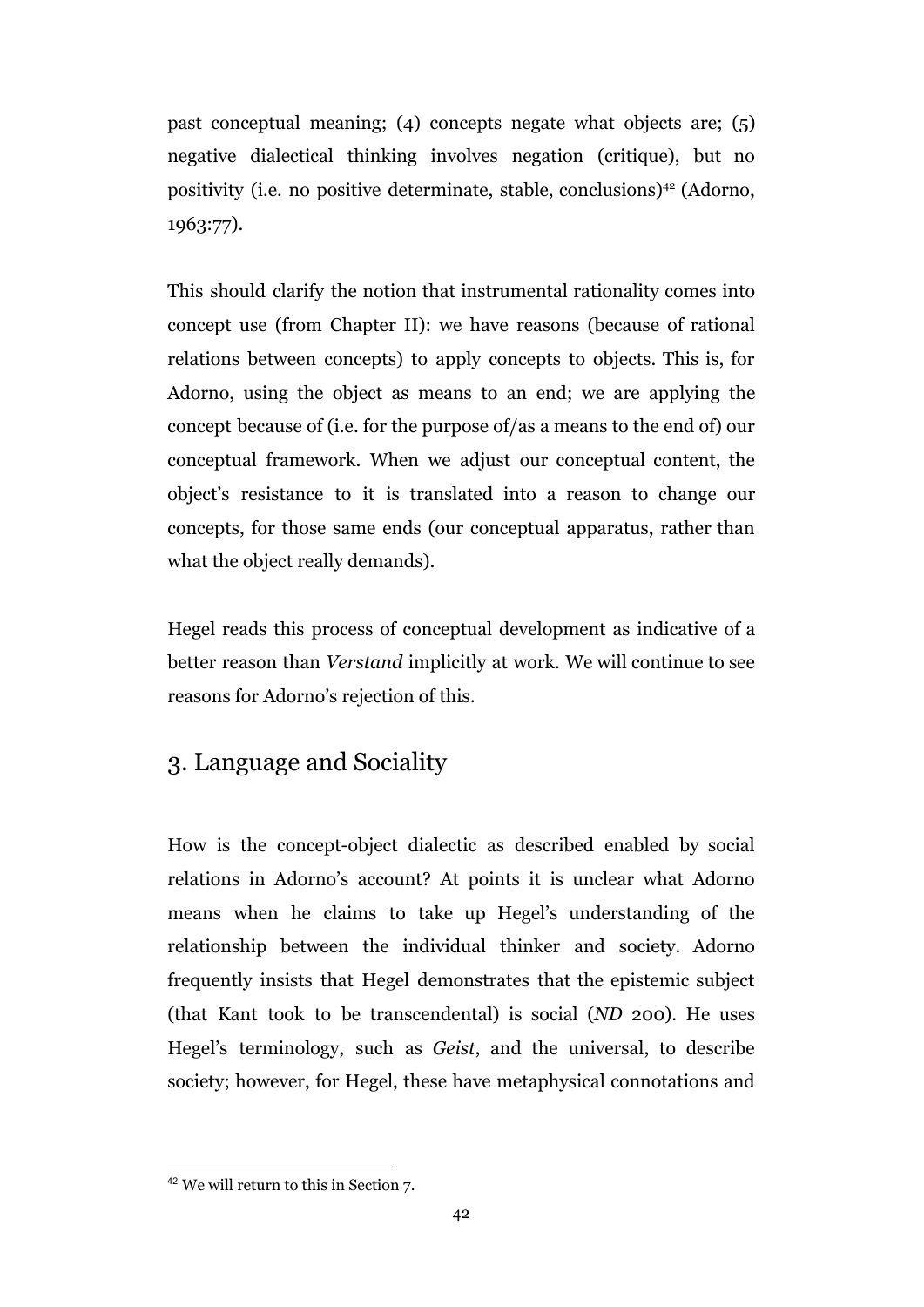past conceptual meaning; (4) concepts negate what objects are; (5) negative dialectical thinking involves negation (critique), but no positivity (i.e. no positive determinate, stable, conclusions)<sup>42</sup> (Adorno, 1963:77).

This should clarify the notion that instrumental rationality comes into concept use (from Chapter II): we have reasons (because of rational relations between concepts) to apply concepts to objects. This is, for Adorno, using the object as means to an end; we are applying the concept because of (i.e. for the purpose of/as a means to the end of) our conceptual framework. When we adjust our conceptual content, the object's resistance to it is translated into a reason to change our concepts, for those same ends (our conceptual apparatus, rather than what the object really demands).

Hegel reads this process of conceptual development as indicative of a better reason than *Verstand* implicitly at work. We will continue to see reasons for Adorno's rejection of this.

# 3. Language and Sociality

How is the concept-object dialectic as described enabled by social relations in Adorno's account? At points it is unclear what Adorno means when he claims to take up Hegel's understanding of the relationship between the individual thinker and society. Adorno frequently insists that Hegel demonstrates that the epistemic subject (that Kant took to be transcendental) is social (*ND* 200). He uses Hegel's terminology, such as *Geist*, and the universal, to describe society; however, for Hegel, these have metaphysical connotations and

<sup>42</sup> We will return to this in Section 7.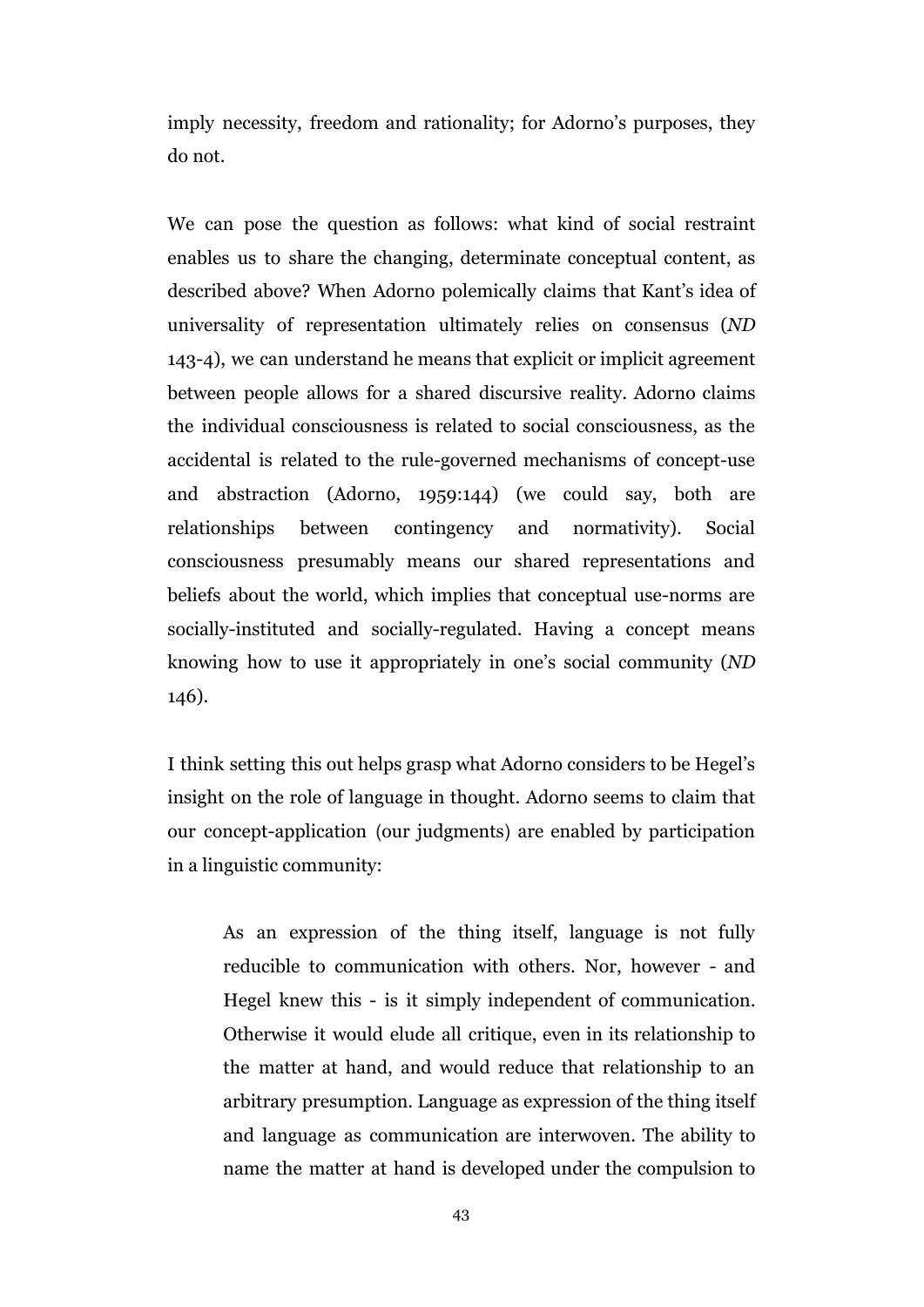imply necessity, freedom and rationality; for Adorno's purposes, they do not.

We can pose the question as follows: what kind of social restraint enables us to share the changing, determinate conceptual content, as described above? When Adorno polemically claims that Kant's idea of universality of representation ultimately relies on consensus (*ND* 143-4), we can understand he means that explicit or implicit agreement between people allows for a shared discursive reality. Adorno claims the individual consciousness is related to social consciousness, as the accidental is related to the rule-governed mechanisms of concept-use and abstraction (Adorno, 1959:144) (we could say, both are relationships between contingency and normativity). Social consciousness presumably means our shared representations and beliefs about the world, which implies that conceptual use-norms are socially-instituted and socially-regulated. Having a concept means knowing how to use it appropriately in one's social community (*ND* 146).

I think setting this out helps grasp what Adorno considers to be Hegel's insight on the role of language in thought. Adorno seems to claim that our concept-application (our judgments) are enabled by participation in a linguistic community:

As an expression of the thing itself, language is not fully reducible to communication with others. Nor, however - and Hegel knew this - is it simply independent of communication. Otherwise it would elude all critique, even in its relationship to the matter at hand, and would reduce that relationship to an arbitrary presumption. Language as expression of the thing itself and language as communication are interwoven. The ability to name the matter at hand is developed under the compulsion to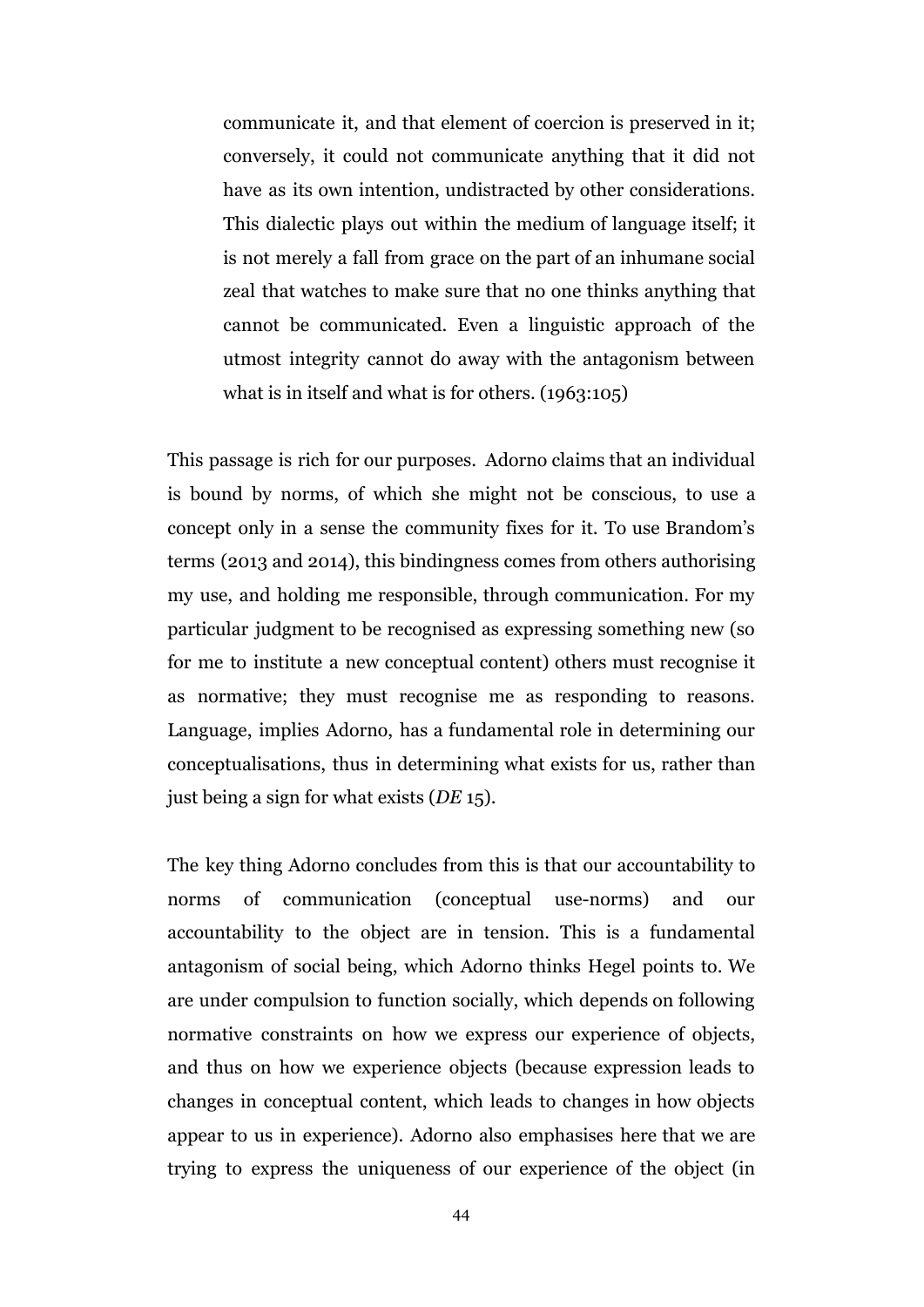communicate it, and that element of coercion is preserved in it; conversely, it could not communicate anything that it did not have as its own intention, undistracted by other considerations. This dialectic plays out within the medium of language itself; it is not merely a fall from grace on the part of an inhumane social zeal that watches to make sure that no one thinks anything that cannot be communicated. Even a linguistic approach of the utmost integrity cannot do away with the antagonism between what is in itself and what is for others. (1963:105)

This passage is rich for our purposes. Adorno claims that an individual is bound by norms, of which she might not be conscious, to use a concept only in a sense the community fixes for it. To use Brandom's terms (2013 and 2014), this bindingness comes from others authorising my use, and holding me responsible, through communication. For my particular judgment to be recognised as expressing something new (so for me to institute a new conceptual content) others must recognise it as normative; they must recognise me as responding to reasons. Language, implies Adorno, has a fundamental role in determining our conceptualisations, thus in determining what exists for us, rather than just being a sign for what exists (*DE* 15).

The key thing Adorno concludes from this is that our accountability to norms of communication (conceptual use-norms) and our accountability to the object are in tension. This is a fundamental antagonism of social being, which Adorno thinks Hegel points to. We are under compulsion to function socially, which depends on following normative constraints on how we express our experience of objects, and thus on how we experience objects (because expression leads to changes in conceptual content, which leads to changes in how objects appear to us in experience). Adorno also emphasises here that we are trying to express the uniqueness of our experience of the object (in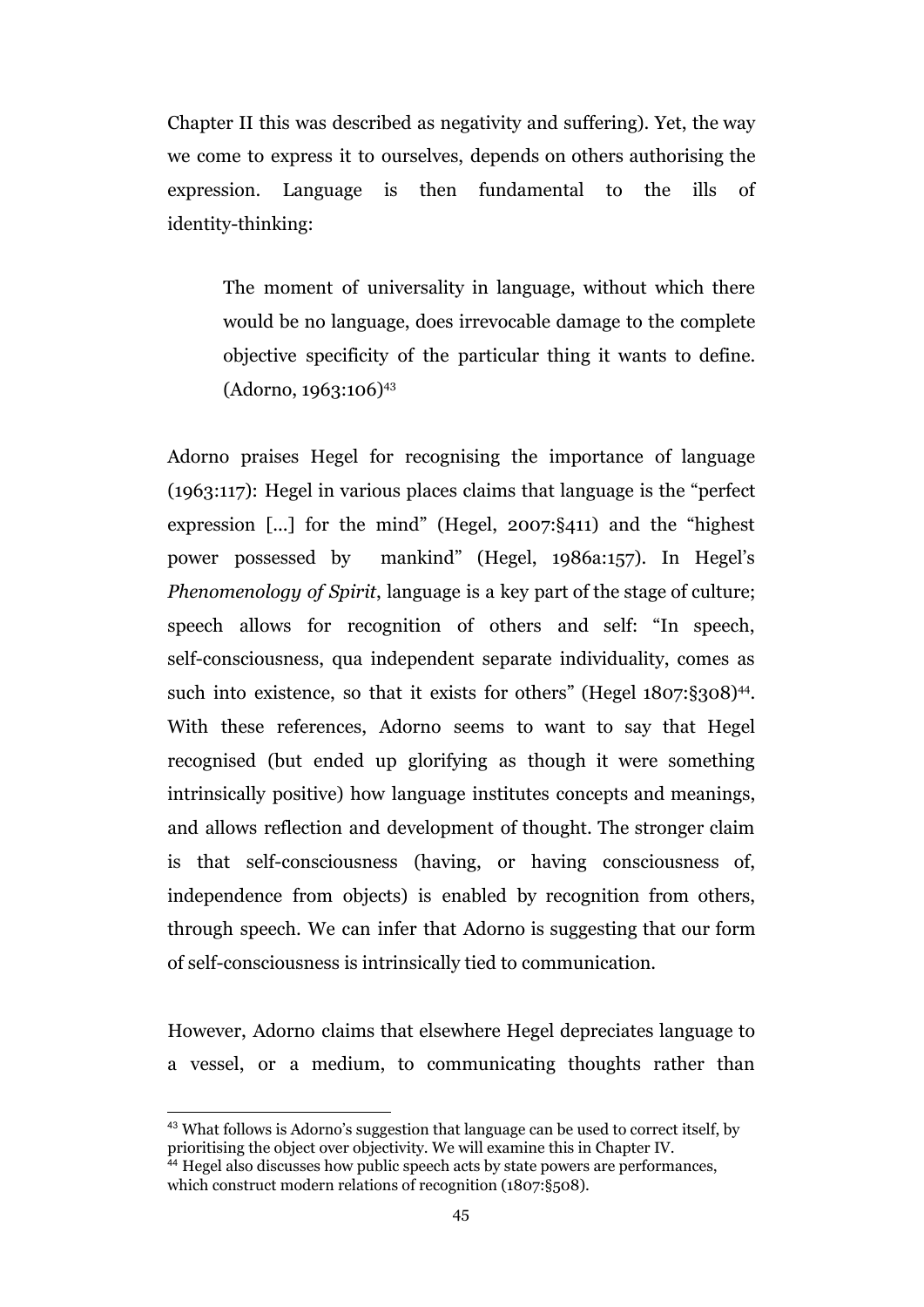Chapter II this was described as negativity and suffering). Yet, the way we come to express it to ourselves, depends on others authorising the expression. Language is then fundamental to the ills of identity-thinking:

The moment of universality in language, without which there would be no language, does irrevocable damage to the complete objective specificity of the particular thing it wants to define. (Adorno, 1963:106)<sup>43</sup>

Adorno praises Hegel for recognising the importance of language (1963:117): Hegel in various places claims that language is the "perfect expression [...] for the mind" (Hegel, 2007:§411) and the "highest power possessed by mankind" (Hegel, 1986a:157). In Hegel's *Phenomenology of Spirit*, language is a key part of the stage of culture; speech allows for recognition of others and self: "In speech, self-consciousness, qua independent separate individuality, comes as such into existence, so that it exists for others" (Hegel 1807:§308)<sup>44</sup>. With these references, Adorno seems to want to say that Hegel recognised (but ended up glorifying as though it were something intrinsically positive) how language institutes concepts and meanings, and allows reflection and development of thought. The stronger claim is that self-consciousness (having, or having consciousness of, independence from objects) is enabled by recognition from others, through speech. We can infer that Adorno is suggesting that our form of self-consciousness is intrinsically tied to communication.

However, Adorno claims that elsewhere Hegel depreciates language to a vessel, or a medium, to communicating thoughts rather than

<sup>&</sup>lt;sup>43</sup> What follows is Adorno's suggestion that language can be used to correct itself, by prioritising the object over objectivity. We will examine this in Chapter IV.

<sup>&</sup>lt;sup>44</sup> Hegel also discusses how public speech acts by state powers are performances, which construct modern relations of recognition (1807:§508).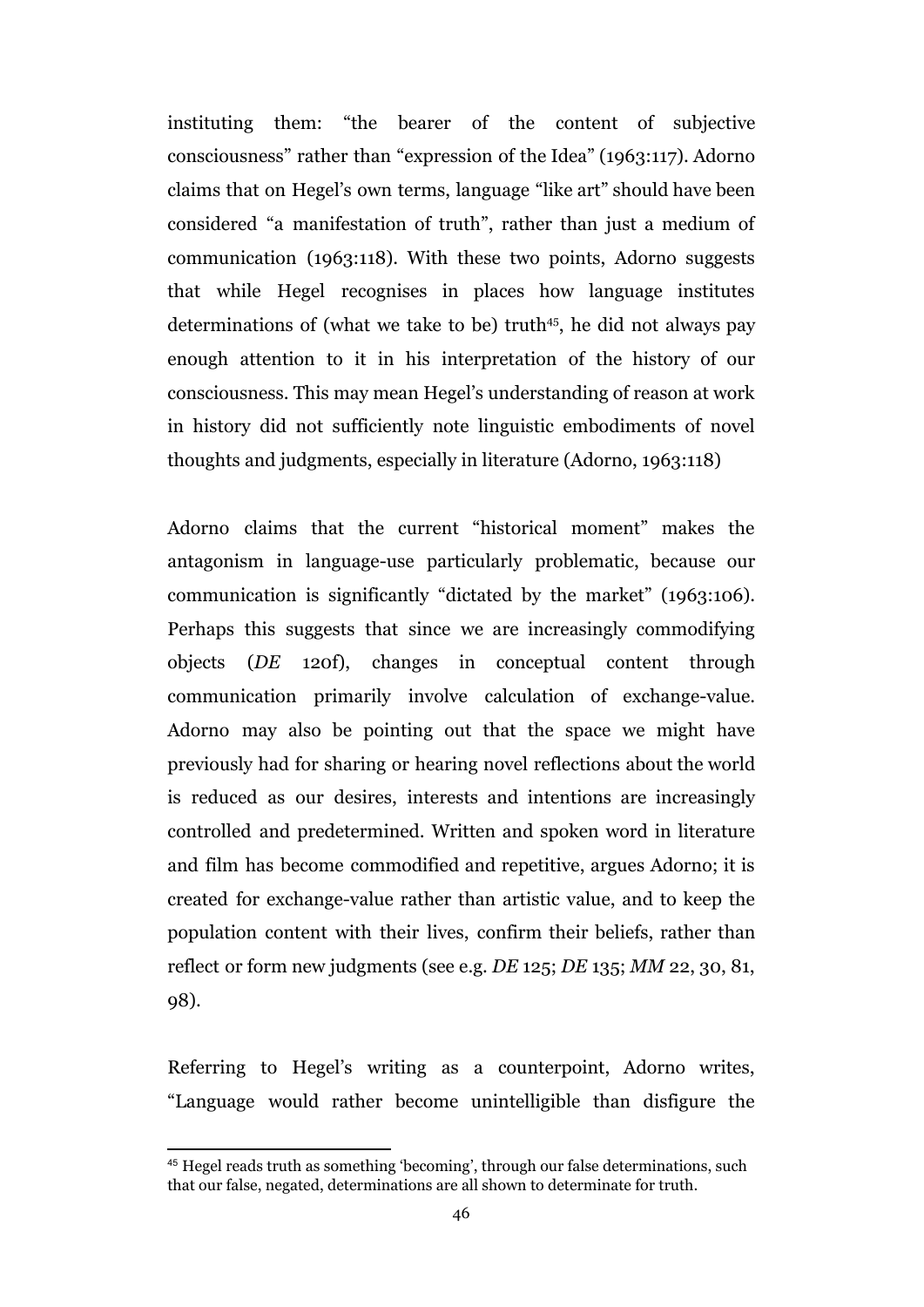instituting them: "the bearer of the content of subjective consciousness" rather than "expression of the Idea" (1963:117). Adorno claims that on Hegel's own terms, language "like art" should have been considered "a manifestation of truth", rather than just a medium of communication (1963:118). With these two points, Adorno suggests that while Hegel recognises in places how language institutes determinations of (what we take to be) truth<sup>45</sup>, he did not always pay enough attention to it in his interpretation of the history of our consciousness. This may mean Hegel's understanding of reason at work in history did not sufficiently note linguistic embodiments of novel thoughts and judgments, especially in literature (Adorno, 1963:118)

Adorno claims that the current "historical moment" makes the antagonism in language-use particularly problematic, because our communication is significantly "dictated by the market" (1963:106). Perhaps this suggests that since we are increasingly commodifying objects (*DE* 120f), changes in conceptual content through communication primarily involve calculation of exchange-value. Adorno may also be pointing out that the space we might have previously had for sharing or hearing novel reflections about the world is reduced as our desires, interests and intentions are increasingly controlled and predetermined. Written and spoken word in literature and film has become commodified and repetitive, argues Adorno; it is created for exchange-value rather than artistic value, and to keep the population content with their lives, confirm their beliefs, rather than reflect or form new judgments (see e.g. *DE* 125; *DE* 135; *MM* 22, 30, 81, 98).

Referring to Hegel's writing as a counterpoint, Adorno writes, "Language would rather become unintelligible than disfigure the

<sup>45</sup> Hegel reads truth as something 'becoming', through our false determinations, such that our false, negated, determinations are all shown to determinate for truth.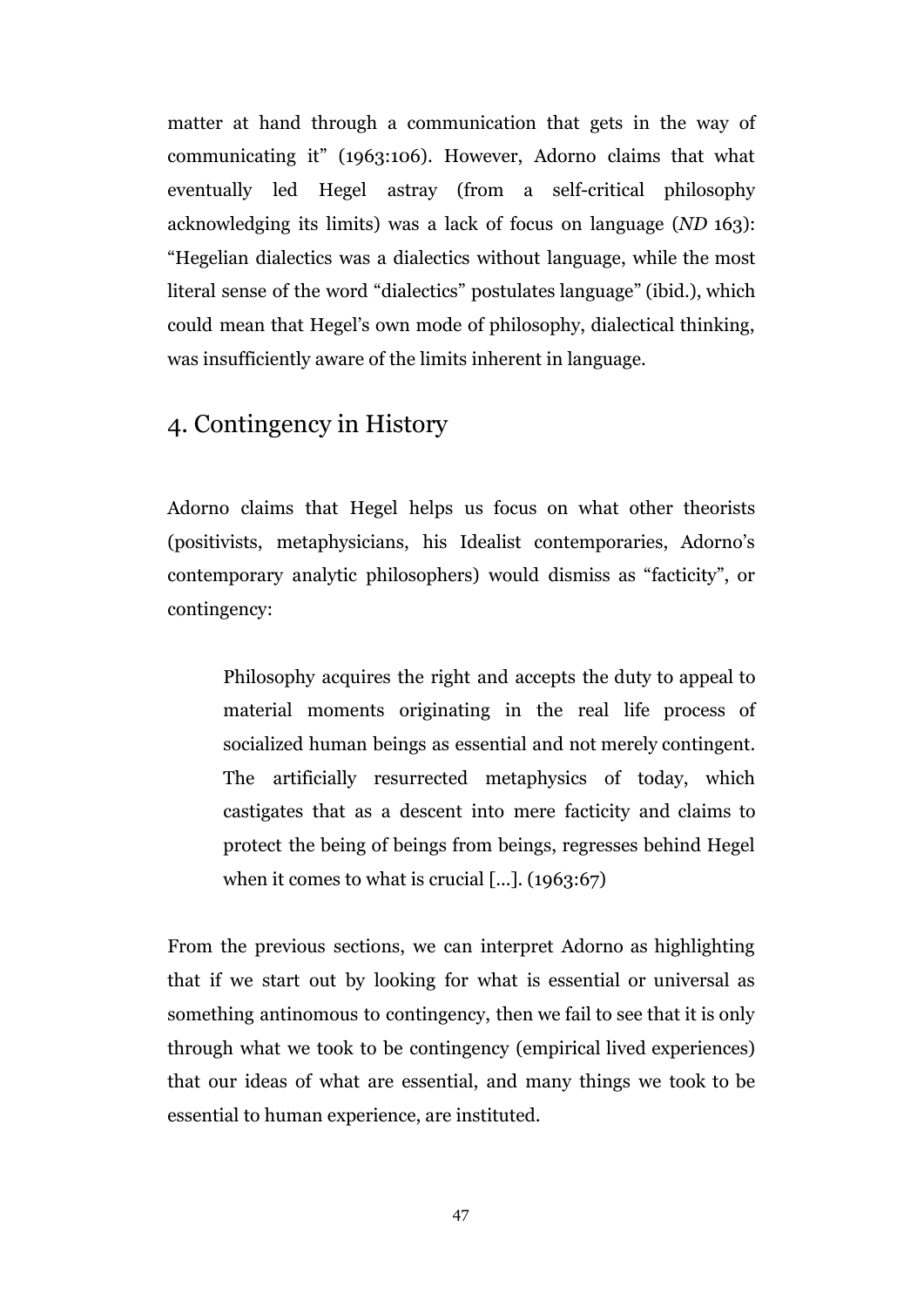matter at hand through a communication that gets in the way of communicating it" (1963:106). However, Adorno claims that what eventually led Hegel astray (from a self-critical philosophy acknowledging its limits) was a lack of focus on language (*ND* 163): "Hegelian dialectics was a dialectics without language, while the most literal sense of the word "dialectics" postulates language" (ibid.), which could mean that Hegel's own mode of philosophy, dialectical thinking, was insufficiently aware of the limits inherent in language.

# 4. Contingency in History

Adorno claims that Hegel helps us focus on what other theorists (positivists, metaphysicians, his Idealist contemporaries, Adorno's contemporary analytic philosophers) would dismiss as "facticity", or contingency:

Philosophy acquires the right and accepts the duty to appeal to material moments originating in the real life process of socialized human beings as essential and not merely contingent. The artificially resurrected metaphysics of today, which castigates that as a descent into mere facticity and claims to protect the being of beings from beings, regresses behind Hegel when it comes to what is crucial [...]. (1963:67)

From the previous sections, we can interpret Adorno as highlighting that if we start out by looking for what is essential or universal as something antinomous to contingency, then we fail to see that it is only through what we took to be contingency (empirical lived experiences) that our ideas of what are essential, and many things we took to be essential to human experience, are instituted.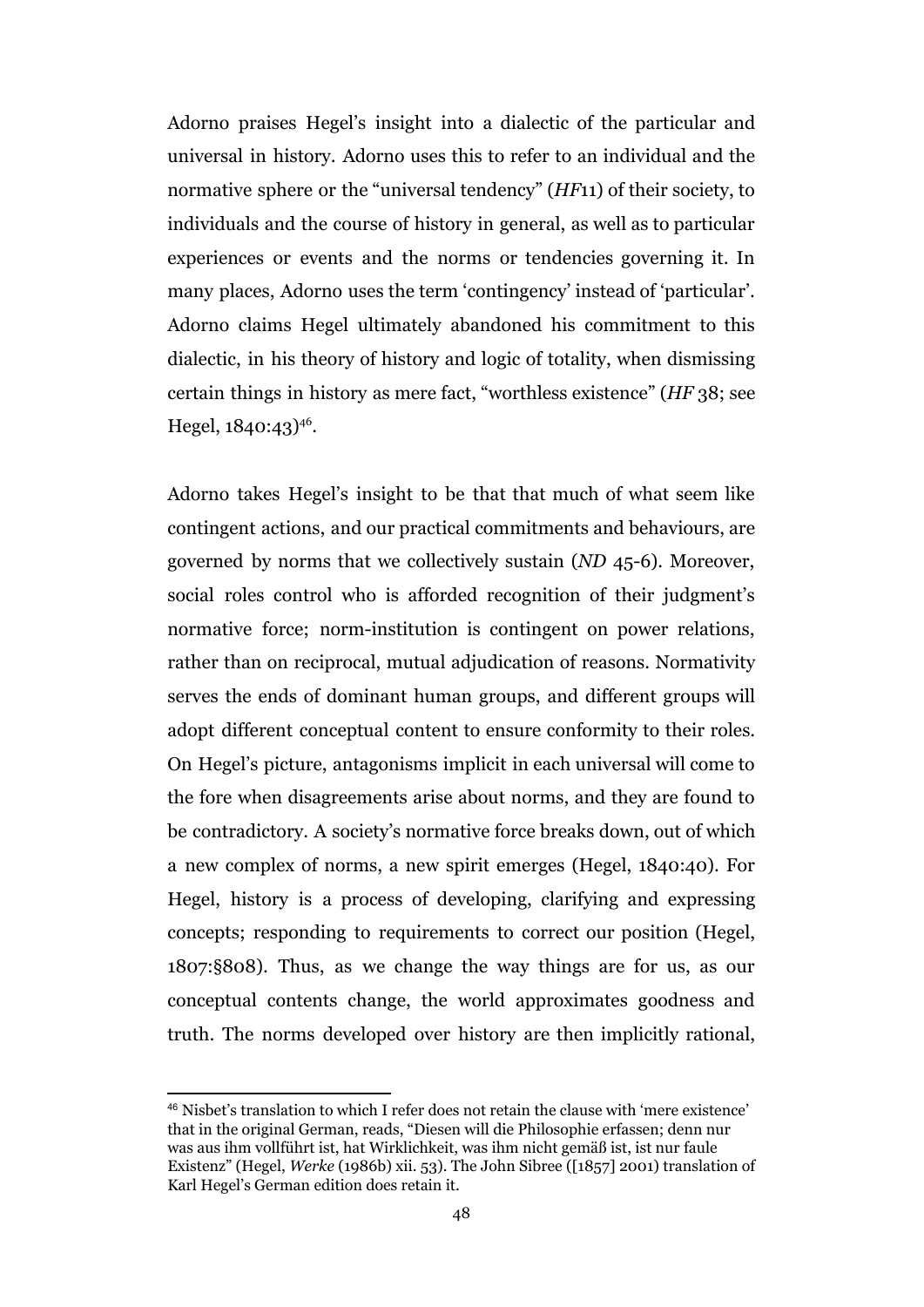Adorno praises Hegel's insight into a dialectic of the particular and universal in history. Adorno uses this to refer to an individual and the normative sphere or the "universal tendency" (*HF*11) of their society, to individuals and the course of history in general, as well as to particular experiences or events and the norms or tendencies governing it. In many places, Adorno uses the term 'contingency' instead of 'particular'. Adorno claims Hegel ultimately abandoned his commitment to this dialectic, in his theory of history and logic of totality, when dismissing certain things in history as mere fact, "worthless existence" (*HF* 38; see Hegel,  $1840:43$ <sup>46</sup>.

Adorno takes Hegel's insight to be that that much of what seem like contingent actions, and our practical commitments and behaviours, are governed by norms that we collectively sustain (*ND* 45-6). Moreover, social roles control who is afforded recognition of their judgment's normative force; norm-institution is contingent on power relations, rather than on reciprocal, mutual adjudication of reasons. Normativity serves the ends of dominant human groups, and different groups will adopt different conceptual content to ensure conformity to their roles. On Hegel's picture, antagonisms implicit in each universal will come to the fore when disagreements arise about norms, and they are found to be contradictory. A society's normative force breaks down, out of which a new complex of norms, a new spirit emerges (Hegel, 1840:40). For Hegel, history is a process of developing, clarifying and expressing concepts; responding to requirements to correct our position (Hegel, 1807:§808). Thus, as we change the way things are for us, as our conceptual contents change, the world approximates goodness and truth. The norms developed over history are then implicitly rational,

<sup>46</sup> Nisbet's translation to which I refer does not retain the clause with 'mere existence' that in the original German, reads, "Diesen will die Philosophie erfassen; denn nur was aus ihm vollführt ist, hat Wirklichkeit, was ihm nicht gemäß ist, ist nur faule Existenz" (Hegel, *Werke* (1986b) xii. 53). The John Sibree ([1857] 2001) translation of Karl Hegel's German edition does retain it.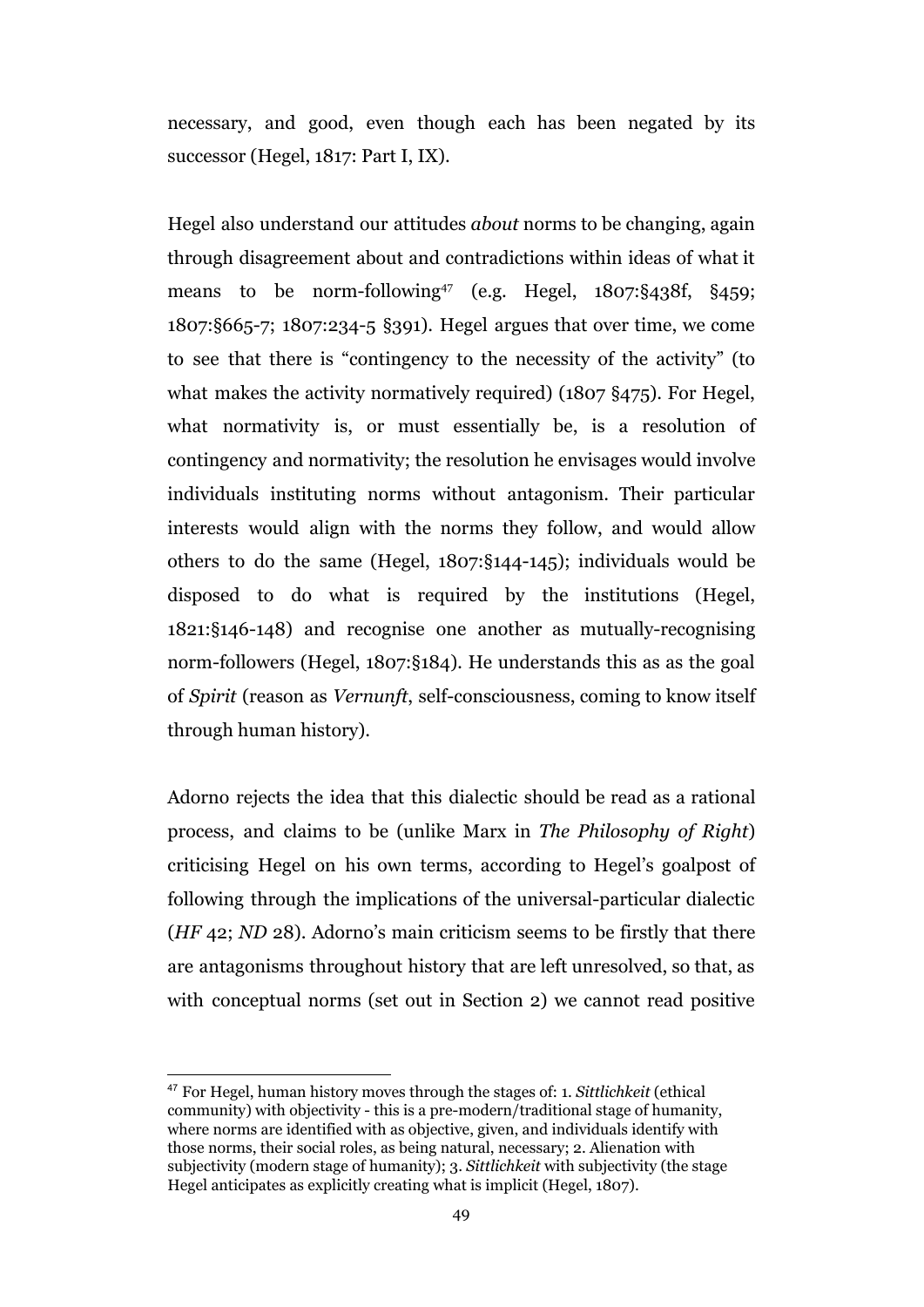necessary, and good, even though each has been negated by its successor (Hegel, 1817: Part I, IX).

Hegel also understand our attitudes *about* norms to be changing, again through disagreement about and contradictions within ideas of what it means to be norm-following<sup>47</sup> (e.g. Hegel,  $1807$ : §438f, §459; 1807:§665-7; 1807:234-5 §391). Hegel argues that over time, we come to see that there is "contingency to the necessity of the activity" (to what makes the activity normatively required) (1807 §475). For Hegel, what normativity is, or must essentially be, is a resolution of contingency and normativity; the resolution he envisages would involve individuals instituting norms without antagonism. Their particular interests would align with the norms they follow, and would allow others to do the same (Hegel, 1807:§144-145); individuals would be disposed to do what is required by the institutions (Hegel, 1821:§146-148) and recognise one another as mutually-recognising norm-followers (Hegel, 1807:§184)*.* He understands this as as the goal of *Spirit* (reason as *Vernunft*, self-consciousness, coming to know itself through human history).

Adorno rejects the idea that this dialectic should be read as a rational process, and claims to be (unlike Marx in *The Philosophy of Right*) criticising Hegel on his own terms, according to Hegel's goalpost of following through the implications of the universal-particular dialectic (*HF* 42; *ND* 28). Adorno's main criticism seems to be firstly that there are antagonisms throughout history that are left unresolved, so that, as with conceptual norms (set out in Section 2) we cannot read positive

<sup>47</sup> For Hegel, human history moves through the stages of: 1. *Sittlichkeit* (ethical community) with objectivity - this is a pre-modern/traditional stage of humanity, where norms are identified with as objective, given, and individuals identify with those norms, their social roles, as being natural, necessary; 2. Alienation with subjectivity (modern stage of humanity); 3. *Sittlichkeit* with subjectivity (the stage Hegel anticipates as explicitly creating what is implicit (Hegel, 1807).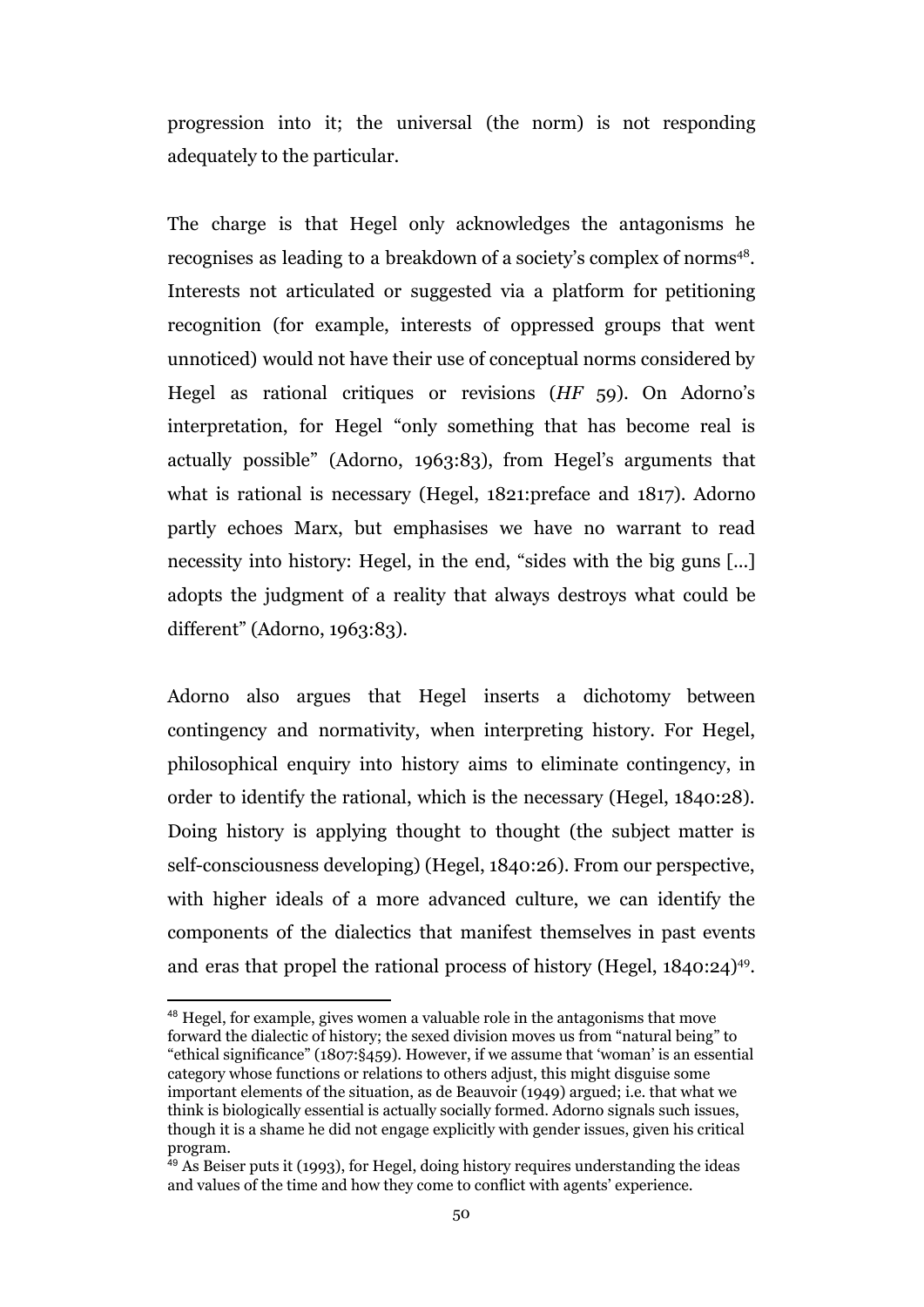progression into it; the universal (the norm) is not responding adequately to the particular.

The charge is that Hegel only acknowledges the antagonisms he recognises as leading to a breakdown of a society's complex of norms<sup>48</sup>. Interests not articulated or suggested via a platform for petitioning recognition (for example, interests of oppressed groups that went unnoticed) would not have their use of conceptual norms considered by Hegel as rational critiques or revisions (*HF* 59). On Adorno's interpretation, for Hegel "only something that has become real is actually possible" (Adorno, 1963:83), from Hegel's arguments that what is rational is necessary (Hegel, 1821:preface and 1817). Adorno partly echoes Marx, but emphasises we have no warrant to read necessity into history: Hegel, in the end, "sides with the big guns [...] adopts the judgment of a reality that always destroys what could be different" (Adorno, 1963:83).

Adorno also argues that Hegel inserts a dichotomy between contingency and normativity, when interpreting history. For Hegel, philosophical enquiry into history aims to eliminate contingency, in order to identify the rational, which is the necessary (Hegel, 1840:28). Doing history is applying thought to thought (the subject matter is self-consciousness developing) (Hegel, 1840:26). From our perspective, with higher ideals of a more advanced culture, we can identify the components of the dialectics that manifest themselves in past events and eras that propel the rational process of history (Hegel, 1840:24)<sup>49</sup>.

<sup>48</sup> Hegel, for example, gives women a valuable role in the antagonisms that move forward the dialectic of history; the sexed division moves us from "natural being" to "ethical significance" (1807:§459). However, if we assume that 'woman' is an essential category whose functions or relations to others adjust, this might disguise some important elements of the situation, as de Beauvoir (1949) argued; i.e. that what we think is biologically essential is actually socially formed. Adorno signals such issues, though it is a shame he did not engage explicitly with gender issues, given his critical program.

 $49$  As Beiser puts it (1993), for Hegel, doing history requires understanding the ideas and values of the time and how they come to conflict with agents' experience.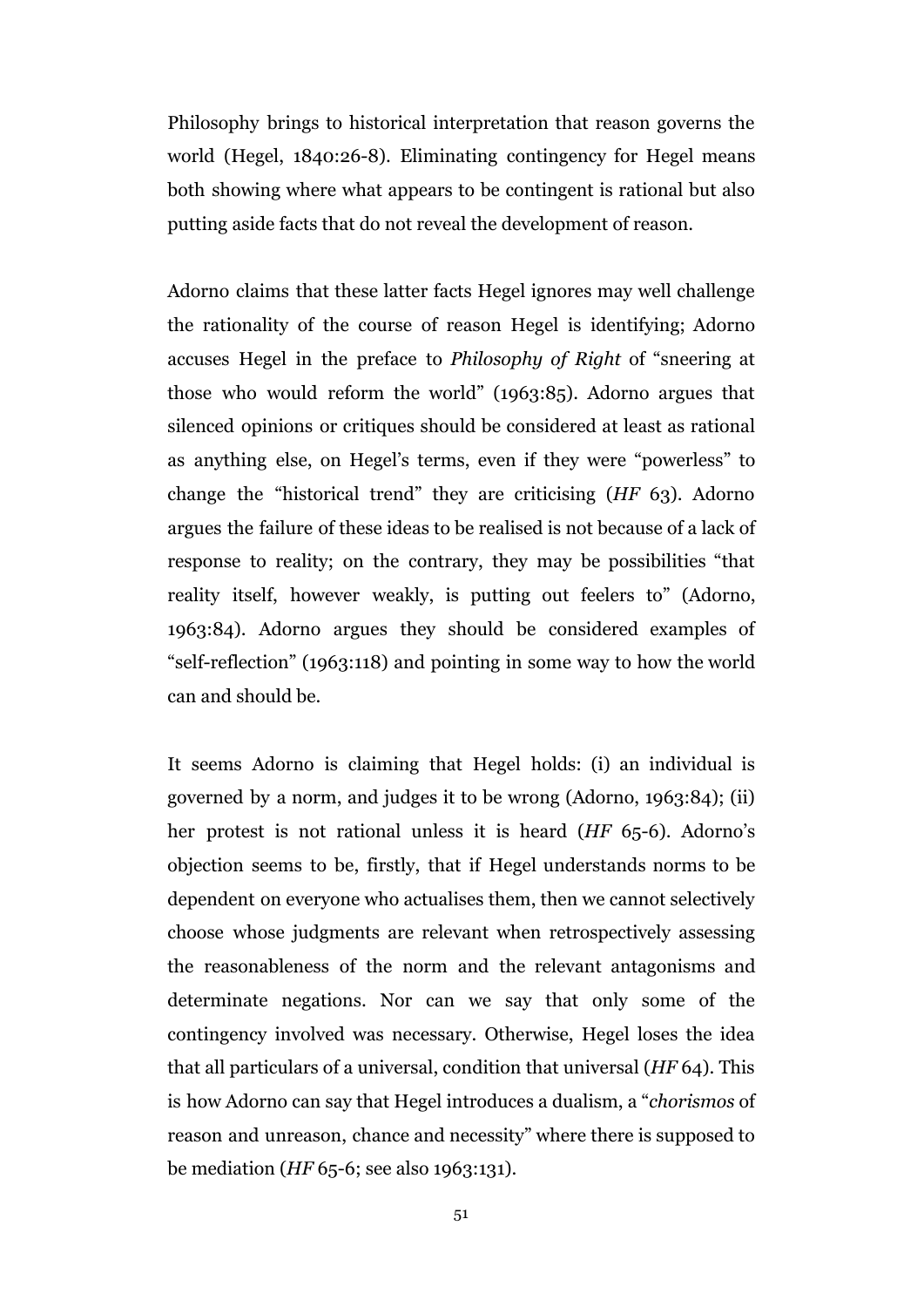Philosophy brings to historical interpretation that reason governs the world (Hegel, 1840:26-8). Eliminating contingency for Hegel means both showing where what appears to be contingent is rational but also putting aside facts that do not reveal the development of reason.

Adorno claims that these latter facts Hegel ignores may well challenge the rationality of the course of reason Hegel is identifying; Adorno accuses Hegel in the preface to *Philosophy of Right* of "sneering at those who would reform the world" (1963:85). Adorno argues that silenced opinions or critiques should be considered at least as rational as anything else, on Hegel's terms, even if they were "powerless" to change the "historical trend" they are criticising (*HF* 63). Adorno argues the failure of these ideas to be realised is not because of a lack of response to reality; on the contrary, they may be possibilities "that reality itself, however weakly, is putting out feelers to" (Adorno, 1963:84). Adorno argues they should be considered examples of "self-reflection" (1963:118) and pointing in some way to how the world can and should be.

It seems Adorno is claiming that Hegel holds: (i) an individual is governed by a norm, and judges it to be wrong (Adorno, 1963:84); (ii) her protest is not rational unless it is heard (*HF* 65-6). Adorno's objection seems to be, firstly, that if Hegel understands norms to be dependent on everyone who actualises them, then we cannot selectively choose whose judgments are relevant when retrospectively assessing the reasonableness of the norm and the relevant antagonisms and determinate negations. Nor can we say that only some of the contingency involved was necessary. Otherwise, Hegel loses the idea that all particulars of a universal, condition that universal (*HF* 64). This is how Adorno can say that Hegel introduces a dualism, a "*chorismos* of reason and unreason, chance and necessity" where there is supposed to be mediation (*HF* 65-6; see also 1963:131).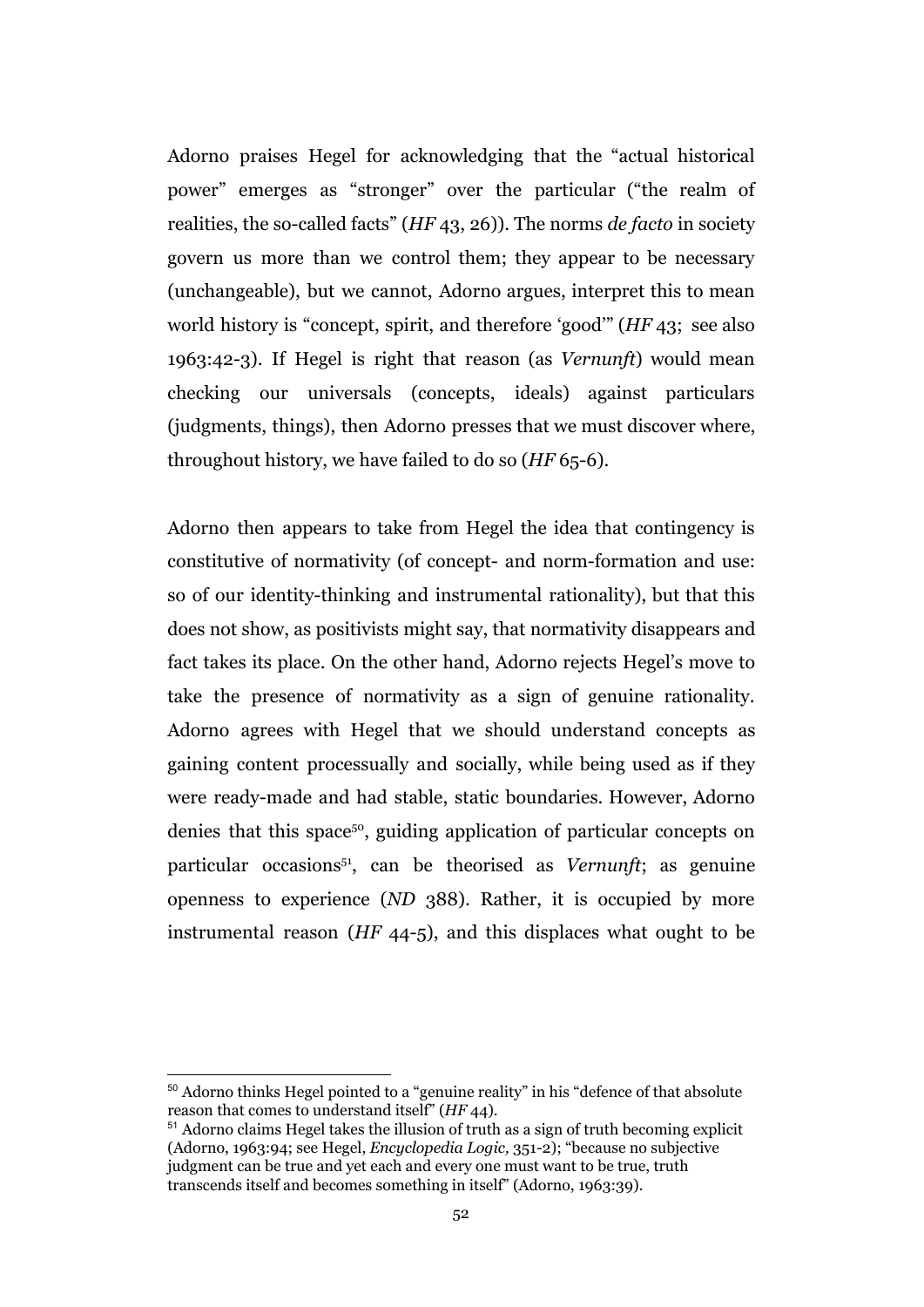Adorno praises Hegel for acknowledging that the "actual historical power" emerges as "stronger" over the particular ("the realm of realities, the so-called facts" (*HF* 43, 26)). The norms *de facto* in society govern us more than we control them; they appear to be necessary (unchangeable), but we cannot, Adorno argues, interpret this to mean world history is "concept, spirit, and therefore 'good'" (*HF* 43; see also 1963:42-3). If Hegel is right that reason (as *Vernunft*) would mean checking our universals (concepts, ideals) against particulars (judgments, things), then Adorno presses that we must discover where, throughout history, we have failed to do so (*HF* 65-6).

Adorno then appears to take from Hegel the idea that contingency is constitutive of normativity (of concept- and norm-formation and use: so of our identity-thinking and instrumental rationality), but that this does not show, as positivists might say, that normativity disappears and fact takes its place. On the other hand, Adorno rejects Hegel's move to take the presence of normativity as a sign of genuine rationality. Adorno agrees with Hegel that we should understand concepts as gaining content processually and socially, while being used as if they were ready-made and had stable, static boundaries. However, Adorno denies that this space<sup>50</sup>, guiding application of particular concepts on particular occasions<sup>51</sup>, can be theorised as *Vernunft*; as genuine openness to experience (*ND* 388). Rather, it is occupied by more instrumental reason (*HF* 44-5), and this displaces what ought to be

<sup>50</sup> Adorno thinks Hegel pointed to a "genuine reality" in his "defence of that absolute reason that comes to understand itself" (*HF* 44).

<sup>51</sup> Adorno claims Hegel takes the illusion of truth as a sign of truth becoming explicit (Adorno, 1963:94; see Hegel, *Encyclopedia Logic,* 351-2); "because no subjective judgment can be true and yet each and every one must want to be true, truth transcends itself and becomes something in itself" (Adorno, 1963:39).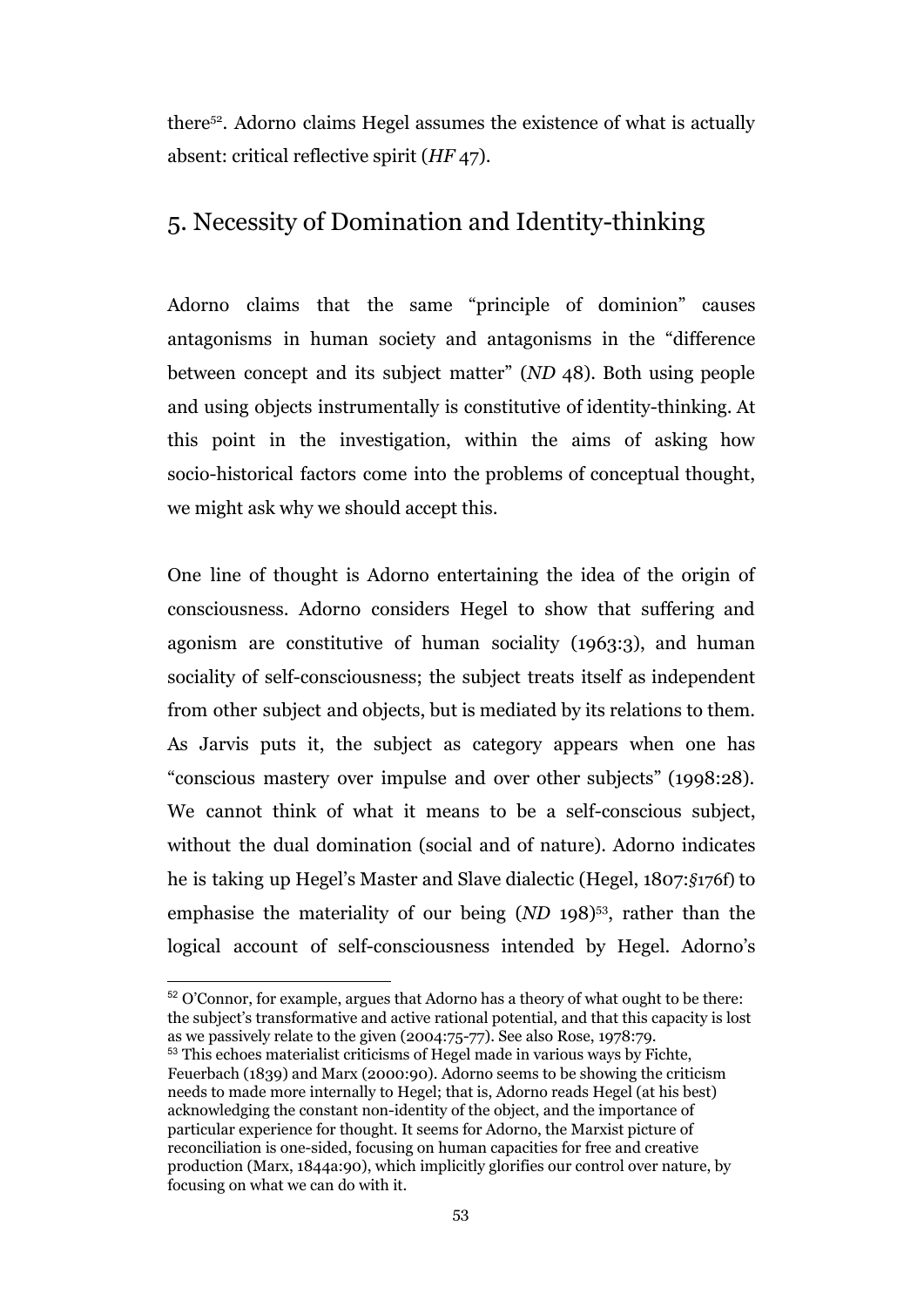there<sup> $52$ </sup>. Adorno claims Hegel assumes the existence of what is actually absent: critical reflective spirit (*HF* 47).

# 5. Necessity of Domination and Identity-thinking

Adorno claims that the same "principle of dominion" causes antagonisms in human society and antagonisms in the "difference between concept and its subject matter" (*ND* 48). Both using people and using objects instrumentally is constitutive of identity-thinking. At this point in the investigation, within the aims of asking how socio-historical factors come into the problems of conceptual thought, we might ask why we should accept this.

One line of thought is Adorno entertaining the idea of the origin of consciousness. Adorno considers Hegel to show that suffering and agonism are constitutive of human sociality (1963:3), and human sociality of self-consciousness; the subject treats itself as independent from other subject and objects, but is mediated by its relations to them. As Jarvis puts it, the subject as category appears when one has "conscious mastery over impulse and over other subjects" (1998:28). We cannot think of what it means to be a self-conscious subject, without the dual domination (social and of nature). Adorno indicates he is taking up Hegel's Master and Slave dialectic (Hegel, 1807:*§*176f) to emphasise the materiality of our being (*ND* 198)<sup>53</sup>, rather than the logical account of self-consciousness intended by Hegel. Adorno's

<sup>52</sup> O'Connor, for example, argues that Adorno has a theory of what ought to be there: the subject's transformative and active rational potential, and that this capacity is lost as we passively relate to the given (2004:75-77). See also Rose, 1978:79.

<sup>53</sup> This echoes materialist criticisms of Hegel made in various ways by Fichte, Feuerbach (1839) and Marx (2000:90). Adorno seems to be showing the criticism needs to made more internally to Hegel; that is, Adorno reads Hegel (at his best) acknowledging the constant non-identity of the object, and the importance of particular experience for thought. It seems for Adorno, the Marxist picture of reconciliation is one-sided, focusing on human capacities for free and creative production (Marx, 1844a:90), which implicitly glorifies our control over nature, by focusing on what we can do with it.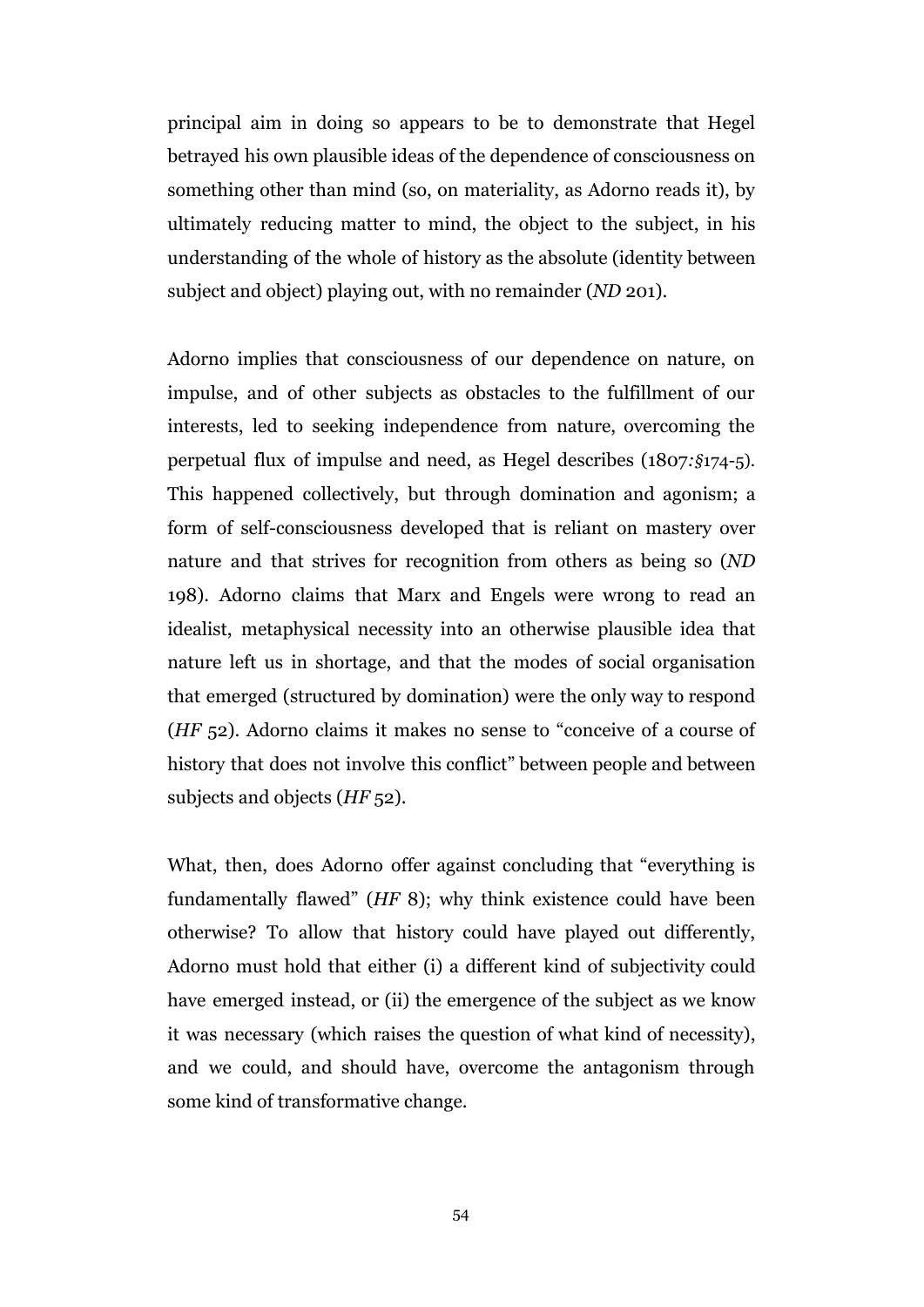principal aim in doing so appears to be to demonstrate that Hegel betrayed his own plausible ideas of the dependence of consciousness on something other than mind (so, on materiality, as Adorno reads it), by ultimately reducing matter to mind, the object to the subject, in his understanding of the whole of history as the absolute (identity between subject and object) playing out, with no remainder (*ND* 201).

Adorno implies that consciousness of our dependence on nature, on impulse, and of other subjects as obstacles to the fulfillment of our interests, led to seeking independence from nature, overcoming the perpetual flux of impulse and need, as Hegel describes (1807*:§*174-5). This happened collectively, but through domination and agonism; a form of self-consciousness developed that is reliant on mastery over nature and that strives for recognition from others as being so (*ND* 198). Adorno claims that Marx and Engels were wrong to read an idealist, metaphysical necessity into an otherwise plausible idea that nature left us in shortage, and that the modes of social organisation that emerged (structured by domination) were the only way to respond (*HF* 52). Adorno claims it makes no sense to "conceive of a course of history that does not involve this conflict" between people and between subjects and objects (*HF* 52).

What, then, does Adorno offer against concluding that "everything is fundamentally flawed" (*HF* 8); why think existence could have been otherwise? To allow that history could have played out differently, Adorno must hold that either (i) a different kind of subjectivity could have emerged instead, or (ii) the emergence of the subject as we know it was necessary (which raises the question of what kind of necessity), and we could, and should have, overcome the antagonism through some kind of transformative change.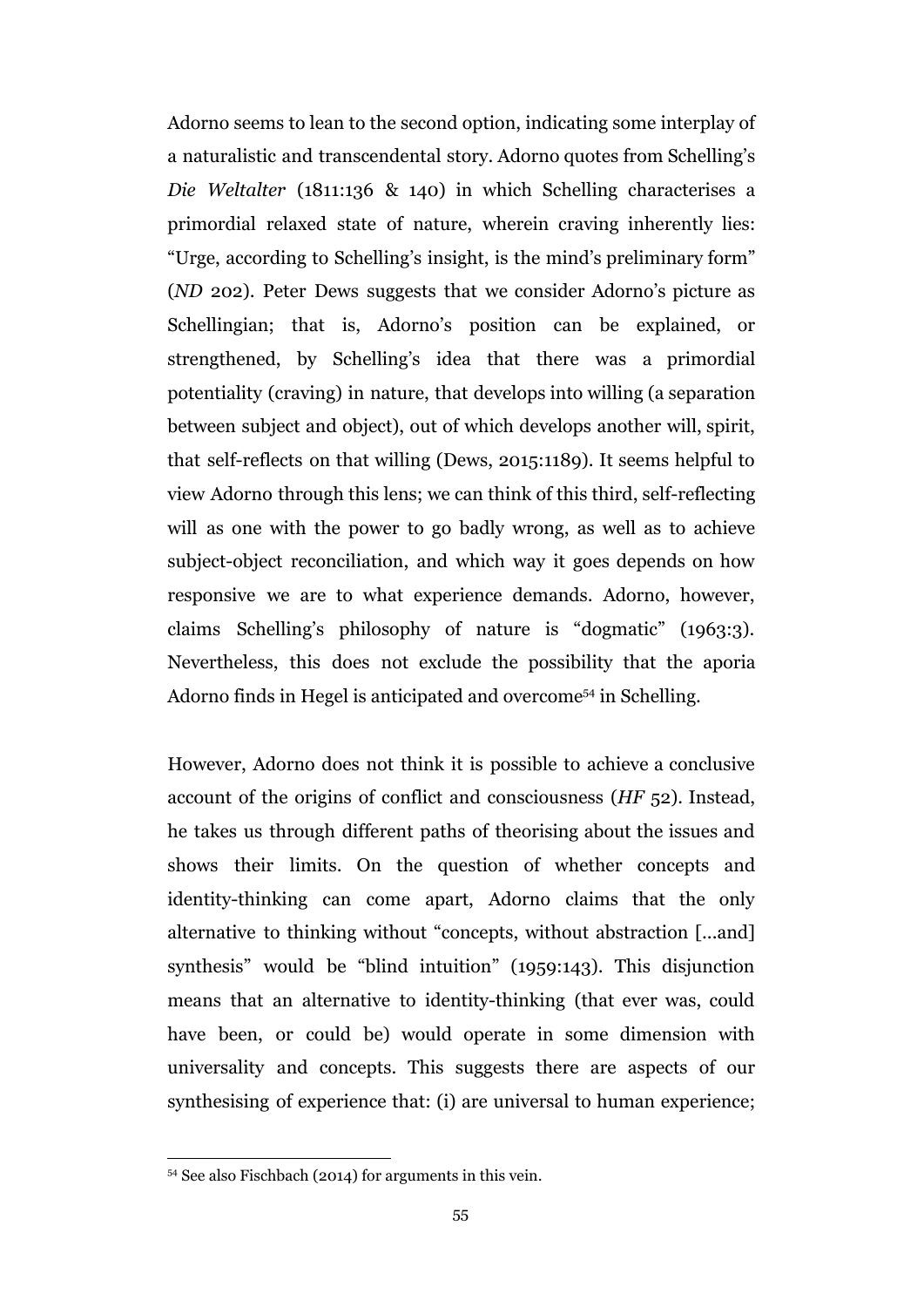Adorno seems to lean to the second option, indicating some interplay of a naturalistic and transcendental story. Adorno quotes from Schelling's *Die Weltalter* (1811:136 & 140) in which Schelling characterises a primordial relaxed state of nature, wherein craving inherently lies: "Urge, according to Schelling's insight, is the mind's preliminary form" (*ND* 202). Peter Dews suggests that we consider Adorno's picture as Schellingian; that is, Adorno's position can be explained, or strengthened, by Schelling's idea that there was a primordial potentiality (craving) in nature, that develops into willing (a separation between subject and object), out of which develops another will, spirit, that self-reflects on that willing (Dews, 2015:1189). It seems helpful to view Adorno through this lens; we can think of this third, self-reflecting will as one with the power to go badly wrong, as well as to achieve subject-object reconciliation, and which way it goes depends on how responsive we are to what experience demands. Adorno, however, claims Schelling's philosophy of nature is "dogmatic" (1963:3). Nevertheless, this does not exclude the possibility that the aporia Adorno finds in Hegel is anticipated and overcome<sup> $54$ </sup> in Schelling.

However, Adorno does not think it is possible to achieve a conclusive account of the origins of conflict and consciousness (*HF* 52). Instead, he takes us through different paths of theorising about the issues and shows their limits. On the question of whether concepts and identity-thinking can come apart, Adorno claims that the only alternative to thinking without "concepts, without abstraction [...and] synthesis" would be "blind intuition" (1959:143). This disjunction means that an alternative to identity-thinking (that ever was, could have been, or could be) would operate in some dimension with universality and concepts. This suggests there are aspects of our synthesising of experience that: (i) are universal to human experience;

<sup>54</sup> See also Fischbach (2014) for arguments in this vein.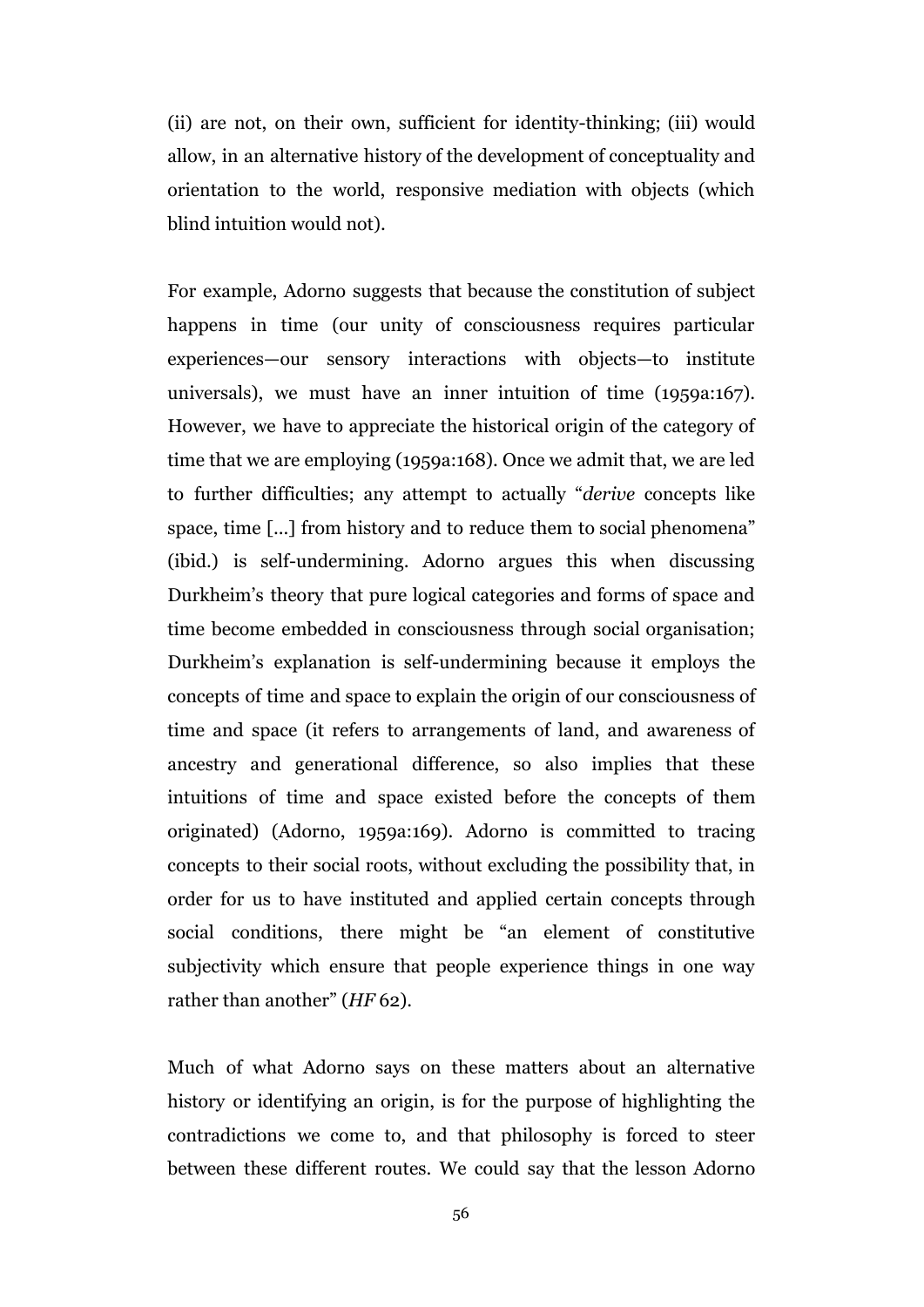(ii) are not, on their own, sufficient for identity-thinking; (iii) would allow, in an alternative history of the development of conceptuality and orientation to the world, responsive mediation with objects (which blind intuition would not).

For example, Adorno suggests that because the constitution of subject happens in time (our unity of consciousness requires particular experiences—our sensory interactions with objects—to institute universals), we must have an inner intuition of time (1959a:167). However, we have to appreciate the historical origin of the category of time that we are employing (1959a:168). Once we admit that, we are led to further difficulties; any attempt to actually "*derive* concepts like space, time [...] from history and to reduce them to social phenomena" (ibid.) is self-undermining. Adorno argues this when discussing Durkheim's theory that pure logical categories and forms of space and time become embedded in consciousness through social organisation; Durkheim's explanation is self-undermining because it employs the concepts of time and space to explain the origin of our consciousness of time and space (it refers to arrangements of land, and awareness of ancestry and generational difference, so also implies that these intuitions of time and space existed before the concepts of them originated) (Adorno, 1959a:169). Adorno is committed to tracing concepts to their social roots, without excluding the possibility that, in order for us to have instituted and applied certain concepts through social conditions, there might be "an element of constitutive subjectivity which ensure that people experience things in one way rather than another" (*HF* 62).

Much of what Adorno says on these matters about an alternative history or identifying an origin, is for the purpose of highlighting the contradictions we come to, and that philosophy is forced to steer between these different routes. We could say that the lesson Adorno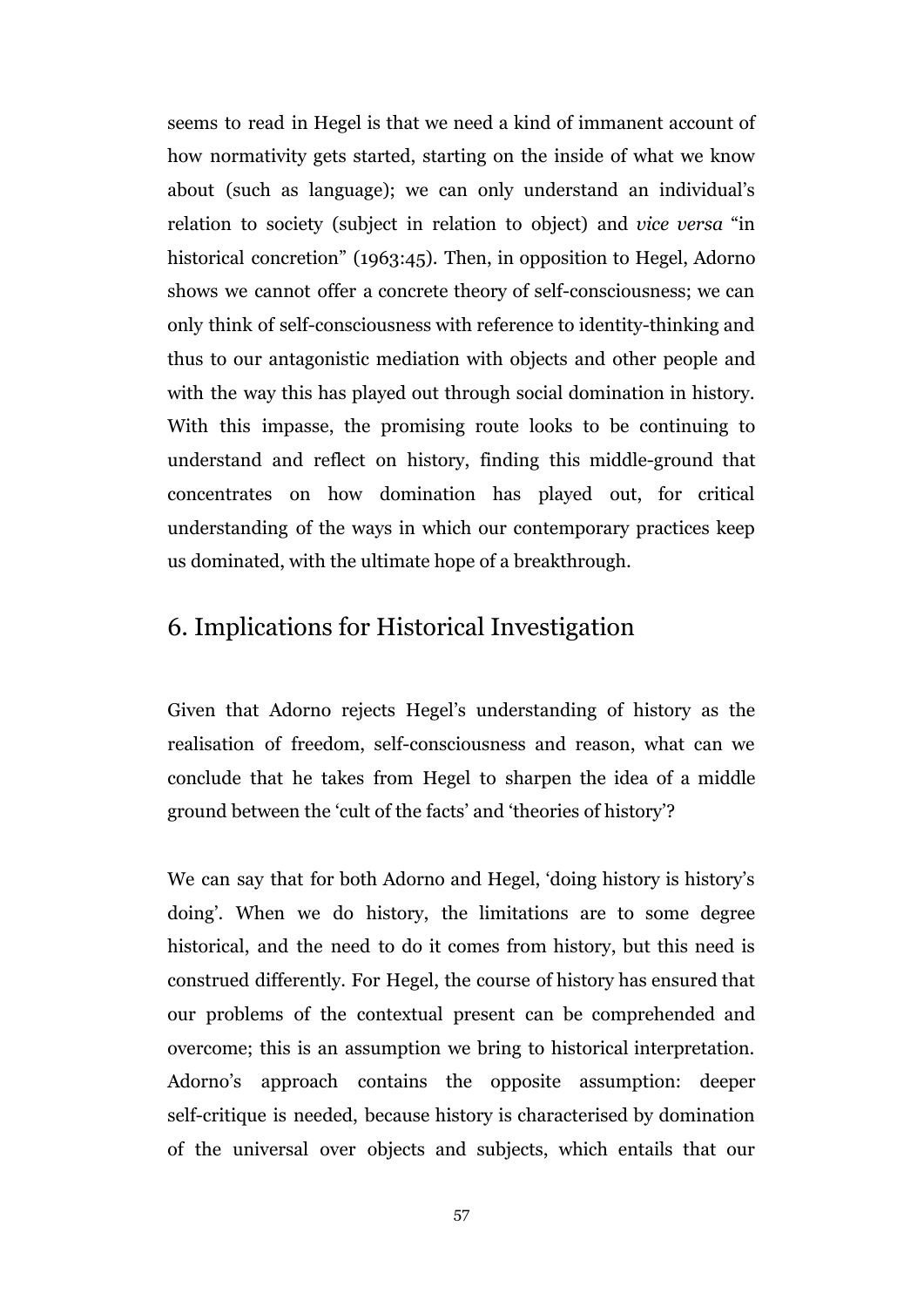seems to read in Hegel is that we need a kind of immanent account of how normativity gets started, starting on the inside of what we know about (such as language); we can only understand an individual's relation to society (subject in relation to object) and *vice versa* "in historical concretion" (1963:45). Then, in opposition to Hegel, Adorno shows we cannot offer a concrete theory of self-consciousness; we can only think of self-consciousness with reference to identity-thinking and thus to our antagonistic mediation with objects and other people and with the way this has played out through social domination in history. With this impasse, the promising route looks to be continuing to understand and reflect on history, finding this middle-ground that concentrates on how domination has played out, for critical understanding of the ways in which our contemporary practices keep us dominated, with the ultimate hope of a breakthrough.

#### 6. Implications for Historical Investigation

Given that Adorno rejects Hegel's understanding of history as the realisation of freedom, self-consciousness and reason, what can we conclude that he takes from Hegel to sharpen the idea of a middle ground between the 'cult of the facts' and 'theories of history'?

We can say that for both Adorno and Hegel, 'doing history is history's doing'. When we do history, the limitations are to some degree historical, and the need to do it comes from history, but this need is construed differently. For Hegel, the course of history has ensured that our problems of the contextual present can be comprehended and overcome; this is an assumption we bring to historical interpretation. Adorno's approach contains the opposite assumption: deeper self-critique is needed, because history is characterised by domination of the universal over objects and subjects, which entails that our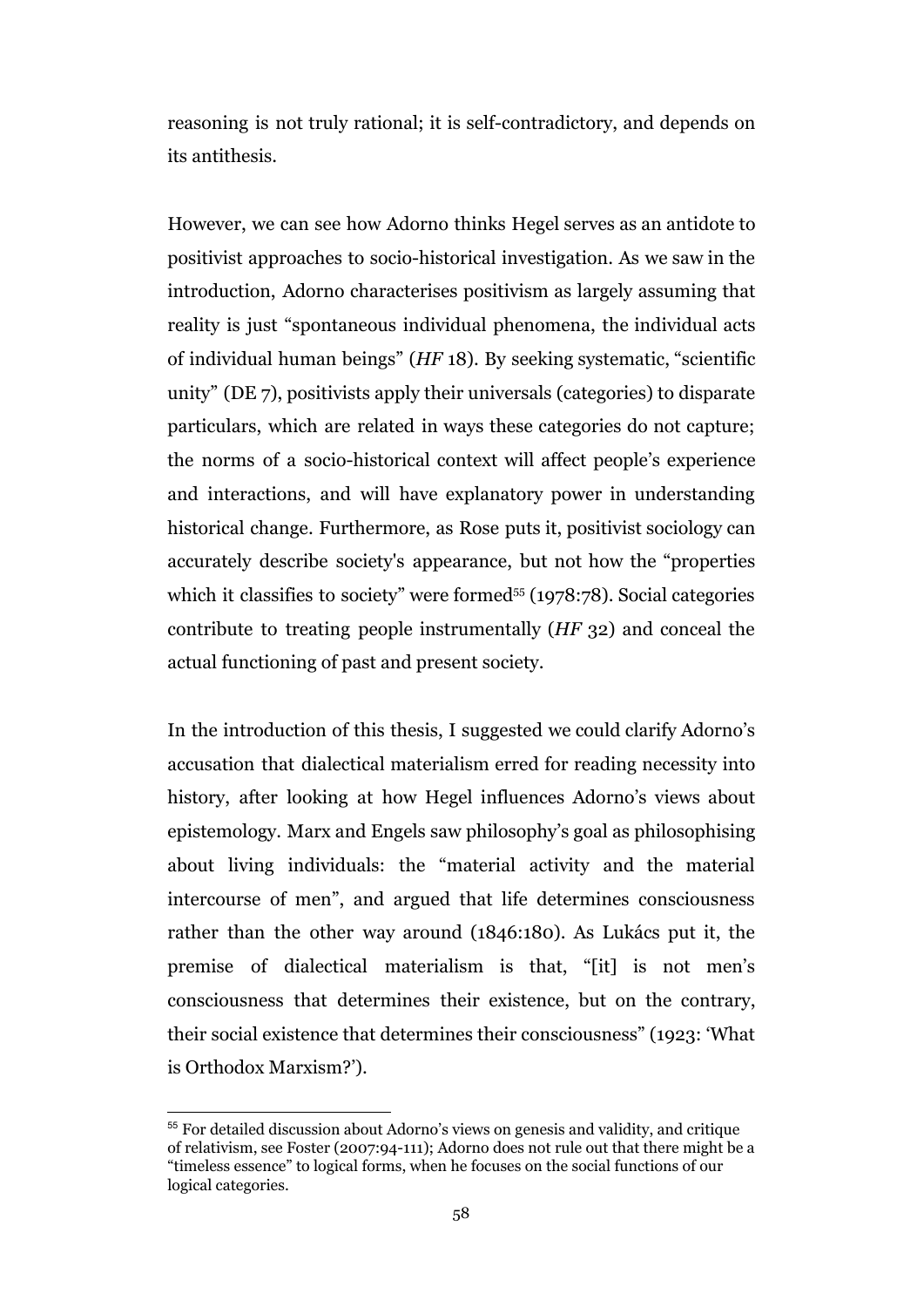reasoning is not truly rational; it is self-contradictory, and depends on its antithesis.

However, we can see how Adorno thinks Hegel serves as an antidote to positivist approaches to socio-historical investigation. As we saw in the introduction, Adorno characterises positivism as largely assuming that reality is just "spontaneous individual phenomena, the individual acts of individual human beings" (*HF* 18). By seeking systematic, "scientific unity" (DE 7), positivists apply their universals (categories) to disparate particulars, which are related in ways these categories do not capture; the norms of a socio-historical context will affect people's experience and interactions, and will have explanatory power in understanding historical change. Furthermore, as Rose puts it, positivist sociology can accurately describe society's appearance, but not how the "properties which it classifies to society" were formed<sup> $55$ </sup> (1978:78). Social categories contribute to treating people instrumentally (*HF* 32) and conceal the actual functioning of past and present society.

In the introduction of this thesis, I suggested we could clarify Adorno's accusation that dialectical materialism erred for reading necessity into history, after looking at how Hegel influences Adorno's views about epistemology. Marx and Engels saw philosophy's goal as philosophising about living individuals: the "material activity and the material intercourse of men", and argued that life determines consciousness rather than the other way around (1846:180). As Lukács put it, the premise of dialectical materialism is that, "[it] is not men's consciousness that determines their existence, but on the contrary, their social existence that determines their consciousness" (1923: 'What is Orthodox Marxism?').

<sup>55</sup> For detailed discussion about Adorno's views on genesis and validity, and critique of relativism, see Foster (2007:94-111); Adorno does not rule out that there might be a "timeless essence" to logical forms, when he focuses on the social functions of our logical categories.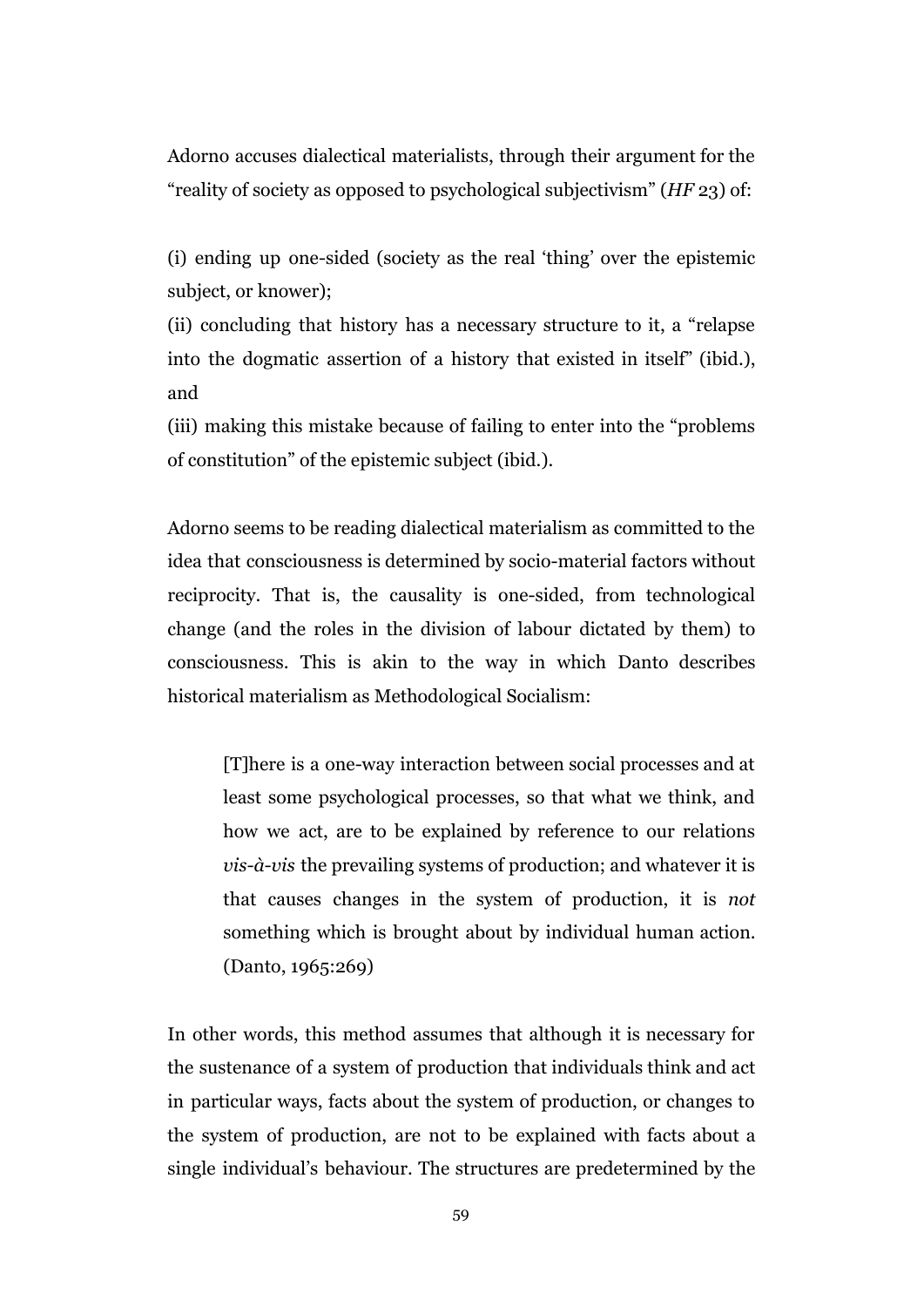Adorno accuses dialectical materialists, through their argument for the "reality of society as opposed to psychological subjectivism" (*HF* 23) of:

(i) ending up one-sided (society as the real 'thing' over the epistemic subject, or knower);

(ii) concluding that history has a necessary structure to it, a "relapse into the dogmatic assertion of a history that existed in itself" (ibid.), and

(iii) making this mistake because of failing to enter into the "problems of constitution" of the epistemic subject (ibid.).

Adorno seems to be reading dialectical materialism as committed to the idea that consciousness is determined by socio-material factors without reciprocity. That is, the causality is one-sided, from technological change (and the roles in the division of labour dictated by them) to consciousness. This is akin to the way in which Danto describes historical materialism as Methodological Socialism:

[T]here is a one-way interaction between social processes and at least some psychological processes, so that what we think, and how we act, are to be explained by reference to our relations *vis-à-vis* the prevailing systems of production; and whatever it is that causes changes in the system of production, it is *not* something which is brought about by individual human action. (Danto, 1965:269)

In other words, this method assumes that although it is necessary for the sustenance of a system of production that individuals think and act in particular ways, facts about the system of production, or changes to the system of production, are not to be explained with facts about a single individual's behaviour. The structures are predetermined by the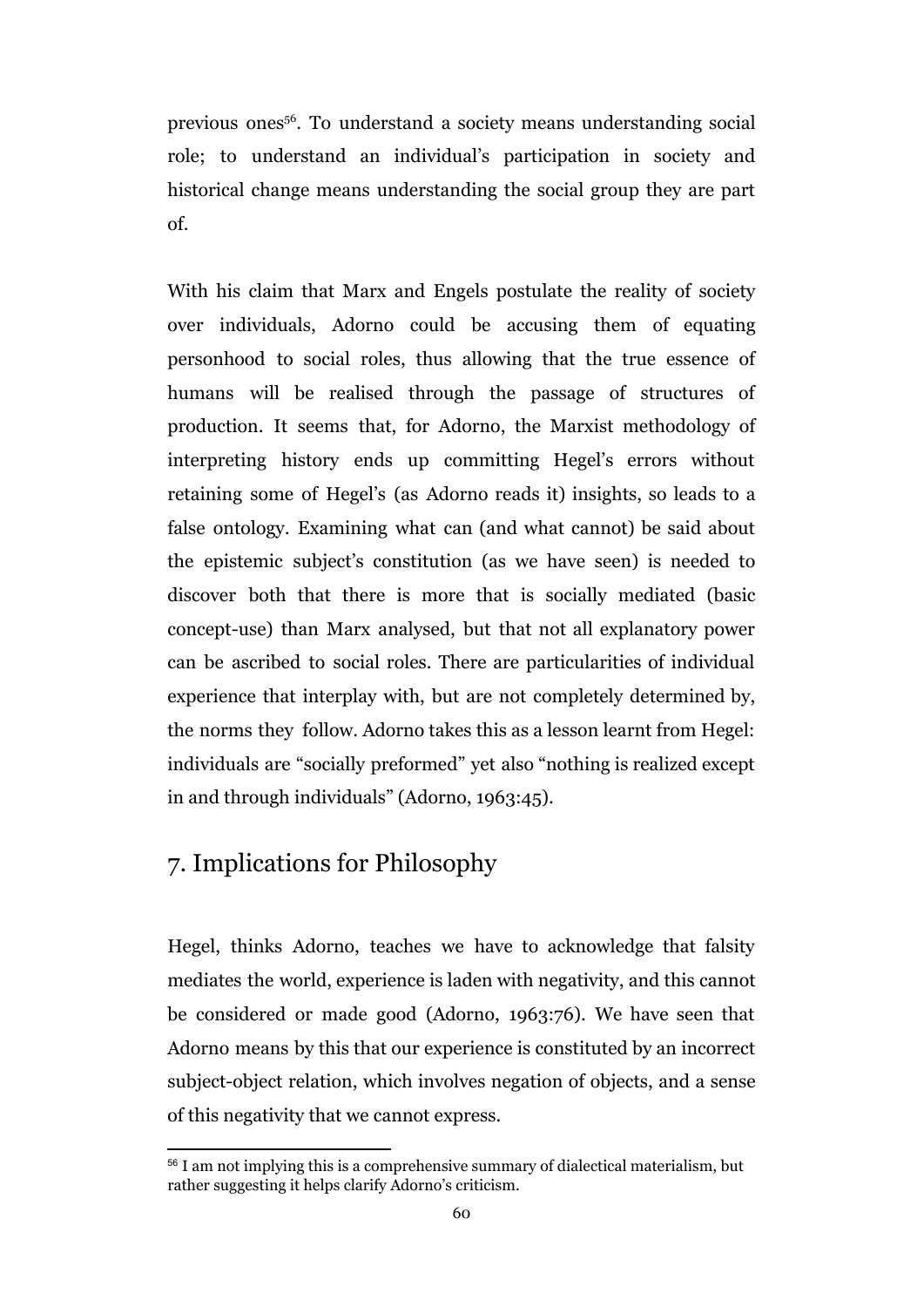previous ones<sup>56</sup>. To understand a society means understanding social role; to understand an individual's participation in society and historical change means understanding the social group they are part of.

With his claim that Marx and Engels postulate the reality of society over individuals, Adorno could be accusing them of equating personhood to social roles, thus allowing that the true essence of humans will be realised through the passage of structures of production. It seems that, for Adorno, the Marxist methodology of interpreting history ends up committing Hegel's errors without retaining some of Hegel's (as Adorno reads it) insights, so leads to a false ontology. Examining what can (and what cannot) be said about the epistemic subject's constitution (as we have seen) is needed to discover both that there is more that is socially mediated (basic concept-use) than Marx analysed, but that not all explanatory power can be ascribed to social roles. There are particularities of individual experience that interplay with, but are not completely determined by, the norms they follow. Adorno takes this as a lesson learnt from Hegel: individuals are "socially preformed" yet also "nothing is realized except in and through individuals" (Adorno, 1963:45).

# 7. Implications for Philosophy

Hegel, thinks Adorno, teaches we have to acknowledge that falsity mediates the world, experience is laden with negativity, and this cannot be considered or made good (Adorno, 1963:76). We have seen that Adorno means by this that our experience is constituted by an incorrect subject-object relation, which involves negation of objects, and a sense of this negativity that we cannot express.

<sup>56</sup> I am not implying this is a comprehensive summary of dialectical materialism, but rather suggesting it helps clarify Adorno's criticism.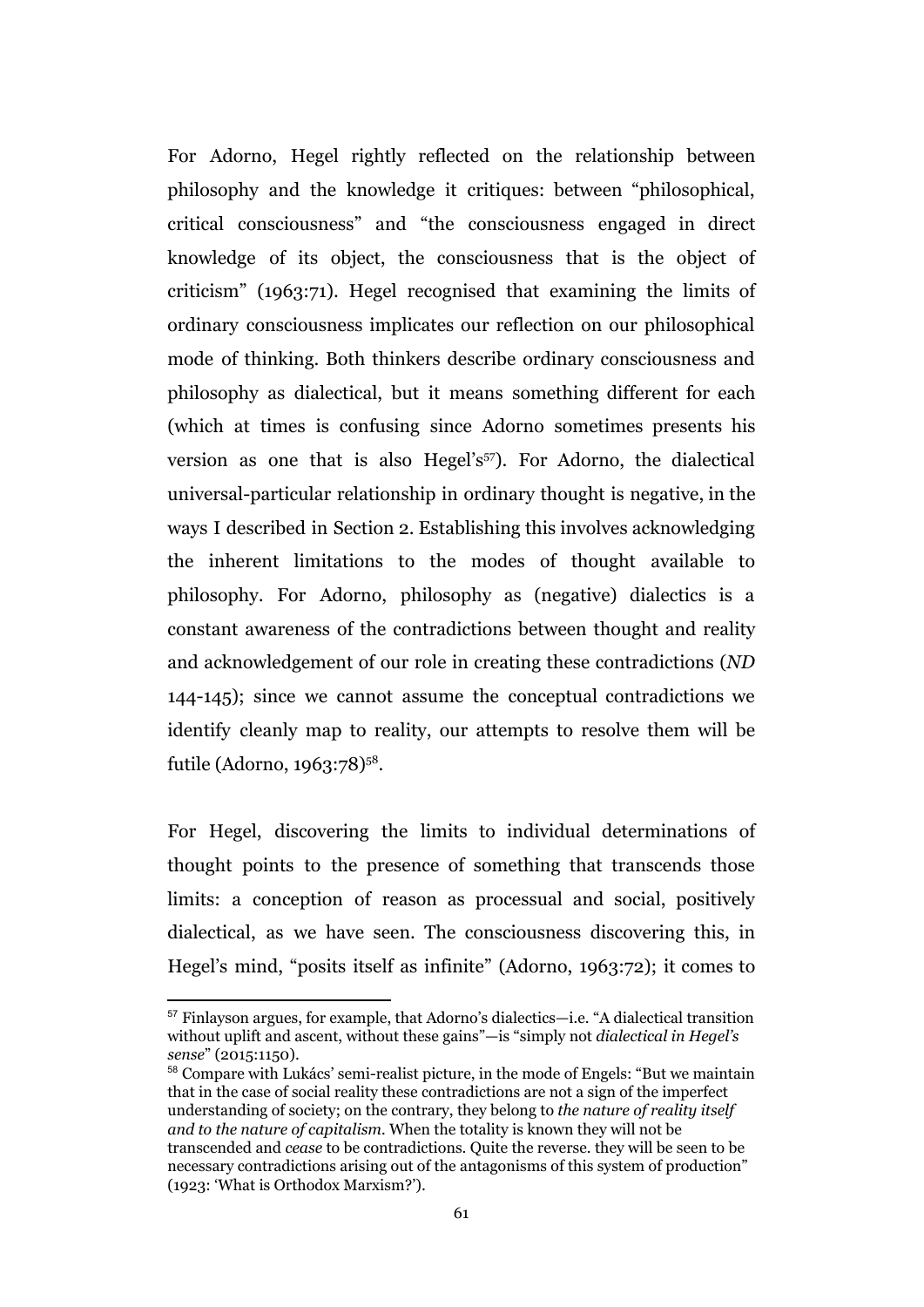For Adorno, Hegel rightly reflected on the relationship between philosophy and the knowledge it critiques: between "philosophical, critical consciousness" and "the consciousness engaged in direct knowledge of its object, the consciousness that is the object of criticism" (1963:71). Hegel recognised that examining the limits of ordinary consciousness implicates our reflection on our philosophical mode of thinking. Both thinkers describe ordinary consciousness and philosophy as dialectical, but it means something different for each (which at times is confusing since Adorno sometimes presents his version as one that is also Hegel's<sup> $57$ </sup>). For Adorno, the dialectical universal-particular relationship in ordinary thought is negative, in the ways I described in Section 2. Establishing this involves acknowledging the inherent limitations to the modes of thought available to philosophy. For Adorno, philosophy as (negative) dialectics is a constant awareness of the contradictions between thought and reality and acknowledgement of our role in creating these contradictions (*ND* 144-145); since we cannot assume the conceptual contradictions we identify cleanly map to reality, our attempts to resolve them will be futile (Adorno, 1963:78)<sup>58</sup>.

For Hegel, discovering the limits to individual determinations of thought points to the presence of something that transcends those limits: a conception of reason as processual and social, positively dialectical, as we have seen. The consciousness discovering this, in Hegel's mind, "posits itself as infinite" (Adorno, 1963:72); it comes to

<sup>57</sup> Finlayson argues, for example, that Adorno's dialectics—i.e. "A dialectical transition without uplift and ascent, without these gains"—is "simply not *dialectical in Hegel's sense*" (2015:1150).

<sup>58</sup> Compare with Lukács' semi-realist picture, in the mode of Engels: "But we maintain that in the case of social reality these contradictions are not a sign of the imperfect understanding of society; on the contrary, they belong to *the nature of reality itself and to the nature of capitalism.* When the totality is known they will not be transcended and *cease* to be contradictions. Quite the reverse. they will be seen to be necessary contradictions arising out of the antagonisms of this system of production" (1923: 'What is Orthodox Marxism?').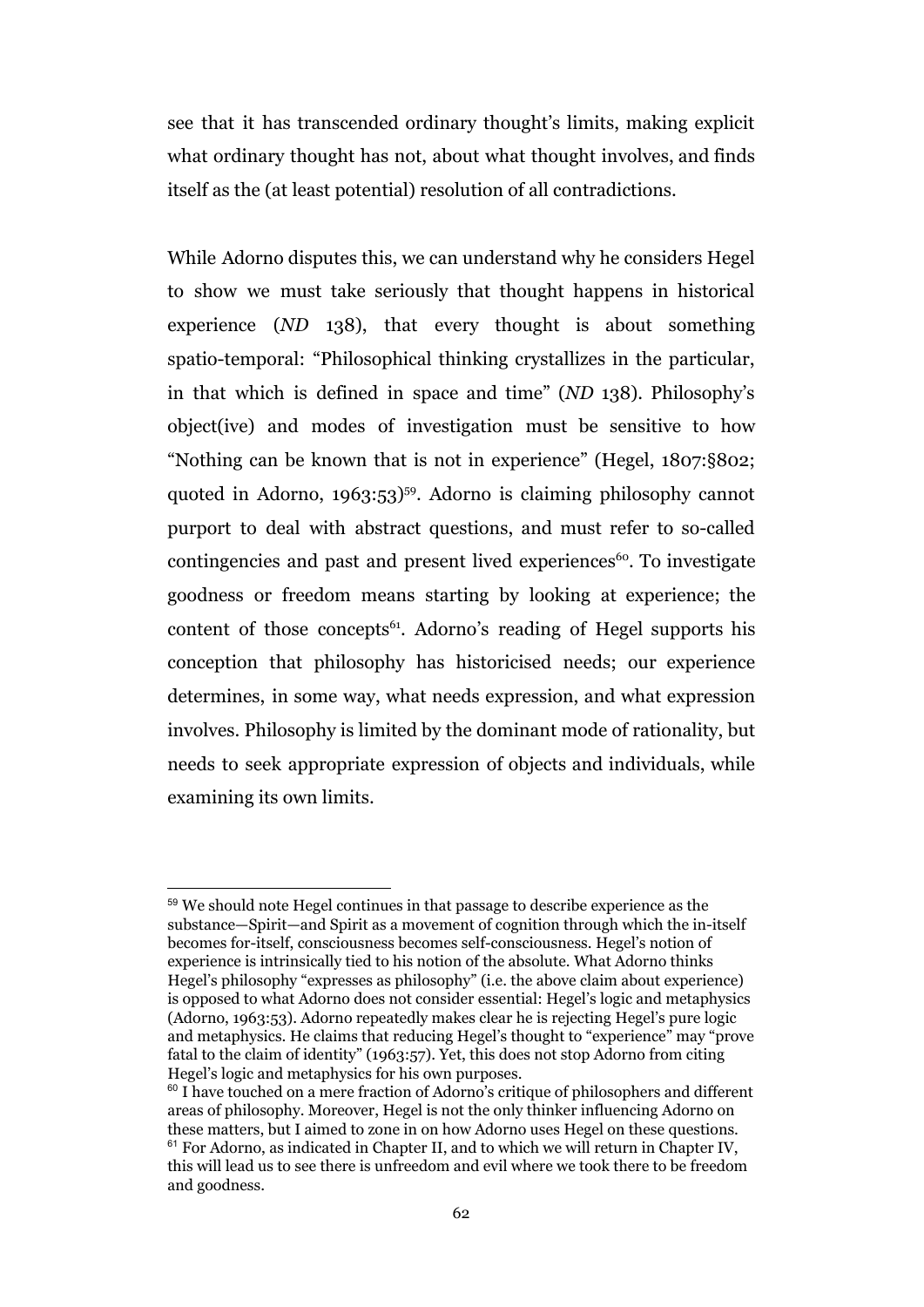see that it has transcended ordinary thought's limits, making explicit what ordinary thought has not, about what thought involves, and finds itself as the (at least potential) resolution of all contradictions.

While Adorno disputes this, we can understand why he considers Hegel to show we must take seriously that thought happens in historical experience (*ND* 138), that every thought is about something spatio-temporal: "Philosophical thinking crystallizes in the particular, in that which is defined in space and time" (*ND* 138). Philosophy's object(ive) and modes of investigation must be sensitive to how "Nothing can be known that is not in experience" (Hegel, 1807:§802; quoted in Adorno,  $1963:53$ <sup>59</sup>. Adorno is claiming philosophy cannot purport to deal with abstract questions, and must refer to so-called contingencies and past and present lived experiences $\epsilon$ <sup>60</sup>. To investigate goodness or freedom means starting by looking at experience; the content of those concepts<sup> $61$ </sup>. Adorno's reading of Hegel supports his conception that philosophy has historicised needs; our experience determines, in some way, what needs expression, and what expression involves. Philosophy is limited by the dominant mode of rationality, but needs to seek appropriate expression of objects and individuals, while examining its own limits.

<sup>59</sup> We should note Hegel continues in that passage to describe experience as the substance—Spirit—and Spirit as a movement of cognition through which the in-itself becomes for-itself, consciousness becomes self-consciousness. Hegel's notion of experience is intrinsically tied to his notion of the absolute. What Adorno thinks Hegel's philosophy "expresses as philosophy" (i.e. the above claim about experience) is opposed to what Adorno does not consider essential: Hegel's logic and metaphysics (Adorno, 1963:53). Adorno repeatedly makes clear he is rejecting Hegel's pure logic and metaphysics. He claims that reducing Hegel's thought to "experience" may "prove fatal to the claim of identity" (1963:57). Yet, this does not stop Adorno from citing Hegel's logic and metaphysics for his own purposes.

<sup>&</sup>lt;sup>60</sup> I have touched on a mere fraction of Adorno's critique of philosophers and different areas of philosophy. Moreover, Hegel is not the only thinker influencing Adorno on these matters, but I aimed to zone in on how Adorno uses Hegel on these questions. <sup>61</sup> For Adorno, as indicated in Chapter II, and to which we will return in Chapter IV, this will lead us to see there is unfreedom and evil where we took there to be freedom and goodness.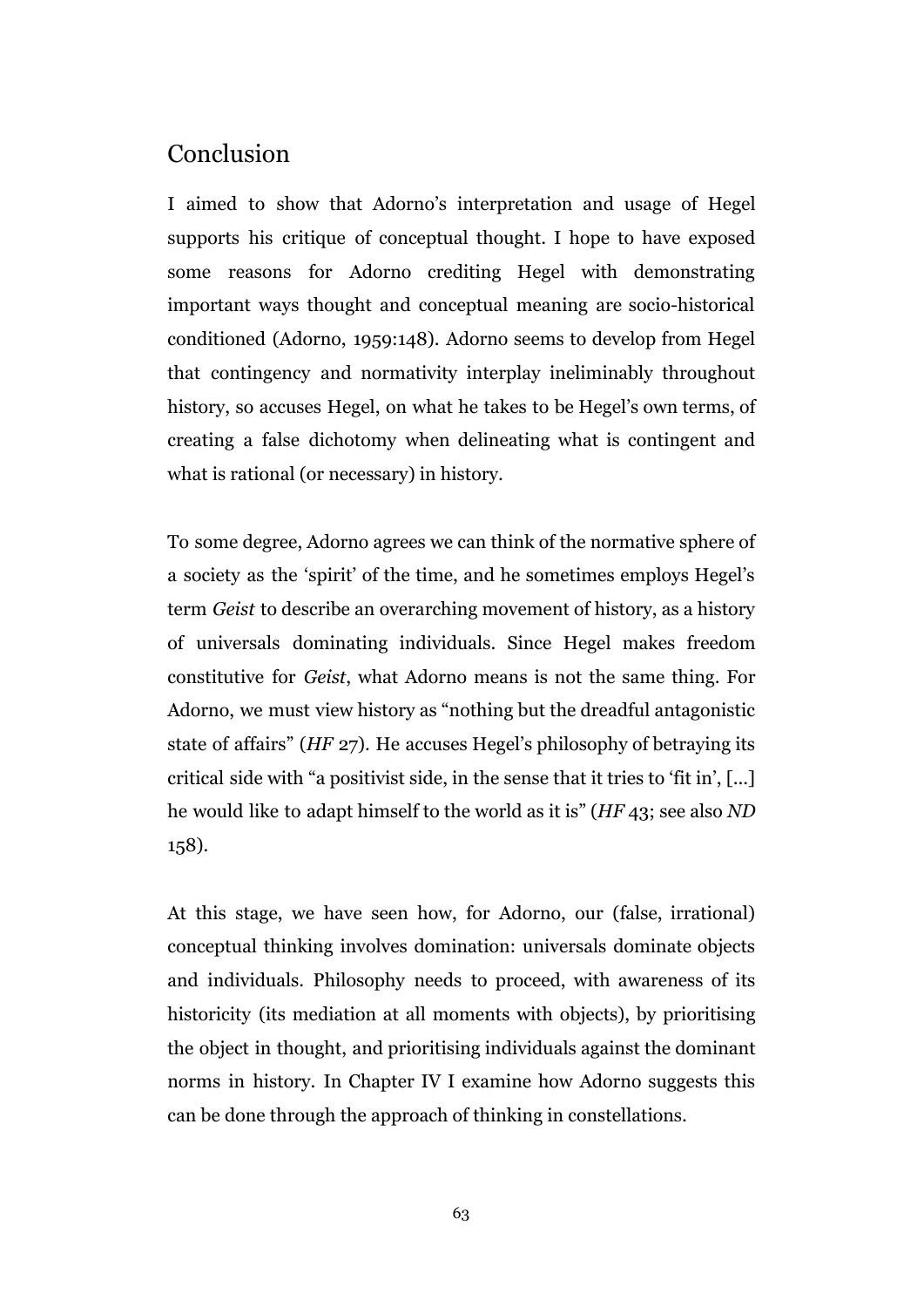#### Conclusion

I aimed to show that Adorno's interpretation and usage of Hegel supports his critique of conceptual thought. I hope to have exposed some reasons for Adorno crediting Hegel with demonstrating important ways thought and conceptual meaning are socio-historical conditioned (Adorno, 1959:148). Adorno seems to develop from Hegel that contingency and normativity interplay ineliminably throughout history, so accuses Hegel, on what he takes to be Hegel's own terms, of creating a false dichotomy when delineating what is contingent and what is rational (or necessary) in history.

To some degree, Adorno agrees we can think of the normative sphere of a society as the 'spirit' of the time, and he sometimes employs Hegel's term *Geist* to describe an overarching movement of history, as a history of universals dominating individuals. Since Hegel makes freedom constitutive for *Geist*, what Adorno means is not the same thing. For Adorno, we must view history as "nothing but the dreadful antagonistic state of affairs" (*HF* 27). He accuses Hegel's philosophy of betraying its critical side with "a positivist side, in the sense that it tries to 'fit in', [...] he would like to adapt himself to the world as it is" (*HF* 43; see also *ND* 158).

At this stage, we have seen how, for Adorno, our (false, irrational) conceptual thinking involves domination: universals dominate objects and individuals. Philosophy needs to proceed, with awareness of its historicity (its mediation at all moments with objects), by prioritising the object in thought, and prioritising individuals against the dominant norms in history. In Chapter IV I examine how Adorno suggests this can be done through the approach of thinking in constellations.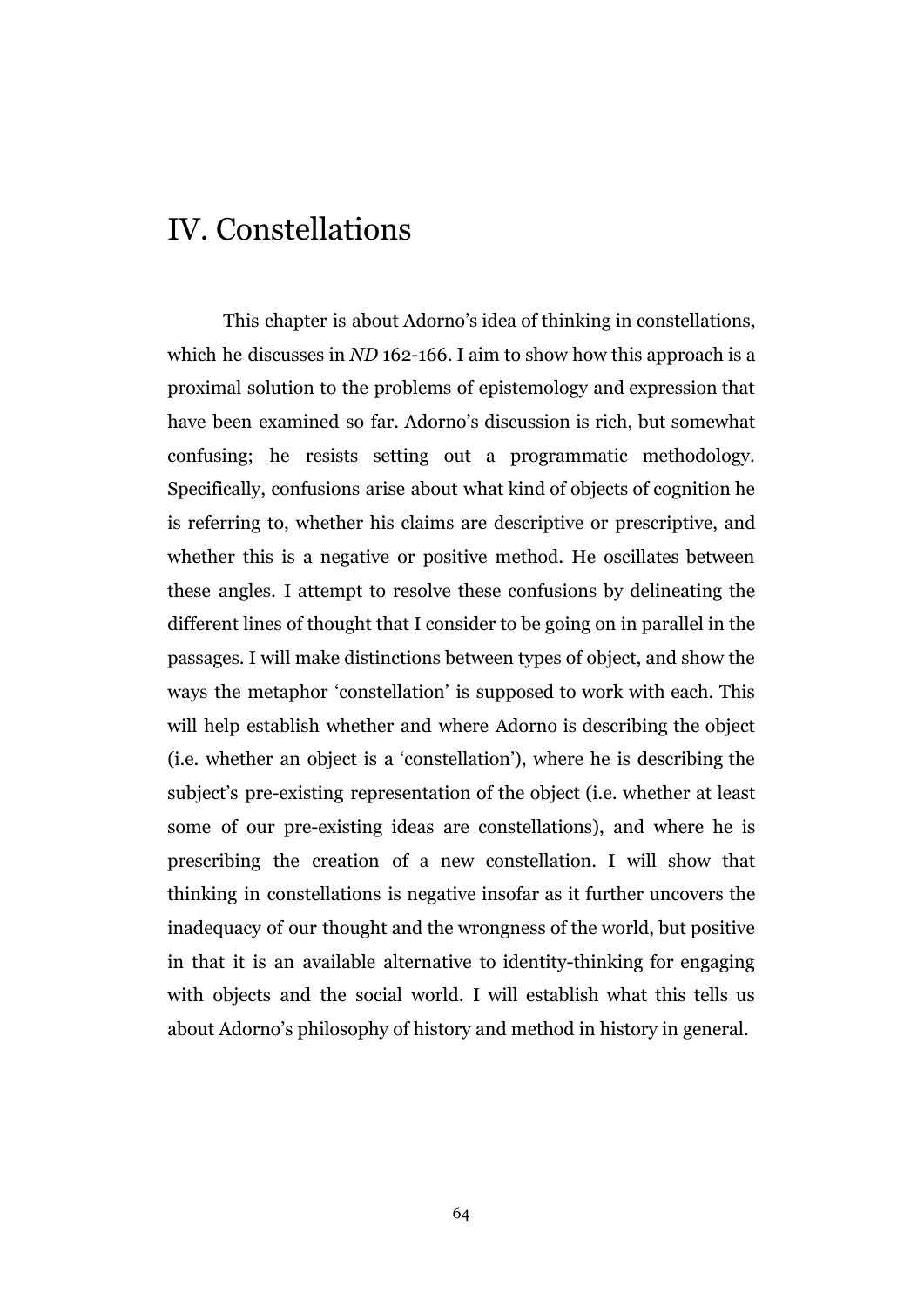# IV. Constellations

This chapter is about Adorno's idea of thinking in constellations, which he discusses in *ND* 162-166. I aim to show how this approach is a proximal solution to the problems of epistemology and expression that have been examined so far. Adorno's discussion is rich, but somewhat confusing; he resists setting out a programmatic methodology. Specifically, confusions arise about what kind of objects of cognition he is referring to, whether his claims are descriptive or prescriptive, and whether this is a negative or positive method. He oscillates between these angles. I attempt to resolve these confusions by delineating the different lines of thought that I consider to be going on in parallel in the passages. I will make distinctions between types of object, and show the ways the metaphor 'constellation' is supposed to work with each. This will help establish whether and where Adorno is describing the object (i.e. whether an object is a 'constellation'), where he is describing the subject's pre-existing representation of the object (i.e. whether at least some of our pre-existing ideas are constellations), and where he is prescribing the creation of a new constellation. I will show that thinking in constellations is negative insofar as it further uncovers the inadequacy of our thought and the wrongness of the world, but positive in that it is an available alternative to identity-thinking for engaging with objects and the social world. I will establish what this tells us about Adorno's philosophy of history and method in history in general.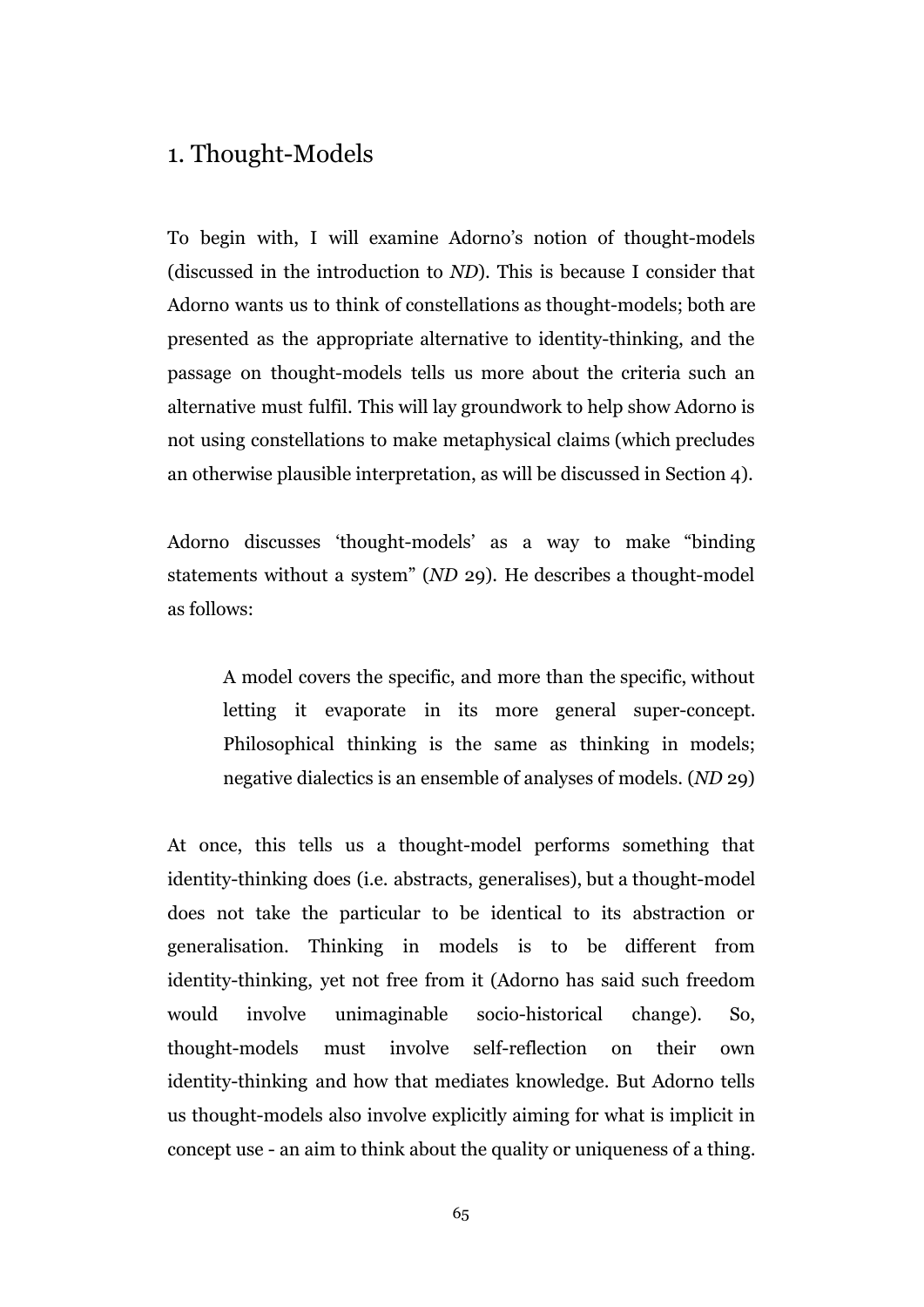# 1. Thought-Models

To begin with, I will examine Adorno's notion of thought-models (discussed in the introduction to *ND*). This is because I consider that Adorno wants us to think of constellations as thought-models; both are presented as the appropriate alternative to identity-thinking, and the passage on thought-models tells us more about the criteria such an alternative must fulfil. This will lay groundwork to help show Adorno is not using constellations to make metaphysical claims (which precludes an otherwise plausible interpretation, as will be discussed in Section 4).

Adorno discusses 'thought-models' as a way to make "binding statements without a system" (*ND* 29). He describes a thought-model as follows:

A model covers the specific, and more than the specific, without letting it evaporate in its more general super-concept. Philosophical thinking is the same as thinking in models; negative dialectics is an ensemble of analyses of models. (*ND* 29)

At once, this tells us a thought-model performs something that identity-thinking does (i.e. abstracts, generalises), but a thought-model does not take the particular to be identical to its abstraction or generalisation. Thinking in models is to be different from identity-thinking, yet not free from it (Adorno has said such freedom would involve unimaginable socio-historical change). So, thought-models must involve self-reflection on their own identity-thinking and how that mediates knowledge. But Adorno tells us thought-models also involve explicitly aiming for what is implicit in concept use - an aim to think about the quality or uniqueness of a thing.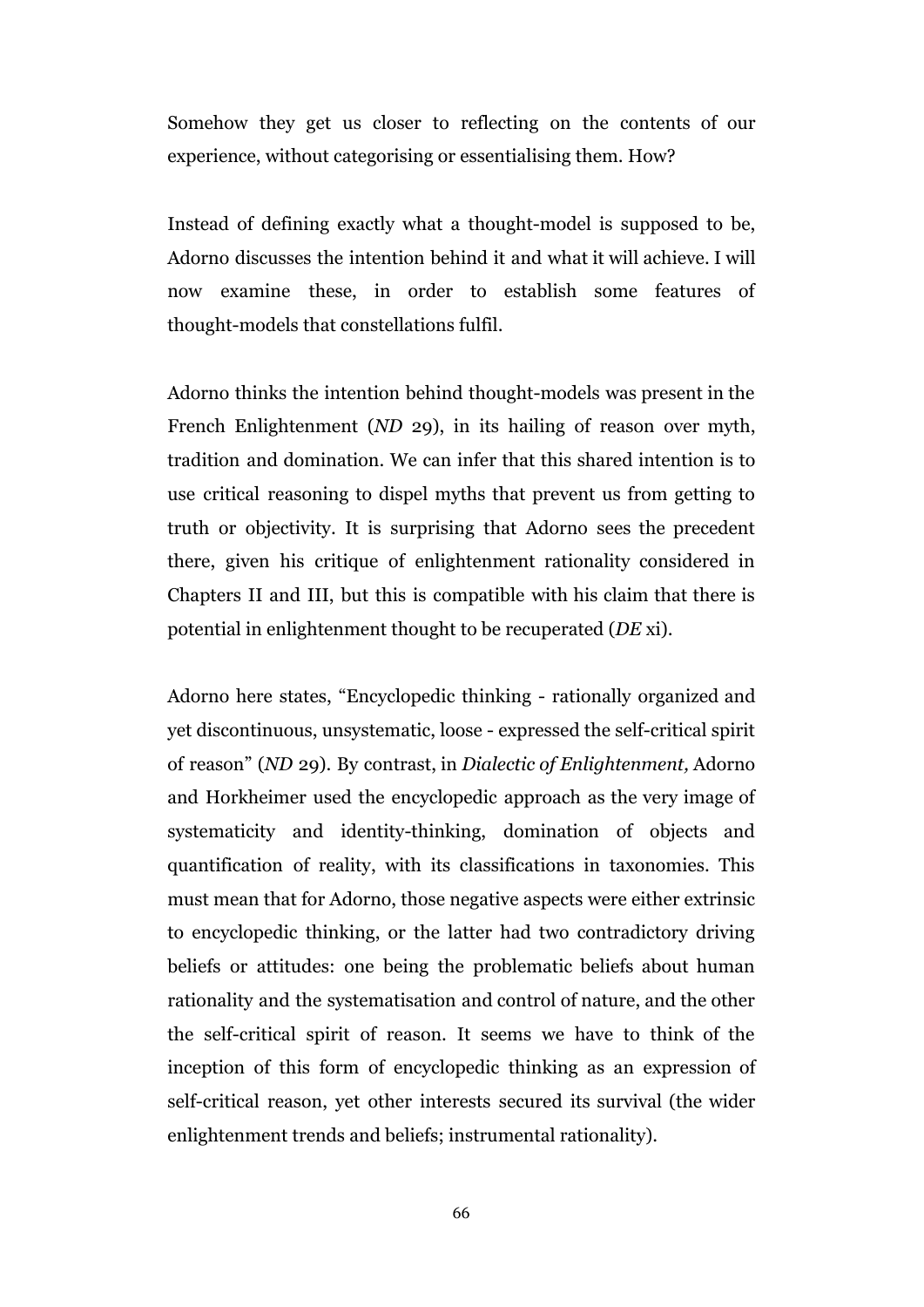Somehow they get us closer to reflecting on the contents of our experience, without categorising or essentialising them. How?

Instead of defining exactly what a thought-model is supposed to be, Adorno discusses the intention behind it and what it will achieve. I will now examine these, in order to establish some features of thought-models that constellations fulfil.

Adorno thinks the intention behind thought-models was present in the French Enlightenment (*ND* 29), in its hailing of reason over myth, tradition and domination. We can infer that this shared intention is to use critical reasoning to dispel myths that prevent us from getting to truth or objectivity. It is surprising that Adorno sees the precedent there, given his critique of enlightenment rationality considered in Chapters II and III, but this is compatible with his claim that there is potential in enlightenment thought to be recuperated (*DE* xi).

Adorno here states, "Encyclopedic thinking - rationally organized and yet discontinuous, unsystematic, loose - expressed the self-critical spirit of reason" (*ND* 29). By contrast, in *Dialectic of Enlightenment,* Adorno and Horkheimer used the encyclopedic approach as the very image of systematicity and identity-thinking, domination of objects and quantification of reality, with its classifications in taxonomies. This must mean that for Adorno, those negative aspects were either extrinsic to encyclopedic thinking, or the latter had two contradictory driving beliefs or attitudes: one being the problematic beliefs about human rationality and the systematisation and control of nature, and the other the self-critical spirit of reason. It seems we have to think of the inception of this form of encyclopedic thinking as an expression of self-critical reason, yet other interests secured its survival (the wider enlightenment trends and beliefs; instrumental rationality).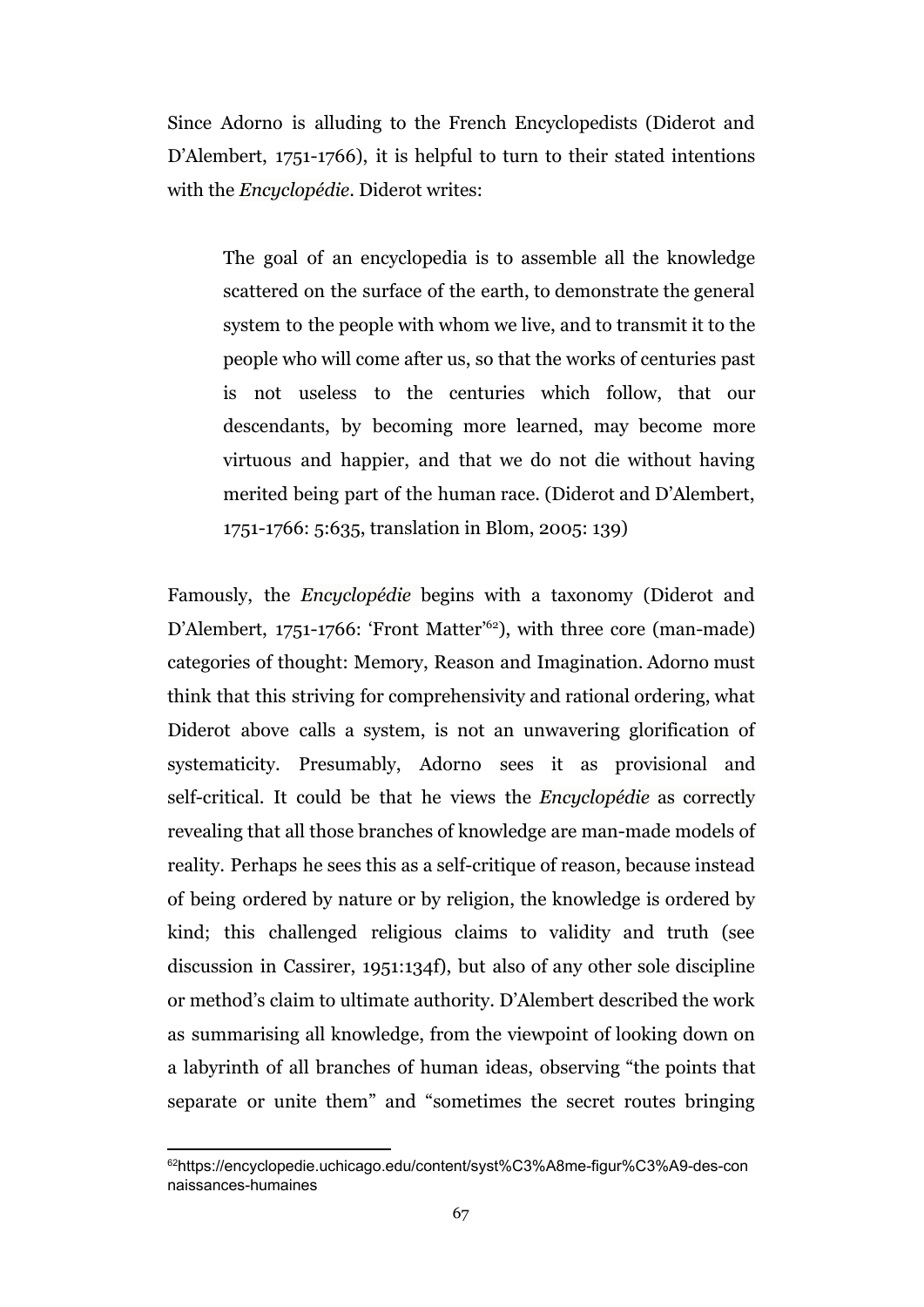Since Adorno is alluding to the French Encyclopedists (Diderot and D'Alembert, 1751-1766), it is helpful to turn to their stated intentions with the *Encyclopédie*. Diderot writes:

The goal of an encyclopedia is to assemble all the knowledge scattered on the surface of the earth, to demonstrate the general system to the people with whom we live, and to transmit it to the people who will come after us, so that the works of centuries past is not useless to the centuries which follow, that our descendants, by becoming more learned, may become more virtuous and happier, and that we do not die without having merited being part of the human race. (Diderot and D'Alembert, 1751-1766: 5:635, translation in Blom, 2005: 139)

Famously, the *Encyclopédie* begins with a taxonomy (Diderot and D'Alembert, 1751-1766: 'Front Matter<sup>'62</sup>), with three core (man-made) categories of thought: Memory, Reason and Imagination. Adorno must think that this striving for comprehensivity and rational ordering, what Diderot above calls a system, is not an unwavering glorification of systematicity. Presumably, Adorno sees it as provisional and self-critical. It could be that he views the *Encyclopédie* as correctly revealing that all those branches of knowledge are man-made models of reality. Perhaps he sees this as a self-critique of reason, because instead of being ordered by nature or by religion, the knowledge is ordered by kind; this challenged religious claims to validity and truth (see discussion in Cassirer, 1951:134f), but also of any other sole discipline or method's claim to ultimate authority. D'Alembert described the work as summarising all knowledge, from the viewpoint of looking down on a labyrinth of all branches of human ideas, observing "the points that separate or unite them" and "sometimes the secret routes bringing

<sup>62</sup>https://encyclopedie.uchicago.edu/content/syst%C3%A8me-figur%C3%A9-des-con naissances-humaines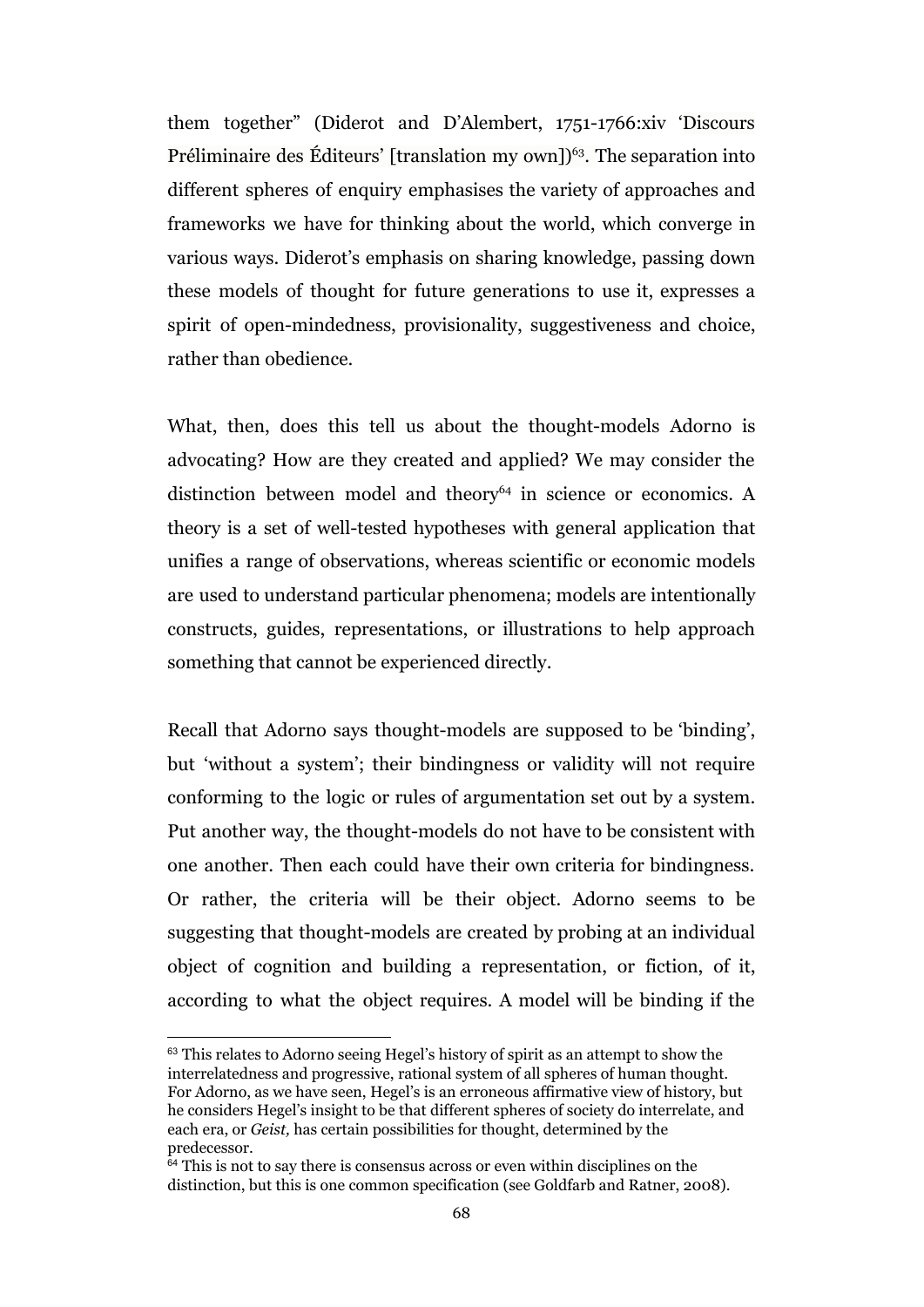them together" (Diderot and D'Alembert, 1751-1766:xiv 'Discours Préliminaire des Éditeurs' [translation my own])<sup> $63$ </sup>. The separation into different spheres of enquiry emphasises the variety of approaches and frameworks we have for thinking about the world, which converge in various ways. Diderot's emphasis on sharing knowledge, passing down these models of thought for future generations to use it, expresses a spirit of open-mindedness, provisionality, suggestiveness and choice, rather than obedience.

What, then, does this tell us about the thought-models Adorno is advocating? How are they created and applied? We may consider the distinction between model and theory<sup>64</sup> in science or economics. A theory is a set of well-tested hypotheses with general application that unifies a range of observations, whereas scientific or economic models are used to understand particular phenomena; models are intentionally constructs, guides, representations, or illustrations to help approach something that cannot be experienced directly.

Recall that Adorno says thought-models are supposed to be 'binding', but 'without a system'; their bindingness or validity will not require conforming to the logic or rules of argumentation set out by a system. Put another way, the thought-models do not have to be consistent with one another. Then each could have their own criteria for bindingness. Or rather, the criteria will be their object. Adorno seems to be suggesting that thought-models are created by probing at an individual object of cognition and building a representation, or fiction, of it, according to what the object requires. A model will be binding if the

<sup>&</sup>lt;sup>63</sup> This relates to Adorno seeing Hegel's history of spirit as an attempt to show the interrelatedness and progressive, rational system of all spheres of human thought. For Adorno, as we have seen, Hegel's is an erroneous affirmative view of history, but he considers Hegel's insight to be that different spheres of society do interrelate, and each era, or *Geist,* has certain possibilities for thought, determined by the predecessor.

 $64$  This is not to say there is consensus across or even within disciplines on the distinction, but this is one common specification (see Goldfarb and Ratner, 2008).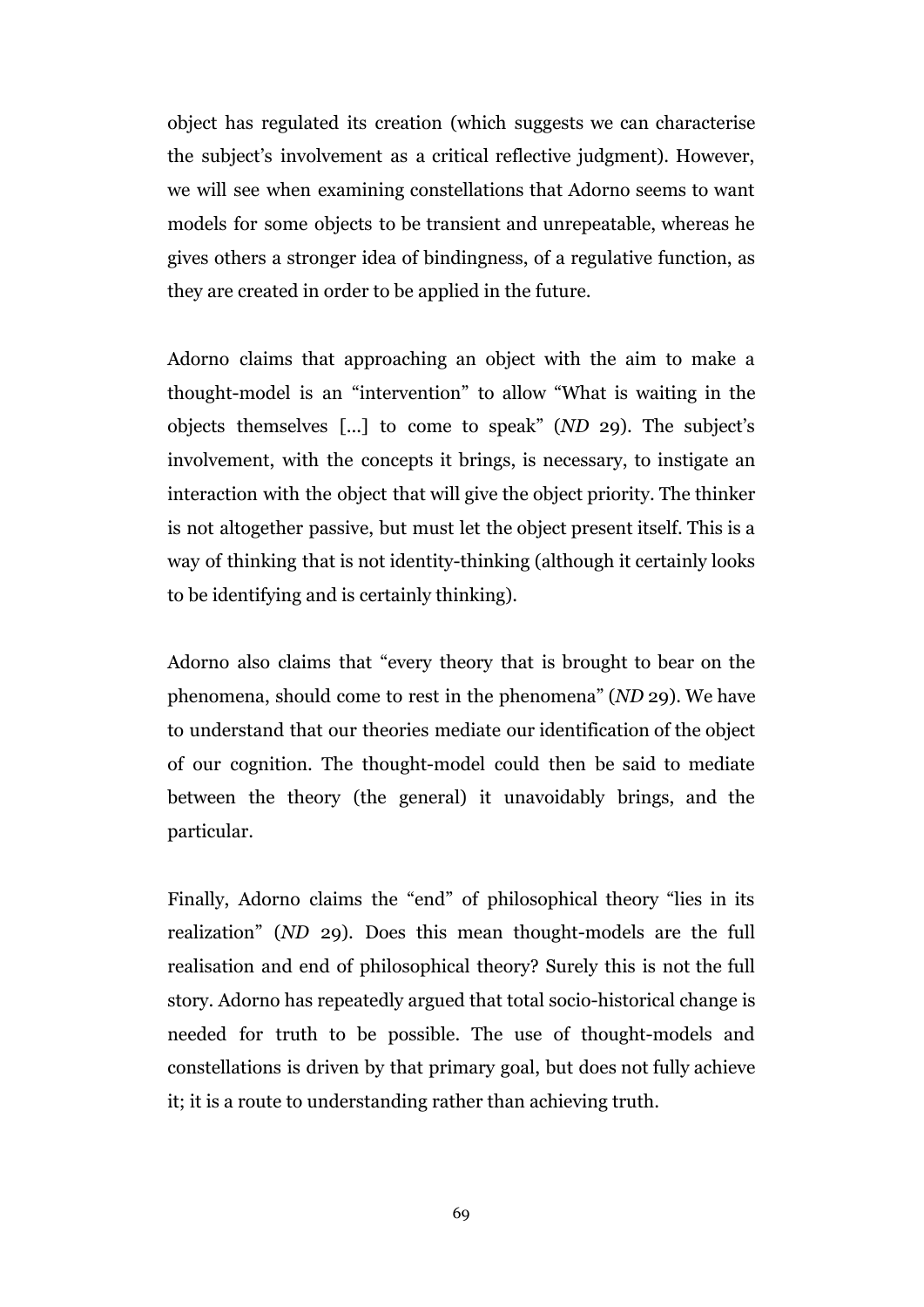object has regulated its creation (which suggests we can characterise the subject's involvement as a critical reflective judgment). However, we will see when examining constellations that Adorno seems to want models for some objects to be transient and unrepeatable, whereas he gives others a stronger idea of bindingness, of a regulative function, as they are created in order to be applied in the future.

Adorno claims that approaching an object with the aim to make a thought-model is an "intervention" to allow "What is waiting in the objects themselves [...] to come to speak" (*ND* 29). The subject's involvement, with the concepts it brings, is necessary, to instigate an interaction with the object that will give the object priority. The thinker is not altogether passive, but must let the object present itself. This is a way of thinking that is not identity-thinking (although it certainly looks to be identifying and is certainly thinking).

Adorno also claims that "every theory that is brought to bear on the phenomena, should come to rest in the phenomena" (*ND* 29). We have to understand that our theories mediate our identification of the object of our cognition. The thought-model could then be said to mediate between the theory (the general) it unavoidably brings, and the particular.

Finally, Adorno claims the "end" of philosophical theory "lies in its realization" (*ND* 29). Does this mean thought-models are the full realisation and end of philosophical theory? Surely this is not the full story. Adorno has repeatedly argued that total socio-historical change is needed for truth to be possible. The use of thought-models and constellations is driven by that primary goal, but does not fully achieve it; it is a route to understanding rather than achieving truth.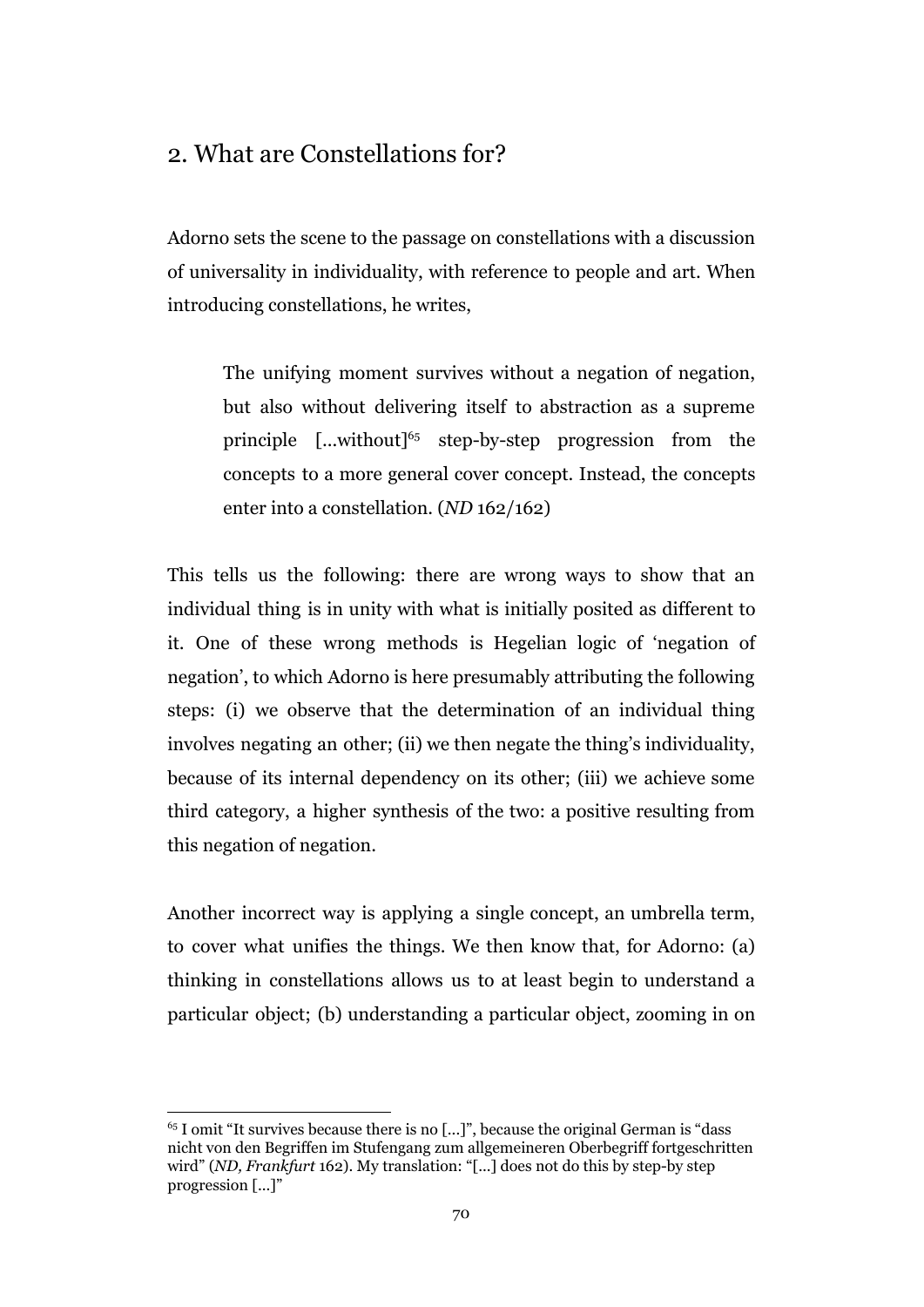# 2. What are Constellations for?

Adorno sets the scene to the passage on constellations with a discussion of universality in individuality, with reference to people and art. When introducing constellations, he writes,

The unifying moment survives without a negation of negation, but also without delivering itself to abstraction as a supreme principle  $[\dots$ without]<sup>65</sup> step-by-step progression from the concepts to a more general cover concept. Instead, the concepts enter into a constellation. (*ND* 162/162)

This tells us the following: there are wrong ways to show that an individual thing is in unity with what is initially posited as different to it. One of these wrong methods is Hegelian logic of 'negation of negation', to which Adorno is here presumably attributing the following steps: (i) we observe that the determination of an individual thing involves negating an other; (ii) we then negate the thing's individuality, because of its internal dependency on its other; (iii) we achieve some third category, a higher synthesis of the two: a positive resulting from this negation of negation.

Another incorrect way is applying a single concept, an umbrella term, to cover what unifies the things. We then know that, for Adorno: (a) thinking in constellations allows us to at least begin to understand a particular object; (b) understanding a particular object, zooming in on

 $65$  I omit "It survives because there is no [...]", because the original German is "dass" nicht von den Begriffen im Stufengang zum allgemeineren Oberbegriff fortgeschritten wird" (*ND, Frankfurt* 162). My translation: "[...] does not do this by step-by step progression [...]"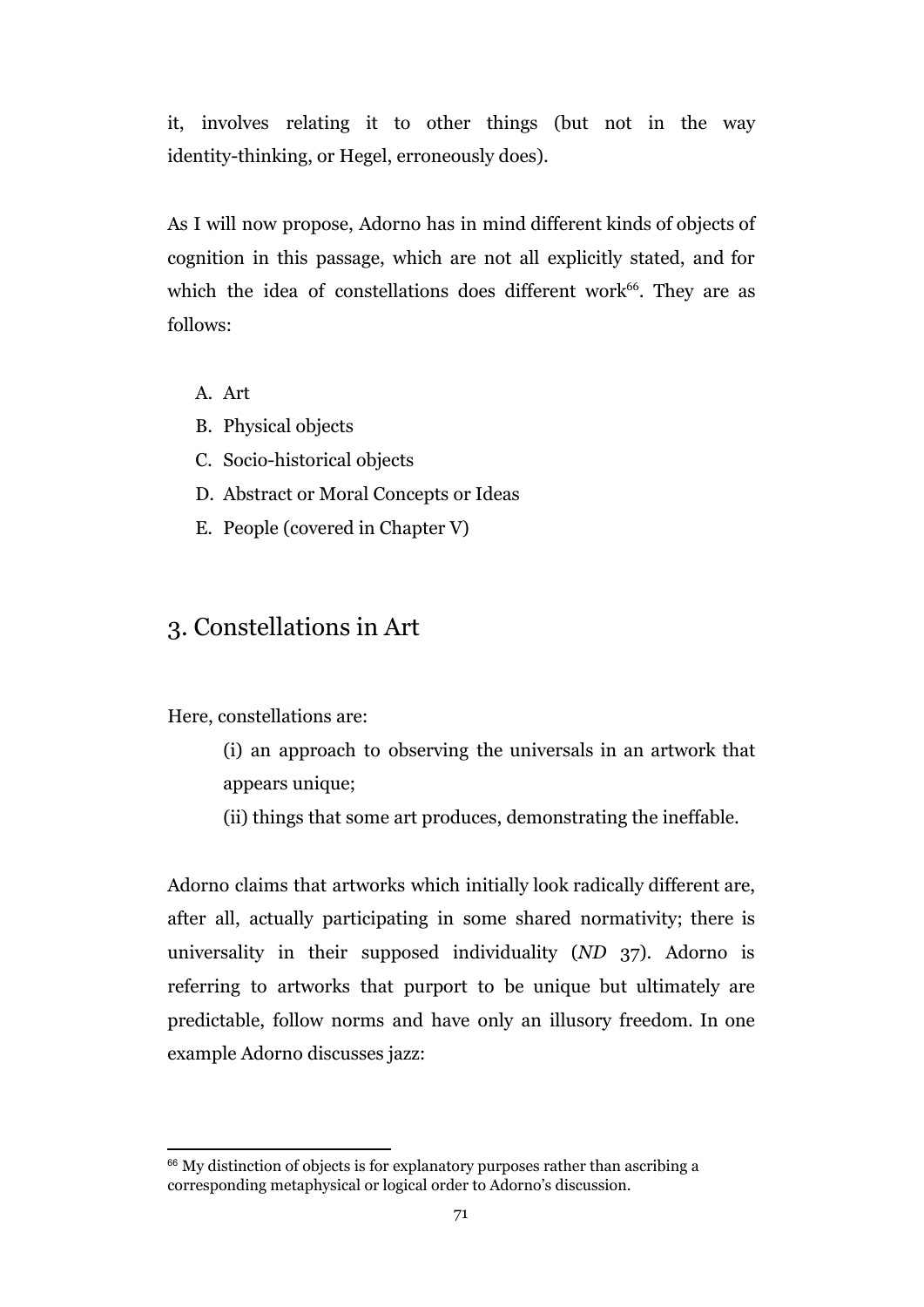it, involves relating it to other things (but not in the way identity-thinking, or Hegel, erroneously does).

As I will now propose, Adorno has in mind different kinds of objects of cognition in this passage, which are not all explicitly stated, and for which the idea of constellations does different work $66$ . They are as follows:

- A. Art
- B. Physical objects
- C. Socio-historical objects
- D. Abstract or Moral Concepts or Ideas
- E. People (covered in Chapter V)

# 3. Constellations in Art

Here, constellations are:

- (i) an approach to observing the universals in an artwork that appears unique;
- (ii) things that some art produces, demonstrating the ineffable.

Adorno claims that artworks which initially look radically different are, after all, actually participating in some shared normativity; there is universality in their supposed individuality (*ND* 37). Adorno is referring to artworks that purport to be unique but ultimately are predictable, follow norms and have only an illusory freedom. In one example Adorno discusses jazz:

 $66$  My distinction of objects is for explanatory purposes rather than ascribing a corresponding metaphysical or logical order to Adorno's discussion.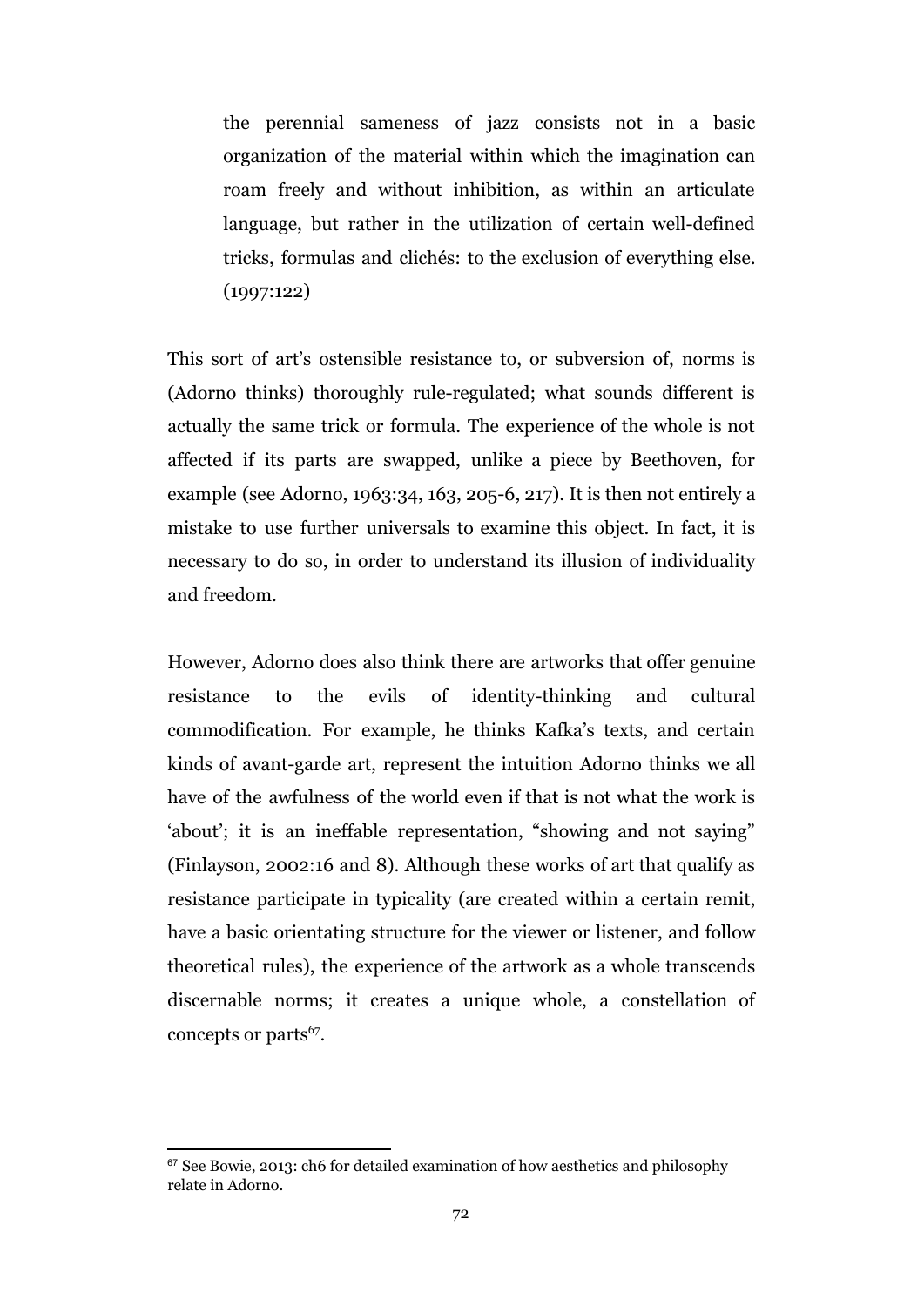the perennial sameness of jazz consists not in a basic organization of the material within which the imagination can roam freely and without inhibition, as within an articulate language, but rather in the utilization of certain well-defined tricks, formulas and clichés: to the exclusion of everything else. (1997:122)

This sort of art's ostensible resistance to, or subversion of, norms is (Adorno thinks) thoroughly rule-regulated; what sounds different is actually the same trick or formula. The experience of the whole is not affected if its parts are swapped, unlike a piece by Beethoven, for example (see Adorno, 1963:34, 163, 205-6, 217). It is then not entirely a mistake to use further universals to examine this object. In fact, it is necessary to do so, in order to understand its illusion of individuality and freedom.

However, Adorno does also think there are artworks that offer genuine resistance to the evils of identity-thinking and cultural commodification. For example, he thinks Kafka's texts, and certain kinds of avant-garde art, represent the intuition Adorno thinks we all have of the awfulness of the world even if that is not what the work is 'about'; it is an ineffable representation, "showing and not saying" (Finlayson, 2002:16 and 8). Although these works of art that qualify as resistance participate in typicality (are created within a certain remit, have a basic orientating structure for the viewer or listener, and follow theoretical rules), the experience of the artwork as a whole transcends discernable norms; it creates a unique whole, a constellation of concepts or parts $67$ .

 $67$  See Bowie, 2013: ch6 for detailed examination of how aesthetics and philosophy relate in Adorno.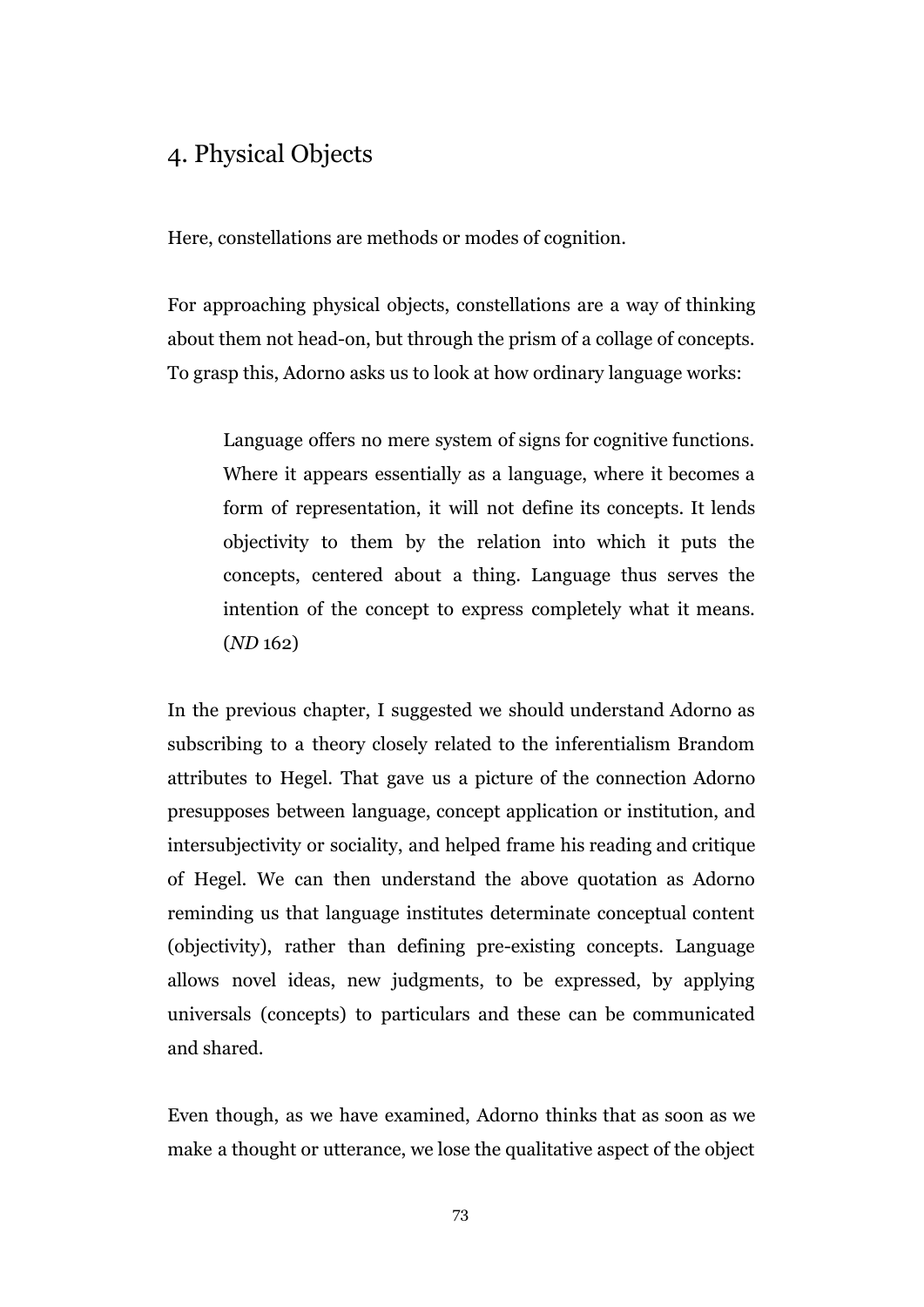## 4. Physical Objects

Here, constellations are methods or modes of cognition.

For approaching physical objects, constellations are a way of thinking about them not head-on, but through the prism of a collage of concepts. To grasp this, Adorno asks us to look at how ordinary language works:

Language offers no mere system of signs for cognitive functions. Where it appears essentially as a language, where it becomes a form of representation, it will not define its concepts. It lends objectivity to them by the relation into which it puts the concepts, centered about a thing. Language thus serves the intention of the concept to express completely what it means. (*ND* 162)

In the previous chapter, I suggested we should understand Adorno as subscribing to a theory closely related to the inferentialism Brandom attributes to Hegel. That gave us a picture of the connection Adorno presupposes between language, concept application or institution, and intersubjectivity or sociality, and helped frame his reading and critique of Hegel. We can then understand the above quotation as Adorno reminding us that language institutes determinate conceptual content (objectivity), rather than defining pre-existing concepts. Language allows novel ideas, new judgments, to be expressed, by applying universals (concepts) to particulars and these can be communicated and shared.

Even though, as we have examined, Adorno thinks that as soon as we make a thought or utterance, we lose the qualitative aspect of the object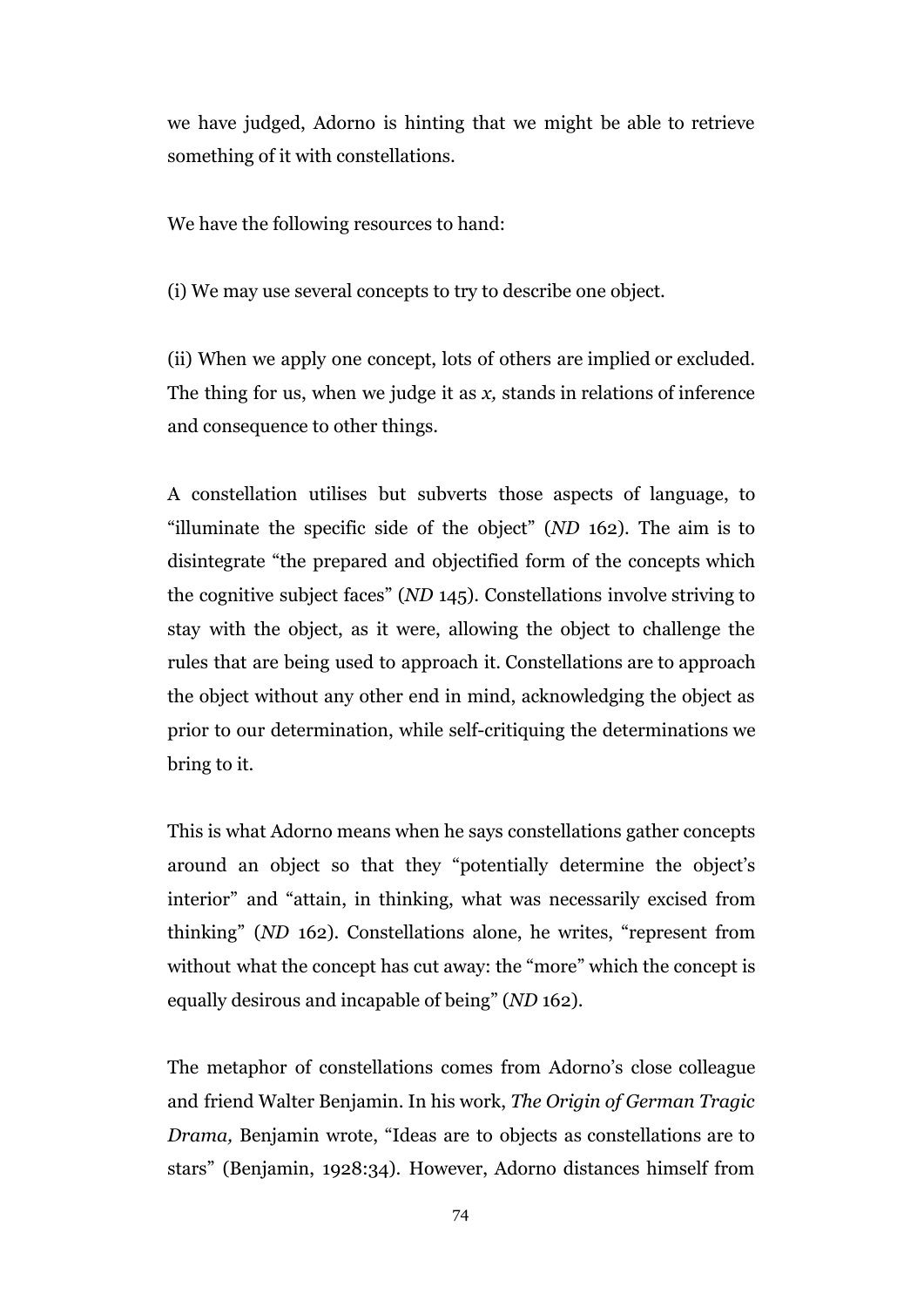we have judged, Adorno is hinting that we might be able to retrieve something of it with constellations.

We have the following resources to hand:

(i) We may use several concepts to try to describe one object.

(ii) When we apply one concept, lots of others are implied or excluded. The thing for us, when we judge it as *x,* stands in relations of inference and consequence to other things.

A constellation utilises but subverts those aspects of language, to "illuminate the specific side of the object" (*ND* 162). The aim is to disintegrate "the prepared and objectified form of the concepts which the cognitive subject faces" (*ND* 145). Constellations involve striving to stay with the object, as it were, allowing the object to challenge the rules that are being used to approach it. Constellations are to approach the object without any other end in mind, acknowledging the object as prior to our determination, while self-critiquing the determinations we bring to it.

This is what Adorno means when he says constellations gather concepts around an object so that they "potentially determine the object's interior" and "attain, in thinking, what was necessarily excised from thinking" (*ND* 162). Constellations alone, he writes, "represent from without what the concept has cut away: the "more" which the concept is equally desirous and incapable of being" (*ND* 162).

The metaphor of constellations comes from Adorno's close colleague and friend Walter Benjamin. In his work, *The Origin of German Tragic Drama,* Benjamin wrote, "Ideas are to objects as constellations are to stars" (Benjamin, 1928:34). However, Adorno distances himself from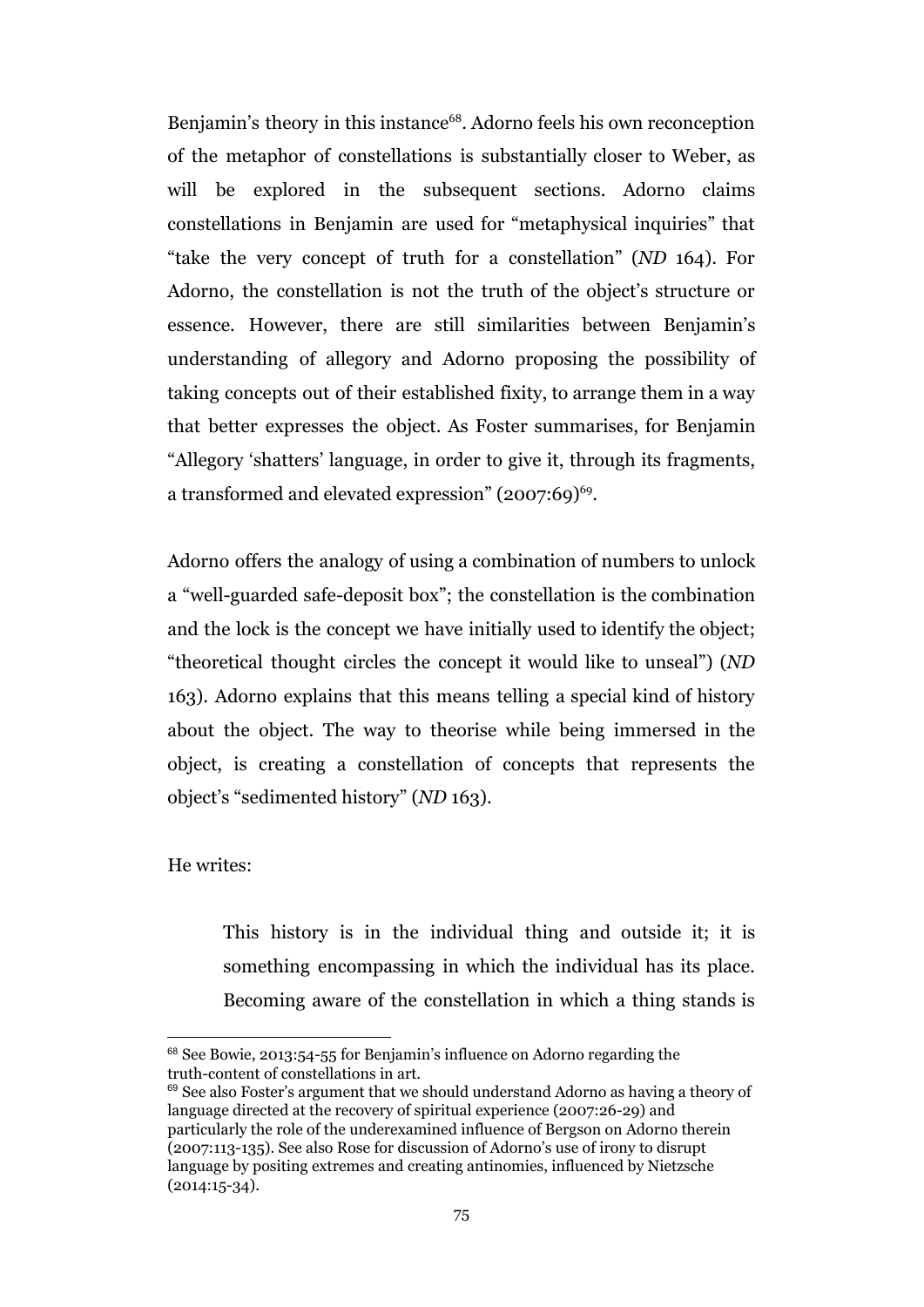Benjamin's theory in this instance<sup>68</sup>. Adorno feels his own reconception of the metaphor of constellations is substantially closer to Weber, as will be explored in the subsequent sections. Adorno claims constellations in Benjamin are used for "metaphysical inquiries" that "take the very concept of truth for a constellation" (*ND* 164). For Adorno, the constellation is not the truth of the object's structure or essence. However, there are still similarities between Benjamin's understanding of allegory and Adorno proposing the possibility of taking concepts out of their established fixity, to arrange them in a way that better expresses the object. As Foster summarises, for Benjamin "Allegory 'shatters' language, in order to give it, through its fragments, a transformed and elevated expression" (2007:69)<sup>69</sup>.

Adorno offers the analogy of using a combination of numbers to unlock a "well-guarded safe-deposit box"; the constellation is the combination and the lock is the concept we have initially used to identify the object; "theoretical thought circles the concept it would like to unseal") (*ND* 163). Adorno explains that this means telling a special kind of history about the object. The way to theorise while being immersed in the object, is creating a constellation of concepts that represents the object's "sedimented history" (*ND* 163).

#### He writes:

This history is in the individual thing and outside it; it is something encompassing in which the individual has its place. Becoming aware of the constellation in which a thing stands is

<sup>68</sup> See Bowie, 2013:54-55 for Benjamin's influence on Adorno regarding the truth-content of constellations in art.

<sup>&</sup>lt;sup>69</sup> See also Foster's argument that we should understand Adorno as having a theory of language directed at the recovery of spiritual experience (2007:26-29) and particularly the role of the underexamined influence of Bergson on Adorno therein (2007:113-135). See also Rose for discussion of Adorno's use of irony to disrupt language by positing extremes and creating antinomies, influenced by Nietzsche (2014:15-34).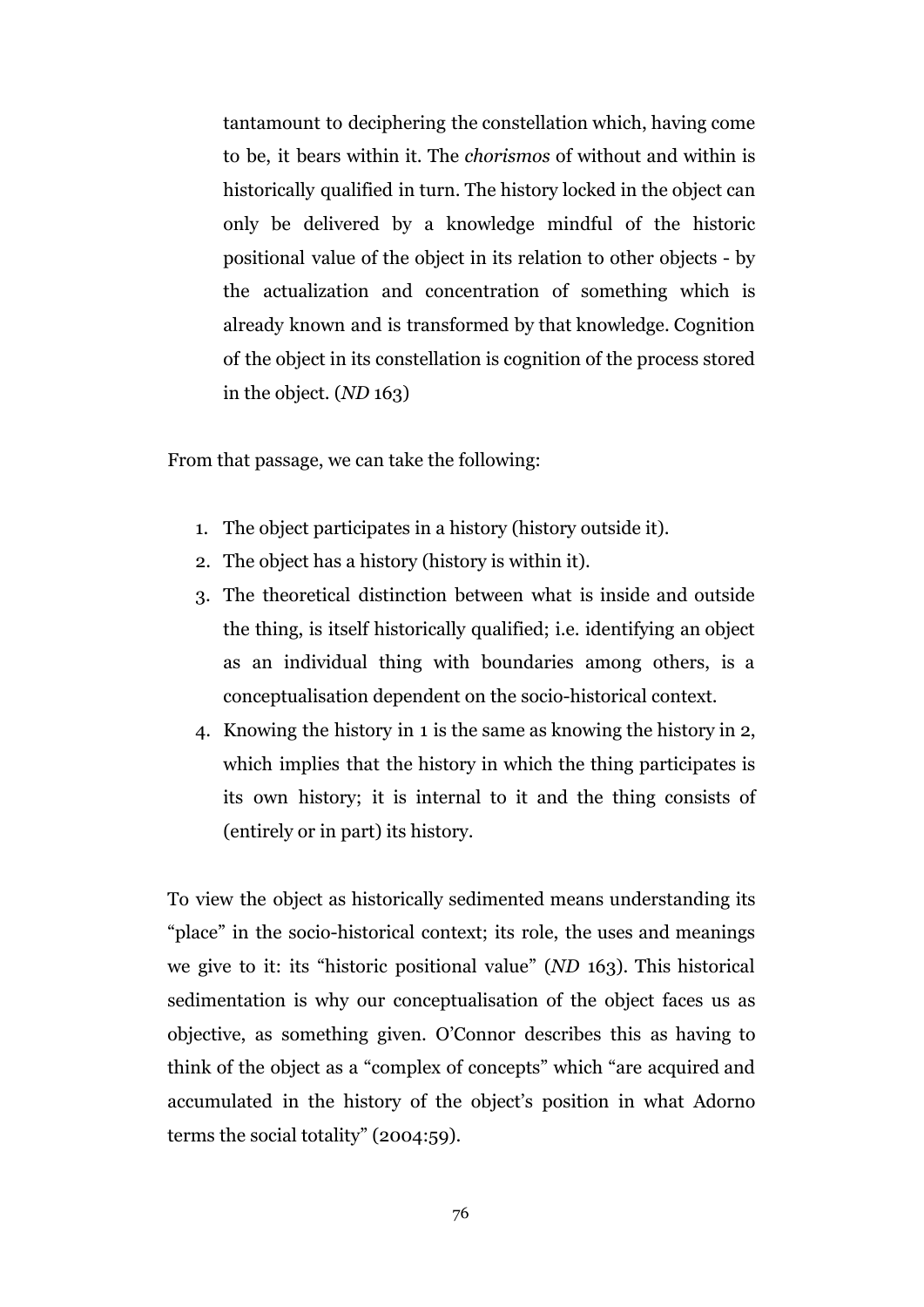tantamount to deciphering the constellation which, having come to be, it bears within it. The *chorismos* of without and within is historically qualified in turn. The history locked in the object can only be delivered by a knowledge mindful of the historic positional value of the object in its relation to other objects - by the actualization and concentration of something which is already known and is transformed by that knowledge. Cognition of the object in its constellation is cognition of the process stored in the object. (*ND* 163)

From that passage, we can take the following:

- 1. The object participates in a history (history outside it).
- 2. The object has a history (history is within it).
- 3. The theoretical distinction between what is inside and outside the thing, is itself historically qualified; i.e. identifying an object as an individual thing with boundaries among others, is a conceptualisation dependent on the socio-historical context.
- 4. Knowing the history in 1 is the same as knowing the history in 2, which implies that the history in which the thing participates is its own history; it is internal to it and the thing consists of (entirely or in part) its history.

To view the object as historically sedimented means understanding its "place" in the socio-historical context; its role, the uses and meanings we give to it: its "historic positional value" (*ND* 163). This historical sedimentation is why our conceptualisation of the object faces us as objective, as something given. O'Connor describes this as having to think of the object as a "complex of concepts" which "are acquired and accumulated in the history of the object's position in what Adorno terms the social totality" (2004:59).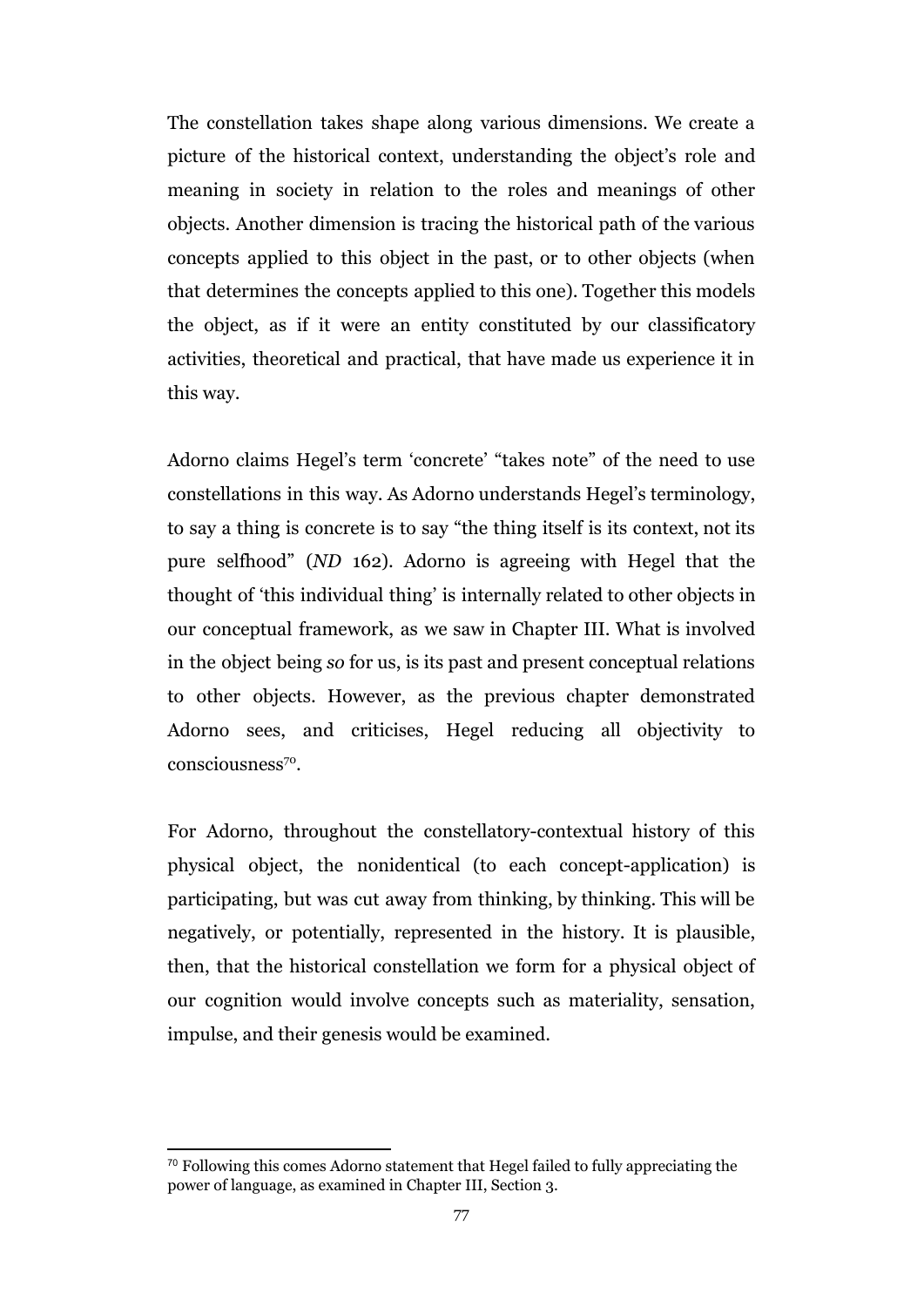The constellation takes shape along various dimensions. We create a picture of the historical context, understanding the object's role and meaning in society in relation to the roles and meanings of other objects. Another dimension is tracing the historical path of the various concepts applied to this object in the past, or to other objects (when that determines the concepts applied to this one). Together this models the object, as if it were an entity constituted by our classificatory activities, theoretical and practical, that have made us experience it in this way.

Adorno claims Hegel's term 'concrete' "takes note" of the need to use constellations in this way. As Adorno understands Hegel's terminology, to say a thing is concrete is to say "the thing itself is its context, not its pure selfhood" (*ND* 162). Adorno is agreeing with Hegel that the thought of 'this individual thing' is internally related to other objects in our conceptual framework, as we saw in Chapter III. What is involved in the object being *so* for us, is its past and present conceptual relations to other objects. However, as the previous chapter demonstrated Adorno sees, and criticises, Hegel reducing all objectivity to consciousness<sup>70</sup>.

For Adorno, throughout the constellatory-contextual history of this physical object, the nonidentical (to each concept-application) is participating, but was cut away from thinking, by thinking. This will be negatively, or potentially, represented in the history. It is plausible, then, that the historical constellation we form for a physical object of our cognition would involve concepts such as materiality, sensation, impulse, and their genesis would be examined.

 $70$  Following this comes Adorno statement that Hegel failed to fully appreciating the power of language, as examined in Chapter III, Section 3.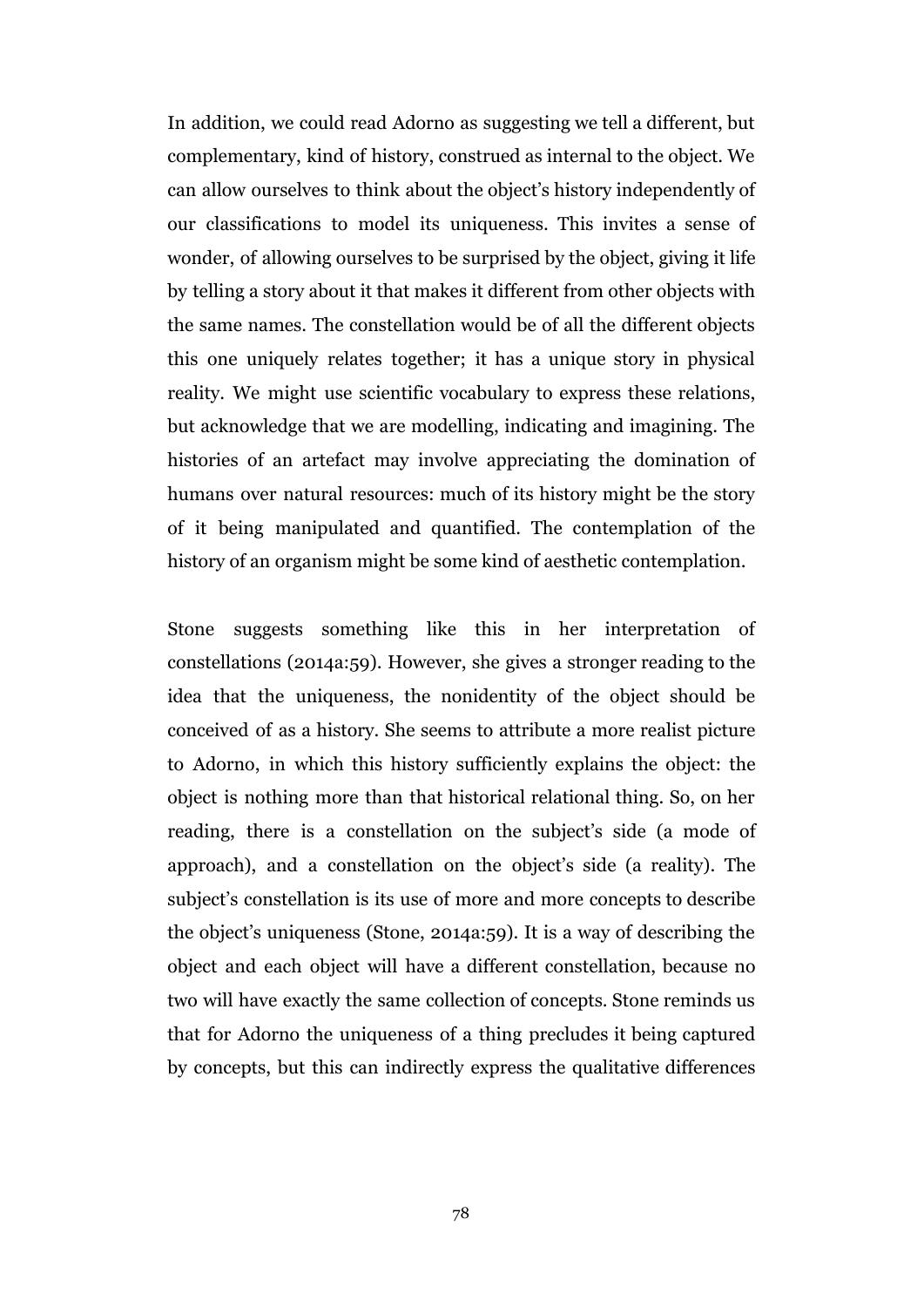In addition, we could read Adorno as suggesting we tell a different, but complementary, kind of history, construed as internal to the object. We can allow ourselves to think about the object's history independently of our classifications to model its uniqueness. This invites a sense of wonder, of allowing ourselves to be surprised by the object, giving it life by telling a story about it that makes it different from other objects with the same names. The constellation would be of all the different objects this one uniquely relates together; it has a unique story in physical reality. We might use scientific vocabulary to express these relations, but acknowledge that we are modelling, indicating and imagining. The histories of an artefact may involve appreciating the domination of humans over natural resources: much of its history might be the story of it being manipulated and quantified. The contemplation of the history of an organism might be some kind of aesthetic contemplation.

Stone suggests something like this in her interpretation of constellations (2014a:59). However, she gives a stronger reading to the idea that the uniqueness, the nonidentity of the object should be conceived of as a history. She seems to attribute a more realist picture to Adorno, in which this history sufficiently explains the object: the object is nothing more than that historical relational thing. So, on her reading, there is a constellation on the subject's side (a mode of approach), and a constellation on the object's side (a reality). The subject's constellation is its use of more and more concepts to describe the object's uniqueness (Stone, 2014a:59). It is a way of describing the object and each object will have a different constellation, because no two will have exactly the same collection of concepts. Stone reminds us that for Adorno the uniqueness of a thing precludes it being captured by concepts, but this can indirectly express the qualitative differences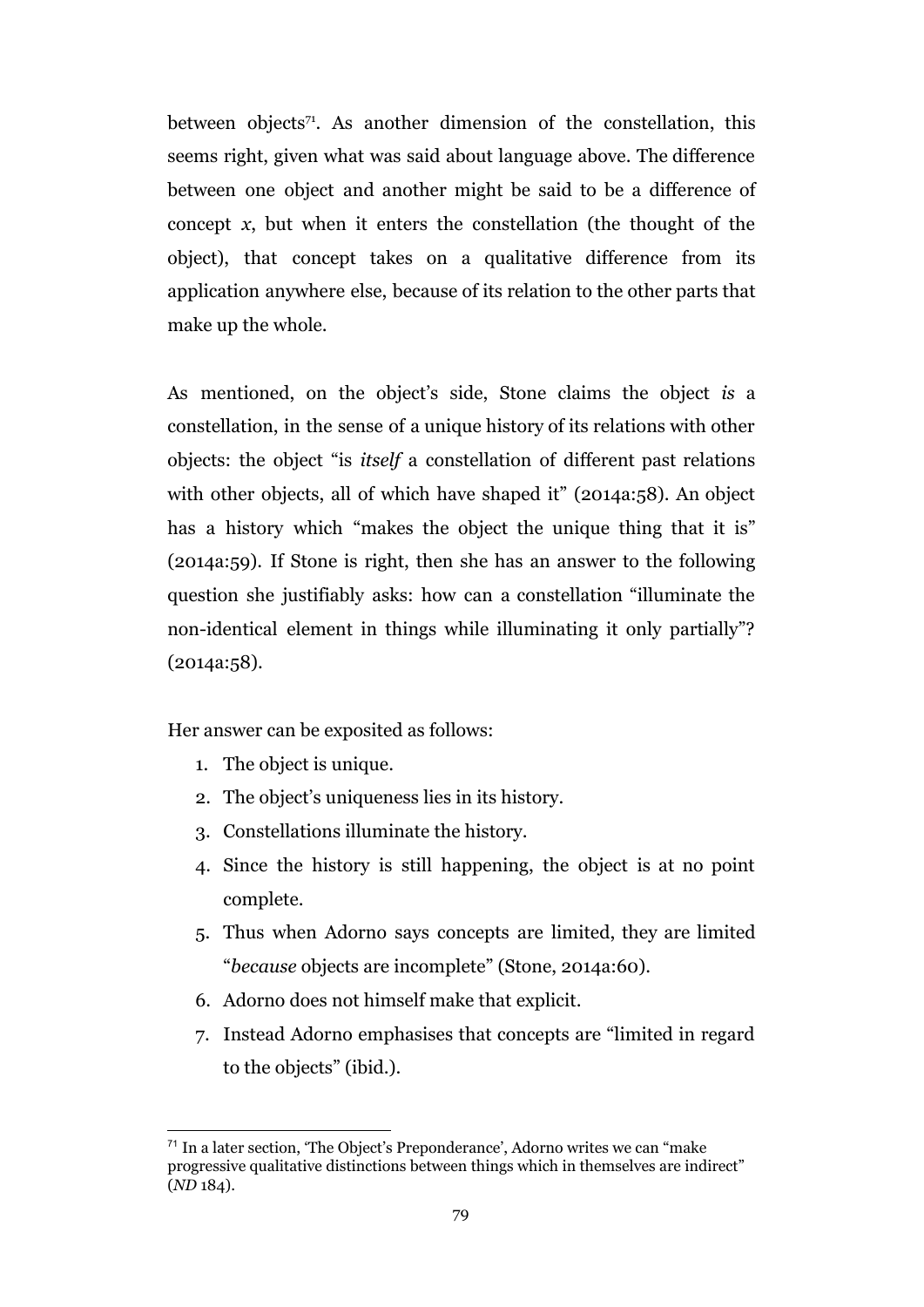between objects<sup> $71$ </sup>. As another dimension of the constellation, this seems right, given what was said about language above. The difference between one object and another might be said to be a difference of concept *x*, but when it enters the constellation (the thought of the object), that concept takes on a qualitative difference from its application anywhere else, because of its relation to the other parts that make up the whole.

As mentioned, on the object's side, Stone claims the object *is* a constellation, in the sense of a unique history of its relations with other objects: the object "is *itself* a constellation of different past relations with other objects, all of which have shaped it" (2014a:58). An object has a history which "makes the object the unique thing that it is" (2014a:59). If Stone is right, then she has an answer to the following question she justifiably asks: how can a constellation "illuminate the non-identical element in things while illuminating it only partially"?  $(2014a:58)$ .

Her answer can be exposited as follows:

- 1. The object is unique.
- 2. The object's uniqueness lies in its history.
- 3. Constellations illuminate the history.
- 4. Since the history is still happening, the object is at no point complete.
- 5. Thus when Adorno says concepts are limited, they are limited "*because* objects are incomplete" (Stone, 2014a:60).
- 6. Adorno does not himself make that explicit.
- 7. Instead Adorno emphasises that concepts are "limited in regard to the objects" (ibid.).

<sup>71</sup> In a later section, 'The Object's Preponderance', Adorno writes we can "make progressive qualitative distinctions between things which in themselves are indirect" (*ND* 184).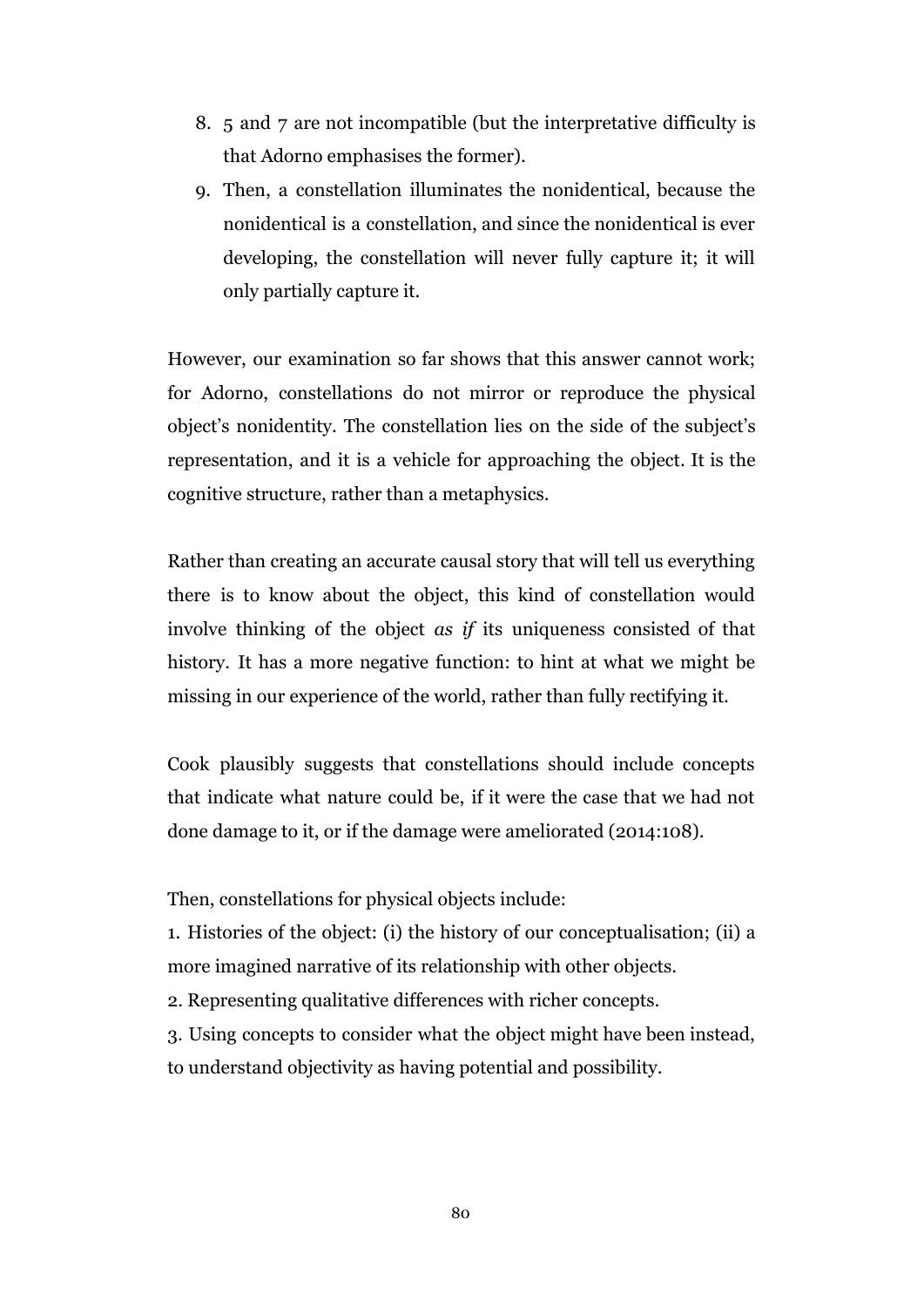- 8. 5 and 7 are not incompatible (but the interpretative difficulty is that Adorno emphasises the former).
- 9. Then, a constellation illuminates the nonidentical, because the nonidentical is a constellation, and since the nonidentical is ever developing, the constellation will never fully capture it; it will only partially capture it.

However, our examination so far shows that this answer cannot work; for Adorno, constellations do not mirror or reproduce the physical object's nonidentity. The constellation lies on the side of the subject's representation, and it is a vehicle for approaching the object. It is the cognitive structure, rather than a metaphysics.

Rather than creating an accurate causal story that will tell us everything there is to know about the object, this kind of constellation would involve thinking of the object *as if* its uniqueness consisted of that history. It has a more negative function: to hint at what we might be missing in our experience of the world, rather than fully rectifying it.

Cook plausibly suggests that constellations should include concepts that indicate what nature could be, if it were the case that we had not done damage to it, or if the damage were ameliorated (2014:108).

Then, constellations for physical objects include:

1. Histories of the object: (i) the history of our conceptualisation; (ii) a more imagined narrative of its relationship with other objects.

2. Representing qualitative differences with richer concepts.

3. Using concepts to consider what the object might have been instead, to understand objectivity as having potential and possibility.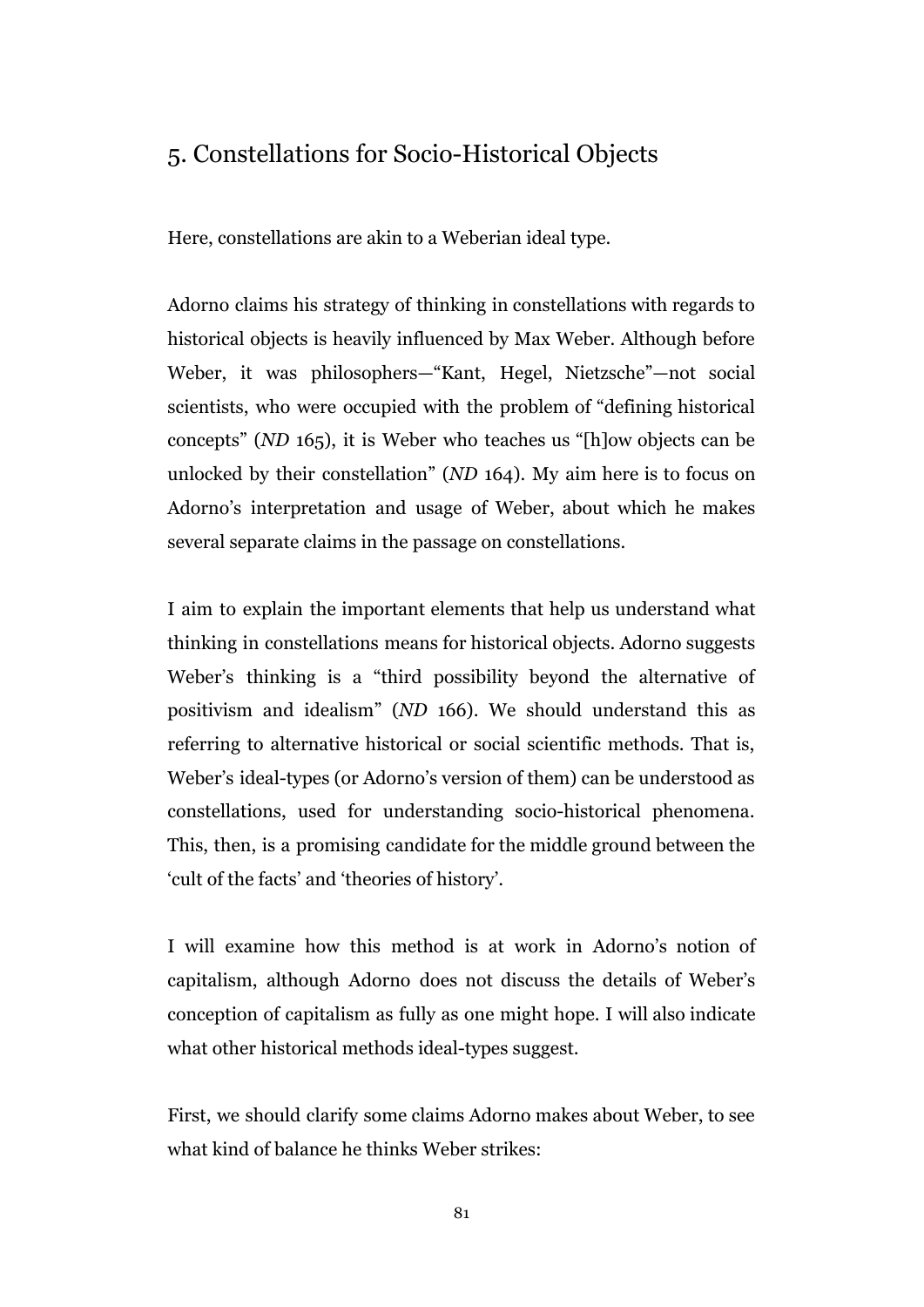### 5. Constellations for Socio-Historical Objects

Here, constellations are akin to a Weberian ideal type.

Adorno claims his strategy of thinking in constellations with regards to historical objects is heavily influenced by Max Weber. Although before Weber, it was philosophers—"Kant, Hegel, Nietzsche"—not social scientists, who were occupied with the problem of "defining historical concepts" (*ND* 165), it is Weber who teaches us "[h]ow objects can be unlocked by their constellation" (*ND* 164). My aim here is to focus on Adorno's interpretation and usage of Weber, about which he makes several separate claims in the passage on constellations.

I aim to explain the important elements that help us understand what thinking in constellations means for historical objects. Adorno suggests Weber's thinking is a "third possibility beyond the alternative of positivism and idealism" (*ND* 166). We should understand this as referring to alternative historical or social scientific methods. That is, Weber's ideal-types (or Adorno's version of them) can be understood as constellations, used for understanding socio-historical phenomena. This, then, is a promising candidate for the middle ground between the 'cult of the facts' and 'theories of history'.

I will examine how this method is at work in Adorno's notion of capitalism, although Adorno does not discuss the details of Weber's conception of capitalism as fully as one might hope. I will also indicate what other historical methods ideal-types suggest.

First, we should clarify some claims Adorno makes about Weber, to see what kind of balance he thinks Weber strikes: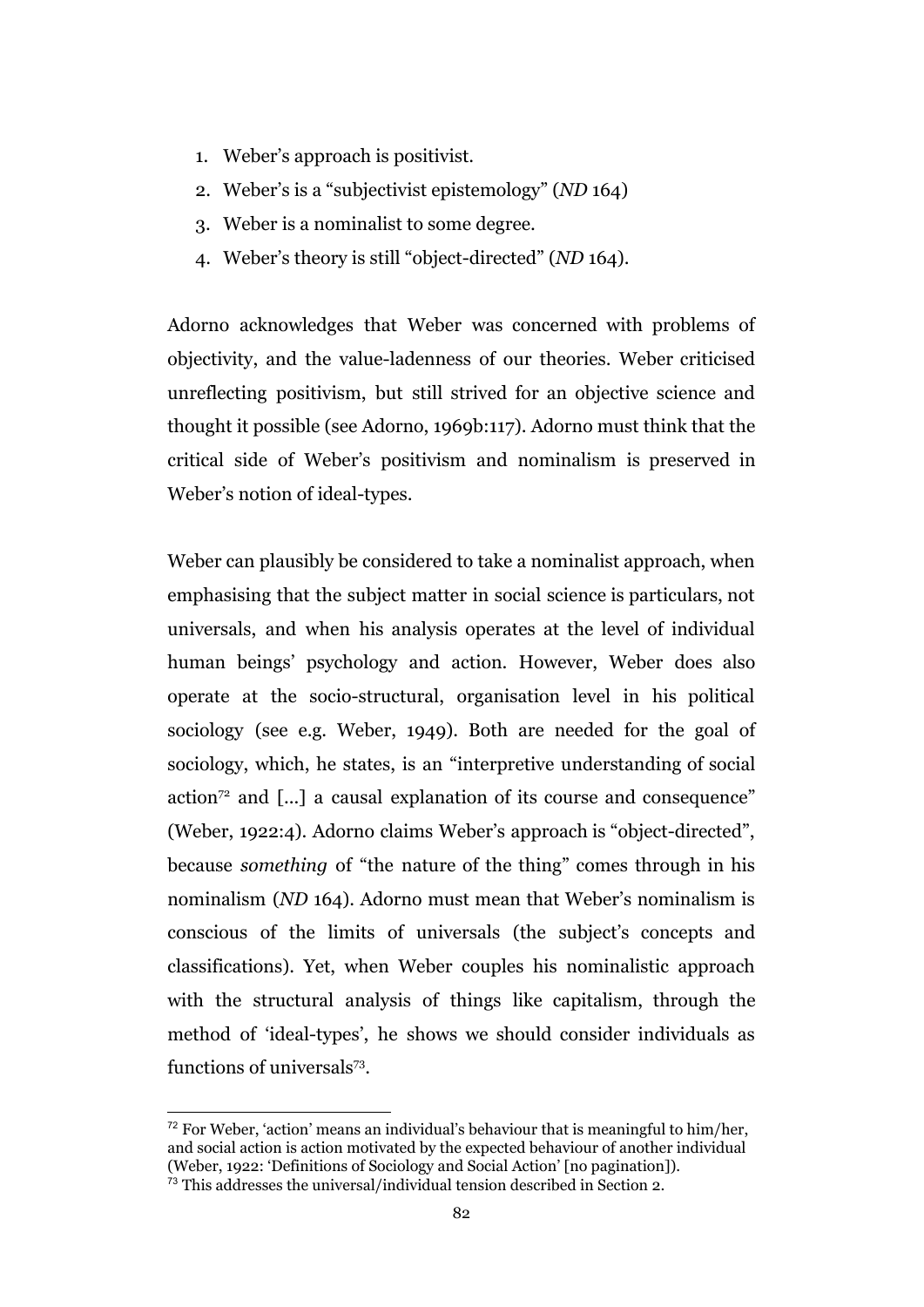- 1. Weber's approach is positivist.
- 2. Weber's is a "subjectivist epistemology" (*ND* 164)
- 3. Weber is a nominalist to some degree.
- 4. Weber's theory is still "object-directed" (*ND* 164).

Adorno acknowledges that Weber was concerned with problems of objectivity, and the value-ladenness of our theories. Weber criticised unreflecting positivism, but still strived for an objective science and thought it possible (see Adorno, 1969b:117). Adorno must think that the critical side of Weber's positivism and nominalism is preserved in Weber's notion of ideal-types.

Weber can plausibly be considered to take a nominalist approach, when emphasising that the subject matter in social science is particulars, not universals, and when his analysis operates at the level of individual human beings' psychology and action. However, Weber does also operate at the socio-structural, organisation level in his political sociology (see e.g. Weber, 1949). Both are needed for the goal of sociology, which, he states, is an "interpretive understanding of social action<sup> $72$ </sup> and [...] a causal explanation of its course and consequence" (Weber, 1922:4). Adorno claims Weber's approach is "object-directed", because *something* of "the nature of the thing" comes through in his nominalism (*ND* 164). Adorno must mean that Weber's nominalism is conscious of the limits of universals (the subject's concepts and classifications). Yet, when Weber couples his nominalistic approach with the structural analysis of things like capitalism, through the method of 'ideal-types', he shows we should consider individuals as functions of universals<sup>73</sup>.

 $72$  For Weber, 'action' means an individual's behaviour that is meaningful to him/her, and social action is action motivated by the expected behaviour of another individual (Weber, 1922: 'Definitions of Sociology and Social Action' [no pagination]).

 $\frac{73}{12}$  This addresses the universal/individual tension described in Section 2.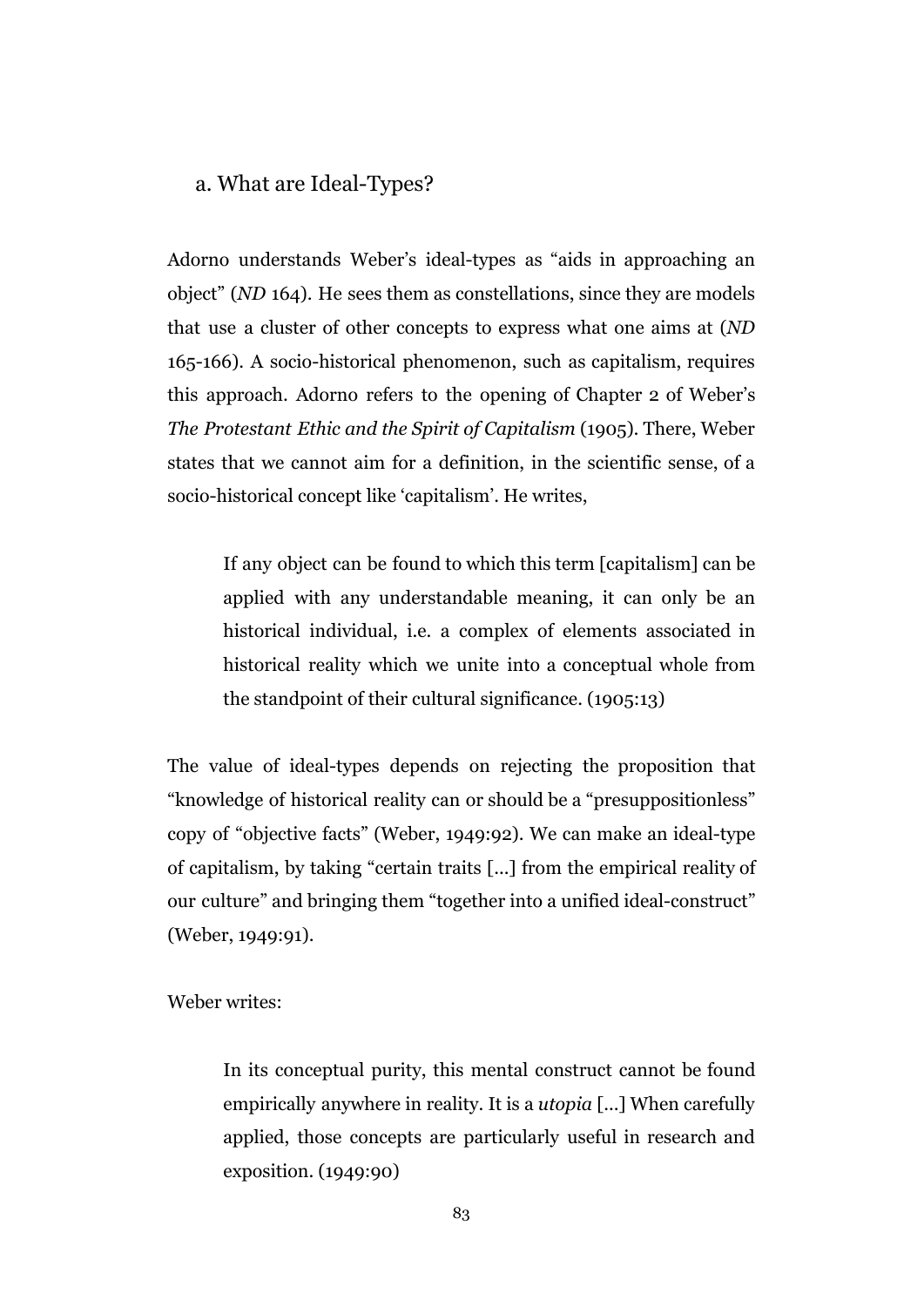#### a. What are Ideal-Types?

Adorno understands Weber's ideal-types as "aids in approaching an object" (*ND* 164). He sees them as constellations, since they are models that use a cluster of other concepts to express what one aims at (*ND* 165-166). A socio-historical phenomenon, such as capitalism, requires this approach. Adorno refers to the opening of Chapter 2 of Weber's *The Protestant Ethic and the Spirit of Capitalism* (1905)*.* There, Weber states that we cannot aim for a definition, in the scientific sense, of a socio-historical concept like 'capitalism'. He writes,

If any object can be found to which this term [capitalism] can be applied with any understandable meaning, it can only be an historical individual, i.e. a complex of elements associated in historical reality which we unite into a conceptual whole from the standpoint of their cultural significance. (1905:13)

The value of ideal-types depends on rejecting the proposition that "knowledge of historical reality can or should be a "presuppositionless" copy of "objective facts" (Weber, 1949:92). We can make an ideal-type of capitalism, by taking "certain traits [...] from the empirical reality of our culture" and bringing them "together into a unified ideal-construct" (Weber, 1949:91).

Weber writes:

In its conceptual purity, this mental construct cannot be found empirically anywhere in reality. It is a *utopia* [...] When carefully applied, those concepts are particularly useful in research and exposition. (1949:90)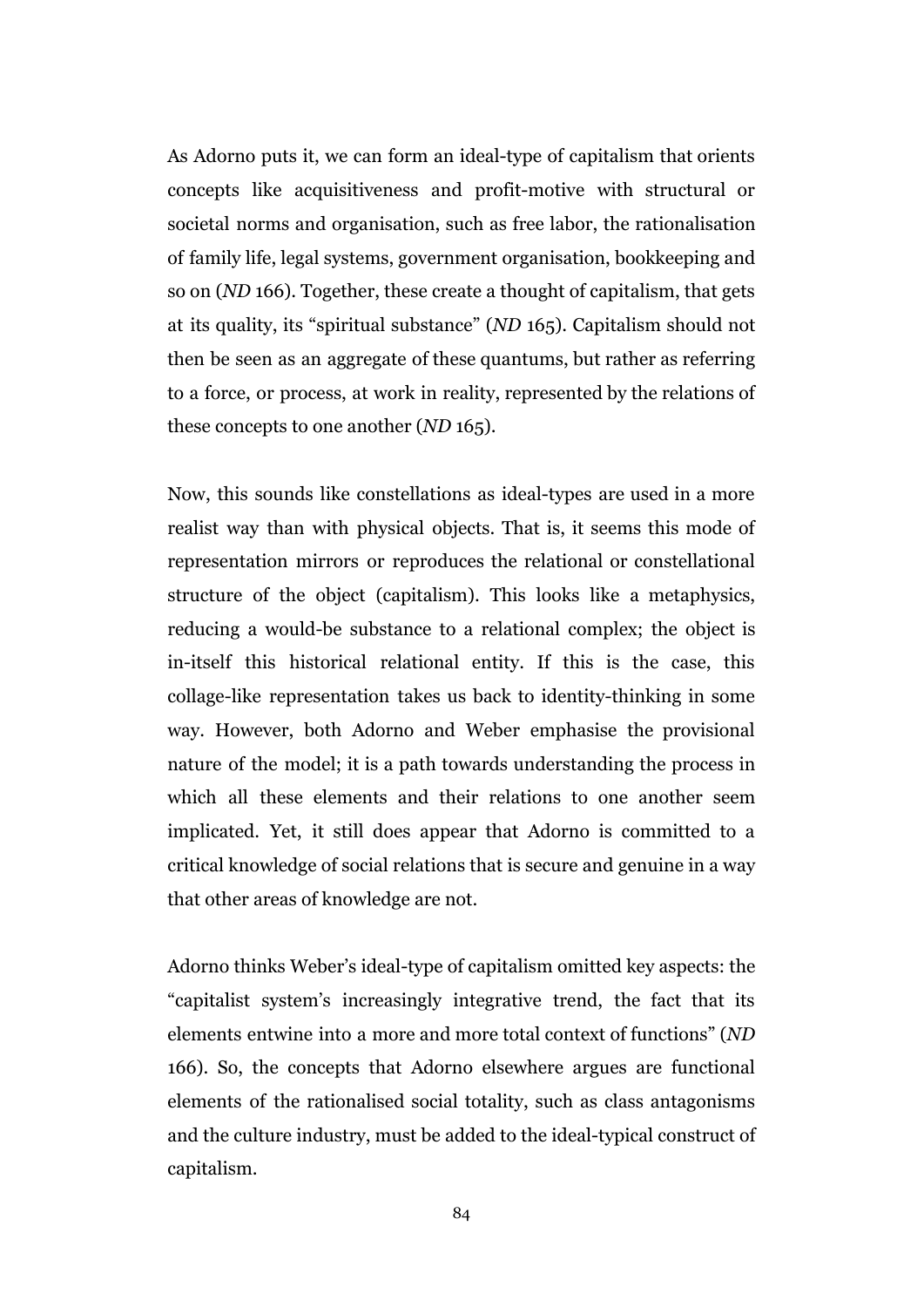As Adorno puts it, we can form an ideal-type of capitalism that orients concepts like acquisitiveness and profit-motive with structural or societal norms and organisation, such as free labor, the rationalisation of family life, legal systems, government organisation, bookkeeping and so on (*ND* 166). Together, these create a thought of capitalism, that gets at its quality, its "spiritual substance" (*ND* 165). Capitalism should not then be seen as an aggregate of these quantums, but rather as referring to a force, or process, at work in reality, represented by the relations of these concepts to one another (*ND* 165).

Now, this sounds like constellations as ideal-types are used in a more realist way than with physical objects. That is, it seems this mode of representation mirrors or reproduces the relational or constellational structure of the object (capitalism). This looks like a metaphysics, reducing a would-be substance to a relational complex; the object is in-itself this historical relational entity. If this is the case, this collage-like representation takes us back to identity-thinking in some way. However, both Adorno and Weber emphasise the provisional nature of the model; it is a path towards understanding the process in which all these elements and their relations to one another seem implicated. Yet, it still does appear that Adorno is committed to a critical knowledge of social relations that is secure and genuine in a way that other areas of knowledge are not.

Adorno thinks Weber's ideal-type of capitalism omitted key aspects: the "capitalist system's increasingly integrative trend, the fact that its elements entwine into a more and more total context of functions" (*ND* 166). So, the concepts that Adorno elsewhere argues are functional elements of the rationalised social totality, such as class antagonisms and the culture industry, must be added to the ideal-typical construct of capitalism.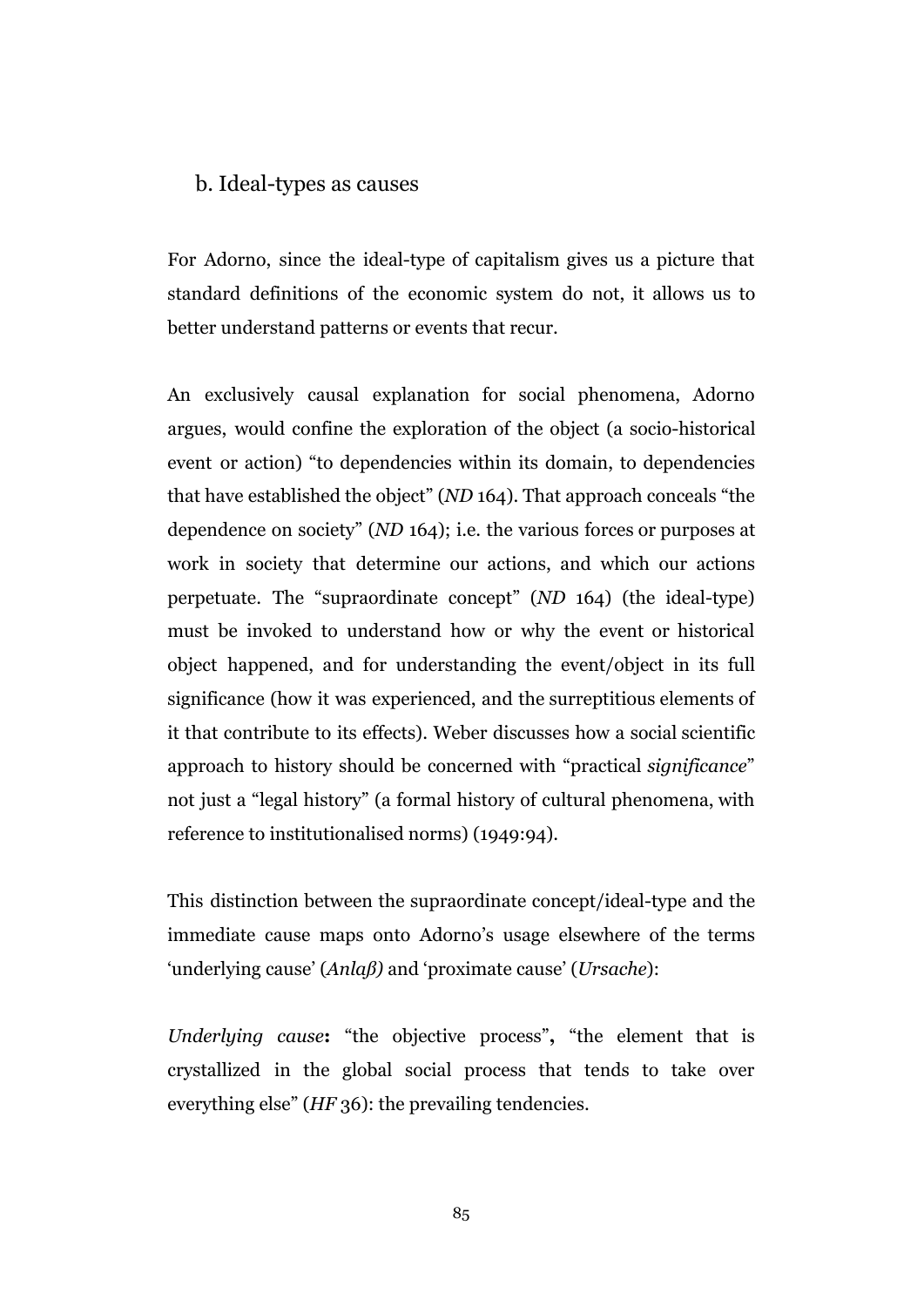#### b. Ideal-types as causes

For Adorno, since the ideal-type of capitalism gives us a picture that standard definitions of the economic system do not, it allows us to better understand patterns or events that recur.

An exclusively causal explanation for social phenomena, Adorno argues, would confine the exploration of the object (a socio-historical event or action) "to dependencies within its domain, to dependencies that have established the object" (*ND* 164). That approach conceals "the dependence on society" (*ND* 164); i.e. the various forces or purposes at work in society that determine our actions, and which our actions perpetuate. The "supraordinate concept" (*ND* 164) (the ideal-type) must be invoked to understand how or why the event or historical object happened, and for understanding the event/object in its full significance (how it was experienced, and the surreptitious elements of it that contribute to its effects). Weber discusses how a social scientific approach to history should be concerned with "practical *significance*" not just a "legal history" (a formal history of cultural phenomena, with reference to institutionalised norms) (1949:94).

This distinction between the supraordinate concept/ideal-type and the immediate cause maps onto Adorno's usage elsewhere of the terms 'underlying cause' (*Anlaß)* and 'proximate cause' (*Ursache*):

*Underlying cause***:** "the objective process"**,** "the element that is crystallized in the global social process that tends to take over everything else" (*HF* 36): the prevailing tendencies.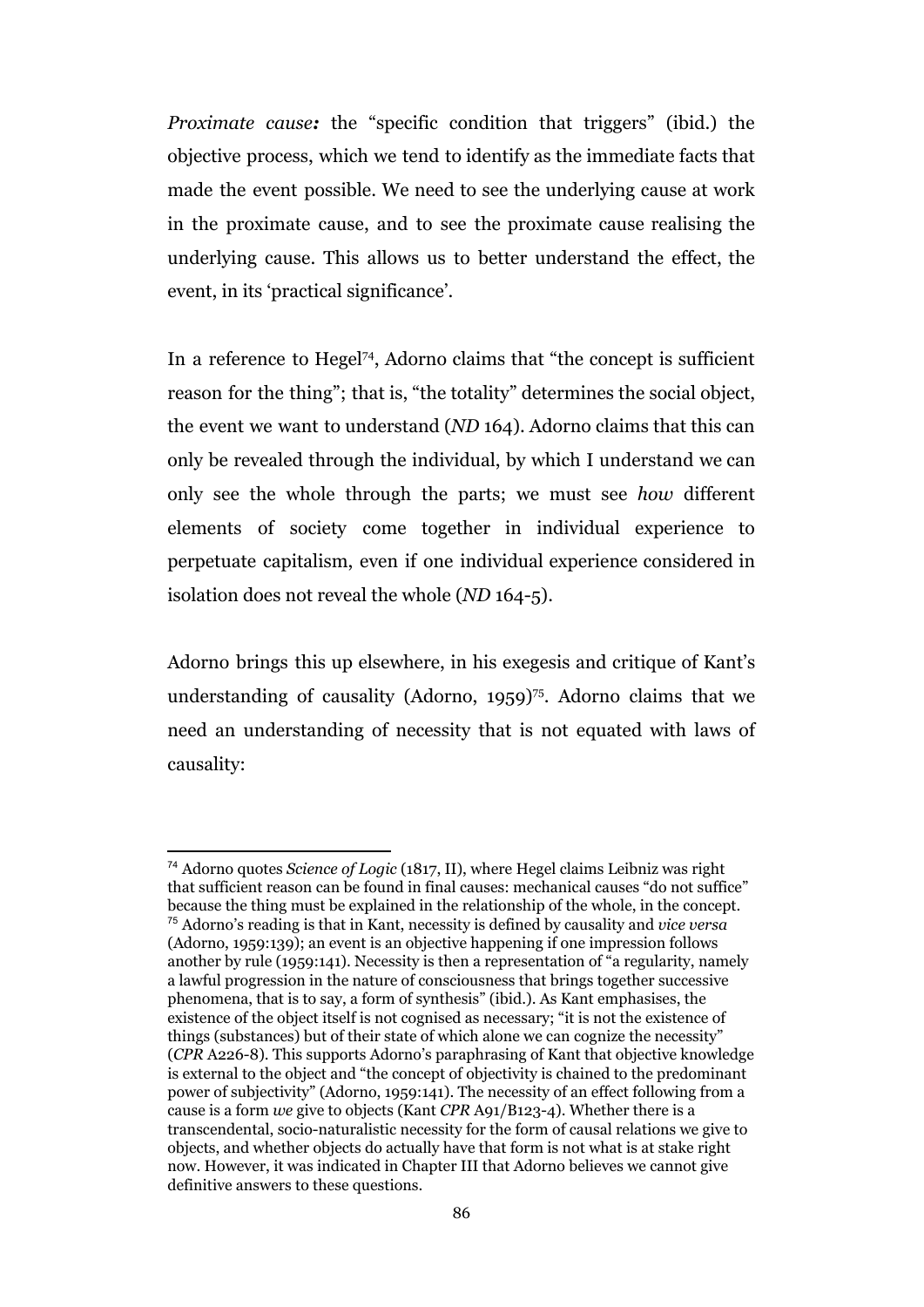*Proximate cause:* the "specific condition that triggers" (ibid.) the objective process, which we tend to identify as the immediate facts that made the event possible. We need to see the underlying cause at work in the proximate cause, and to see the proximate cause realising the underlying cause. This allows us to better understand the effect, the event, in its 'practical significance'.

In a reference to Hegel<sup>74</sup>, Adorno claims that "the concept is sufficient reason for the thing"; that is, "the totality" determines the social object, the event we want to understand (*ND* 164). Adorno claims that this can only be revealed through the individual, by which I understand we can only see the whole through the parts; we must see *how* different elements of society come together in individual experience to perpetuate capitalism, even if one individual experience considered in isolation does not reveal the whole (*ND* 164-5).

Adorno brings this up elsewhere, in his exegesis and critique of Kant's understanding of causality (Adorno, 1959)<sup>75</sup>. Adorno claims that we need an understanding of necessity that is not equated with laws of causality:

<sup>74</sup> Adorno quotes *Science of Logic* (1817, II), where Hegel claims Leibniz was right that sufficient reason can be found in final causes: mechanical causes "do not suffice" because the thing must be explained in the relationship of the whole, in the concept. <sup>75</sup> Adorno's reading is that in Kant, necessity is defined by causality and *vice versa* (Adorno, 1959:139); an event is an objective happening if one impression follows another by rule (1959:141). Necessity is then a representation of "a regularity, namely a lawful progression in the nature of consciousness that brings together successive phenomena, that is to say, a form of synthesis" (ibid.). As Kant emphasises, the existence of the object itself is not cognised as necessary; "it is not the existence of things (substances) but of their state of which alone we can cognize the necessity" (*CPR* A226-8). This supports Adorno's paraphrasing of Kant that objective knowledge is external to the object and "the concept of objectivity is chained to the predominant power of subjectivity" (Adorno, 1959:141). The necessity of an effect following from a cause is a form *we* give to objects (Kant *CPR* A91/B123-4). Whether there is a transcendental, socio-naturalistic necessity for the form of causal relations we give to objects, and whether objects do actually have that form is not what is at stake right now. However, it was indicated in Chapter III that Adorno believes we cannot give definitive answers to these questions.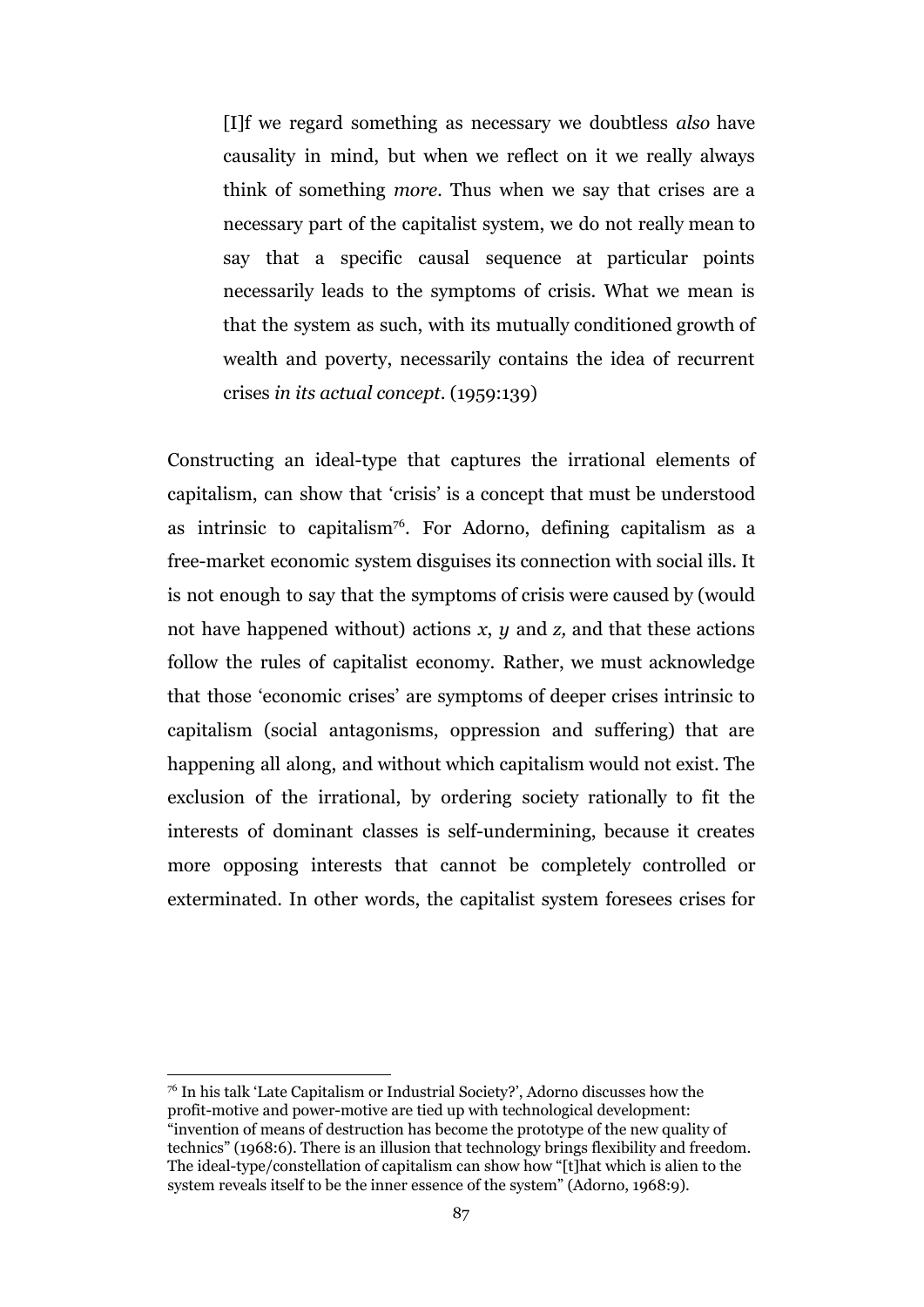[I]f we regard something as necessary we doubtless *also* have causality in mind, but when we reflect on it we really always think of something *more.* Thus when we say that crises are a necessary part of the capitalist system, we do not really mean to say that a specific causal sequence at particular points necessarily leads to the symptoms of crisis. What we mean is that the system as such, with its mutually conditioned growth of wealth and poverty, necessarily contains the idea of recurrent crises *in its actual concept*. (1959:139)

Constructing an ideal-type that captures the irrational elements of capitalism, can show that 'crisis' is a concept that must be understood as intrinsic to capitalism<sup>76</sup>. For Adorno, defining capitalism as a free-market economic system disguises its connection with social ills. It is not enough to say that the symptoms of crisis were caused by (would not have happened without) actions *x*, *y* and *z,* and that these actions follow the rules of capitalist economy. Rather, we must acknowledge that those 'economic crises' are symptoms of deeper crises intrinsic to capitalism (social antagonisms, oppression and suffering) that are happening all along, and without which capitalism would not exist. The exclusion of the irrational, by ordering society rationally to fit the interests of dominant classes is self-undermining, because it creates more opposing interests that cannot be completely controlled or exterminated. In other words, the capitalist system foresees crises for

<sup>76</sup> In his talk 'Late Capitalism or Industrial Society?', Adorno discusses how the profit-motive and power-motive are tied up with technological development: "invention of means of destruction has become the prototype of the new quality of technics" (1968:6). There is an illusion that technology brings flexibility and freedom. The ideal-type/constellation of capitalism can show how "[t]hat which is alien to the system reveals itself to be the inner essence of the system" (Adorno, 1968:9).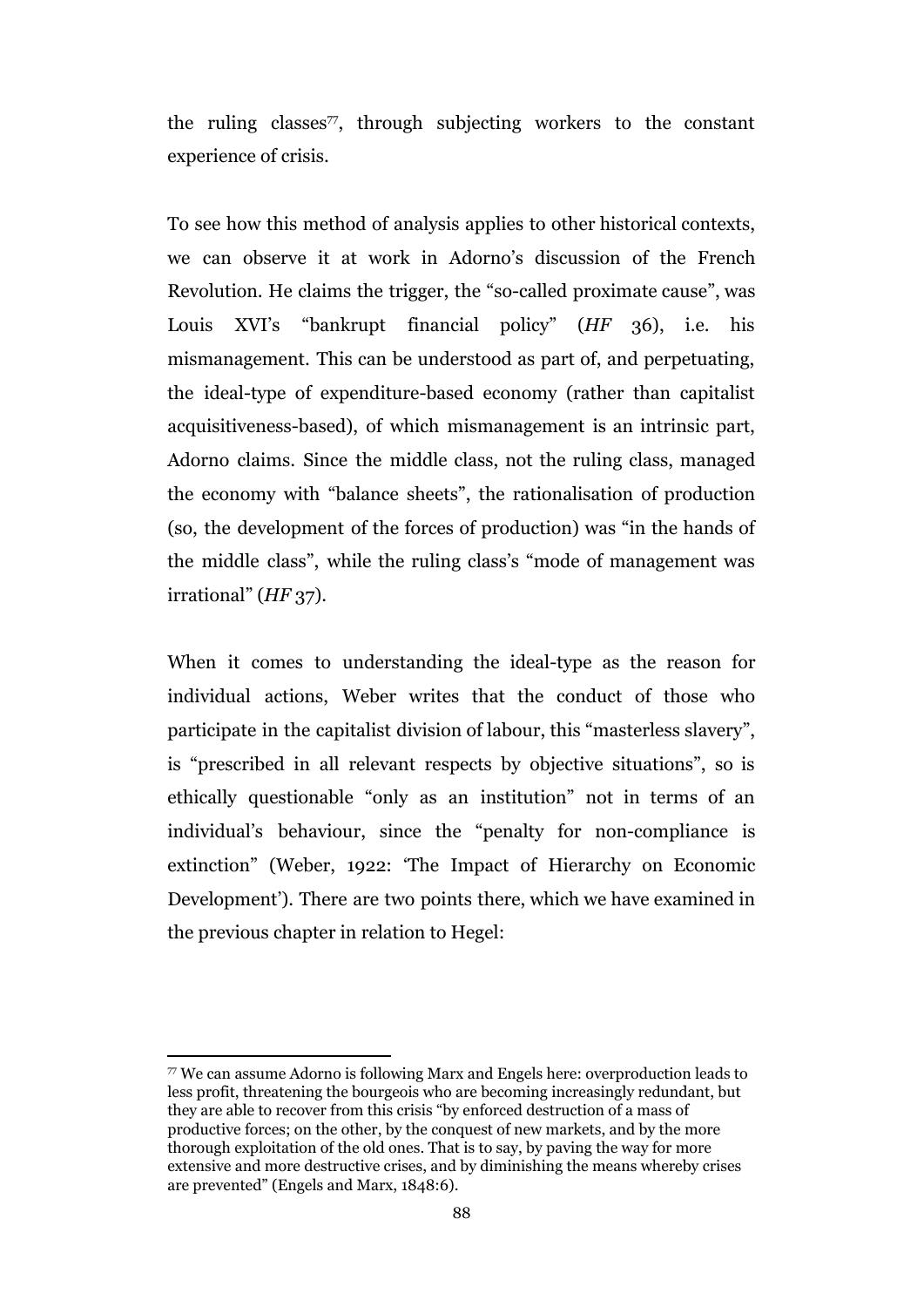the ruling classes<sup> $77$ </sup>, through subjecting workers to the constant experience of crisis.

To see how this method of analysis applies to other historical contexts, we can observe it at work in Adorno's discussion of the French Revolution. He claims the trigger, the "so-called proximate cause", was Louis XVI's "bankrupt financial policy" (*HF* 36), i.e. his mismanagement. This can be understood as part of, and perpetuating, the ideal-type of expenditure-based economy (rather than capitalist acquisitiveness-based), of which mismanagement is an intrinsic part, Adorno claims. Since the middle class, not the ruling class, managed the economy with "balance sheets", the rationalisation of production (so, the development of the forces of production) was "in the hands of the middle class", while the ruling class's "mode of management was irrational" (*HF* 37).

When it comes to understanding the ideal-type as the reason for individual actions, Weber writes that the conduct of those who participate in the capitalist division of labour, this "masterless slavery", is "prescribed in all relevant respects by objective situations", so is ethically questionable "only as an institution" not in terms of an individual's behaviour, since the "penalty for non-compliance is extinction" (Weber, 1922: 'The Impact of Hierarchy on Economic Development'). There are two points there, which we have examined in the previous chapter in relation to Hegel:

<sup>77</sup> We can assume Adorno is following Marx and Engels here: overproduction leads to less profit, threatening the bourgeois who are becoming increasingly redundant, but they are able to recover from this crisis "by enforced destruction of a mass of productive forces; on the other, by the conquest of new markets, and by the more thorough exploitation of the old ones. That is to say, by paving the way for more extensive and more destructive crises, and by diminishing the means whereby crises are prevented" (Engels and Marx, 1848:6).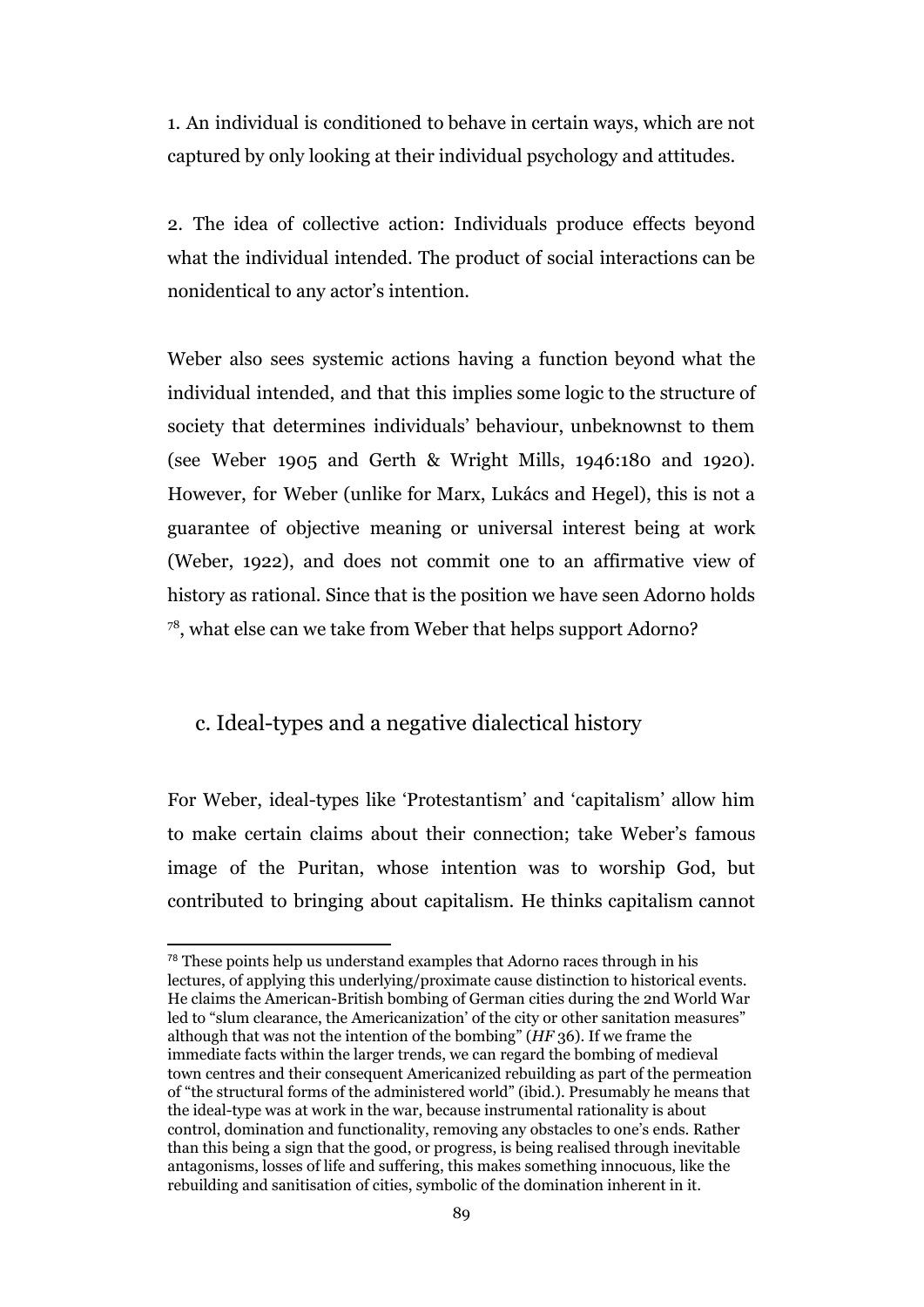1. An individual is conditioned to behave in certain ways, which are not captured by only looking at their individual psychology and attitudes.

2. The idea of collective action: Individuals produce effects beyond what the individual intended. The product of social interactions can be nonidentical to any actor's intention.

Weber also sees systemic actions having a function beyond what the individual intended, and that this implies some logic to the structure of society that determines individuals' behaviour, unbeknownst to them (see Weber 1905 and Gerth & Wright Mills, 1946:180 and 1920). However, for Weber (unlike for Marx, Lukács and Hegel), this is not a guarantee of objective meaning or universal interest being at work (Weber, 1922), and does not commit one to an affirmative view of history as rational. Since that is the position we have seen Adorno holds <sup>78</sup>, what else can we take from Weber that helps support Adorno?

#### c. Ideal-types and a negative dialectical history

For Weber, ideal-types like 'Protestantism' and 'capitalism' allow him to make certain claims about their connection; take Weber's famous image of the Puritan, whose intention was to worship God, but contributed to bringing about capitalism. He thinks capitalism cannot

<sup>&</sup>lt;sup>78</sup> These points help us understand examples that Adorno races through in his lectures, of applying this underlying/proximate cause distinction to historical events. He claims the American-British bombing of German cities during the 2nd World War led to "slum clearance, the Americanization' of the city or other sanitation measures" although that was not the intention of the bombing" (*HF* 36). If we frame the immediate facts within the larger trends, we can regard the bombing of medieval town centres and their consequent Americanized rebuilding as part of the permeation of "the structural forms of the administered world" (ibid.). Presumably he means that the ideal-type was at work in the war, because instrumental rationality is about control, domination and functionality, removing any obstacles to one's ends. Rather than this being a sign that the good, or progress, is being realised through inevitable antagonisms, losses of life and suffering, this makes something innocuous, like the rebuilding and sanitisation of cities, symbolic of the domination inherent in it.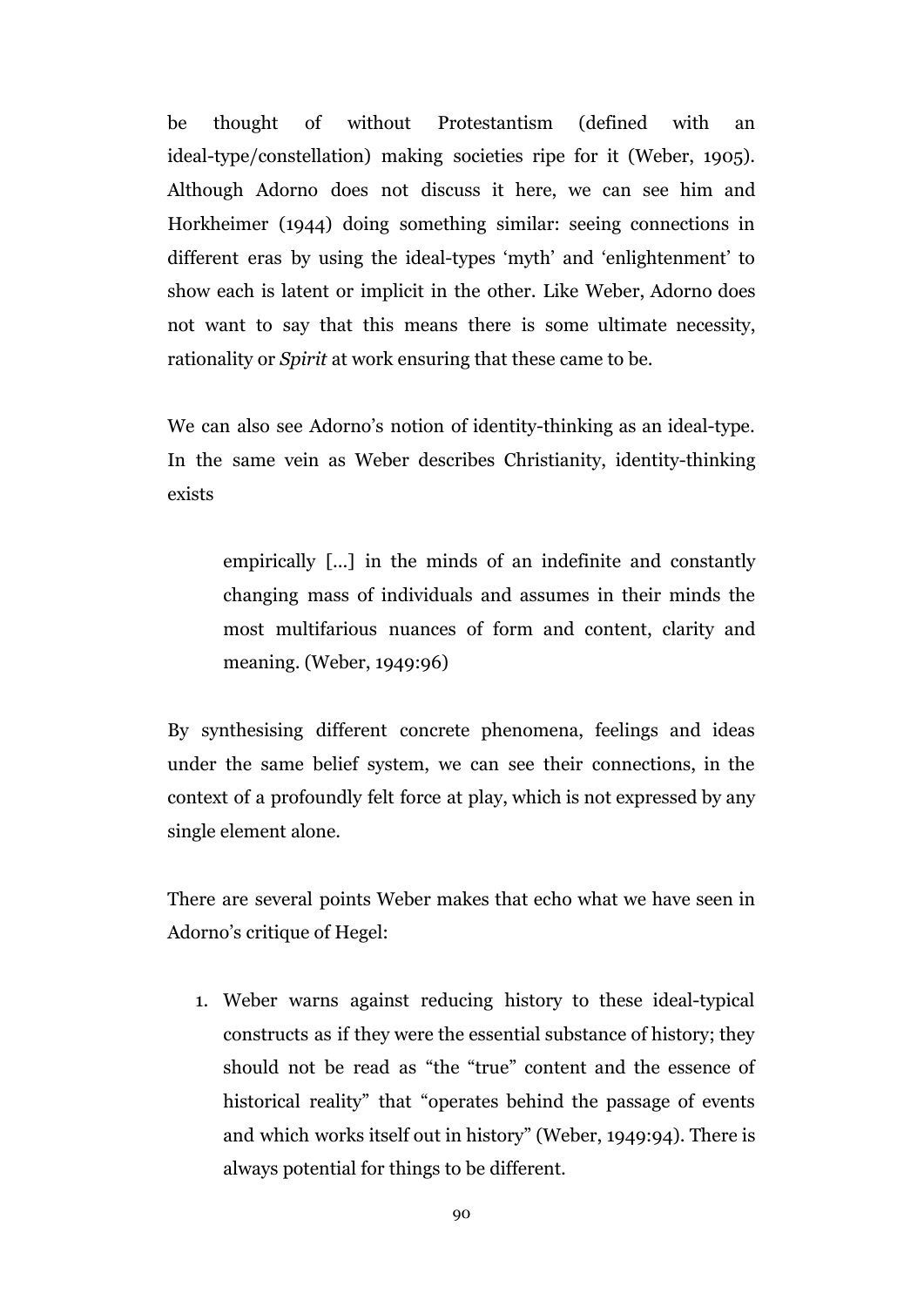be thought of without Protestantism (defined with an ideal-type/constellation) making societies ripe for it (Weber, 1905). Although Adorno does not discuss it here, we can see him and Horkheimer (1944) doing something similar: seeing connections in different eras by using the ideal-types 'myth' and 'enlightenment' to show each is latent or implicit in the other. Like Weber, Adorno does not want to say that this means there is some ultimate necessity, rationality or *Spirit* at work ensuring that these came to be.

We can also see Adorno's notion of identity-thinking as an ideal-type. In the same vein as Weber describes Christianity, identity-thinking exists

empirically [...] in the minds of an indefinite and constantly changing mass of individuals and assumes in their minds the most multifarious nuances of form and content, clarity and meaning. (Weber, 1949:96)

By synthesising different concrete phenomena, feelings and ideas under the same belief system, we can see their connections, in the context of a profoundly felt force at play, which is not expressed by any single element alone.

There are several points Weber makes that echo what we have seen in Adorno's critique of Hegel:

1. Weber warns against reducing history to these ideal-typical constructs as if they were the essential substance of history; they should not be read as "the "true" content and the essence of historical reality" that "operates behind the passage of events and which works itself out in history" (Weber, 1949:94). There is always potential for things to be different.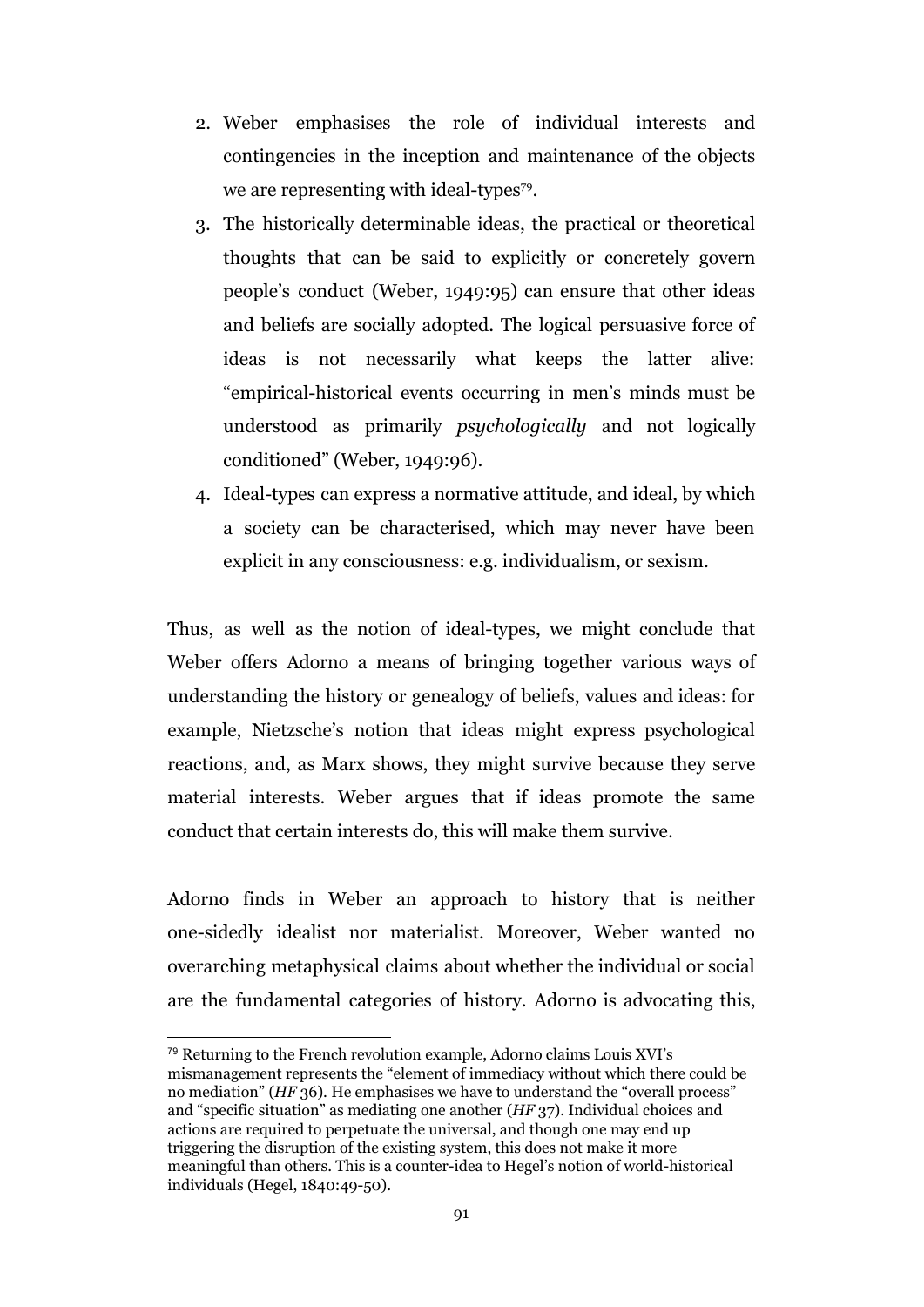- 2. Weber emphasises the role of individual interests and contingencies in the inception and maintenance of the objects we are representing with ideal-types $79$ .
- 3. The historically determinable ideas, the practical or theoretical thoughts that can be said to explicitly or concretely govern people's conduct (Weber, 1949:95) can ensure that other ideas and beliefs are socially adopted. The logical persuasive force of ideas is not necessarily what keeps the latter alive: "empirical-historical events occurring in men's minds must be understood as primarily *psychologically* and not logically conditioned" (Weber, 1949:96).
- 4. Ideal-types can express a normative attitude, and ideal, by which a society can be characterised, which may never have been explicit in any consciousness: e.g. individualism, or sexism.

Thus, as well as the notion of ideal-types, we might conclude that Weber offers Adorno a means of bringing together various ways of understanding the history or genealogy of beliefs, values and ideas: for example, Nietzsche's notion that ideas might express psychological reactions, and, as Marx shows, they might survive because they serve material interests. Weber argues that if ideas promote the same conduct that certain interests do, this will make them survive.

Adorno finds in Weber an approach to history that is neither one-sidedly idealist nor materialist. Moreover, Weber wanted no overarching metaphysical claims about whether the individual or social are the fundamental categories of history. Adorno is advocating this,

<sup>79</sup> Returning to the French revolution example, Adorno claims Louis XVI's mismanagement represents the "element of immediacy without which there could be no mediation" (*HF* 36). He emphasises we have to understand the "overall process" and "specific situation" as mediating one another (*HF* 37). Individual choices and actions are required to perpetuate the universal, and though one may end up triggering the disruption of the existing system, this does not make it more meaningful than others. This is a counter-idea to Hegel's notion of world-historical individuals (Hegel, 1840:49-50).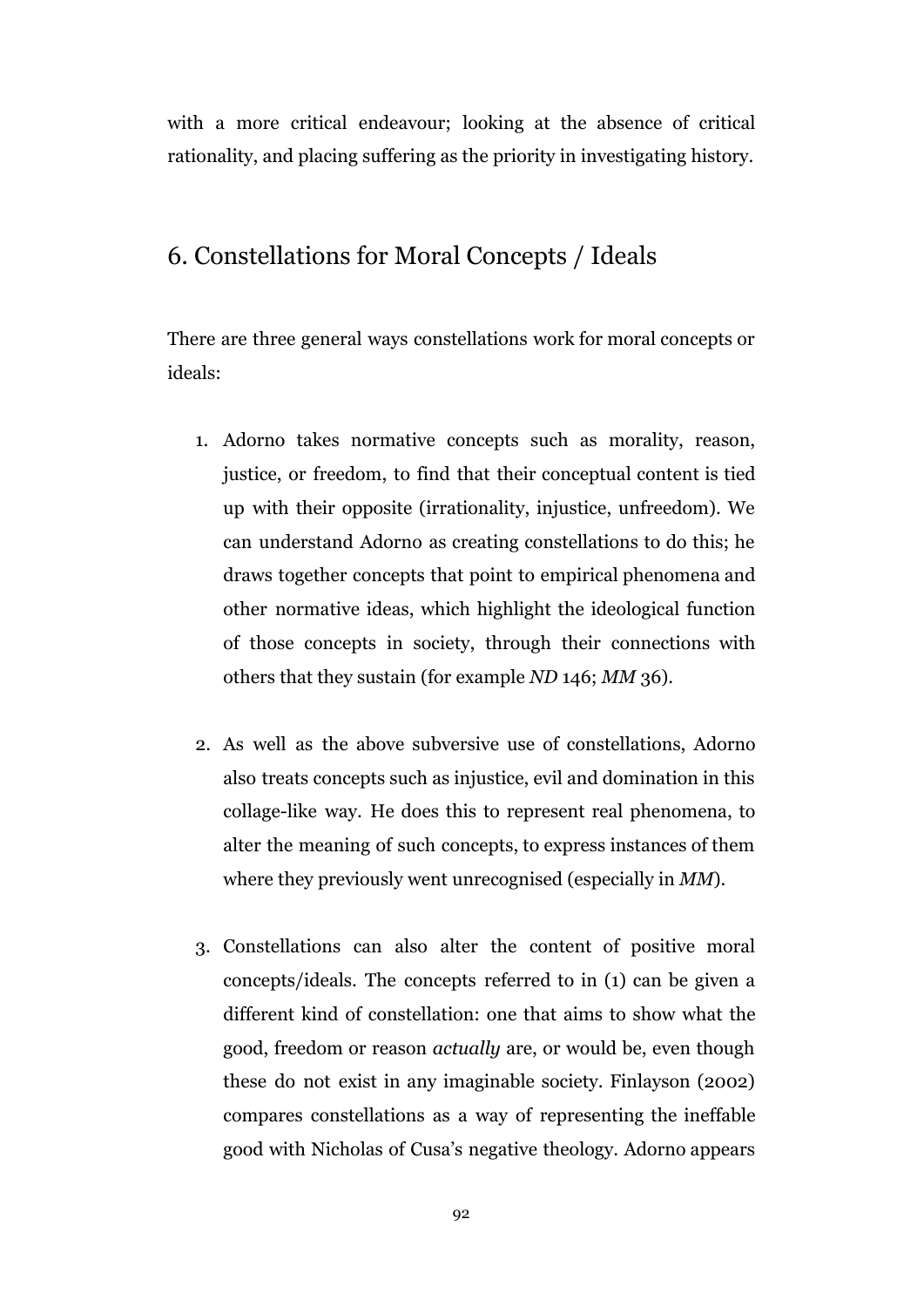with a more critical endeavour; looking at the absence of critical rationality, and placing suffering as the priority in investigating history.

#### 6. Constellations for Moral Concepts / Ideals

There are three general ways constellations work for moral concepts or ideals:

- 1. Adorno takes normative concepts such as morality, reason, justice, or freedom, to find that their conceptual content is tied up with their opposite (irrationality, injustice, unfreedom). We can understand Adorno as creating constellations to do this; he draws together concepts that point to empirical phenomena and other normative ideas, which highlight the ideological function of those concepts in society, through their connections with others that they sustain (for example *ND* 146; *MM* 36).
- 2. As well as the above subversive use of constellations, Adorno also treats concepts such as injustice, evil and domination in this collage-like way. He does this to represent real phenomena, to alter the meaning of such concepts, to express instances of them where they previously went unrecognised (especially in *MM*).
- 3. Constellations can also alter the content of positive moral concepts/ideals. The concepts referred to in (1) can be given a different kind of constellation: one that aims to show what the good, freedom or reason *actually* are, or would be, even though these do not exist in any imaginable society. Finlayson (2002) compares constellations as a way of representing the ineffable good with Nicholas of Cusa's negative theology. Adorno appears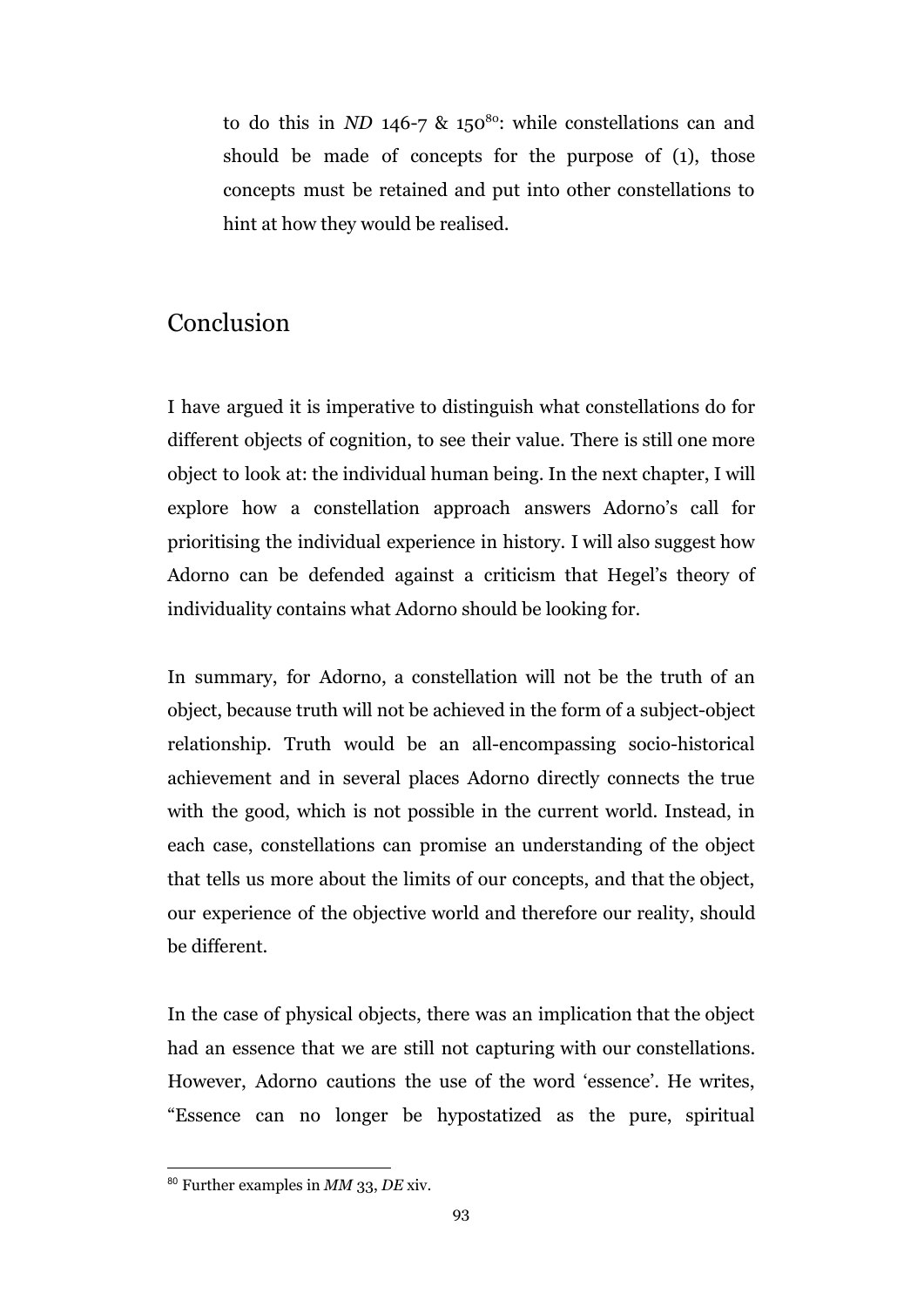to do this in *ND* 146-7 & 150<sup>80</sup>: while constellations can and should be made of concepts for the purpose of (1), those concepts must be retained and put into other constellations to hint at how they would be realised.

# Conclusion

I have argued it is imperative to distinguish what constellations do for different objects of cognition, to see their value. There is still one more object to look at: the individual human being. In the next chapter, I will explore how a constellation approach answers Adorno's call for prioritising the individual experience in history. I will also suggest how Adorno can be defended against a criticism that Hegel's theory of individuality contains what Adorno should be looking for.

In summary, for Adorno, a constellation will not be the truth of an object, because truth will not be achieved in the form of a subject-object relationship. Truth would be an all-encompassing socio-historical achievement and in several places Adorno directly connects the true with the good, which is not possible in the current world. Instead, in each case, constellations can promise an understanding of the object that tells us more about the limits of our concepts, and that the object, our experience of the objective world and therefore our reality, should be different.

In the case of physical objects, there was an implication that the object had an essence that we are still not capturing with our constellations. However, Adorno cautions the use of the word 'essence'. He writes, "Essence can no longer be hypostatized as the pure, spiritual

<sup>80</sup> Further examples in *MM* 33, *DE* xiv.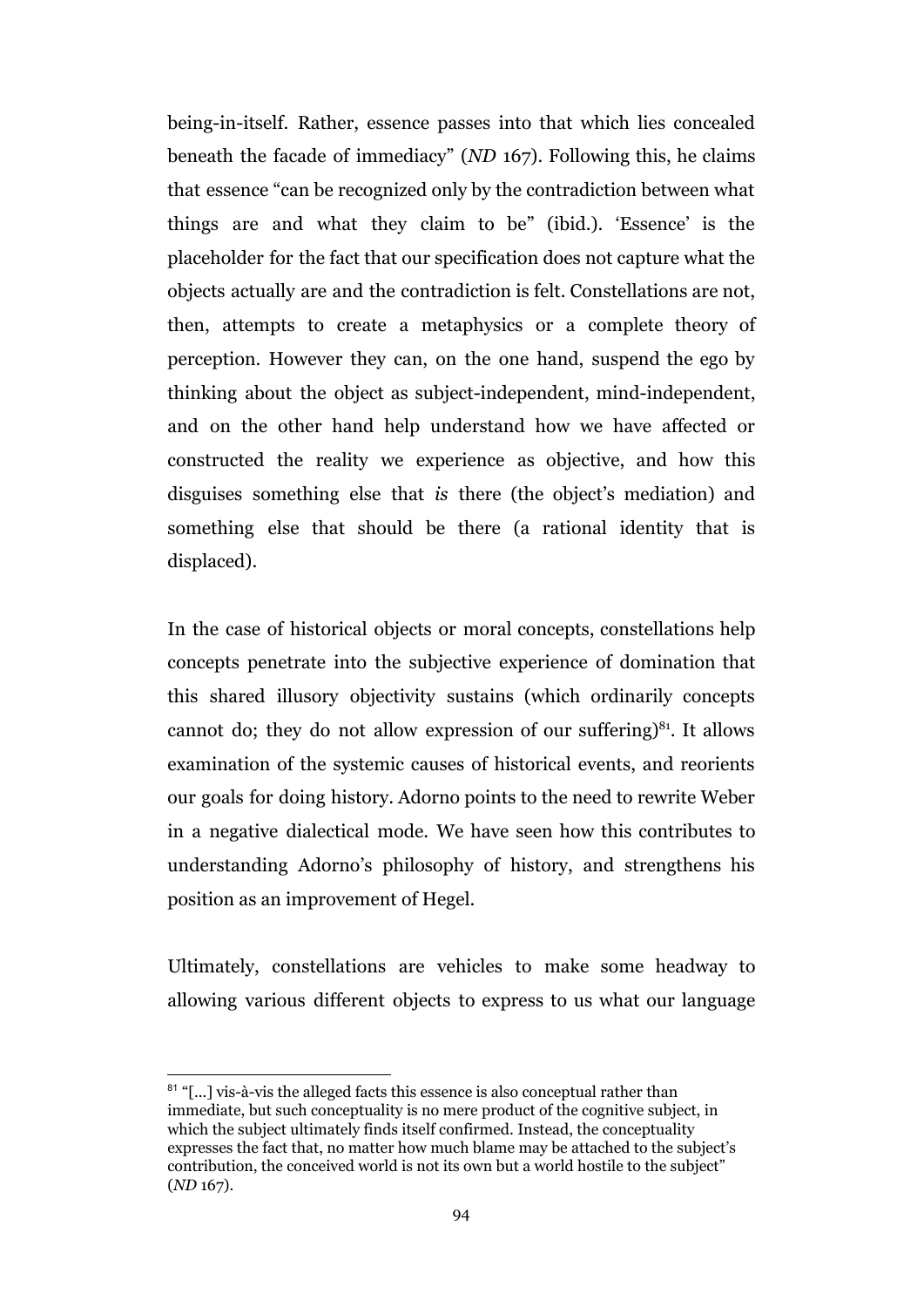being-in-itself. Rather, essence passes into that which lies concealed beneath the facade of immediacy" (*ND* 167). Following this, he claims that essence "can be recognized only by the contradiction between what things are and what they claim to be" (ibid.). 'Essence' is the placeholder for the fact that our specification does not capture what the objects actually are and the contradiction is felt. Constellations are not, then, attempts to create a metaphysics or a complete theory of perception. However they can, on the one hand, suspend the ego by thinking about the object as subject-independent, mind-independent, and on the other hand help understand how we have affected or constructed the reality we experience as objective, and how this disguises something else that *is* there (the object's mediation) and something else that should be there (a rational identity that is displaced).

In the case of historical objects or moral concepts, constellations help concepts penetrate into the subjective experience of domination that this shared illusory objectivity sustains (which ordinarily concepts cannot do; they do not allow expression of our suffering) $81$ . It allows examination of the systemic causes of historical events, and reorients our goals for doing history. Adorno points to the need to rewrite Weber in a negative dialectical mode. We have seen how this contributes to understanding Adorno's philosophy of history, and strengthens his position as an improvement of Hegel.

Ultimately, constellations are vehicles to make some headway to allowing various different objects to express to us what our language

<sup>&</sup>lt;sup>81</sup> "[...] vis-à-vis the alleged facts this essence is also conceptual rather than immediate, but such conceptuality is no mere product of the cognitive subject, in which the subject ultimately finds itself confirmed. Instead, the conceptuality expresses the fact that, no matter how much blame may be attached to the subject's contribution, the conceived world is not its own but a world hostile to the subject" (*ND* 167).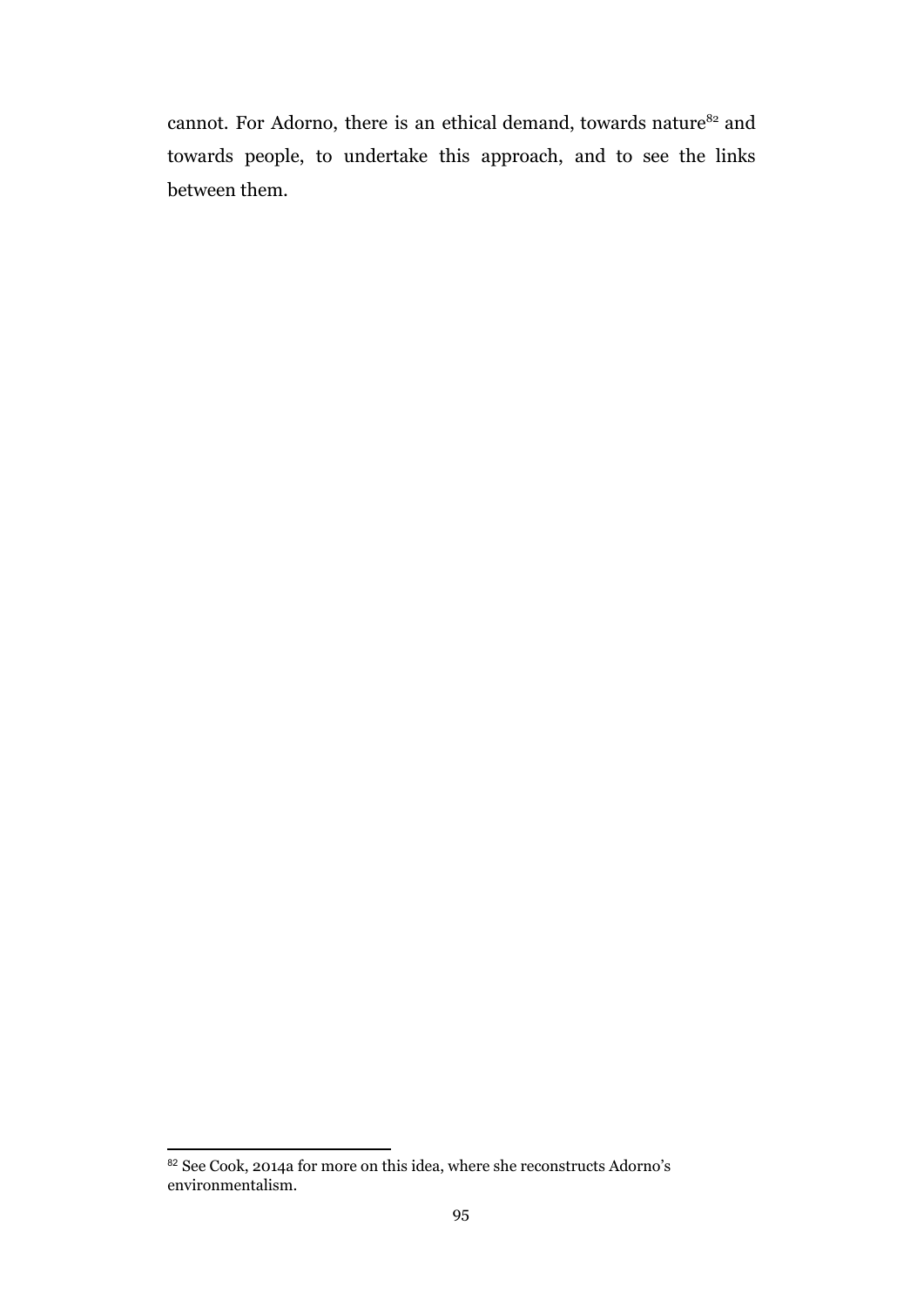cannot. For Adorno, there is an ethical demand, towards nature<sup>82</sup> and towards people, to undertake this approach, and to see the links between them.

<sup>82</sup> See Cook, 2014a for more on this idea, where she reconstructs Adorno's environmentalism.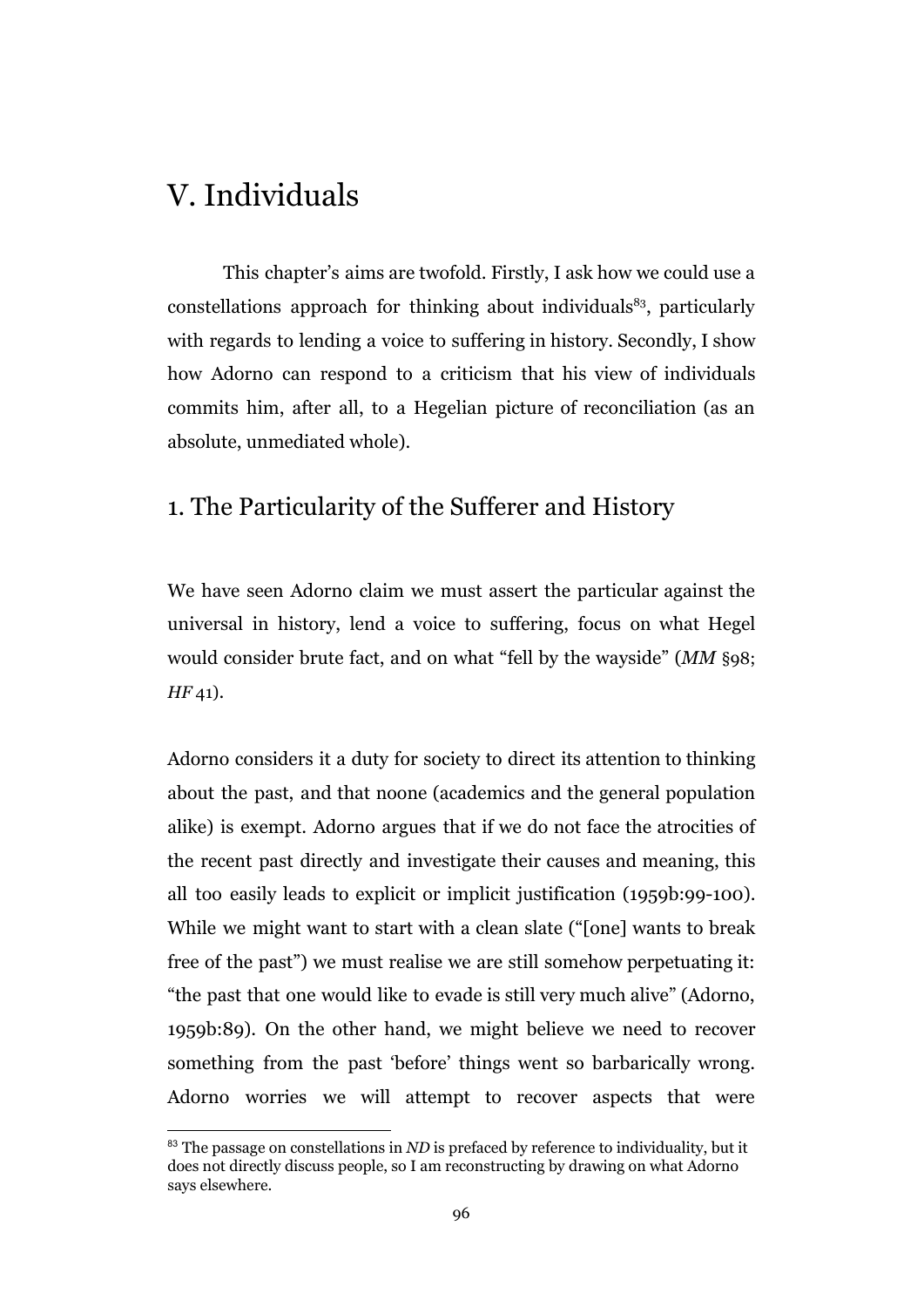# V. Individuals

This chapter's aims are twofold. Firstly, I ask how we could use a constellations approach for thinking about individuals $^{83}$ , particularly with regards to lending a voice to suffering in history. Secondly, I show how Adorno can respond to a criticism that his view of individuals commits him, after all, to a Hegelian picture of reconciliation (as an absolute, unmediated whole).

#### 1. The Particularity of the Sufferer and History

We have seen Adorno claim we must assert the particular against the universal in history, lend a voice to suffering, focus on what Hegel would consider brute fact, and on what "fell by the wayside" (*MM* §98; *HF* 41).

Adorno considers it a duty for society to direct its attention to thinking about the past, and that noone (academics and the general population alike) is exempt. Adorno argues that if we do not face the atrocities of the recent past directly and investigate their causes and meaning, this all too easily leads to explicit or implicit justification (1959b:99-100). While we might want to start with a clean slate ("[one] wants to break free of the past") we must realise we are still somehow perpetuating it: "the past that one would like to evade is still very much alive" (Adorno, 1959b:89). On the other hand, we might believe we need to recover something from the past 'before' things went so barbarically wrong. Adorno worries we will attempt to recover aspects that were

<sup>83</sup> The passage on constellations in *ND* is prefaced by reference to individuality, but it does not directly discuss people, so I am reconstructing by drawing on what Adorno says elsewhere.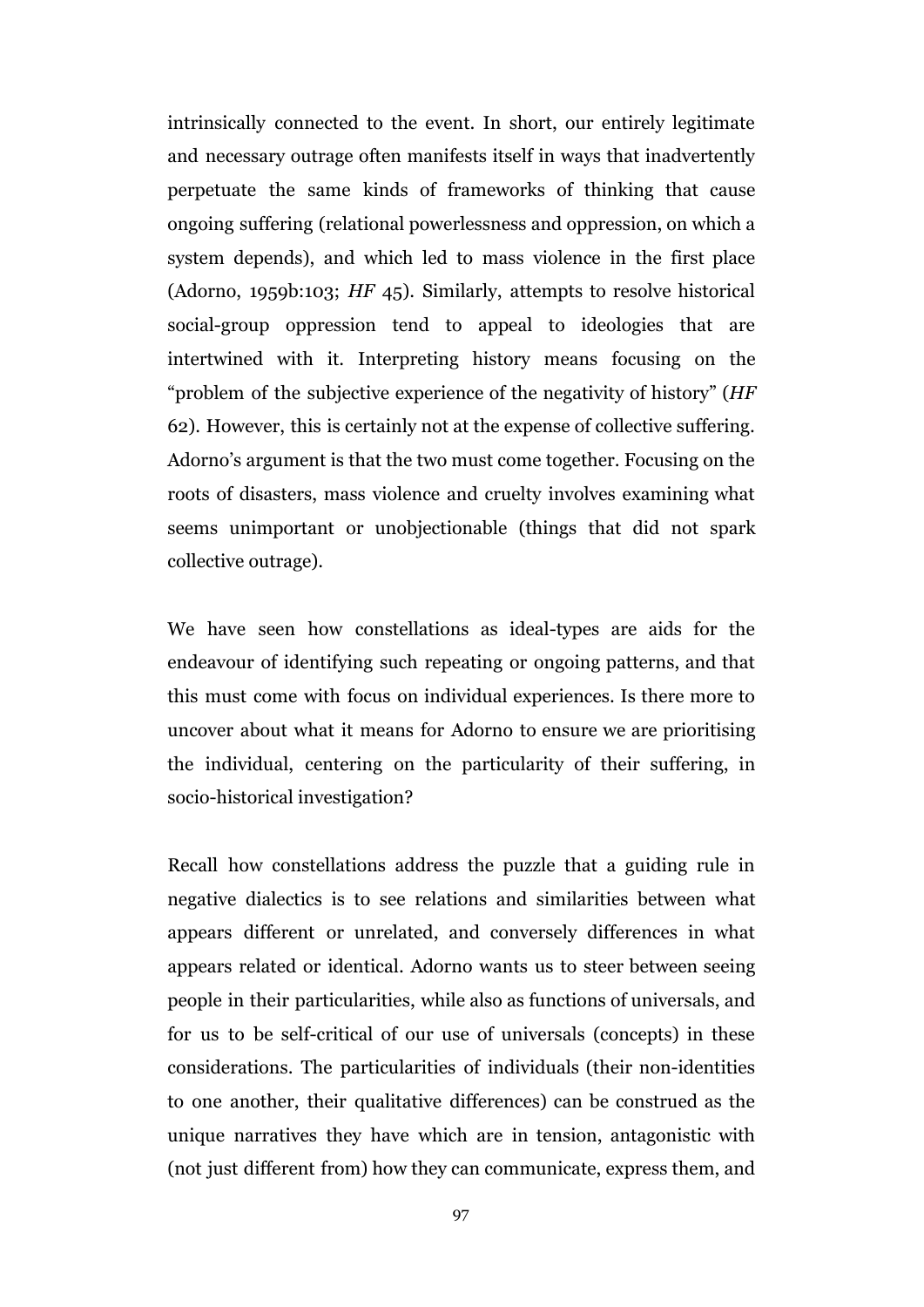intrinsically connected to the event. In short, our entirely legitimate and necessary outrage often manifests itself in ways that inadvertently perpetuate the same kinds of frameworks of thinking that cause ongoing suffering (relational powerlessness and oppression, on which a system depends), and which led to mass violence in the first place (Adorno, 1959b:103; *HF* 45). Similarly, attempts to resolve historical social-group oppression tend to appeal to ideologies that are intertwined with it. Interpreting history means focusing on the "problem of the subjective experience of the negativity of history" (*HF* 62). However, this is certainly not at the expense of collective suffering. Adorno's argument is that the two must come together. Focusing on the roots of disasters, mass violence and cruelty involves examining what seems unimportant or unobjectionable (things that did not spark collective outrage).

We have seen how constellations as ideal-types are aids for the endeavour of identifying such repeating or ongoing patterns, and that this must come with focus on individual experiences. Is there more to uncover about what it means for Adorno to ensure we are prioritising the individual, centering on the particularity of their suffering, in socio-historical investigation?

Recall how constellations address the puzzle that a guiding rule in negative dialectics is to see relations and similarities between what appears different or unrelated, and conversely differences in what appears related or identical. Adorno wants us to steer between seeing people in their particularities, while also as functions of universals, and for us to be self-critical of our use of universals (concepts) in these considerations. The particularities of individuals (their non-identities to one another, their qualitative differences) can be construed as the unique narratives they have which are in tension, antagonistic with (not just different from) how they can communicate, express them, and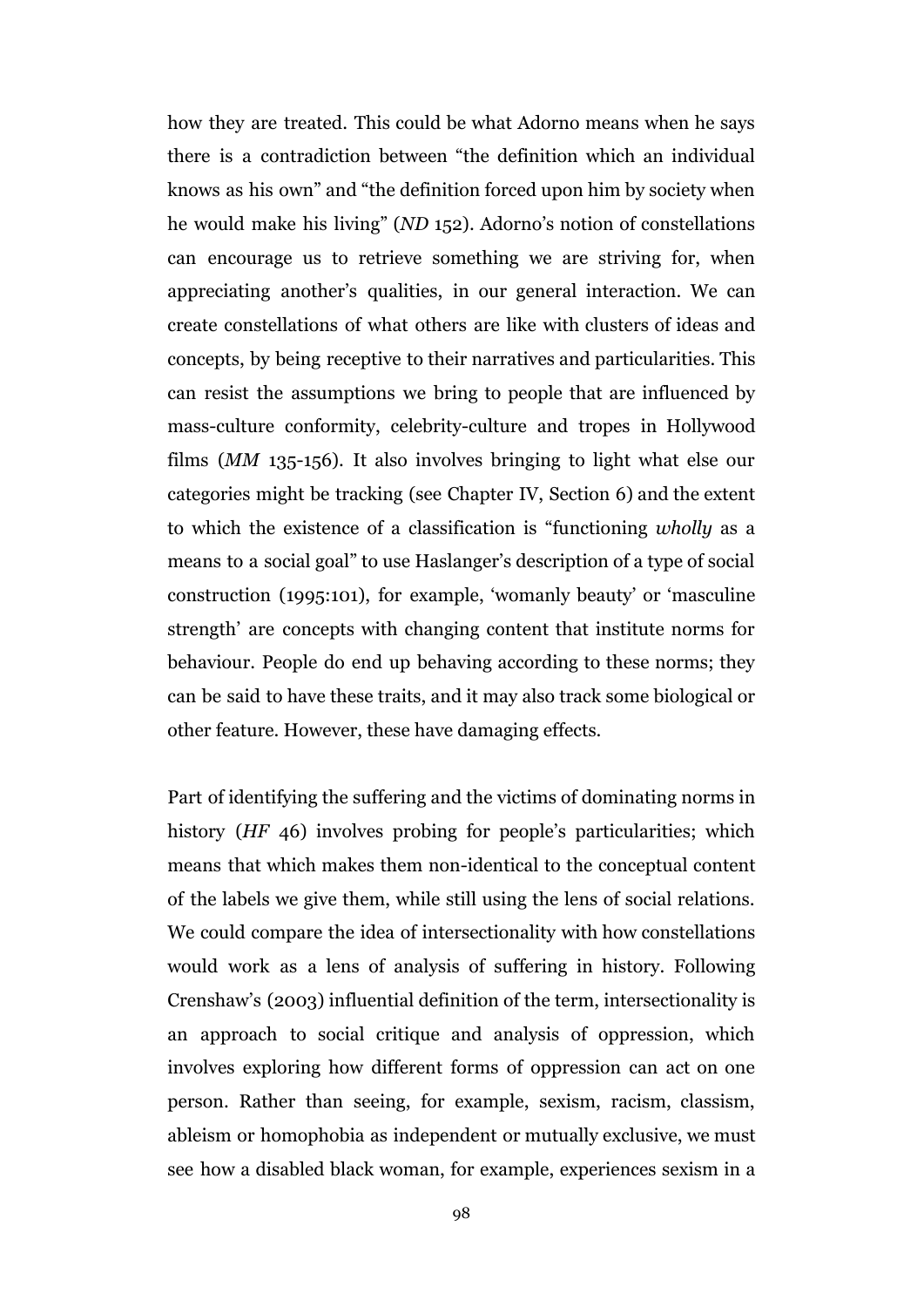how they are treated. This could be what Adorno means when he says there is a contradiction between "the definition which an individual knows as his own" and "the definition forced upon him by society when he would make his living" (*ND* 152). Adorno's notion of constellations can encourage us to retrieve something we are striving for, when appreciating another's qualities, in our general interaction. We can create constellations of what others are like with clusters of ideas and concepts, by being receptive to their narratives and particularities. This can resist the assumptions we bring to people that are influenced by mass-culture conformity, celebrity-culture and tropes in Hollywood films (*MM* 135-156). It also involves bringing to light what else our categories might be tracking (see Chapter IV, Section 6) and the extent to which the existence of a classification is "functioning *wholly* as a means to a social goal" to use Haslanger's description of a type of social construction (1995:101), for example, 'womanly beauty' or 'masculine strength' are concepts with changing content that institute norms for behaviour. People do end up behaving according to these norms; they can be said to have these traits, and it may also track some biological or other feature. However, these have damaging effects.

Part of identifying the suffering and the victims of dominating norms in history (*HF* 46) involves probing for people's particularities; which means that which makes them non-identical to the conceptual content of the labels we give them, while still using the lens of social relations. We could compare the idea of intersectionality with how constellations would work as a lens of analysis of suffering in history. Following Crenshaw's (2003) influential definition of the term, intersectionality is an approach to social critique and analysis of oppression, which involves exploring how different forms of oppression can act on one person. Rather than seeing, for example, sexism, racism, classism, ableism or homophobia as independent or mutually exclusive, we must see how a disabled black woman, for example, experiences sexism in a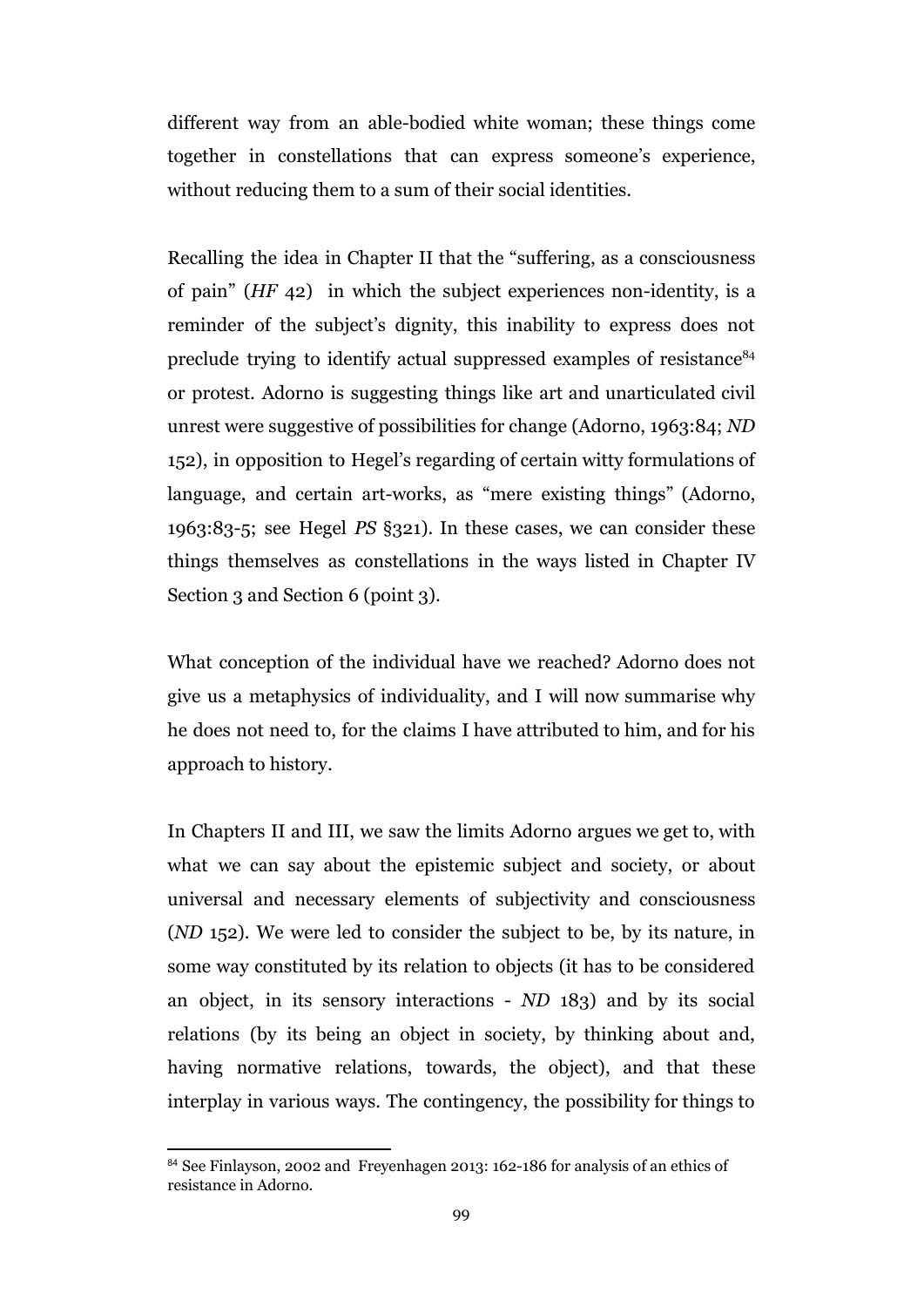different way from an able-bodied white woman; these things come together in constellations that can express someone's experience, without reducing them to a sum of their social identities.

Recalling the idea in Chapter II that the "suffering, as a consciousness of pain" (*HF* 42) in which the subject experiences non-identity, is a reminder of the subject's dignity, this inability to express does not preclude trying to identify actual suppressed examples of resistance<sup>84</sup> or protest. Adorno is suggesting things like art and unarticulated civil unrest were suggestive of possibilities for change (Adorno, 1963:84; *ND* 152), in opposition to Hegel's regarding of certain witty formulations of language, and certain art-works, as "mere existing things" (Adorno, 1963:83-5; see Hegel *PS* §321). In these cases, we can consider these things themselves as constellations in the ways listed in Chapter IV Section 3 and Section 6 (point 3).

What conception of the individual have we reached? Adorno does not give us a metaphysics of individuality, and I will now summarise why he does not need to, for the claims I have attributed to him, and for his approach to history.

In Chapters II and III, we saw the limits Adorno argues we get to, with what we can say about the epistemic subject and society, or about universal and necessary elements of subjectivity and consciousness (*ND* 152). We were led to consider the subject to be, by its nature, in some way constituted by its relation to objects (it has to be considered an object, in its sensory interactions - *ND* 183) and by its social relations (by its being an object in society, by thinking about and, having normative relations, towards, the object), and that these interplay in various ways. The contingency, the possibility for things to

<sup>84</sup> See Finlayson, 2002 and Freyenhagen 2013: 162-186 for analysis of an ethics of resistance in Adorno.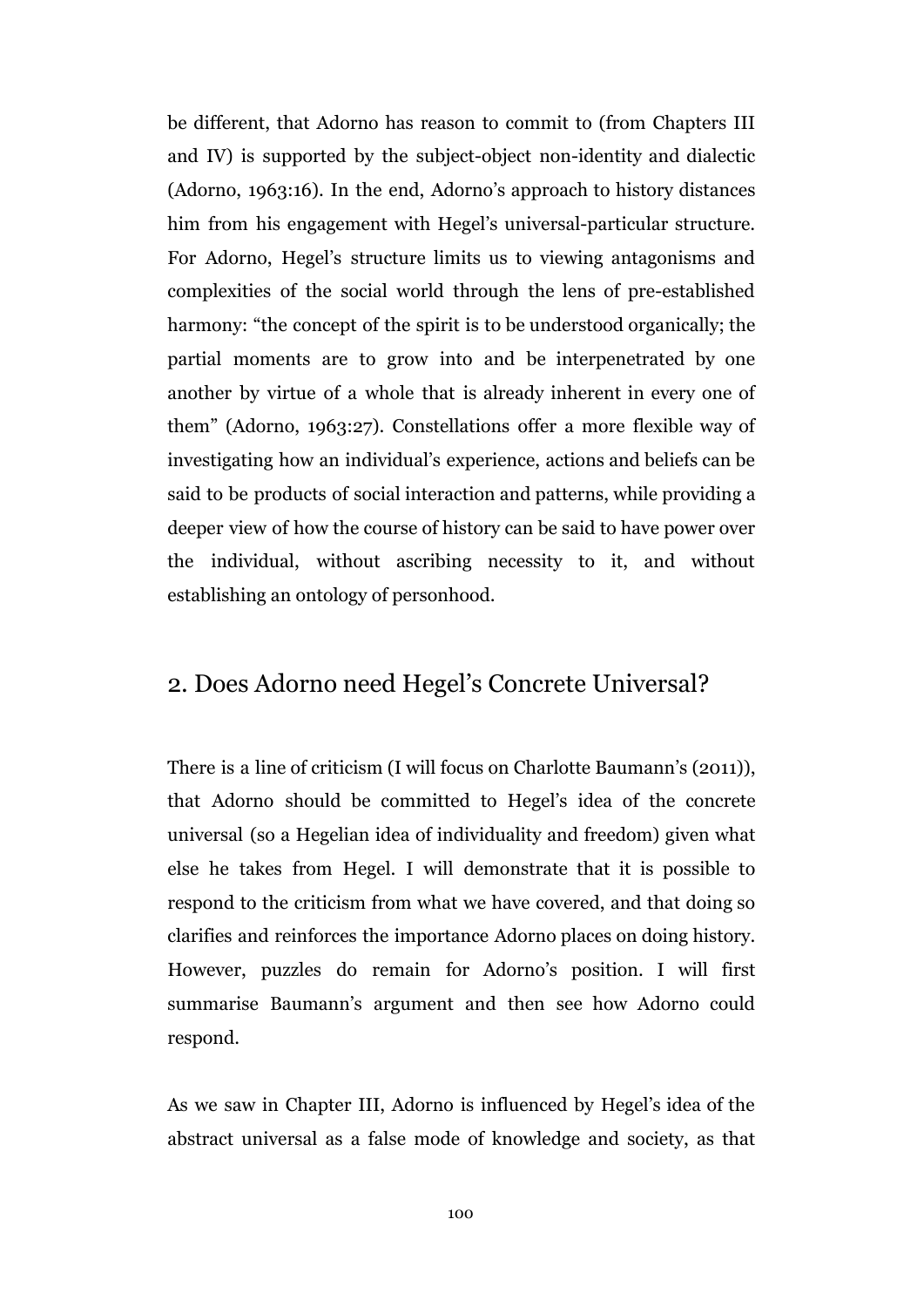be different, that Adorno has reason to commit to (from Chapters III and IV) is supported by the subject-object non-identity and dialectic (Adorno, 1963:16). In the end, Adorno's approach to history distances him from his engagement with Hegel's universal-particular structure. For Adorno, Hegel's structure limits us to viewing antagonisms and complexities of the social world through the lens of pre-established harmony: "the concept of the spirit is to be understood organically; the partial moments are to grow into and be interpenetrated by one another by virtue of a whole that is already inherent in every one of them" (Adorno, 1963:27). Constellations offer a more flexible way of investigating how an individual's experience, actions and beliefs can be said to be products of social interaction and patterns, while providing a deeper view of how the course of history can be said to have power over the individual, without ascribing necessity to it, and without establishing an ontology of personhood.

#### 2. Does Adorno need Hegel's Concrete Universal?

There is a line of criticism (I will focus on Charlotte Baumann's (2011)), that Adorno should be committed to Hegel's idea of the concrete universal (so a Hegelian idea of individuality and freedom) given what else he takes from Hegel. I will demonstrate that it is possible to respond to the criticism from what we have covered, and that doing so clarifies and reinforces the importance Adorno places on doing history. However, puzzles do remain for Adorno's position. I will first summarise Baumann's argument and then see how Adorno could respond.

As we saw in Chapter III, Adorno is influenced by Hegel's idea of the abstract universal as a false mode of knowledge and society, as that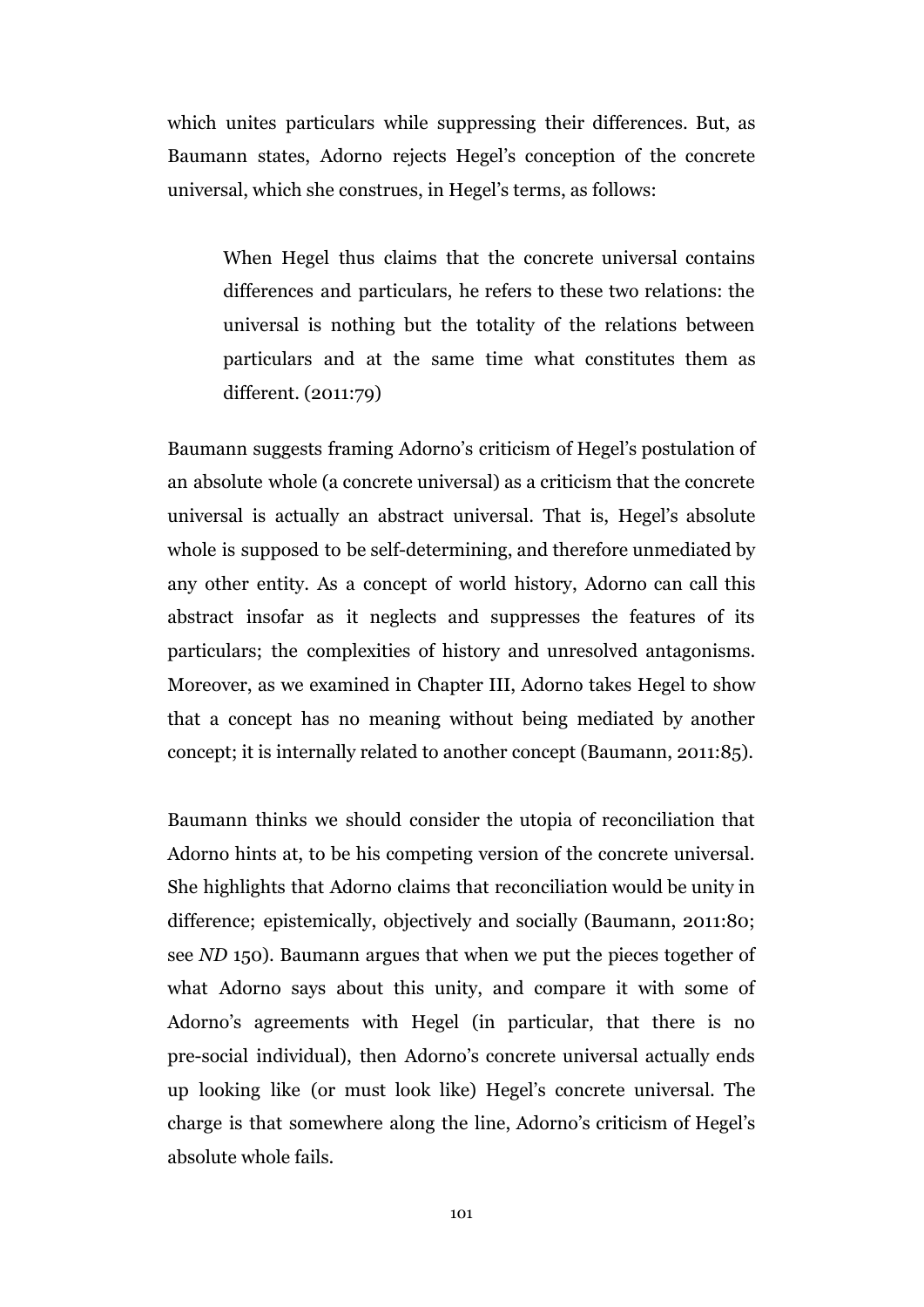which unites particulars while suppressing their differences. But, as Baumann states, Adorno rejects Hegel's conception of the concrete universal, which she construes, in Hegel's terms, as follows:

When Hegel thus claims that the concrete universal contains differences and particulars, he refers to these two relations: the universal is nothing but the totality of the relations between particulars and at the same time what constitutes them as different. (2011:79)

Baumann suggests framing Adorno's criticism of Hegel's postulation of an absolute whole (a concrete universal) as a criticism that the concrete universal is actually an abstract universal. That is, Hegel's absolute whole is supposed to be self-determining, and therefore unmediated by any other entity. As a concept of world history, Adorno can call this abstract insofar as it neglects and suppresses the features of its particulars; the complexities of history and unresolved antagonisms. Moreover, as we examined in Chapter III, Adorno takes Hegel to show that a concept has no meaning without being mediated by another concept; it is internally related to another concept (Baumann, 2011:85).

Baumann thinks we should consider the utopia of reconciliation that Adorno hints at, to be his competing version of the concrete universal. She highlights that Adorno claims that reconciliation would be unity in difference; epistemically, objectively and socially (Baumann, 2011:80; see *ND* 150). Baumann argues that when we put the pieces together of what Adorno says about this unity, and compare it with some of Adorno's agreements with Hegel (in particular, that there is no pre-social individual), then Adorno's concrete universal actually ends up looking like (or must look like) Hegel's concrete universal. The charge is that somewhere along the line, Adorno's criticism of Hegel's absolute whole fails.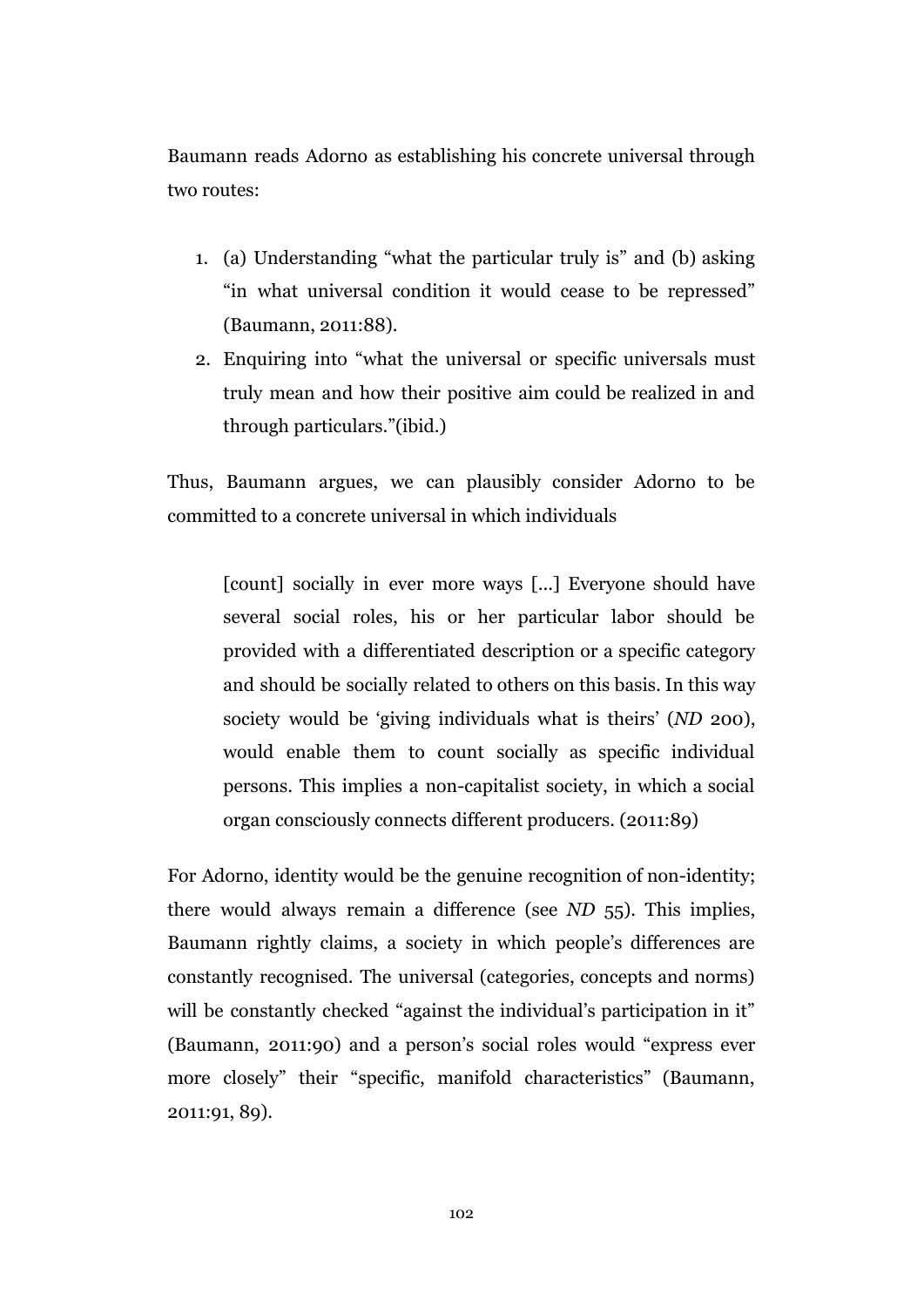Baumann reads Adorno as establishing his concrete universal through two routes:

- 1. (a) Understanding "what the particular truly is" and (b) asking "in what universal condition it would cease to be repressed" (Baumann, 2011:88).
- 2. Enquiring into "what the universal or specific universals must truly mean and how their positive aim could be realized in and through particulars."(ibid.)

Thus, Baumann argues, we can plausibly consider Adorno to be committed to a concrete universal in which individuals

[count] socially in ever more ways [...] Everyone should have several social roles, his or her particular labor should be provided with a differentiated description or a specific category and should be socially related to others on this basis. In this way society would be 'giving individuals what is theirs' (*ND* 200), would enable them to count socially as specific individual persons. This implies a non-capitalist society, in which a social organ consciously connects different producers. (2011:89)

For Adorno, identity would be the genuine recognition of non-identity; there would always remain a difference (see *ND* 55). This implies, Baumann rightly claims, a society in which people's differences are constantly recognised. The universal (categories, concepts and norms) will be constantly checked "against the individual's participation in it" (Baumann, 2011:90) and a person's social roles would "express ever more closely" their "specific, manifold characteristics" (Baumann, 2011:91, 89).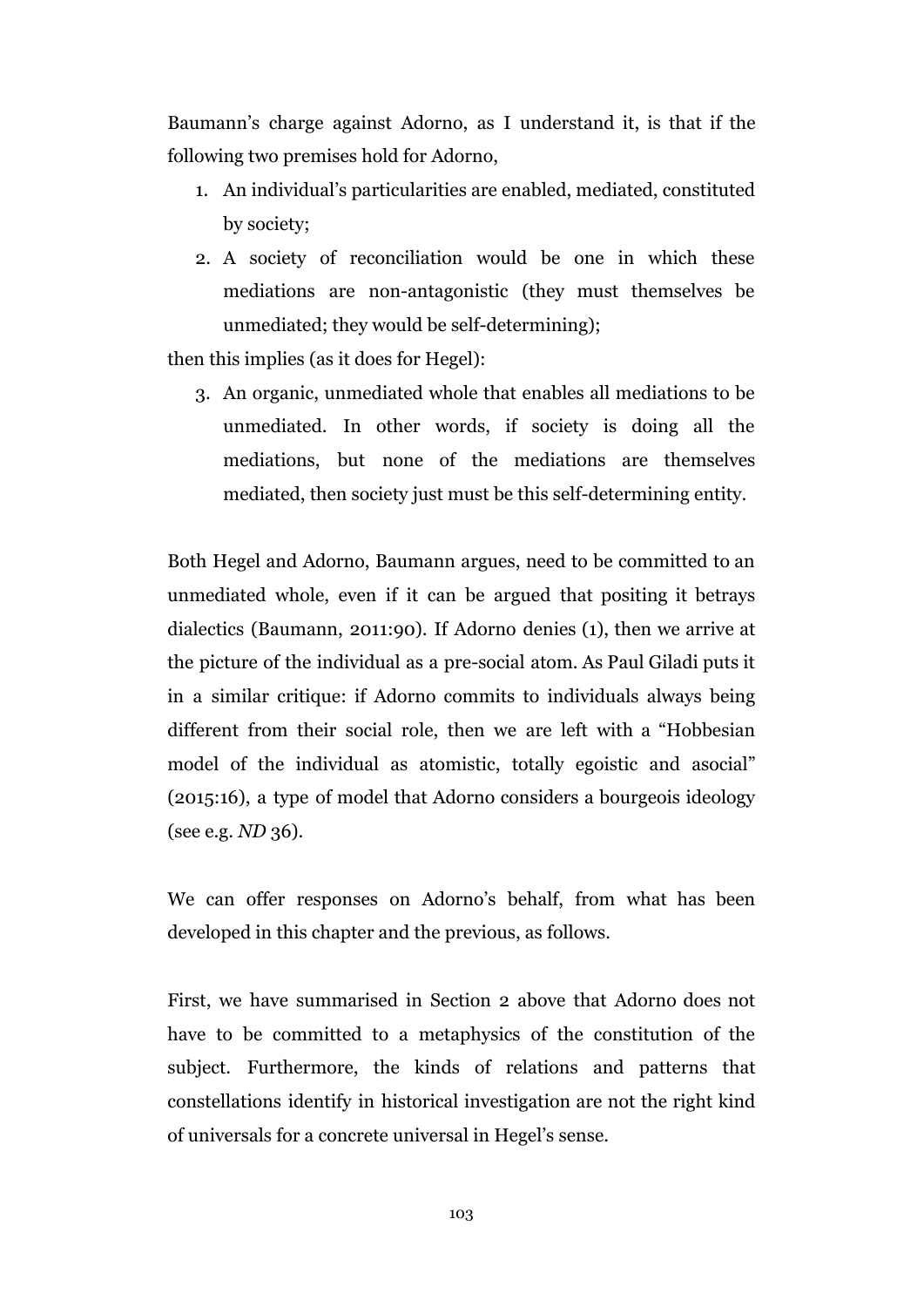Baumann's charge against Adorno, as I understand it, is that if the following two premises hold for Adorno,

- 1. An individual's particularities are enabled, mediated, constituted by society;
- 2. A society of reconciliation would be one in which these mediations are non-antagonistic (they must themselves be unmediated; they would be self-determining);

then this implies (as it does for Hegel):

3. An organic, unmediated whole that enables all mediations to be unmediated. In other words, if society is doing all the mediations, but none of the mediations are themselves mediated, then society just must be this self-determining entity.

Both Hegel and Adorno, Baumann argues, need to be committed to an unmediated whole, even if it can be argued that positing it betrays dialectics (Baumann, 2011:90). If Adorno denies (1), then we arrive at the picture of the individual as a pre-social atom. As Paul Giladi puts it in a similar critique: if Adorno commits to individuals always being different from their social role, then we are left with a "Hobbesian model of the individual as atomistic, totally egoistic and asocial" (2015:16), a type of model that Adorno considers a bourgeois ideology (see e.g. *ND* 36).

We can offer responses on Adorno's behalf, from what has been developed in this chapter and the previous, as follows.

First, we have summarised in Section 2 above that Adorno does not have to be committed to a metaphysics of the constitution of the subject. Furthermore, the kinds of relations and patterns that constellations identify in historical investigation are not the right kind of universals for a concrete universal in Hegel's sense.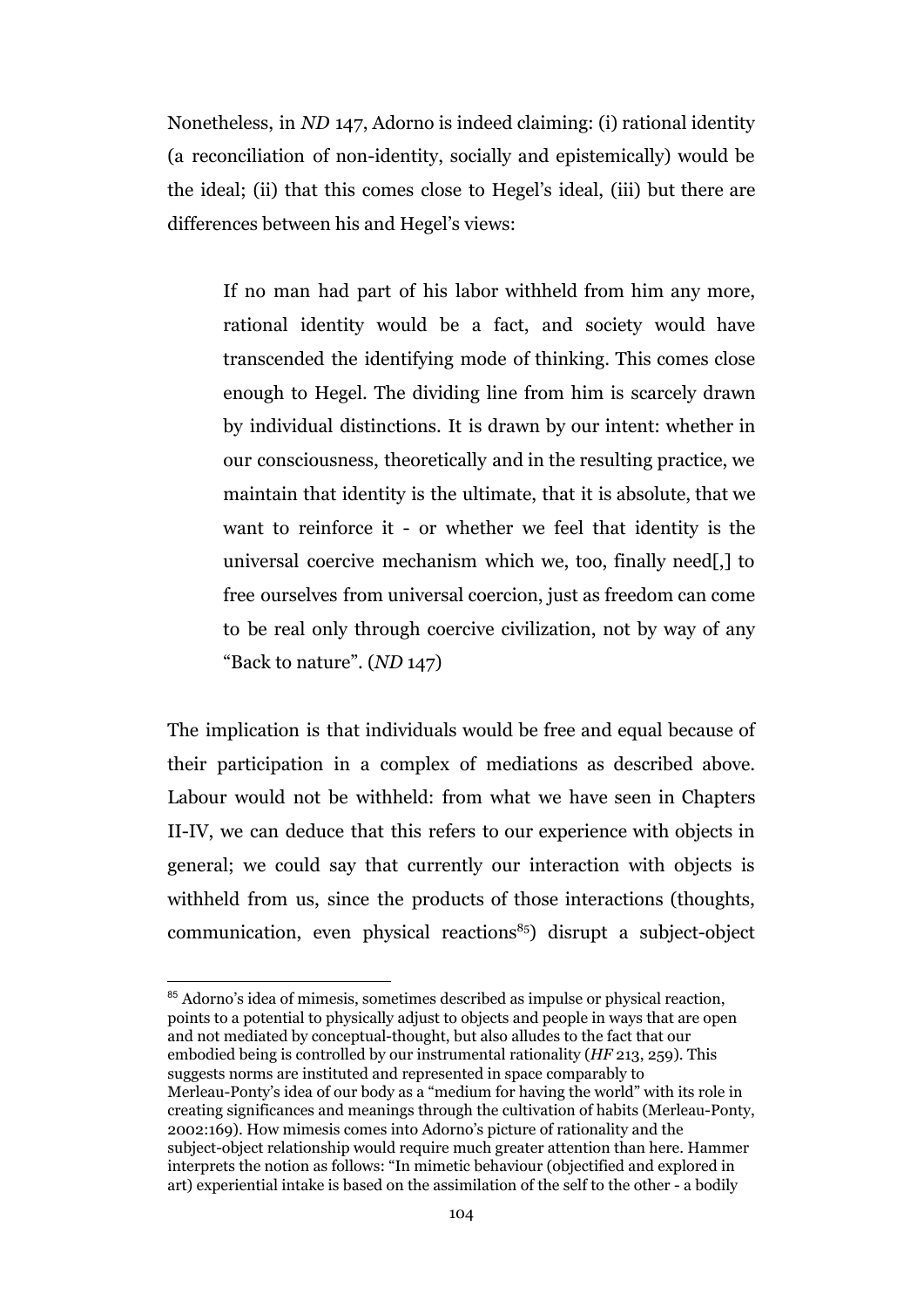Nonetheless, in *ND* 147, Adorno is indeed claiming: (i) rational identity (a reconciliation of non-identity, socially and epistemically) would be the ideal; (ii) that this comes close to Hegel's ideal, (iii) but there are differences between his and Hegel's views:

If no man had part of his labor withheld from him any more, rational identity would be a fact, and society would have transcended the identifying mode of thinking. This comes close enough to Hegel. The dividing line from him is scarcely drawn by individual distinctions. It is drawn by our intent: whether in our consciousness, theoretically and in the resulting practice, we maintain that identity is the ultimate, that it is absolute, that we want to reinforce it - or whether we feel that identity is the universal coercive mechanism which we, too, finally need[,] to free ourselves from universal coercion, just as freedom can come to be real only through coercive civilization, not by way of any "Back to nature". (*ND* 147)

The implication is that individuals would be free and equal because of their participation in a complex of mediations as described above. Labour would not be withheld: from what we have seen in Chapters II-IV, we can deduce that this refers to our experience with objects in general; we could say that currently our interaction with objects is withheld from us, since the products of those interactions (thoughts, communication, even physical reactions $^{85}$ ) disrupt a subject-object

<sup>85</sup> Adorno's idea of mimesis, sometimes described as impulse or physical reaction, points to a potential to physically adjust to objects and people in ways that are open and not mediated by conceptual-thought, but also alludes to the fact that our embodied being is controlled by our instrumental rationality (*HF* 213, 259). This suggests norms are instituted and represented in space comparably to Merleau-Ponty's idea of our body as a "medium for having the world" with its role in creating significances and meanings through the cultivation of habits (Merleau-Ponty, 2002:169). How mimesis comes into Adorno's picture of rationality and the subject-object relationship would require much greater attention than here. Hammer interprets the notion as follows: "In mimetic behaviour (objectified and explored in art) experiential intake is based on the assimilation of the self to the other - a bodily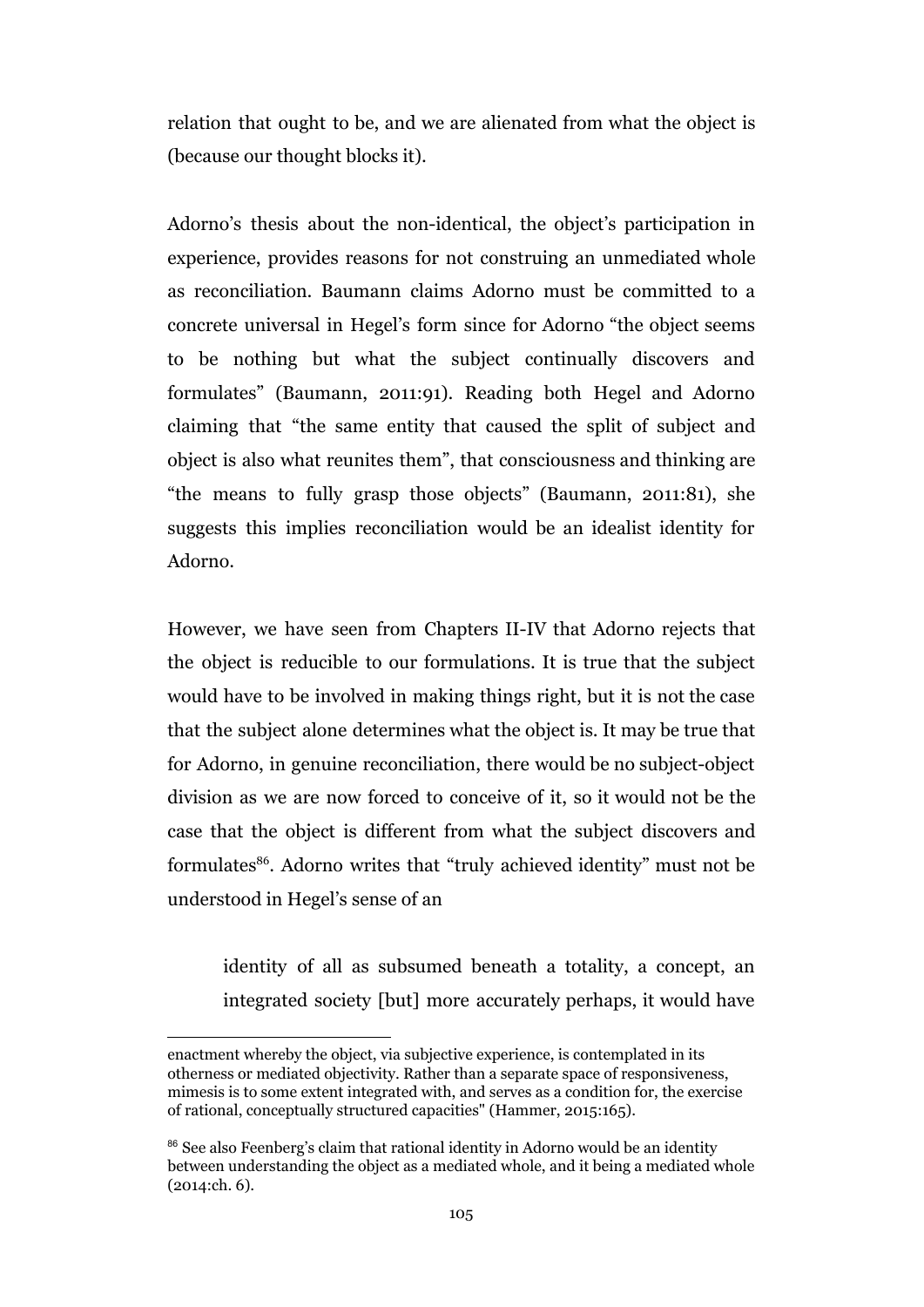relation that ought to be, and we are alienated from what the object is (because our thought blocks it).

Adorno's thesis about the non-identical, the object's participation in experience, provides reasons for not construing an unmediated whole as reconciliation. Baumann claims Adorno must be committed to a concrete universal in Hegel's form since for Adorno "the object seems to be nothing but what the subject continually discovers and formulates" (Baumann, 2011:91). Reading both Hegel and Adorno claiming that "the same entity that caused the split of subject and object is also what reunites them", that consciousness and thinking are "the means to fully grasp those objects" (Baumann, 2011:81), she suggests this implies reconciliation would be an idealist identity for Adorno.

However, we have seen from Chapters II-IV that Adorno rejects that the object is reducible to our formulations. It is true that the subject would have to be involved in making things right, but it is not the case that the subject alone determines what the object is. It may be true that for Adorno, in genuine reconciliation, there would be no subject-object division as we are now forced to conceive of it, so it would not be the case that the object is different from what the subject discovers and formulates<sup>86</sup>. Adorno writes that "truly achieved identity" must not be understood in Hegel's sense of an

identity of all as subsumed beneath a totality, a concept, an integrated society [but] more accurately perhaps, it would have

enactment whereby the object, via subjective experience, is contemplated in its otherness or mediated objectivity. Rather than a separate space of responsiveness, mimesis is to some extent integrated with, and serves as a condition for, the exercise of rational, conceptually structured capacities" (Hammer, 2015:165).

<sup>&</sup>lt;sup>86</sup> See also Feenberg's claim that rational identity in Adorno would be an identity between understanding the object as a mediated whole, and it being a mediated whole (2014:ch. 6).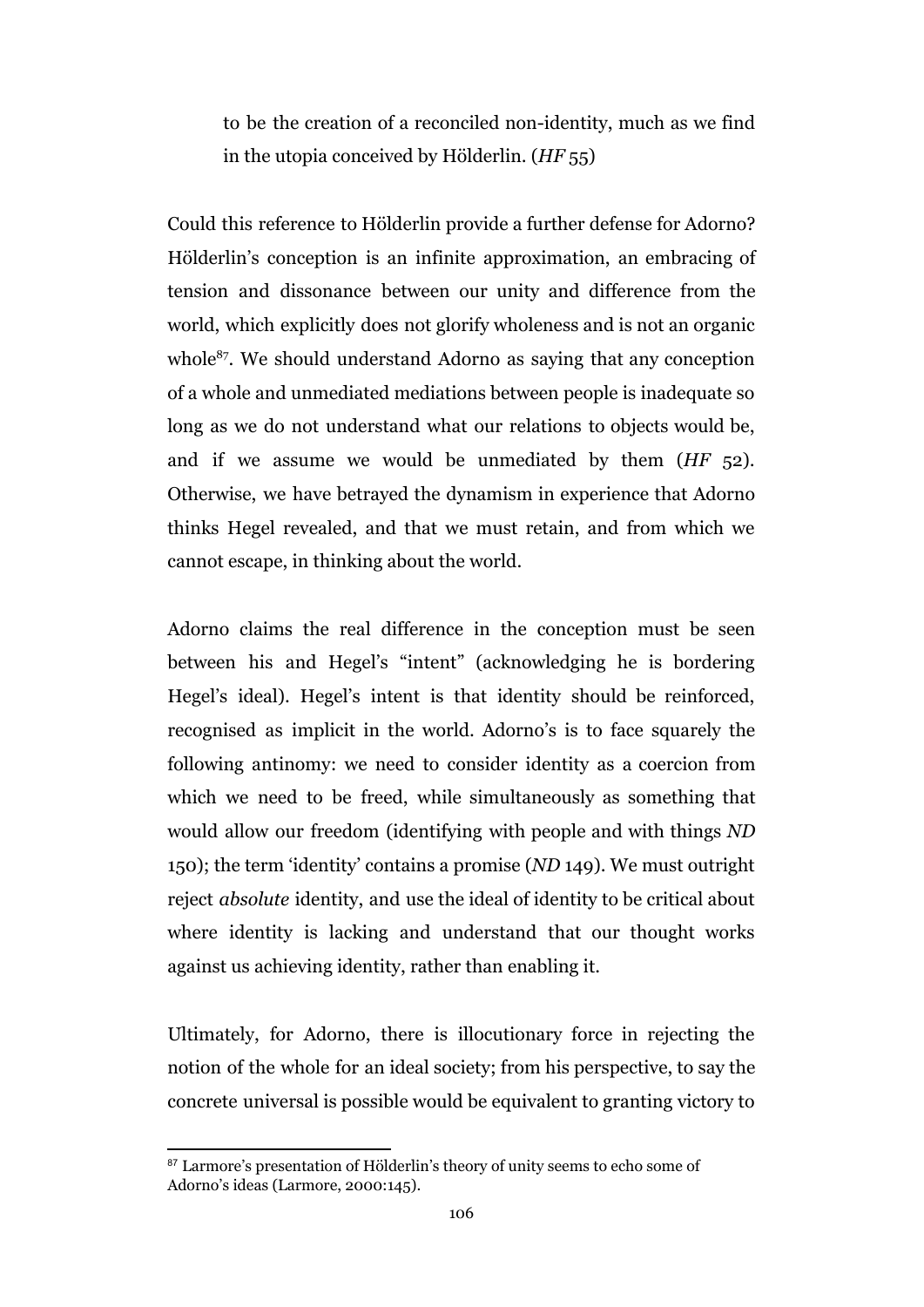to be the creation of a reconciled non-identity, much as we find in the utopia conceived by Hölderlin. (*HF* 55)

Could this reference to Hölderlin provide a further defense for Adorno? Hölderlin's conception is an infinite approximation, an embracing of tension and dissonance between our unity and difference from the world, which explicitly does not glorify wholeness and is not an organic whole<sup>87</sup>. We should understand Adorno as saying that any conception of a whole and unmediated mediations between people is inadequate so long as we do not understand what our relations to objects would be, and if we assume we would be unmediated by them (*HF* 52). Otherwise, we have betrayed the dynamism in experience that Adorno thinks Hegel revealed, and that we must retain, and from which we cannot escape, in thinking about the world.

Adorno claims the real difference in the conception must be seen between his and Hegel's "intent" (acknowledging he is bordering Hegel's ideal). Hegel's intent is that identity should be reinforced, recognised as implicit in the world. Adorno's is to face squarely the following antinomy: we need to consider identity as a coercion from which we need to be freed, while simultaneously as something that would allow our freedom (identifying with people and with things *ND* 150); the term 'identity' contains a promise (*ND* 149). We must outright reject *absolute* identity, and use the ideal of identity to be critical about where identity is lacking and understand that our thought works against us achieving identity, rather than enabling it.

Ultimately, for Adorno, there is illocutionary force in rejecting the notion of the whole for an ideal society; from his perspective, to say the concrete universal is possible would be equivalent to granting victory to

<sup>&</sup>lt;sup>87</sup> Larmore's presentation of Hölderlin's theory of unity seems to echo some of Adorno's ideas (Larmore, 2000:145).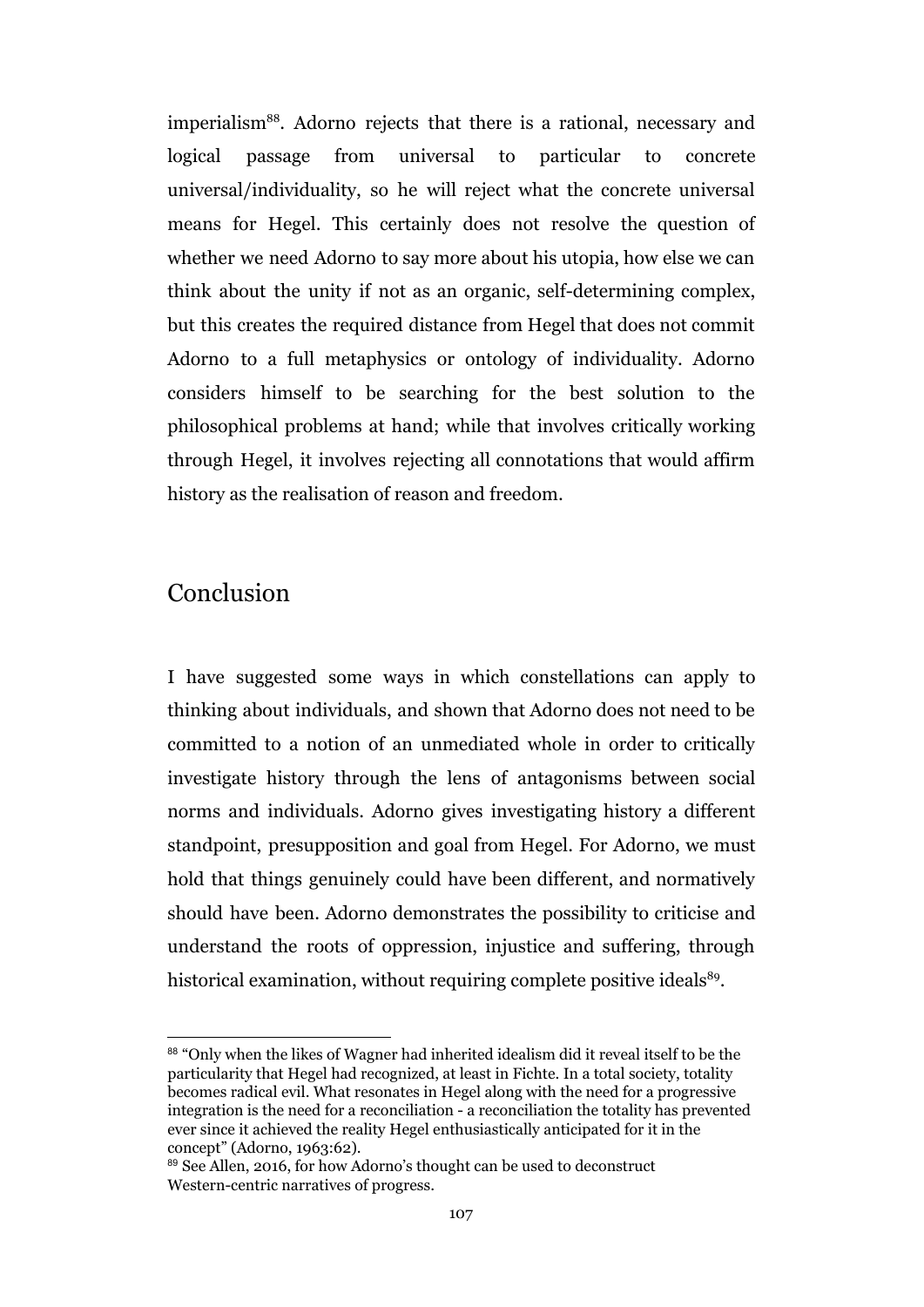imperialism<sup>88</sup>. Adorno rejects that there is a rational, necessary and logical passage from universal to particular to concrete universal/individuality, so he will reject what the concrete universal means for Hegel. This certainly does not resolve the question of whether we need Adorno to say more about his utopia, how else we can think about the unity if not as an organic, self-determining complex, but this creates the required distance from Hegel that does not commit Adorno to a full metaphysics or ontology of individuality. Adorno considers himself to be searching for the best solution to the philosophical problems at hand; while that involves critically working through Hegel, it involves rejecting all connotations that would affirm history as the realisation of reason and freedom.

### Conclusion

I have suggested some ways in which constellations can apply to thinking about individuals, and shown that Adorno does not need to be committed to a notion of an unmediated whole in order to critically investigate history through the lens of antagonisms between social norms and individuals. Adorno gives investigating history a different standpoint, presupposition and goal from Hegel. For Adorno, we must hold that things genuinely could have been different, and normatively should have been. Adorno demonstrates the possibility to criticise and understand the roots of oppression, injustice and suffering, through historical examination, without requiring complete positive ideals<sup>89</sup>.

<sup>88 &</sup>quot;Only when the likes of Wagner had inherited idealism did it reveal itself to be the particularity that Hegel had recognized, at least in Fichte. In a total society, totality becomes radical evil. What resonates in Hegel along with the need for a progressive integration is the need for a reconciliation - a reconciliation the totality has prevented ever since it achieved the reality Hegel enthusiastically anticipated for it in the concept" (Adorno, 1963:62).

<sup>&</sup>lt;sup>89</sup> See Allen, 2016, for how Adorno's thought can be used to deconstruct Western-centric narratives of progress.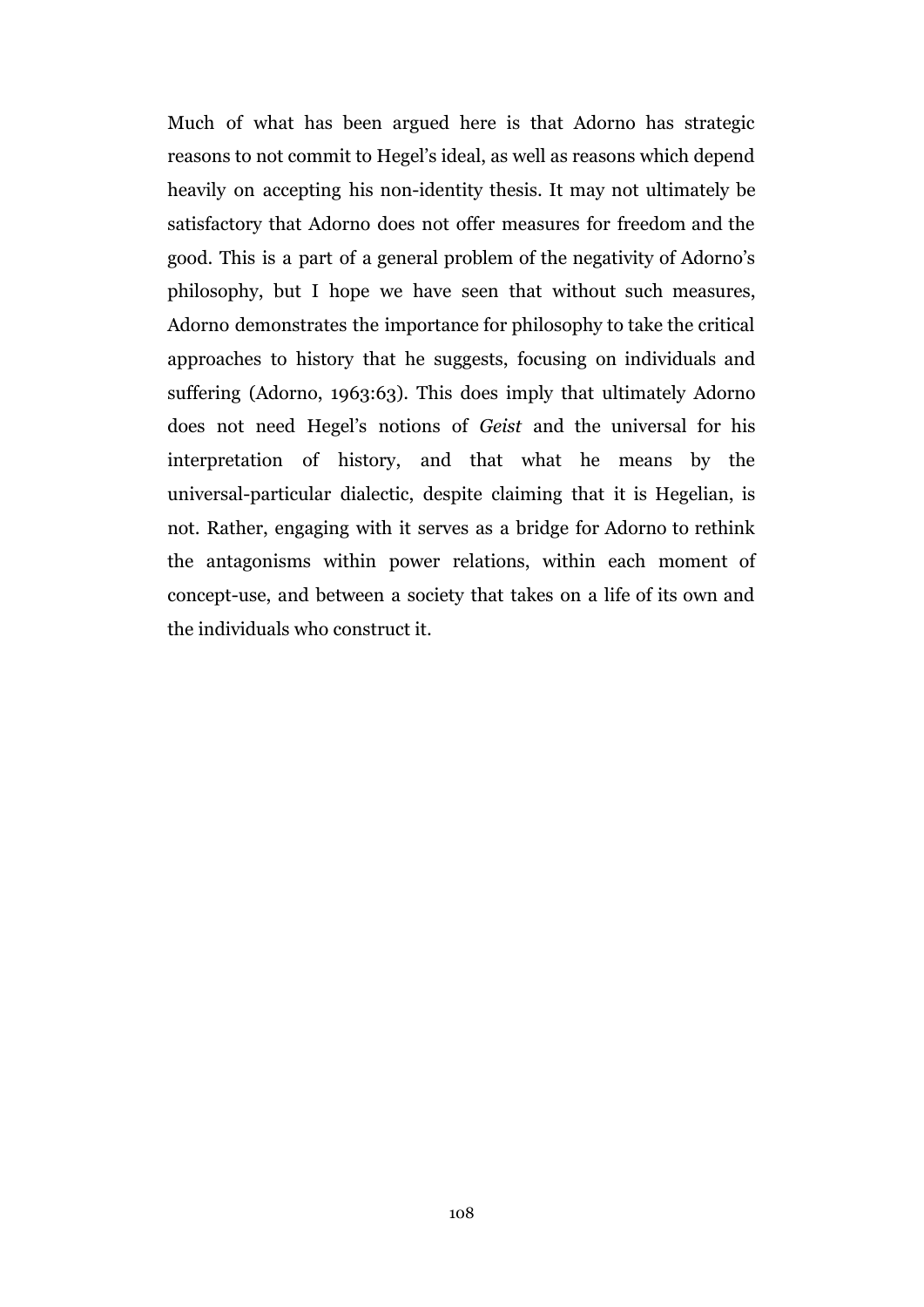Much of what has been argued here is that Adorno has strategic reasons to not commit to Hegel's ideal, as well as reasons which depend heavily on accepting his non-identity thesis. It may not ultimately be satisfactory that Adorno does not offer measures for freedom and the good. This is a part of a general problem of the negativity of Adorno's philosophy, but I hope we have seen that without such measures, Adorno demonstrates the importance for philosophy to take the critical approaches to history that he suggests, focusing on individuals and suffering (Adorno, 1963:63). This does imply that ultimately Adorno does not need Hegel's notions of *Geist* and the universal for his interpretation of history, and that what he means by the universal-particular dialectic, despite claiming that it is Hegelian, is not. Rather, engaging with it serves as a bridge for Adorno to rethink the antagonisms within power relations, within each moment of concept-use, and between a society that takes on a life of its own and the individuals who construct it.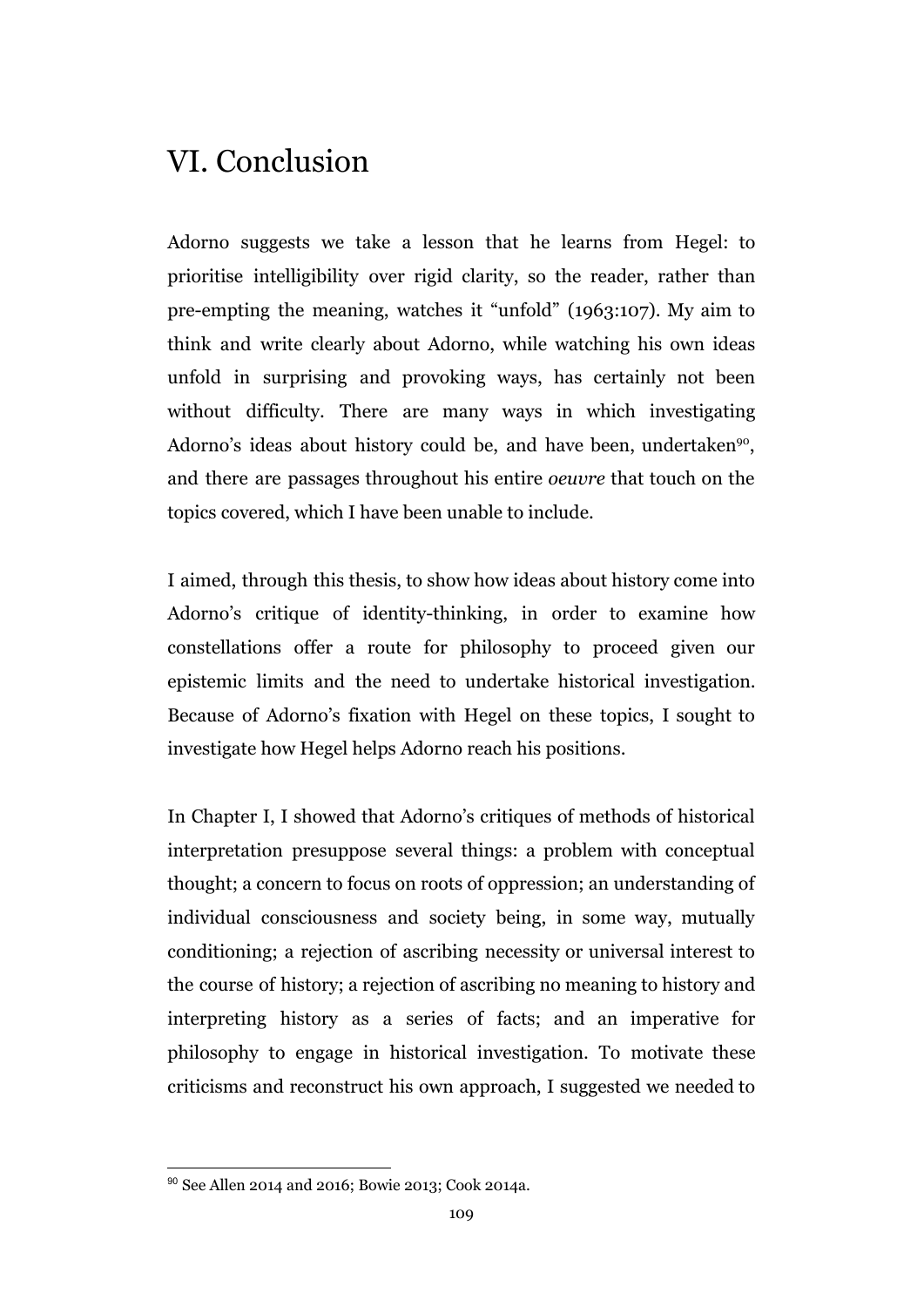## VI. Conclusion

Adorno suggests we take a lesson that he learns from Hegel: to prioritise intelligibility over rigid clarity, so the reader, rather than pre-empting the meaning, watches it "unfold" (1963:107). My aim to think and write clearly about Adorno, while watching his own ideas unfold in surprising and provoking ways, has certainly not been without difficulty. There are many ways in which investigating Adorno's ideas about history could be, and have been, undertaken<sup>90</sup>, and there are passages throughout his entire *oeuvre* that touch on the topics covered, which I have been unable to include.

I aimed, through this thesis, to show how ideas about history come into Adorno's critique of identity-thinking, in order to examine how constellations offer a route for philosophy to proceed given our epistemic limits and the need to undertake historical investigation. Because of Adorno's fixation with Hegel on these topics, I sought to investigate how Hegel helps Adorno reach his positions.

In Chapter I, I showed that Adorno's critiques of methods of historical interpretation presuppose several things: a problem with conceptual thought; a concern to focus on roots of oppression; an understanding of individual consciousness and society being, in some way, mutually conditioning; a rejection of ascribing necessity or universal interest to the course of history; a rejection of ascribing no meaning to history and interpreting history as a series of facts; and an imperative for philosophy to engage in historical investigation. To motivate these criticisms and reconstruct his own approach, I suggested we needed to

<sup>90</sup> See Allen 2014 and 2016; Bowie 2013; Cook 2014a.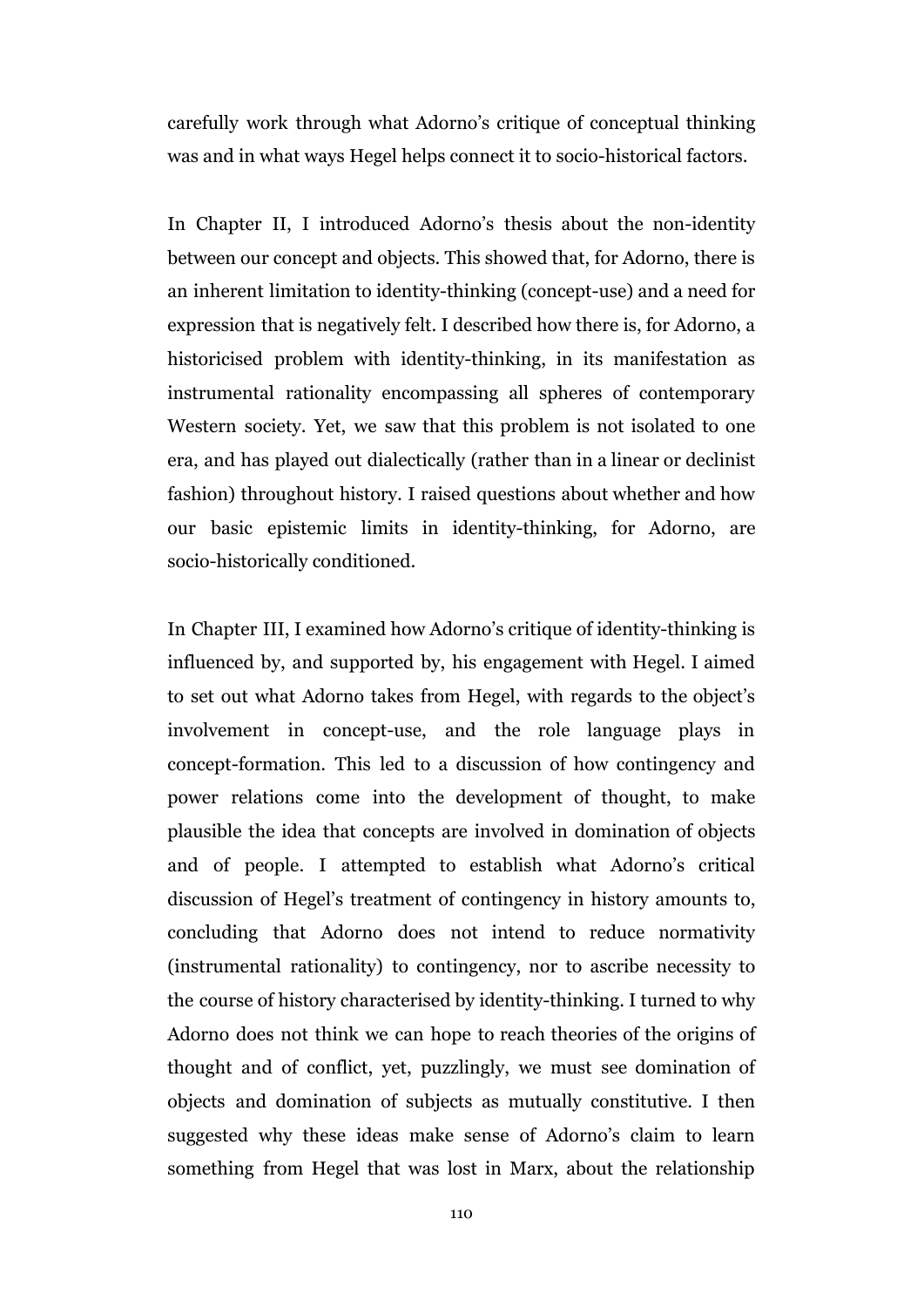carefully work through what Adorno's critique of conceptual thinking was and in what ways Hegel helps connect it to socio-historical factors.

In Chapter II, I introduced Adorno's thesis about the non-identity between our concept and objects. This showed that, for Adorno, there is an inherent limitation to identity-thinking (concept-use) and a need for expression that is negatively felt. I described how there is, for Adorno, a historicised problem with identity-thinking, in its manifestation as instrumental rationality encompassing all spheres of contemporary Western society. Yet, we saw that this problem is not isolated to one era, and has played out dialectically (rather than in a linear or declinist fashion) throughout history. I raised questions about whether and how our basic epistemic limits in identity-thinking, for Adorno, are socio-historically conditioned.

In Chapter III, I examined how Adorno's critique of identity-thinking is influenced by, and supported by, his engagement with Hegel. I aimed to set out what Adorno takes from Hegel, with regards to the object's involvement in concept-use, and the role language plays in concept-formation. This led to a discussion of how contingency and power relations come into the development of thought, to make plausible the idea that concepts are involved in domination of objects and of people. I attempted to establish what Adorno's critical discussion of Hegel's treatment of contingency in history amounts to, concluding that Adorno does not intend to reduce normativity (instrumental rationality) to contingency, nor to ascribe necessity to the course of history characterised by identity-thinking. I turned to why Adorno does not think we can hope to reach theories of the origins of thought and of conflict, yet, puzzlingly, we must see domination of objects and domination of subjects as mutually constitutive. I then suggested why these ideas make sense of Adorno's claim to learn something from Hegel that was lost in Marx, about the relationship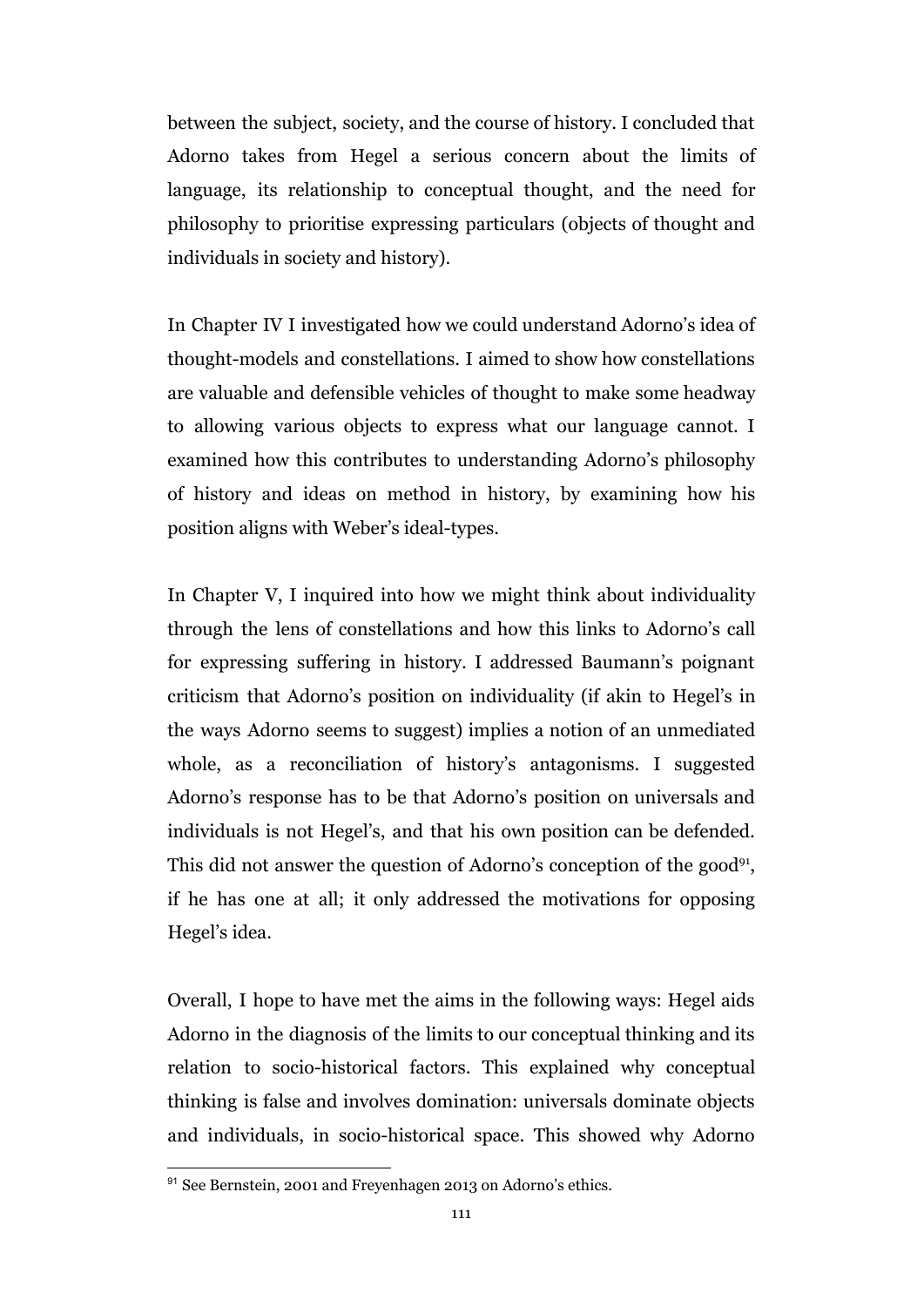between the subject, society, and the course of history. I concluded that Adorno takes from Hegel a serious concern about the limits of language, its relationship to conceptual thought, and the need for philosophy to prioritise expressing particulars (objects of thought and individuals in society and history).

In Chapter IV I investigated how we could understand Adorno's idea of thought-models and constellations. I aimed to show how constellations are valuable and defensible vehicles of thought to make some headway to allowing various objects to express what our language cannot. I examined how this contributes to understanding Adorno's philosophy of history and ideas on method in history, by examining how his position aligns with Weber's ideal-types.

In Chapter V, I inquired into how we might think about individuality through the lens of constellations and how this links to Adorno's call for expressing suffering in history. I addressed Baumann's poignant criticism that Adorno's position on individuality (if akin to Hegel's in the ways Adorno seems to suggest) implies a notion of an unmediated whole, as a reconciliation of history's antagonisms. I suggested Adorno's response has to be that Adorno's position on universals and individuals is not Hegel's, and that his own position can be defended. This did not answer the question of Adorno's conception of the good<sup>91</sup>, if he has one at all; it only addressed the motivations for opposing Hegel's idea.

Overall, I hope to have met the aims in the following ways: Hegel aids Adorno in the diagnosis of the limits to our conceptual thinking and its relation to socio-historical factors. This explained why conceptual thinking is false and involves domination: universals dominate objects and individuals, in socio-historical space. This showed why Adorno

<sup>&</sup>lt;sup>91</sup> See Bernstein, 2001 and Freyenhagen 2013 on Adorno's ethics.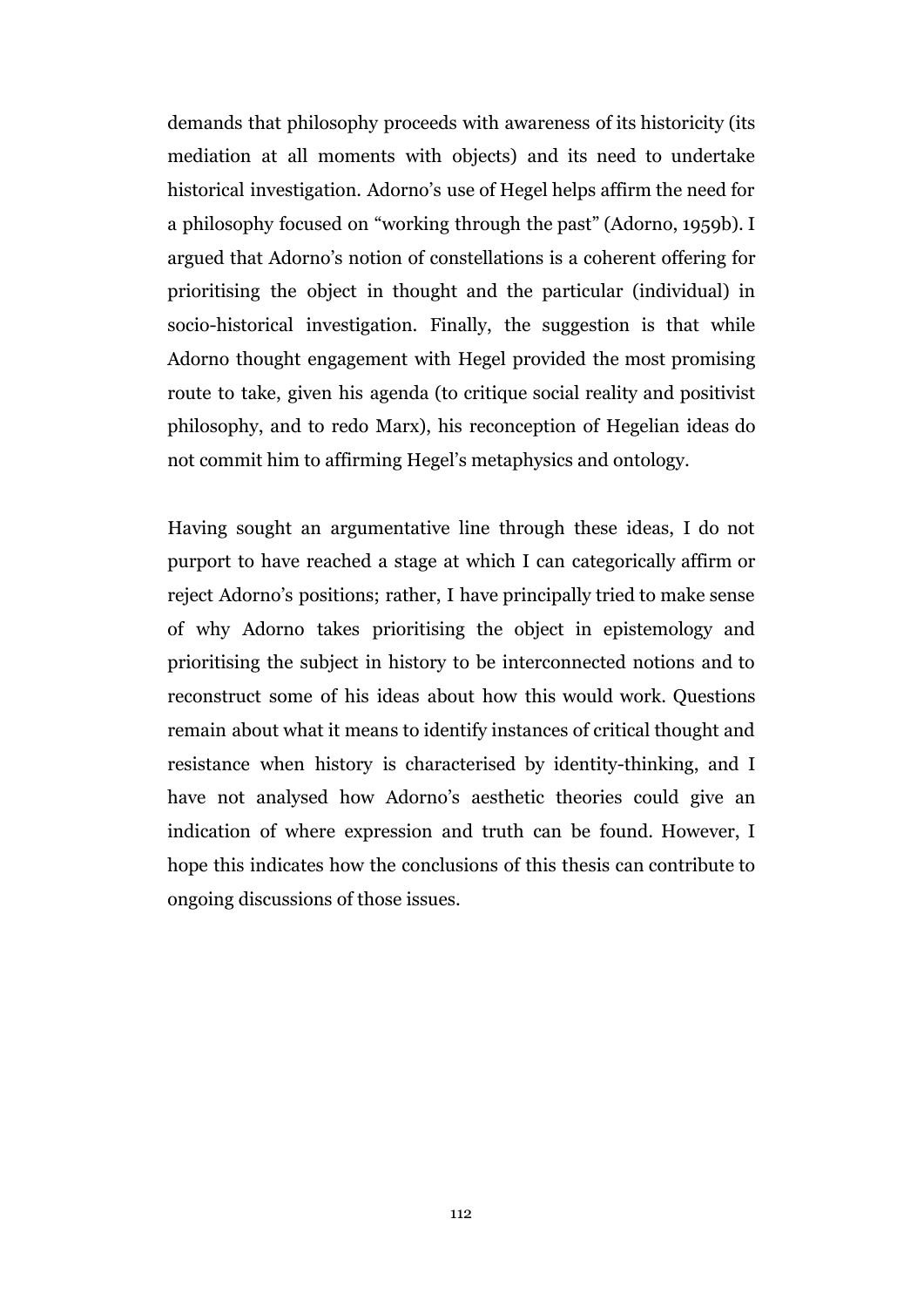demands that philosophy proceeds with awareness of its historicity (its mediation at all moments with objects) and its need to undertake historical investigation. Adorno's use of Hegel helps affirm the need for a philosophy focused on "working through the past" (Adorno, 1959b). I argued that Adorno's notion of constellations is a coherent offering for prioritising the object in thought and the particular (individual) in socio-historical investigation. Finally, the suggestion is that while Adorno thought engagement with Hegel provided the most promising route to take, given his agenda (to critique social reality and positivist philosophy, and to redo Marx), his reconception of Hegelian ideas do not commit him to affirming Hegel's metaphysics and ontology.

Having sought an argumentative line through these ideas, I do not purport to have reached a stage at which I can categorically affirm or reject Adorno's positions; rather, I have principally tried to make sense of why Adorno takes prioritising the object in epistemology and prioritising the subject in history to be interconnected notions and to reconstruct some of his ideas about how this would work. Questions remain about what it means to identify instances of critical thought and resistance when history is characterised by identity-thinking, and I have not analysed how Adorno's aesthetic theories could give an indication of where expression and truth can be found. However, I hope this indicates how the conclusions of this thesis can contribute to ongoing discussions of those issues.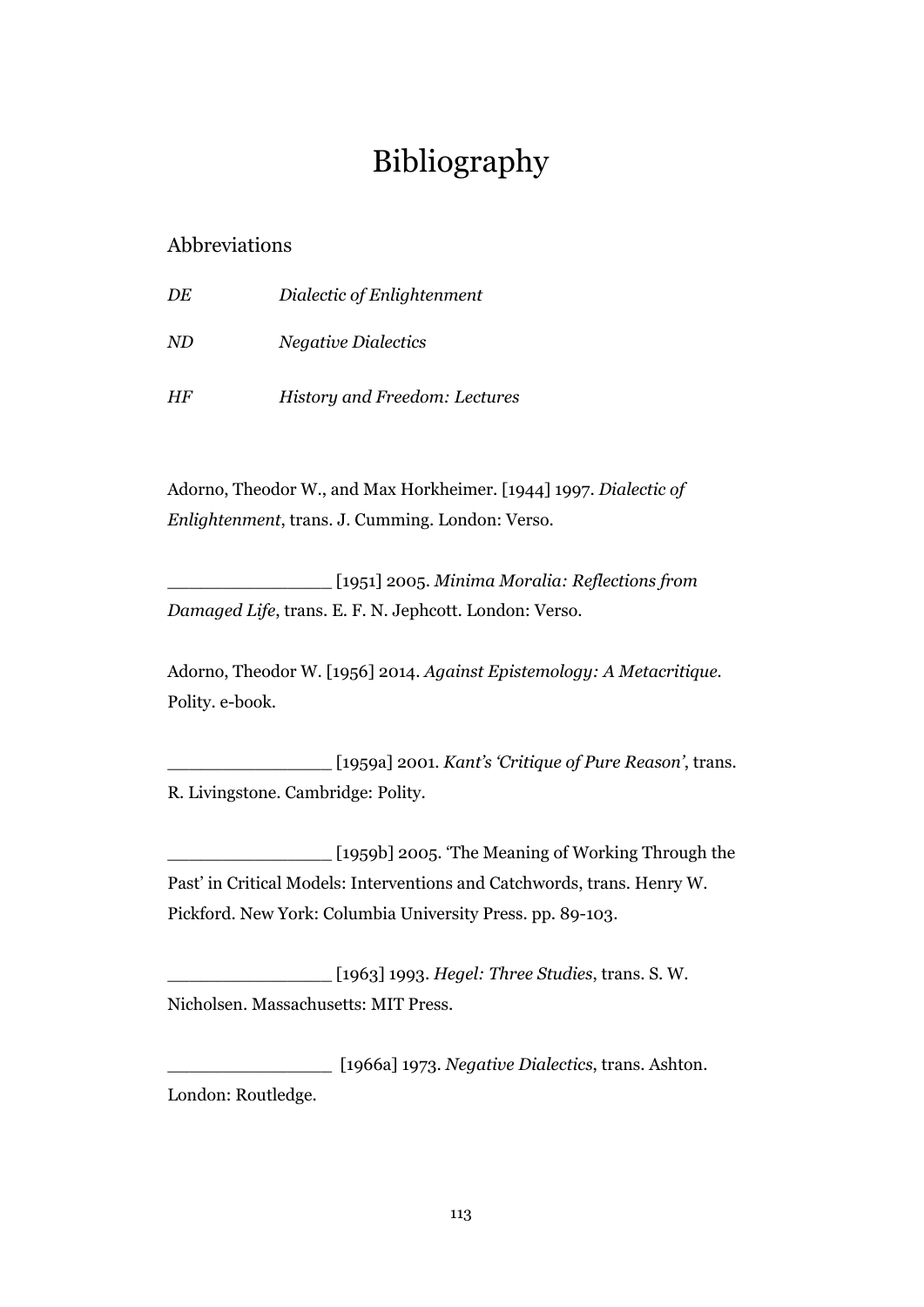## Bibliography

## Abbreviations

| DE | Dialectic of Enlightenment    |
|----|-------------------------------|
| ND | <i>Negative Dialectics</i>    |
| HF | History and Freedom: Lectures |

Adorno, Theodor W., and Max Horkheimer. [1944] 1997. *Dialectic of Enlightenment*, trans. J. Cumming. London: Verso.

\_\_\_\_\_\_\_\_\_\_\_\_\_\_\_ [1951] 2005. *Minima Moralia: Reflections from Damaged Life*, trans. E. F. N. Jephcott. London: Verso.

Adorno, Theodor W. [1956] 2014. *Against Epistemology: A Metacritique.* Polity. e-book.

\_\_\_\_\_\_\_\_\_\_\_\_\_\_\_ [1959a] 2001. *Kant's 'Critique of Pure Reason'*, trans. R. Livingstone. Cambridge: Polity.

 $_{\_}$  [1959b] 2005. 'The Meaning of Working Through the Past' in Critical Models: Interventions and Catchwords, trans. Henry W. Pickford. New York: Columbia University Press. pp. 89-103.

\_\_\_\_\_\_\_\_\_\_\_\_\_\_\_ [1963] 1993. *Hegel: Three Studies*, trans. S. W. Nicholsen. Massachusetts: MIT Press.

\_\_\_\_\_\_\_\_\_\_\_\_\_\_\_ [1966a] 1973. *Negative Dialectics*, trans. Ashton. London: Routledge.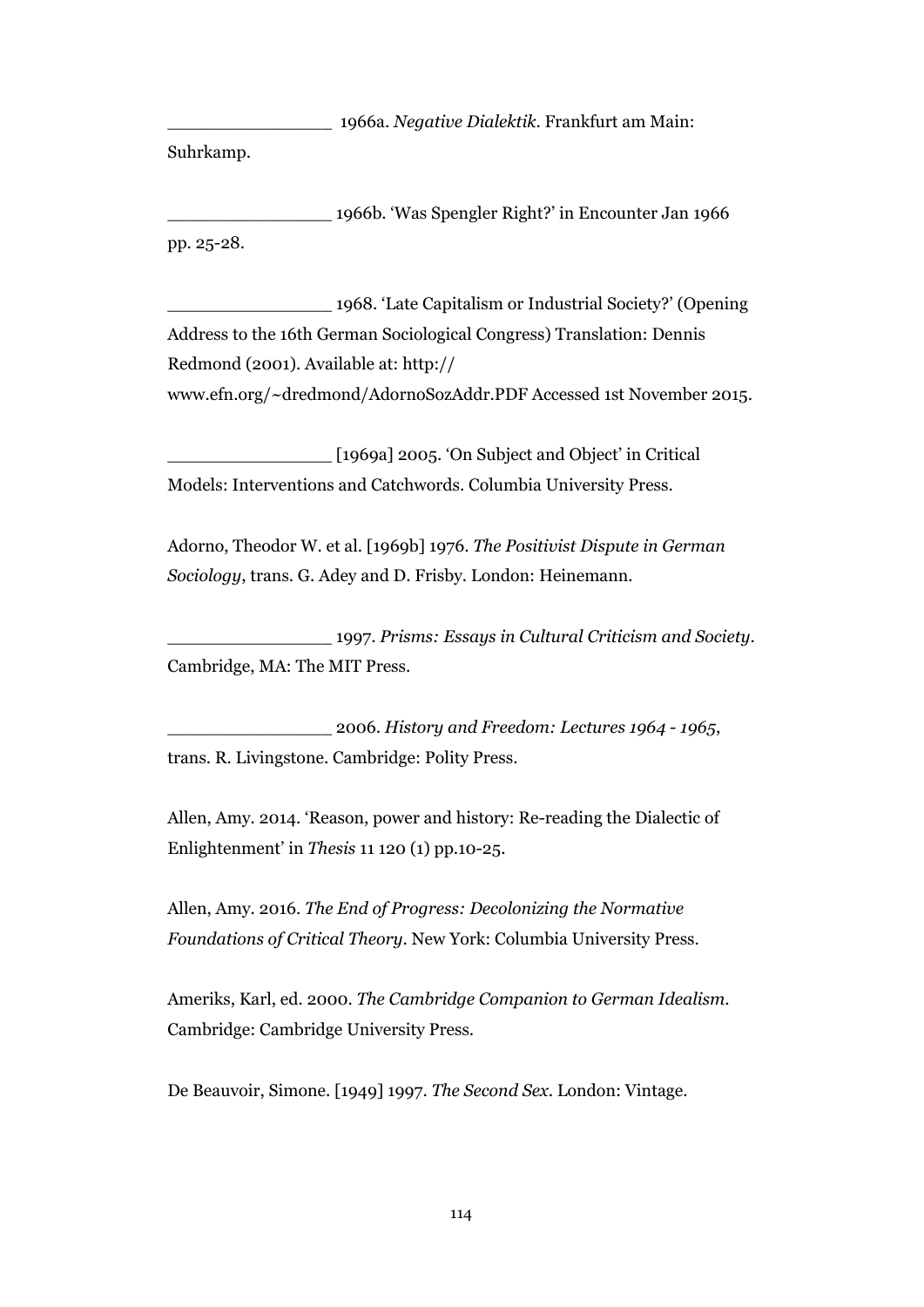\_\_\_\_\_\_\_\_\_\_\_\_\_\_\_ 1966a. *Negative Dialektik*. Frankfurt am Main:

Suhrkamp.

\_\_\_\_\_\_\_\_\_\_\_\_\_\_\_ 1966b. 'Was Spengler Right?' in Encounter Jan 1966 pp. 25-28.

\_\_\_\_\_\_\_\_\_\_\_\_\_\_\_ 1968. 'Late Capitalism or Industrial Society?' (Opening Address to the 16th German Sociological Congress) Translation: Dennis Redmond (2001). Available at: http:// [www.efn.org/~dredmond/AdornoSozAddr.PDF](http://www.efn.org/~dredmond/AdornoSozAddr.PDF) Accessed 1st November 2015.

\_\_\_\_\_\_\_\_\_\_\_\_\_\_\_ [1969a] 2005. 'On Subject and Object' in Critical Models: Interventions and Catchwords. Columbia University Press.

Adorno, Theodor W. et al. [1969b] 1976. *The Positivist Dispute in German Sociology*, trans. G. Adey and D. Frisby. London: Heinemann.

\_\_\_\_\_\_\_\_\_\_\_\_\_\_\_ 1997. *Prisms: Essays in Cultural Criticism and Society*. Cambridge, MA: The MIT Press.

\_\_\_\_\_\_\_\_\_\_\_\_\_\_\_ 2006. *History and Freedom: Lectures 1964 - 1965*, trans. R. Livingstone. Cambridge: Polity Press.

Allen, Amy. 2014. 'Reason, power and history: Re-reading the Dialectic of Enlightenment' in *Thesis* 11 120 (1) pp.10-25.

Allen, Amy. 2016. *The End of Progress: Decolonizing the Normative Foundations of Critical Theory*. New York: Columbia University Press.

Ameriks, Karl, ed. 2000. *The Cambridge Companion to German Idealism*. Cambridge: Cambridge University Press.

De Beauvoir, Simone. [1949] 1997. *The Second Sex*. London: Vintage.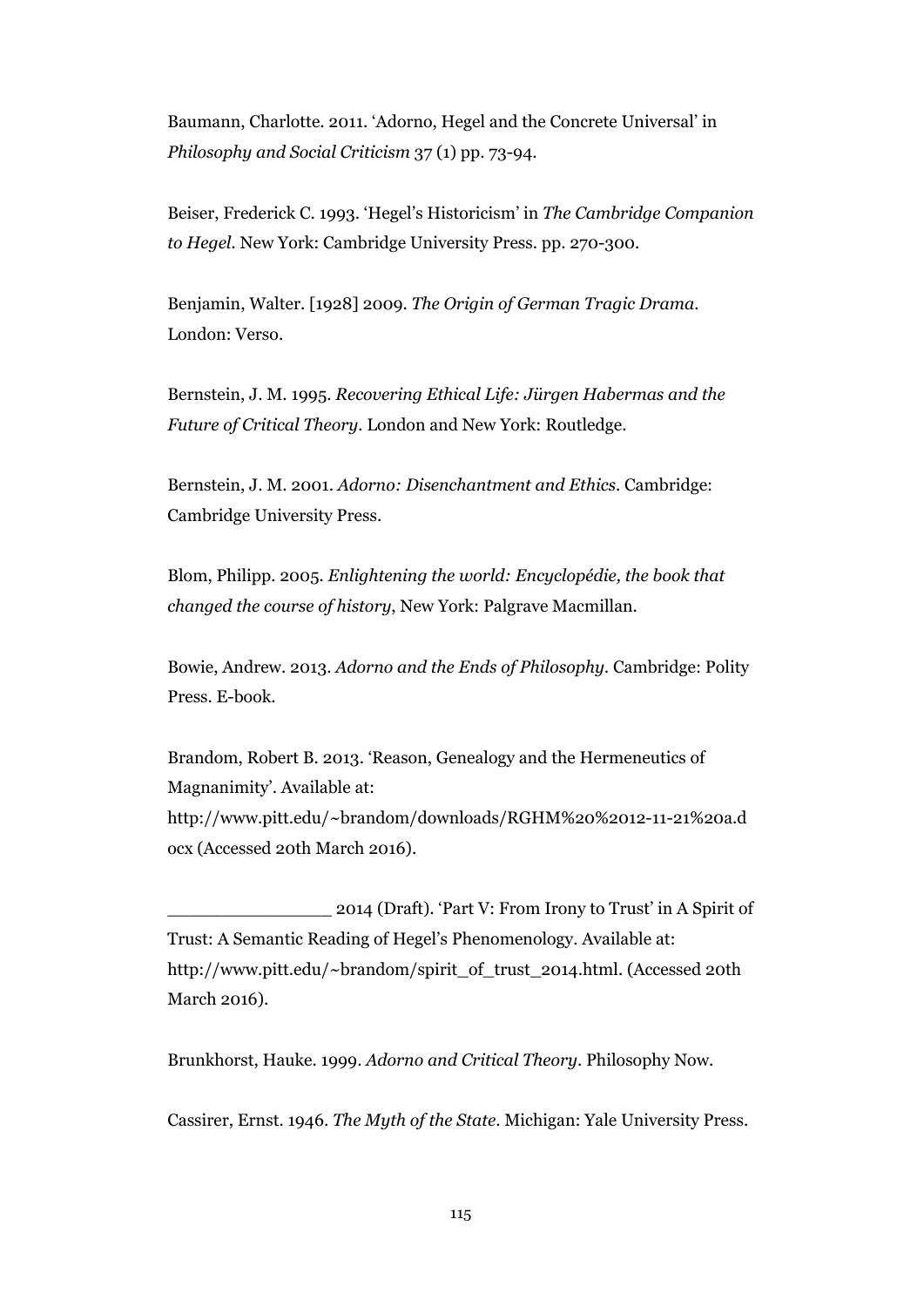Baumann, Charlotte. 2011. 'Adorno, Hegel and the Concrete Universal' in *Philosophy and Social Criticism* 37 (1) pp. 73-94.

Beiser, Frederick C. 1993. 'Hegel's Historicism' in *The Cambridge Companion to Hegel.* New York: Cambridge University Press. pp. 270-300.

Benjamin, Walter. [1928] 2009. *The Origin of German Tragic Drama.* London: Verso.

Bernstein, J. M. 1995. *Recovering Ethical Life: Jürgen Habermas and the Future of Critical Theory.* London and New York: Routledge.

Bernstein, J. M. 2001. *Adorno: Disenchantment and Ethics*. Cambridge: Cambridge University Press.

Blom, [Philipp](https://en.wikipedia.org/wiki/Philipp_Blom)*.* 2005*. Enlightening the world: Encyclopédie, the book that changed the course of history*, New York: Palgrave Macmillan.

Bowie, Andrew. 2013. *Adorno and the Ends of Philosophy.* Cambridge: Polity Press. E-book.

Brandom, Robert B. 2013. 'Reason, Genealogy and the Hermeneutics of Magnanimity'. Available at: [http://www.pitt.edu/~brandom/downloads/RGHM%20%2012-11-21%20a.d](http://www.pitt.edu/~brandom/downloads/RGHM%20%2012-11-21%20a.docx) [ocx](http://www.pitt.edu/~brandom/downloads/RGHM%20%2012-11-21%20a.docx) (Accessed 20th March 2016).

\_\_\_\_\_\_\_\_\_\_\_\_\_\_\_ 2014 (Draft). 'Part V: From Irony to Trust' in A Spirit of Trust: A Semantic Reading of Hegel's Phenomenology. Available at: [http://www.pitt.edu/~brandom/spirit\\_of\\_trust\\_2014.html](http://www.pitt.edu/~brandom/spirit_of_trust_2014.html). (Accessed 20th March 2016).

Brunkhorst, Hauke. 1999. *Adorno and Critical Theory*. Philosophy Now.

Cassirer, Ernst. 1946. *The Myth of the State*. Michigan: Yale University Press.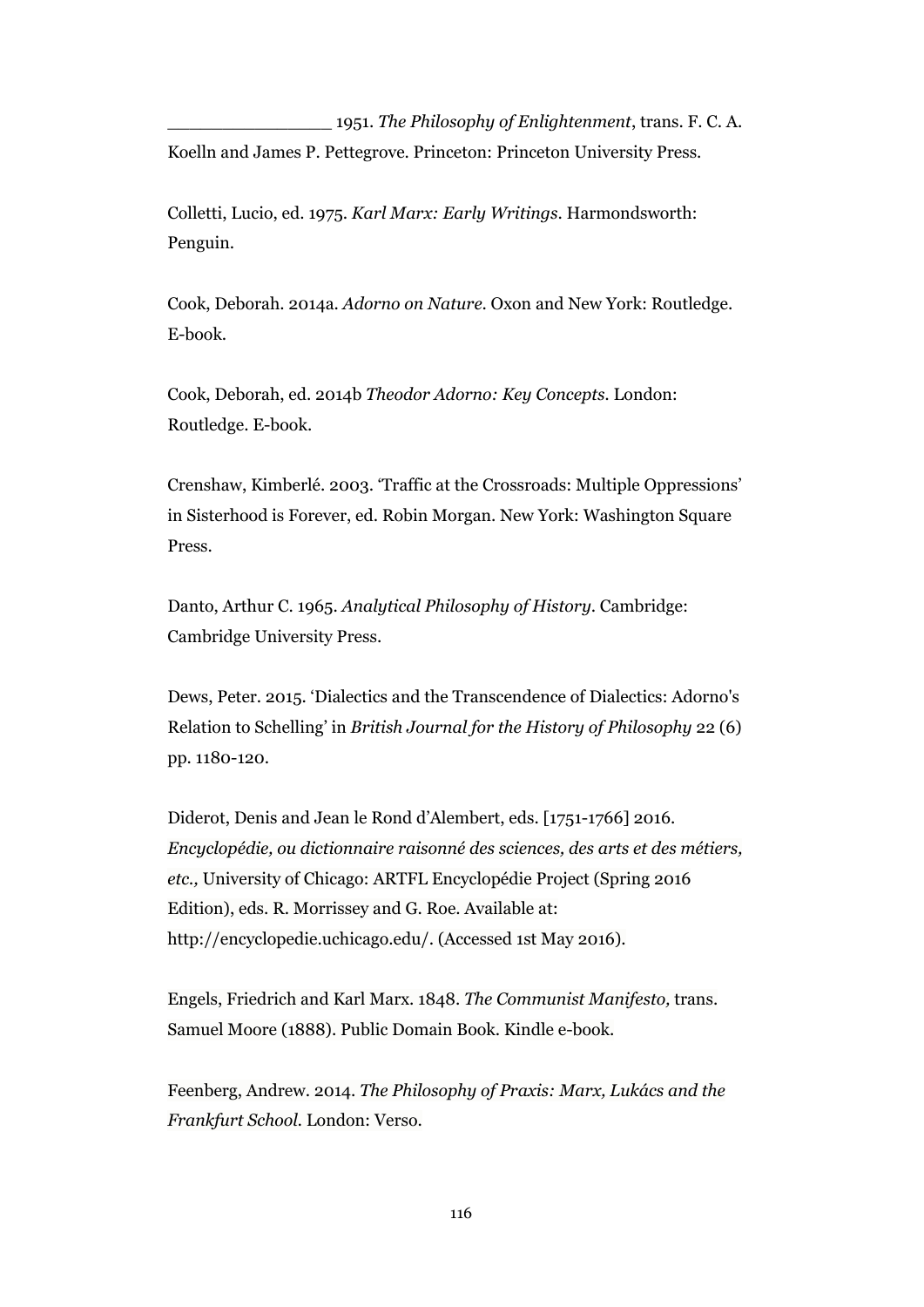\_\_\_\_\_\_\_\_\_\_\_\_\_\_\_ 1951. *The Philosophy of Enlightenment*, trans. F. C. A. Koelln and James P. Pettegrove. Princeton: Princeton University Press.

Colletti, Lucio, ed. 1975. *Karl Marx: Early Writings*. Harmondsworth: Penguin.

Cook, Deborah. 2014a. *Adorno on Nature*. Oxon and New York: Routledge. E-book.

Cook, Deborah, ed. 2014b *Theodor Adorno: Key Concepts.* London: Routledge. E-book.

Crenshaw, Kimberlé. 2003. 'Traffic at the Crossroads: Multiple Oppressions' in Sisterhood is Forever, ed. Robin Morgan. New York: Washington Square Press.

Danto, Arthur C. 1965. *Analytical Philosophy of History*. Cambridge: Cambridge University Press.

Dews, Peter. 2015. 'Dialectics and the Transcendence of Dialectics: Adorno's Relation to Schelling' in *British Journal for the History of Philosophy* 22 (6) pp. 1180-120.

Diderot, Denis and Jean le Rond d'Alembert, eds. [1751-1766] 2016. *Encyclopédie, ou dictionnaire raisonné des sciences, des arts et des métiers, etc.,* University of Chicago: ARTFL Encyclopédie Project (Spring 2016 Edition), eds. R. Morrissey and G. Roe. Available at: [http://encyclopedie.uchicago.edu/.](http://encyclopedie.uchicago.edu/) (Accessed 1st May 2016).

Engels, Friedrich and Karl Marx. 1848. *The Communist Manifesto,* trans. Samuel Moore (1888). Public Domain Book. Kindle e-book.

Feenberg, Andrew. 2014. *The Philosophy of Praxis: Marx, Lukács and the Frankfurt School.* London: Verso.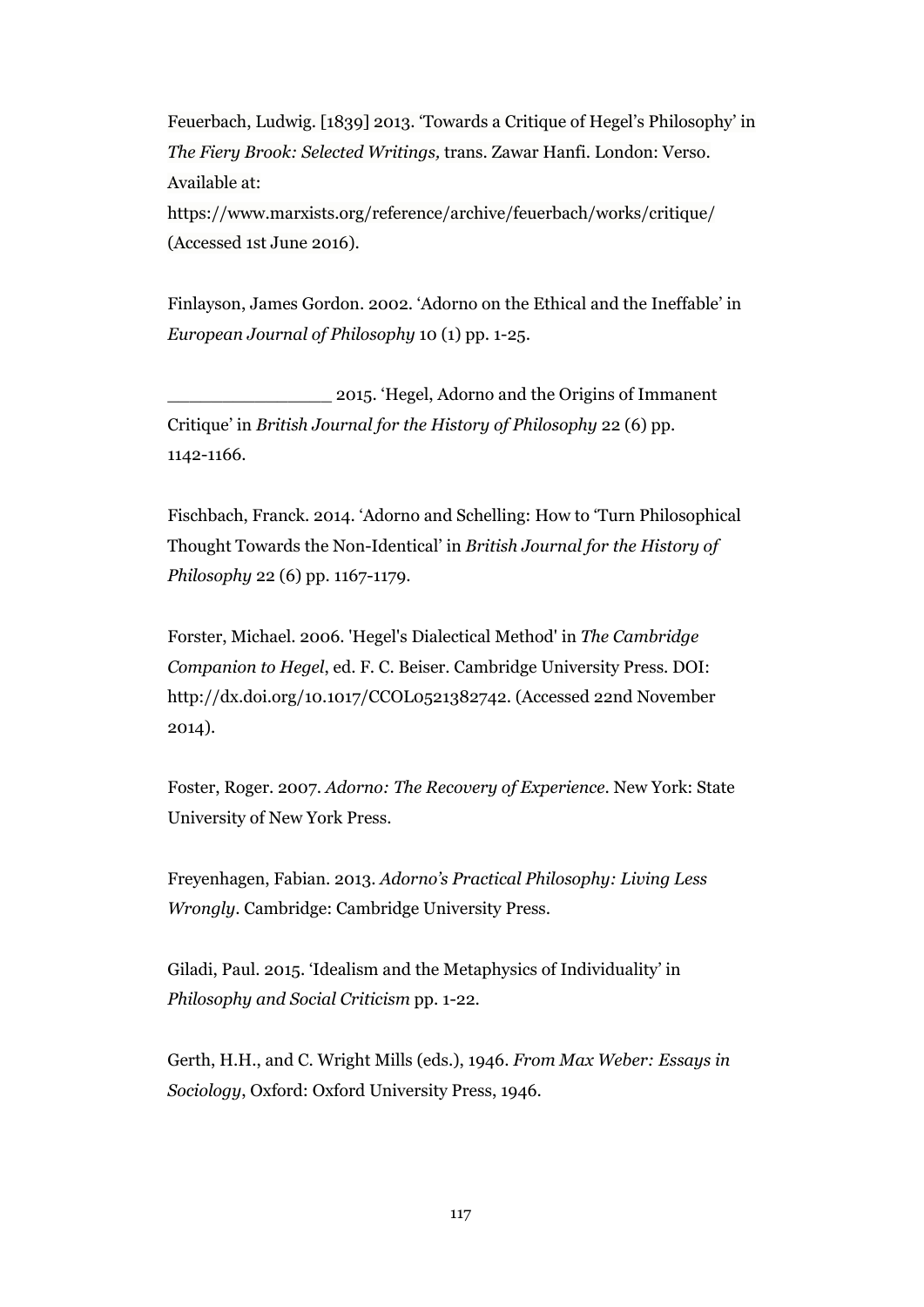Feuerbach, Ludwig. [1839] 2013. 'Towards a Critique of Hegel's Philosophy' in *The Fiery Brook: Selected Writings,* trans. Zawar Hanfi. London: Verso. Available at:

https://www.marxists.org/reference/archive/feuerbach/works/critique/ (Accessed 1st June 2016).

Finlayson, James Gordon. 2002. 'Adorno on the Ethical and the Ineffable' in *European Journal of Philosophy* 10 (1) pp. 1-25.

\_\_\_\_\_\_\_\_\_\_\_\_\_\_\_ 2015. 'Hegel, Adorno and the Origins of Immanent Critique' in *British Journal for the History of Philosophy* 22 (6) pp. 1142-1166.

Fischbach, Franck. 2014. 'Adorno and Schelling: How to 'Turn Philosophical Thought Towards the Non-Identical' in *British Journal for the History of Philosophy* 22 (6) pp. 1167-1179.

Forster, Michael. 2006. 'Hegel's Dialectical Method' in *The Cambridge Companion to Hegel*, ed. F. C. Beiser. Cambridge University Press. DOI: [http://dx.doi.org/10.1017/CCOL0521382742.](http://dx.doi.org/10.1017/CCOL0521382742) (Accessed 22nd November 2014).

Foster, Roger. 2007. *Adorno: The Recovery of Experience*. New York: State University of New York Press.

Freyenhagen, Fabian. 2013. *Adorno's Practical Philosophy: Living Less Wrongly*. Cambridge: Cambridge University Press.

Giladi, Paul. 2015. 'Idealism and the Metaphysics of Individuality' in *Philosophy and Social Criticism* pp. 1-22.

Gerth, H.H., and C. Wright Mills (eds.), 1946. *From Max Weber: Essays in Sociology*, Oxford: Oxford University Press, 1946.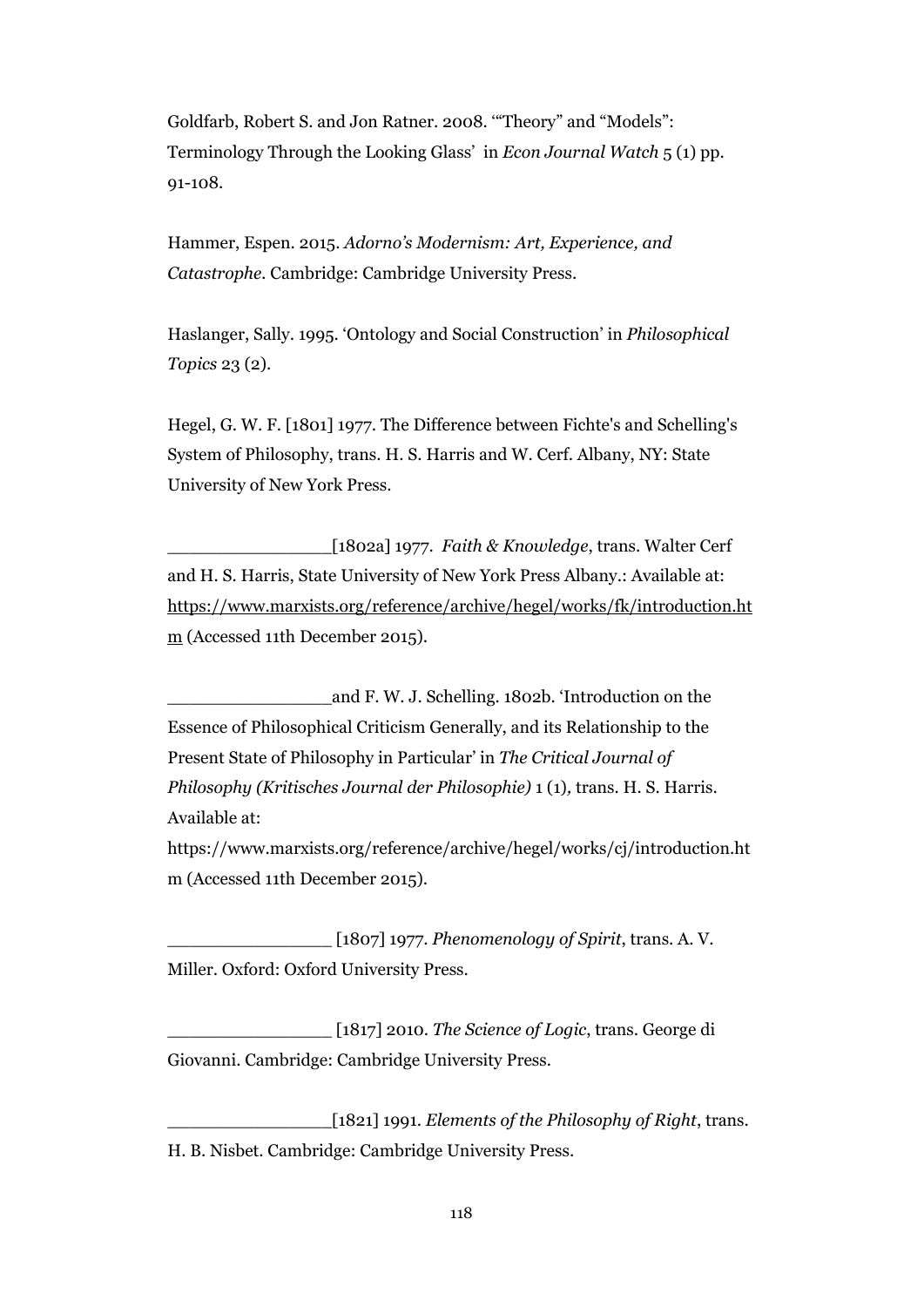Goldfarb, Robert S. and Jon Ratner. 2008. '"Theory" and "Models": Terminology Through the Looking Glass' in *Econ Journal Watch* 5 (1) pp. 91-108.

Hammer, Espen. 2015. *Adorno's Modernism: Art, Experience, and Catastrophe.* Cambridge: Cambridge University Press.

Haslanger, Sally. 1995. 'Ontology and Social Construction' in *Philosophical Topics* 23 (2).

Hegel, G. W. F. [1801] 1977. The Difference between Fichte's and Schelling's System of Philosophy, trans. H. S. Harris and W. Cerf. Albany, NY: State University of New York Press.

\_\_\_\_\_\_\_\_\_\_\_\_\_\_\_[1802a] 1977. *Faith & Knowledge*, trans. Walter Cerf and H. S. Harris, State University of New York Press Albany.: Available at: [https://www.marxists.org/reference/archive/hegel/works/fk/introduction.ht](https://www.marxists.org/reference/archive/hegel/works/fk/introduction.htm) [m](https://www.marxists.org/reference/archive/hegel/works/fk/introduction.htm) (Accessed 11th December 2015).

\_\_\_\_\_\_\_\_\_\_\_\_\_\_\_and F. W. J. Schelling. 1802b. 'Introduction on the Essence of Philosophical Criticism Generally, and its Relationship to the Present State of Philosophy in Particular' in *The Critical Journal of Philosophy (Kritisches Journal der Philosophie)* 1 (1)*,* trans. H. S. Harris. Available at:

https://www.marxists.org/reference/archive/hegel/works/cj/introduction.ht m (Accessed 11th December 2015).

\_\_\_\_\_\_\_\_\_\_\_\_\_\_\_ [1807] 1977. *Phenomenology of Spirit*, trans. A. V. Miller. Oxford: Oxford University Press.

\_\_\_\_\_\_\_\_\_\_\_\_\_\_\_ [1817] 2010. *The Science of Logic*, trans. George di Giovanni. Cambridge: Cambridge University Press.

\_\_\_\_\_\_\_\_\_\_\_\_\_\_\_[1821] 1991. *Elements of the Philosophy of Right*, trans. H. B. Nisbet. Cambridge: Cambridge University Press.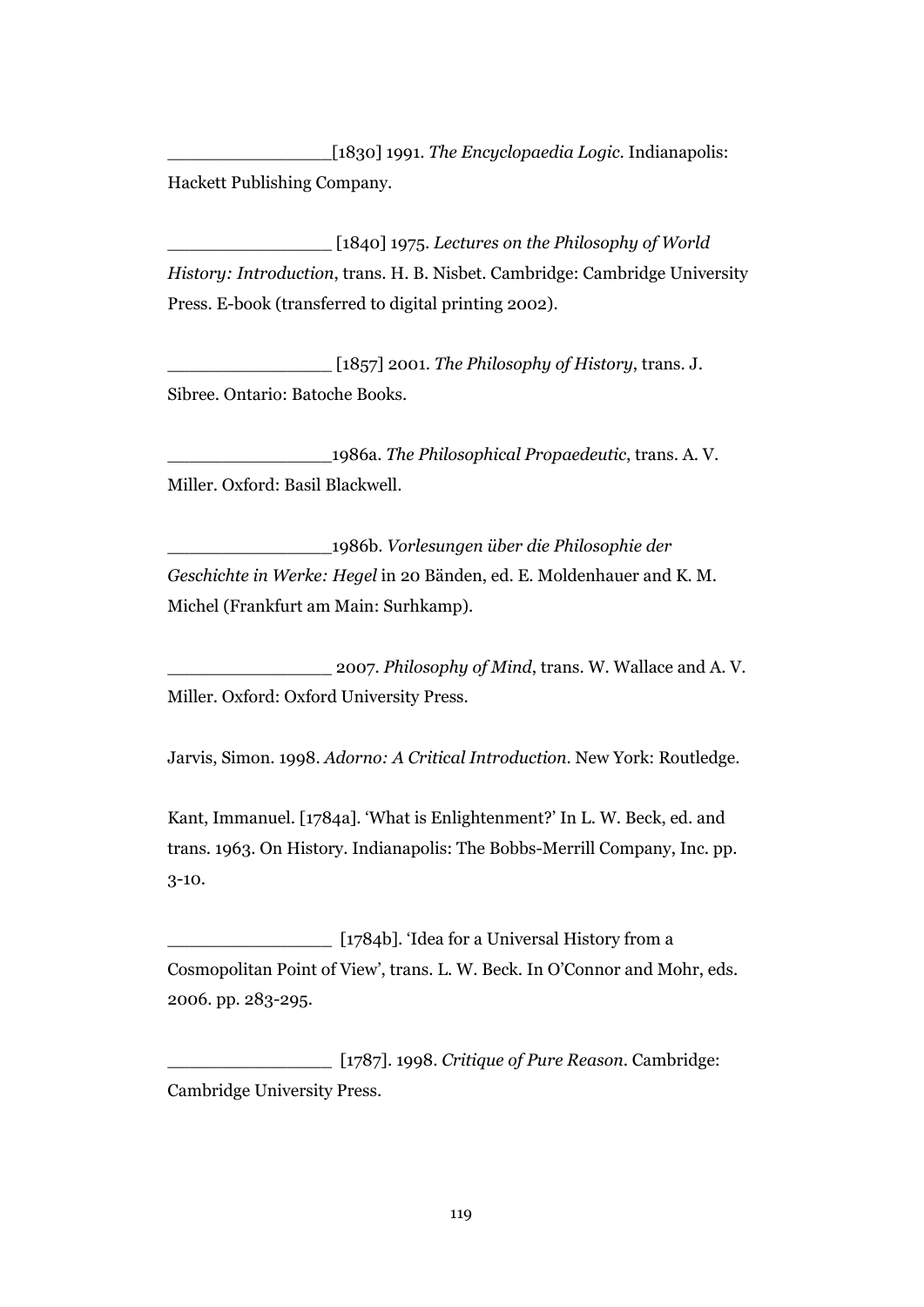\_\_\_\_\_\_\_\_\_\_\_\_\_\_\_[1830] 1991. *The Encyclopaedia Logic*. Indianapolis: Hackett Publishing Company.

\_\_\_\_\_\_\_\_\_\_\_\_\_\_\_ [1840] 1975. *Lectures on the Philosophy of World History: Introduction*, trans. H. B. Nisbet. Cambridge: Cambridge University Press. E-book (transferred to digital printing 2002).

\_\_\_\_\_\_\_\_\_\_\_\_\_\_\_ [1857] 2001. *The Philosophy of History*, trans. J. Sibree. Ontario: Batoche Books.

\_\_\_\_\_\_\_\_\_\_\_\_\_\_\_1986a. *The Philosophical Propaedeutic*, trans. A. V. Miller. Oxford: Basil Blackwell.

\_\_\_\_\_\_\_\_\_\_\_\_\_\_\_1986b. *Vorlesungen über die Philosophie der Geschichte in Werke: Hegel* in 20 Bänden, ed. E. Moldenhauer and K. M. Michel (Frankfurt am Main: Surhkamp).

\_\_\_\_\_\_\_\_\_\_\_\_\_\_\_ 2007. *Philosophy of Mind*, trans. W. Wallace and A. V. Miller. Oxford: Oxford University Press.

Jarvis, Simon. 1998. *Adorno: A Critical Introduction*. New York: Routledge.

Kant, Immanuel. [1784a]. 'What is Enlightenment?' In L. W. Beck, ed. and trans. 1963. On History. Indianapolis: The Bobbs-Merrill Company, Inc. pp. 3-10.

\_\_\_\_\_\_\_\_\_\_\_\_\_\_\_ [1784b]. 'Idea for a Universal History from a Cosmopolitan Point of View', trans. L. W. Beck. In O'Connor and Mohr, eds. 2006. pp. 283-295.

\_\_\_\_\_\_\_\_\_\_\_\_\_\_\_ [1787]. 1998. *Critique of Pure Reason*. Cambridge: Cambridge University Press.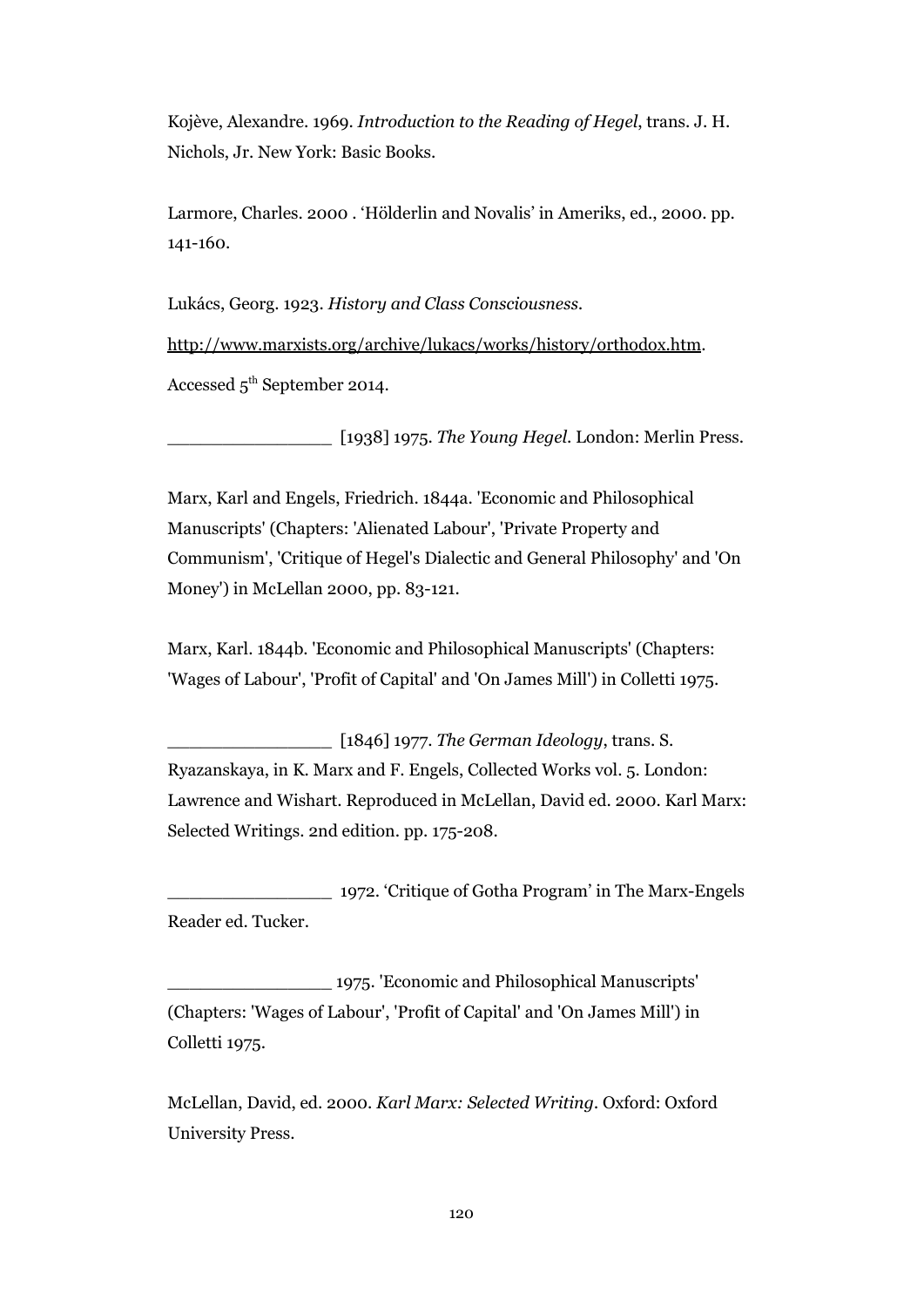Kojève, Alexandre. 1969. *Introduction to the Reading of Hegel*, trans. J. H. Nichols, Jr. New York: Basic Books.

Larmore, Charles. 2000 . 'Hölderlin and Novalis' in Ameriks, ed., 2000. pp. 141-160.

Lukács, Georg. 1923. *History and Class Consciousness.*

[http://www.marxists.org/archive/lukacs/works/history/orthodox.htm.](http://www.marxists.org/archive/lukacs/works/history/orthodox.htm)

Accessed 5<sup>th</sup> September 2014.

\_\_\_\_\_\_\_\_\_\_\_\_\_\_\_ [1938] 1975. *The Young Hegel*. London: Merlin Press.

Marx, Karl and Engels, Friedrich. 1844a. 'Economic and Philosophical Manuscripts' (Chapters: 'Alienated Labour', 'Private Property and Communism', 'Critique of Hegel's Dialectic and General Philosophy' and 'On Money') in McLellan 2000, pp. 83-121.

Marx, Karl. 1844b. 'Economic and Philosophical Manuscripts' (Chapters: 'Wages of Labour', 'Profit of Capital' and 'On James Mill') in Colletti 1975.

\_\_\_\_\_\_\_\_\_\_\_\_\_\_\_ [1846] 1977. *The German Ideology*, trans. S. Ryazanskaya, in K. Marx and F. Engels, Collected Works vol. 5. London: Lawrence and Wishart. Reproduced in McLellan, David ed. 2000. Karl Marx: Selected Writings. 2nd edition. pp. 175-208.

\_\_\_\_\_\_\_\_\_\_\_\_\_\_\_ 1972. 'Critique of Gotha Program' in The Marx-Engels Reader ed. Tucker.

\_\_\_\_\_\_\_\_\_\_\_\_\_\_\_ 1975. 'Economic and Philosophical Manuscripts' (Chapters: 'Wages of Labour', 'Profit of Capital' and 'On James Mill') in Colletti 1975.

McLellan, David, ed. 2000. *Karl Marx: Selected Writing.* Oxford: Oxford University Press.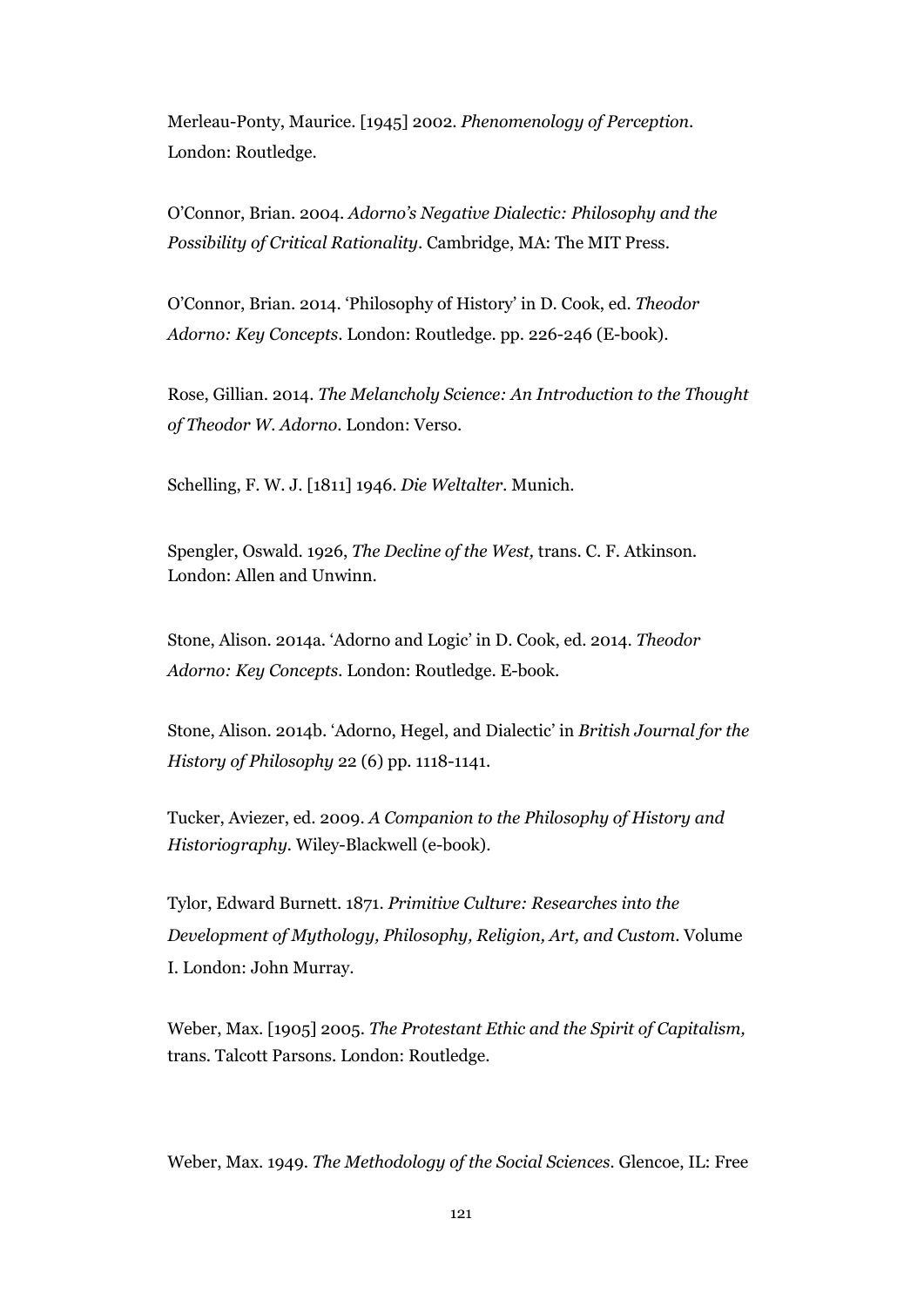Merleau-Ponty, Maurice. [1945] 2002. *Phenomenology of Perception*. London: Routledge.

O'Connor, Brian. 2004. *Adorno's Negative Dialectic: Philosophy and the Possibility of Critical Rationality*. Cambridge, MA: The MIT Press.

O'Connor, Brian. 2014. 'Philosophy of History' in D. Cook, ed. *Theodor Adorno: Key Concepts*. London: Routledge. pp. 226-246 (E-book).

Rose, Gillian. 2014. *The Melancholy Science: An Introduction to the Thought of Theodor W. Adorno*. London: Verso.

Schelling, F. W. J. [1811] 1946. *Die Weltalter.* Munich.

Spengler, Oswald. 1926, *The Decline of the West,* trans. C. F. Atkinson*.* London: Allen and Unwinn.

Stone, Alison. 2014a. 'Adorno and Logic' in D. Cook, ed. 2014. *Theodor Adorno: Key Concepts.* London: Routledge. E-book.

Stone, Alison. 2014b. 'Adorno, Hegel, and Dialectic' in *British Journal for the History of Philosophy* 22 (6) pp. 1118-1141.

Tucker, Aviezer, ed. 2009. *A Companion to the Philosophy of History and Historiography.* Wiley-Blackwell (e-book).

Tylor, Edward Burnett. 1871. *Primitive Culture: Researches into the Development of Mythology, Philosophy, Religion, Art, and Custom*. Volume I. London: John Murray.

Weber, Max. [1905] 2005. *The Protestant Ethic and the Spirit of Capitalism,* trans. Talcott Parsons. London: Routledge.

Weber, Max. 1949. *The Methodology of the Social Sciences.* Glencoe, IL: Free